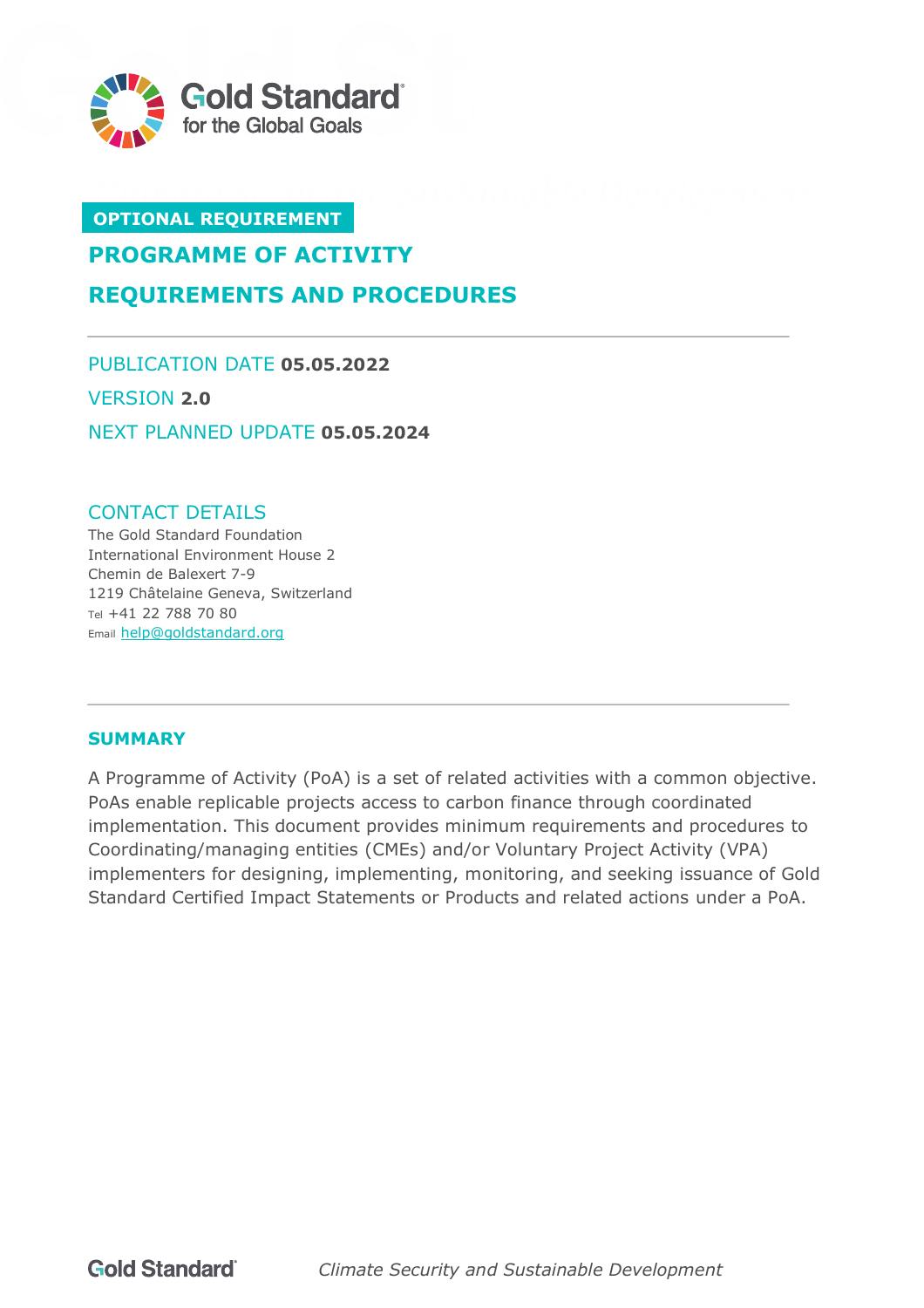

# **OPTIONAL REQUIREMENT**

# **PROGRAMME OF ACTIVITY**

**REQUIREMENTS AND PROCEDURES**

PUBLICATION DATE **05.05.2022** VERSION **2.0** NEXT PLANNED UPDATE **05.05.2024**

#### CONTACT DETAILS

The Gold Standard Foundation International Environment House 2 Chemin de Balexert 7-9 1219 Châtelaine Geneva, Switzerland Tel +41 22 788 70 80 Email [help@goldstandard.org](mailto:help@goldstandard.org)

# <span id="page-0-0"></span>**SUMMARY**

A Programme of Activity (PoA) is a set of related activities with a common objective. PoAs enable replicable projects access to carbon finance through coordinated implementation. This document provides minimum requirements and procedures to Coordinating/managing entities (CMEs) and/or Voluntary Project Activity (VPA) implementers for designing, implementing, monitoring, and seeking issuance of Gold Standard Certified Impact Statements or Products and related actions under a PoA.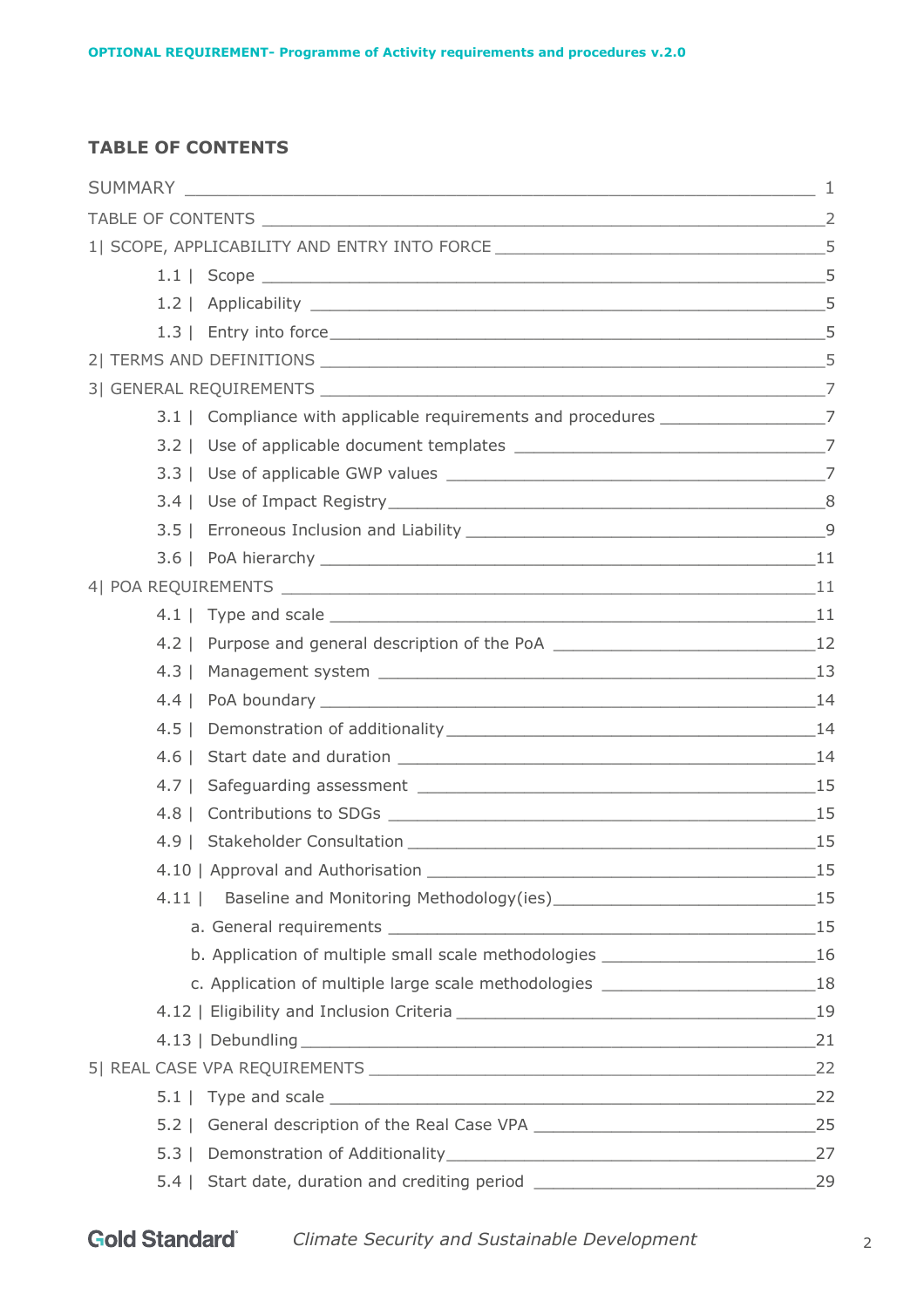# <span id="page-1-0"></span>**TABLE OF CONTENTS**

|            | 1  SCOPE, APPLICABILITY AND ENTRY INTO FORCE ___________________________________5   |    |
|------------|-------------------------------------------------------------------------------------|----|
|            |                                                                                     |    |
|            |                                                                                     |    |
|            |                                                                                     |    |
|            |                                                                                     | 5  |
|            |                                                                                     |    |
|            | 3.1   Compliance with applicable requirements and procedures ___________________7   |    |
|            |                                                                                     |    |
|            |                                                                                     |    |
|            |                                                                                     |    |
|            |                                                                                     |    |
|            |                                                                                     |    |
|            |                                                                                     |    |
|            |                                                                                     |    |
|            | 4.2   Purpose and general description of the PoA ________________________________12 |    |
| $4.3 \mid$ |                                                                                     |    |
|            |                                                                                     |    |
|            |                                                                                     |    |
| $4.6 \mid$ |                                                                                     |    |
|            |                                                                                     |    |
| $4.8$      |                                                                                     |    |
|            |                                                                                     |    |
|            | 4.10   Approval and Authorisation                                                   |    |
| $4.11$     |                                                                                     |    |
|            |                                                                                     |    |
|            | b. Application of multiple small scale methodologies ___________________________16  |    |
|            | c. Application of multiple large scale methodologies ___________________________18  |    |
|            |                                                                                     |    |
|            |                                                                                     |    |
|            |                                                                                     |    |
|            |                                                                                     |    |
|            | 5.2   General description of the Real Case VPA __________________________________25 |    |
|            |                                                                                     | 27 |
|            | 5.4   Start date, duration and crediting period ________________________________    | 29 |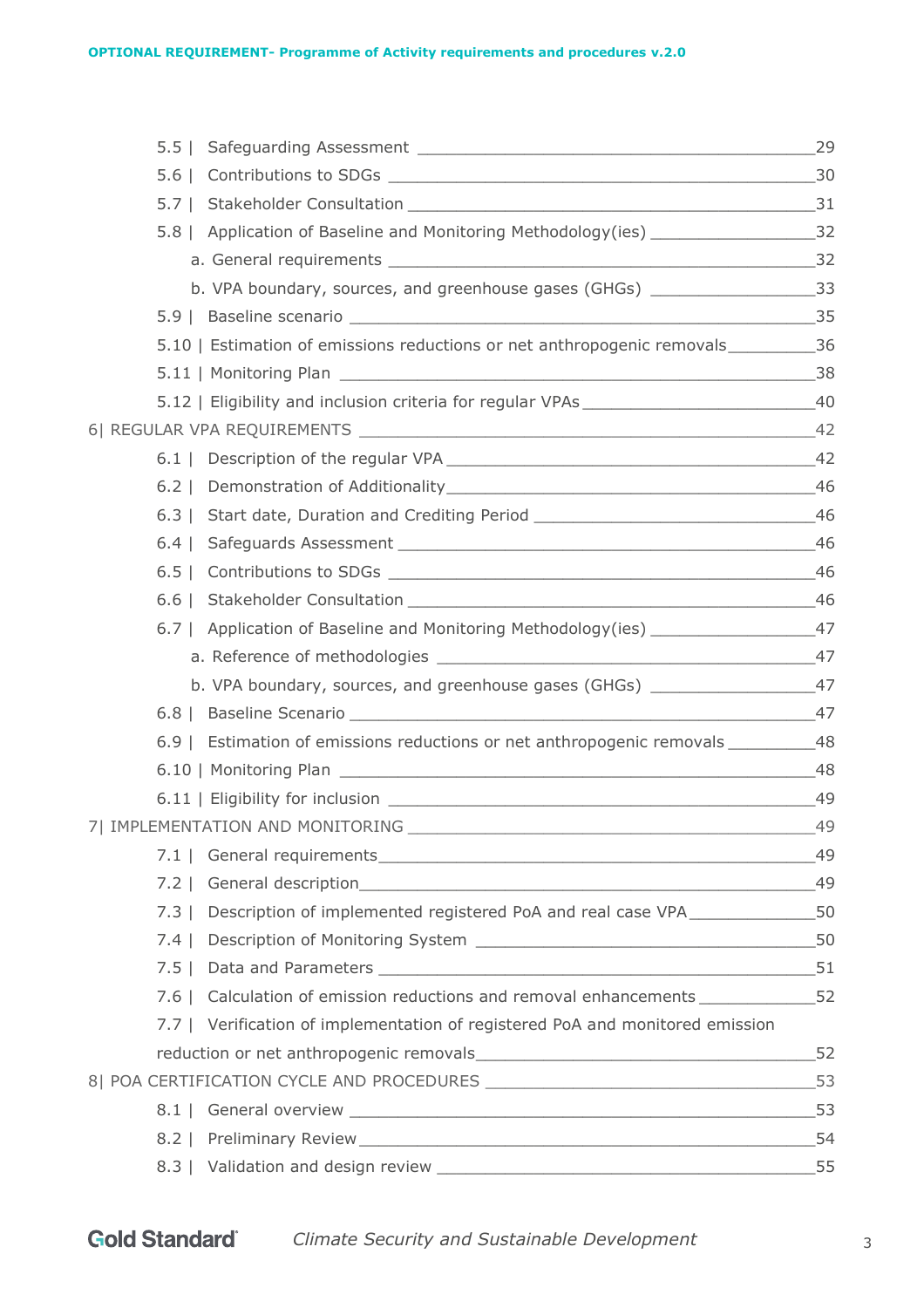|       | 5.8   Application of Baseline and Monitoring Methodology(ies) ___________________32 |       |
|-------|-------------------------------------------------------------------------------------|-------|
|       |                                                                                     |       |
|       | b. VPA boundary, sources, and greenhouse gases (GHGs) __________________________33  |       |
|       |                                                                                     |       |
|       |                                                                                     |       |
|       |                                                                                     |       |
|       |                                                                                     |       |
|       |                                                                                     |       |
|       |                                                                                     |       |
|       |                                                                                     |       |
|       | 6.3   Start date, Duration and Crediting Period _________________________________46 |       |
|       |                                                                                     |       |
|       |                                                                                     |       |
|       |                                                                                     |       |
|       | 6.7   Application of Baseline and Monitoring Methodology(ies) ___________________47 |       |
|       |                                                                                     |       |
|       | b. VPA boundary, sources, and greenhouse gases (GHGs) ________________________47    |       |
|       |                                                                                     |       |
|       | 6.9   Estimation of emissions reductions or net anthropogenic removals __________48 |       |
|       |                                                                                     |       |
|       |                                                                                     |       |
|       | 71 IMPLEMENTATION AND MONITORING                                                    | $-49$ |
|       |                                                                                     |       |
|       |                                                                                     |       |
| 7.3 1 | Description of implemented registered PoA and real case VPA__________________50     |       |
|       |                                                                                     |       |
|       |                                                                                     |       |
|       | 7.6   Calculation of emission reductions and removal enhancements _______________52 |       |
|       | 7.7   Verification of implementation of registered PoA and monitored emission       |       |
|       |                                                                                     |       |
|       |                                                                                     |       |
|       |                                                                                     |       |
|       |                                                                                     |       |
|       |                                                                                     | 55    |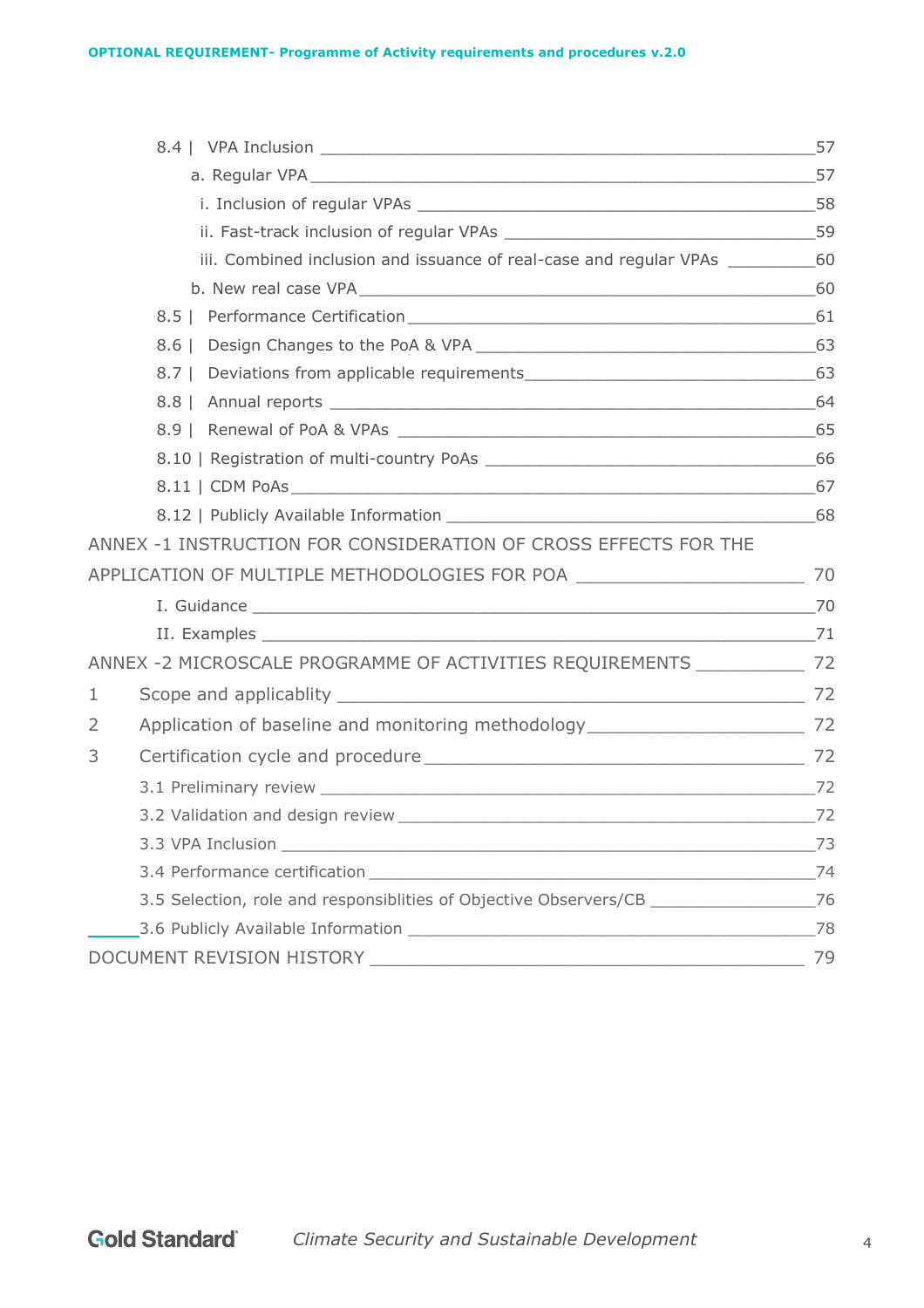|   | iii. Combined inclusion and issuance of real-case and regular VPAs _____________60  |    |
|---|-------------------------------------------------------------------------------------|----|
|   |                                                                                     |    |
|   |                                                                                     |    |
|   | $8.6$                                                                               |    |
|   |                                                                                     |    |
|   |                                                                                     |    |
|   |                                                                                     |    |
|   |                                                                                     |    |
|   |                                                                                     |    |
|   |                                                                                     |    |
|   | ANNEX -1 INSTRUCTION FOR CONSIDERATION OF CROSS EFFECTS FOR THE                     |    |
|   | APPLICATION OF MULTIPLE METHODOLOGIES FOR POA __________________________________ 70 |    |
|   |                                                                                     |    |
|   |                                                                                     |    |
|   | ANNEX -2 MICROSCALE PROGRAMME OF ACTIVITIES REQUIREMENTS _______________ 72         |    |
| 1 |                                                                                     |    |
| 2 |                                                                                     |    |
| 3 |                                                                                     |    |
|   |                                                                                     |    |
|   | 3.2 Validation and design review Manuscript Contract Contract of Table 22           |    |
|   |                                                                                     | 73 |
|   |                                                                                     | 74 |
|   | 3.5 Selection, role and responsibilities of Objective Observers/CB                  | 76 |
|   |                                                                                     | 78 |
|   | DOCUMENT REVISION HISTORY                                                           | 79 |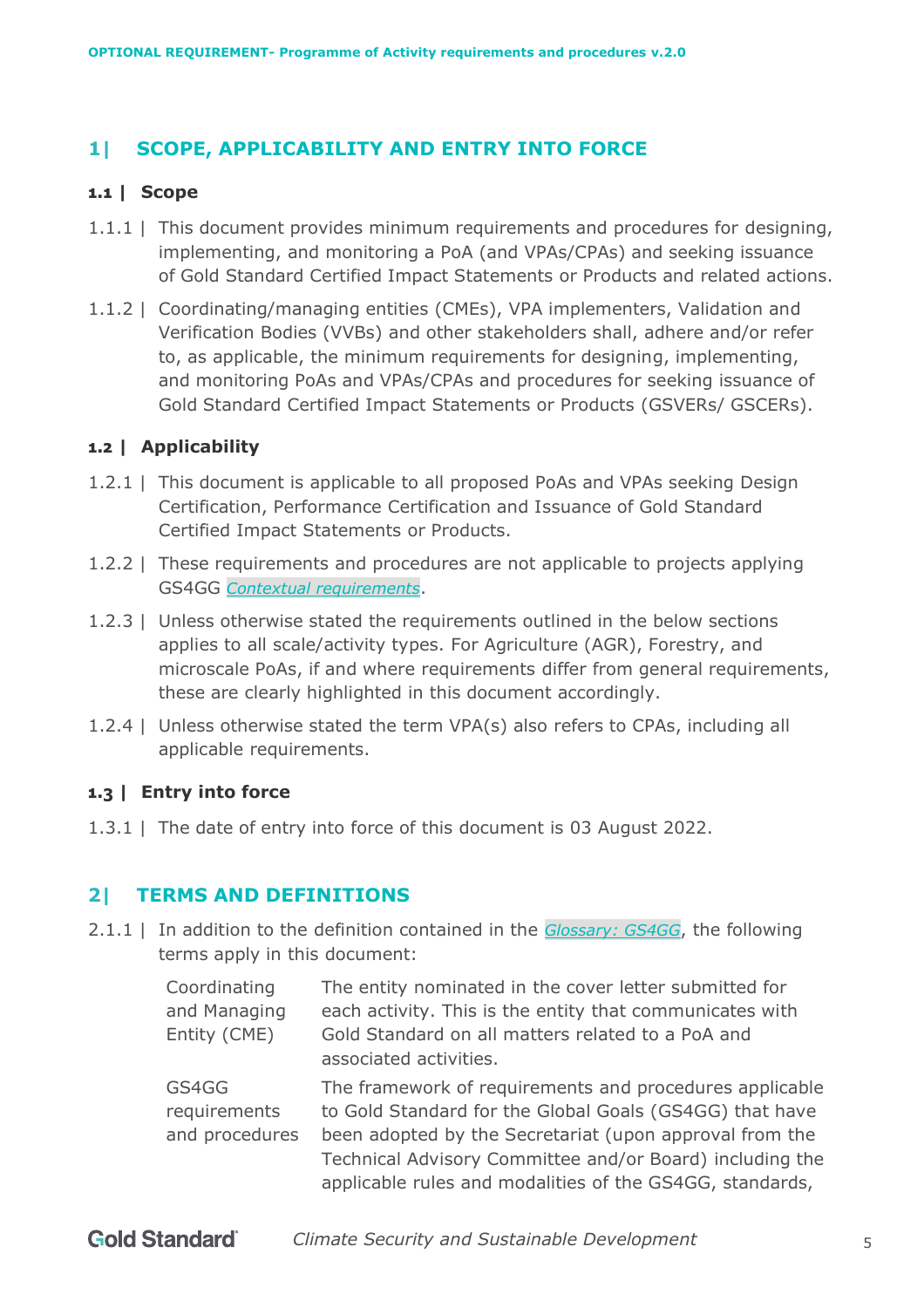# <span id="page-4-0"></span>**1| SCOPE, APPLICABILITY AND ENTRY INTO FORCE**

#### <span id="page-4-1"></span>**1.1 | Scope**

- 1.1.1 | This document provides minimum requirements and procedures for designing, implementing, and monitoring a PoA (and VPAs/CPAs) and seeking issuance of Gold Standard Certified Impact Statements or Products and related actions.
- 1.1.2 | Coordinating/managing entities (CMEs), VPA implementers, Validation and Verification Bodies (VVBs) and other stakeholders shall, adhere and/or refer to, as applicable, the minimum requirements for designing, implementing, and monitoring PoAs and VPAs/CPAs and procedures for seeking issuance of Gold Standard Certified Impact Statements or Products (GSVERs/ GSCERs).

#### <span id="page-4-2"></span>**1.2 | Applicability**

- 1.2.1 | This document is applicable to all proposed PoAs and VPAs seeking Design Certification, Performance Certification and Issuance of Gold Standard Certified Impact Statements or Products.
- 1.2.2 | These requirements and procedures are not applicable to projects applying GS4GG *Contextual [requirements](https://globalgoals.goldstandard.org/300-contextual-requirements/)*.
- 1.2.3 | Unless otherwise stated the requirements outlined in the below sections applies to all scale/activity types. For Agriculture (AGR), Forestry, and microscale PoAs, if and where requirements differ from general requirements, these are clearly highlighted in this document accordingly.
- 1.2.4 | Unless otherwise stated the term VPA(s) also refers to CPAs, including all applicable requirements.

#### <span id="page-4-3"></span>**1.3 | Entry into force**

1.3.1 | The date of entry into force of this document is 03 August 2022.

# <span id="page-4-4"></span>**2| TERMS AND DEFINITIONS**

2.1.1 | In addition to the definition contained in the *[Glossary: GS4GG](https://globalgoals.goldstandard.org/faqs-glossary/#glossary)*, the following terms apply in this document:

| Coordinating   | The entity nominated in the cover letter submitted for                                                               |
|----------------|----------------------------------------------------------------------------------------------------------------------|
| and Managing   | each activity. This is the entity that communicates with                                                             |
| Entity (CME)   | Gold Standard on all matters related to a PoA and                                                                    |
|                | associated activities.                                                                                               |
| GS4GG          | The framework of requirements and procedures applicable                                                              |
| requirements   | to Gold Standard for the Global Goals (GS4GG) that have                                                              |
| and procedures | been adopted by the Secretariat (upon approval from the                                                              |
|                | Technical Advisory Committee and/or Board) including the<br>applicable rules and modalities of the GS4GG, standards, |
|                |                                                                                                                      |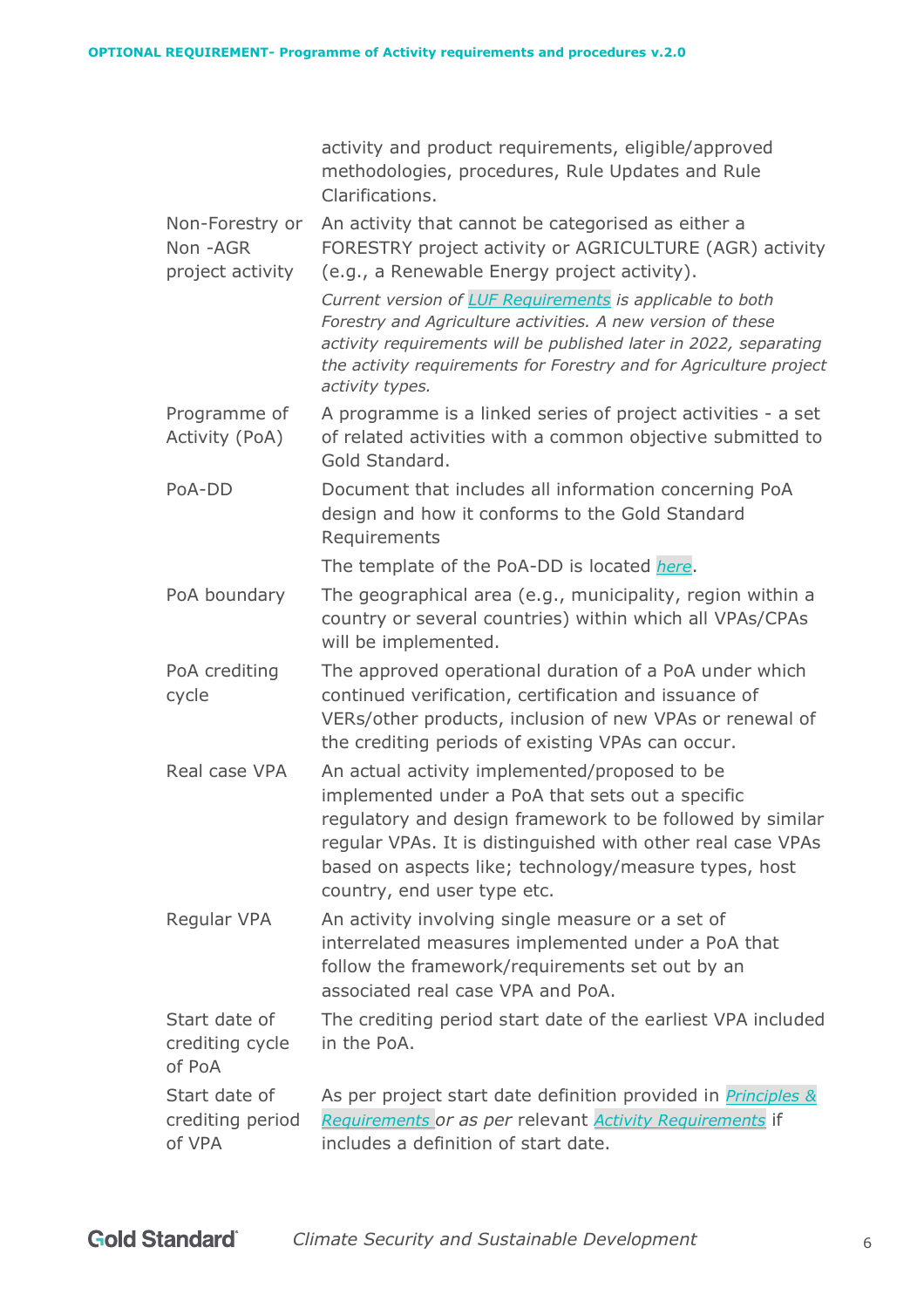|                                                  | activity and product requirements, eligible/approved<br>methodologies, procedures, Rule Updates and Rule<br>Clarifications.                                                                                                                                                                                           |
|--------------------------------------------------|-----------------------------------------------------------------------------------------------------------------------------------------------------------------------------------------------------------------------------------------------------------------------------------------------------------------------|
| Non-Forestry or<br>Non - AGR<br>project activity | An activity that cannot be categorised as either a<br>FORESTRY project activity or AGRICULTURE (AGR) activity<br>(e.g., a Renewable Energy project activity).                                                                                                                                                         |
|                                                  | Current version of LUF Requirements is applicable to both<br>Forestry and Agriculture activities. A new version of these<br>activity requirements will be published later in 2022, separating<br>the activity requirements for Forestry and for Agriculture project<br>activity types.                                |
| Programme of<br>Activity (PoA)                   | A programme is a linked series of project activities - a set<br>of related activities with a common objective submitted to<br>Gold Standard.                                                                                                                                                                          |
| PoA-DD                                           | Document that includes all information concerning PoA<br>design and how it conforms to the Gold Standard<br>Requirements                                                                                                                                                                                              |
|                                                  | The template of the PoA-DD is located here.                                                                                                                                                                                                                                                                           |
| PoA boundary                                     | The geographical area (e.g., municipality, region within a<br>country or several countries) within which all VPAs/CPAs<br>will be implemented.                                                                                                                                                                        |
| PoA crediting<br>cycle                           | The approved operational duration of a PoA under which<br>continued verification, certification and issuance of<br>VERs/other products, inclusion of new VPAs or renewal of<br>the crediting periods of existing VPAs can occur.                                                                                      |
| Real case VPA                                    | An actual activity implemented/proposed to be<br>implemented under a PoA that sets out a specific<br>regulatory and design framework to be followed by similar<br>regular VPAs. It is distinguished with other real case VPAs<br>based on aspects like; technology/measure types, host<br>country, end user type etc. |
| Regular VPA                                      | An activity involving single measure or a set of<br>interrelated measures implemented under a PoA that<br>follow the framework/requirements set out by an<br>associated real case VPA and PoA.                                                                                                                        |
| Start date of<br>crediting cycle<br>of PoA       | The crediting period start date of the earliest VPA included<br>in the PoA.                                                                                                                                                                                                                                           |
| Start date of<br>crediting period<br>of VPA      | As per project start date definition provided in <i>Principles &amp;</i><br>Requirements or as per relevant <b>Activity Requirements</b> if<br>includes a definition of start date.                                                                                                                                   |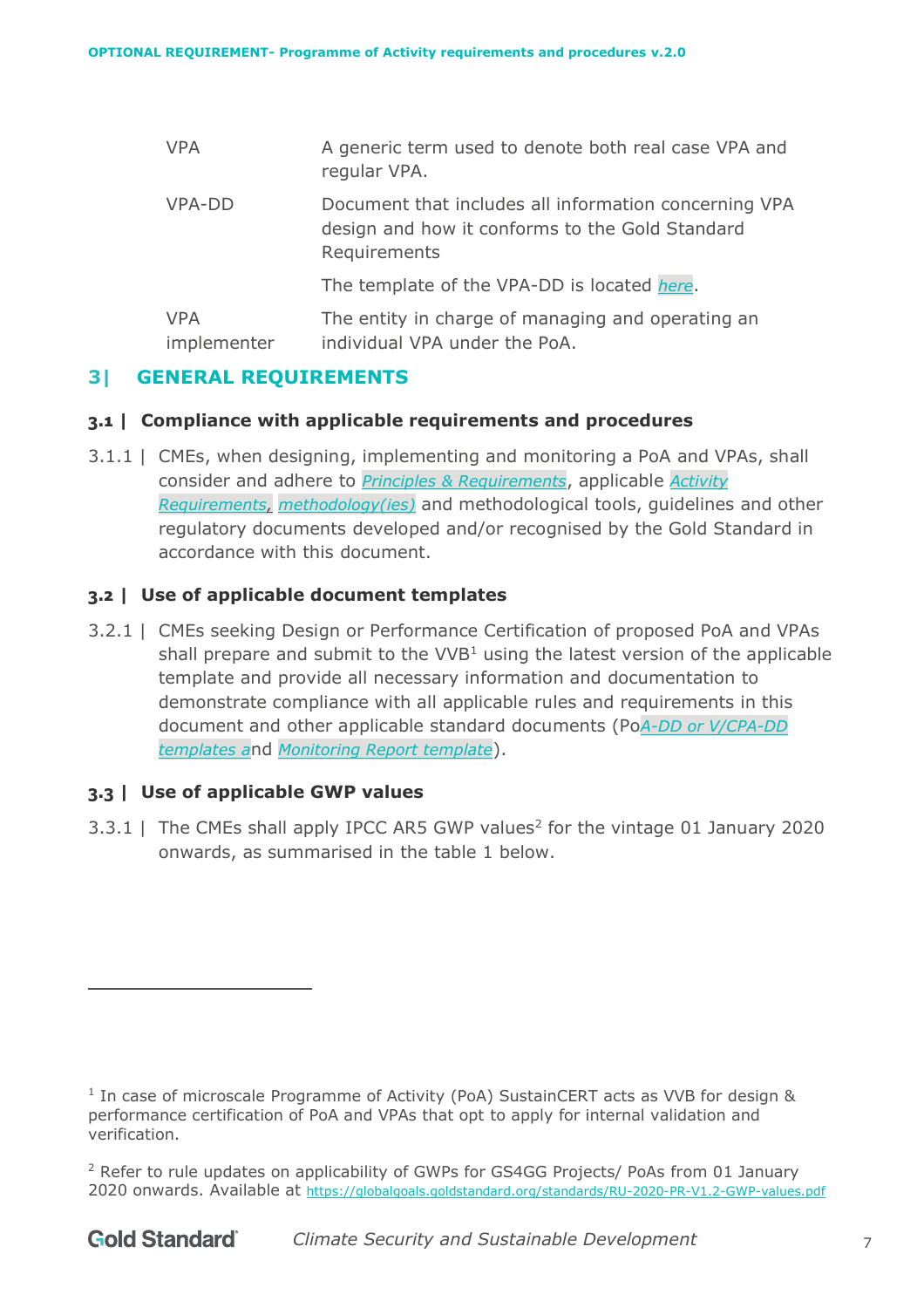| <b>VPA</b>                | A generic term used to denote both real case VPA and<br>regular VPA.                                                     |
|---------------------------|--------------------------------------------------------------------------------------------------------------------------|
| VPA-DD                    | Document that includes all information concerning VPA<br>design and how it conforms to the Gold Standard<br>Requirements |
|                           | The template of the VPA-DD is located here.                                                                              |
| <b>VPA</b><br>implementer | The entity in charge of managing and operating an<br>individual VPA under the PoA.                                       |

# <span id="page-6-0"></span>**3| GENERAL REQUIREMENTS**

#### <span id="page-6-1"></span>**3.1 | Compliance with applicable requirements and procedures**

3.1.1 | CMEs, when designing, implementing and monitoring a PoA and VPAs, shall consider and adhere to *[Principles & Requirements](https://globalgoals.goldstandard.org/101-1-gold-standard-for-the-global-goals-principles-requirements/)*, applicable *[Activity](https://globalgoals.goldstandard.org/200-activity-requirements/)  [Requirements,](https://globalgoals.goldstandard.org/200-activity-requirements/) [methodology\(ies\)](https://globalgoals.goldstandard.org/400-sdg-impact-quantification/)* and methodological tools, guidelines and other regulatory documents developed and/or recognised by the Gold Standard in accordance with this document.

# <span id="page-6-2"></span>**3.2 | Use of applicable document templates**

3.2.1 | CMEs seeking Design or Performance Certification of proposed PoA and VPAs shall prepare and submit to the  $VVB<sup>1</sup>$  using the latest version of the applicable template and provide all necessary information and documentation to demonstrate compliance with all applicable rules and requirements in this document and other applicable standard documents (Po*[A-DD or V/CPA-DD](https://globalgoals.goldstandard.org/templates/)  [templates](https://globalgoals.goldstandard.org/templates/) a*nd *[Monitoring Report template](https://globalgoals.goldstandard.org/templates/)*).

# <span id="page-6-3"></span>**3.3 | Use of applicable GWP values**

3.3.1 | The CMEs shall apply IPCC AR5 GWP values<sup>2</sup> for the vintage 01 January 2020 onwards, as summarised in the table 1 below.

 $1$  In case of microscale Programme of Activity (PoA) SustainCERT acts as VVB for design & performance certification of PoA and VPAs that opt to apply for internal validation and verification.

<sup>&</sup>lt;sup>2</sup> Refer to rule updates on applicability of GWPs for GS4GG Projects/ PoAs from 01 January 2020 onwards. Available at <https://globalgoals.goldstandard.org/standards/RU-2020-PR-V1.2-GWP-values.pdf>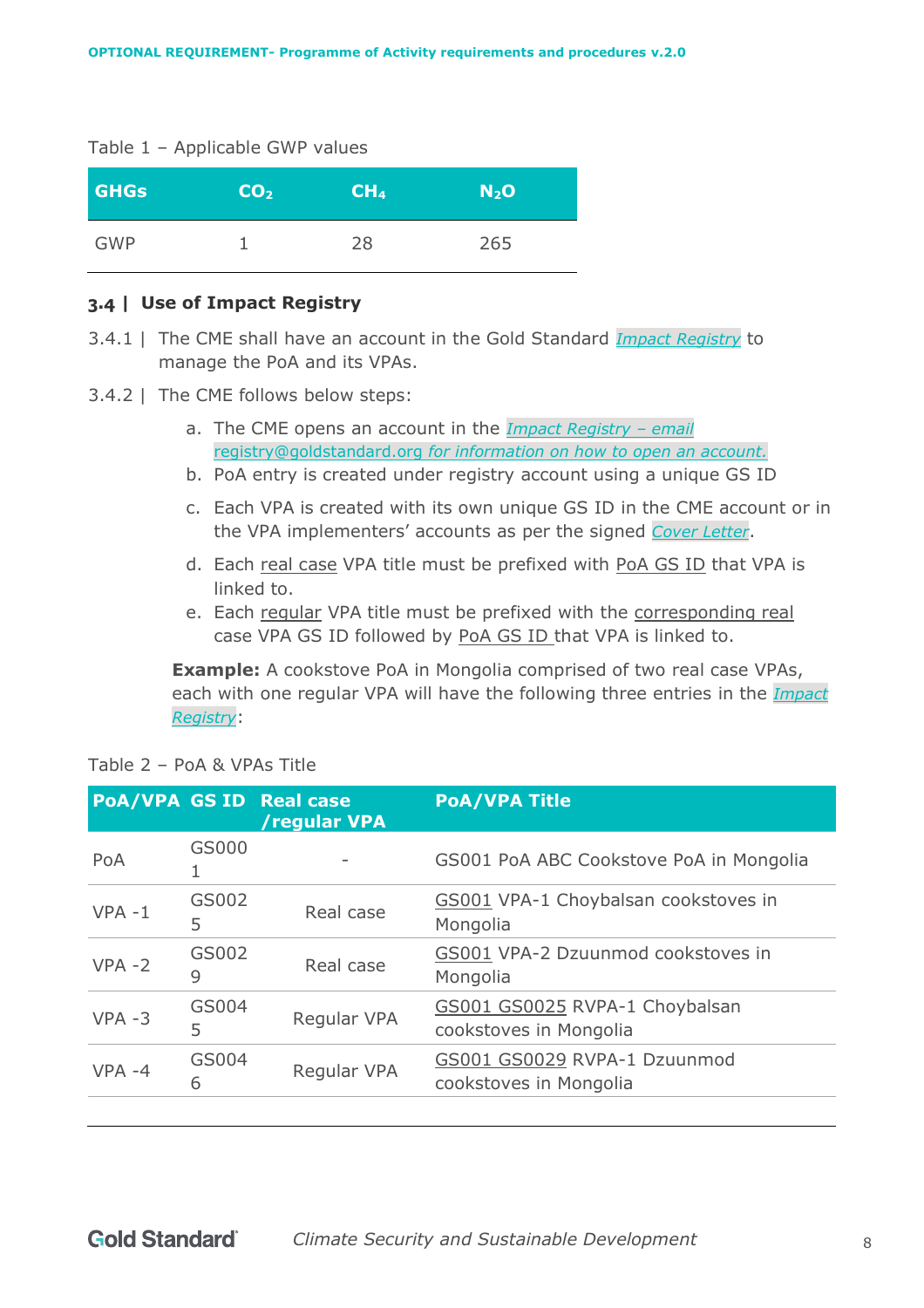#### Table 1 – Applicable GWP values

| <b>GHGs</b> | $\overline{CO_{2}}$ | CH <sub>4</sub> | N <sub>2</sub> O |
|-------------|---------------------|-----------------|------------------|
| GWP         |                     | 28              | 265              |

#### <span id="page-7-0"></span>**3.4 | Use of Impact Registry**

- 3.4.1 | The CME shall have an account in the Gold Standard *[Impact Registry](https://registry.goldstandard.org/projects)* to manage the PoA and its VPAs.
- 3.4.2 | The CME follows below steps:
	- a. The CME opens an account in the *[Impact Registry](https://registry.goldstandard.org/projects) – email*  [registry@goldstandard.org](mailto:registry@goldstandard.org) *for information on how to open an account.*
	- b. PoA entry is created under registry account using a unique GS ID
	- c. Each VPA is created with its own unique GS ID in the CME account or in the VPA implementers' accounts as per the signed *[Cover Letter](https://globalgoals.goldstandard.org/standards/T-PreReview_V1.1-Cover-Letter.docx)*.
	- d. Each real case VPA title must be prefixed with PoA GS ID that VPA is linked to.
	- e. Each regular VPA title must be prefixed with the corresponding real case VPA GS ID followed by PoA GS ID that VPA is linked to.

**Example:** A cookstove PoA in Mongolia comprised of two real case VPAs, each with one regular VPA will have the following three entries in the *[Impact](https://registry.goldstandard.org/projects)  [Registry](https://registry.goldstandard.org/projects)*:

|           |            | <b>PoA/VPA GS ID Real case</b><br>/regular VPA | <b>PoA/VPA Title</b>                                     |
|-----------|------------|------------------------------------------------|----------------------------------------------------------|
| PoA       | GS000      |                                                | GS001 PoA ABC Cookstove PoA in Mongolia                  |
| $VPA - 1$ | GS002<br>5 | Real case                                      | GS001 VPA-1 Choybalsan cookstoves in<br>Mongolia         |
| $VPA - 2$ | GS002<br>9 | Real case                                      | GS001 VPA-2 Dzuunmod cookstoves in<br>Mongolia           |
| $VPA - 3$ | GS004<br>5 | <b>Regular VPA</b>                             | GS001 GS0025 RVPA-1 Choybalsan<br>cookstoves in Mongolia |
| $VPA -4$  | GS004<br>6 | Regular VPA                                    | GS001 GS0029 RVPA-1 Dzuunmod<br>cookstoves in Mongolia   |
|           |            |                                                |                                                          |

| Table 2 - PoA & VPAs Title |  |  |  |  |  |  |
|----------------------------|--|--|--|--|--|--|
|----------------------------|--|--|--|--|--|--|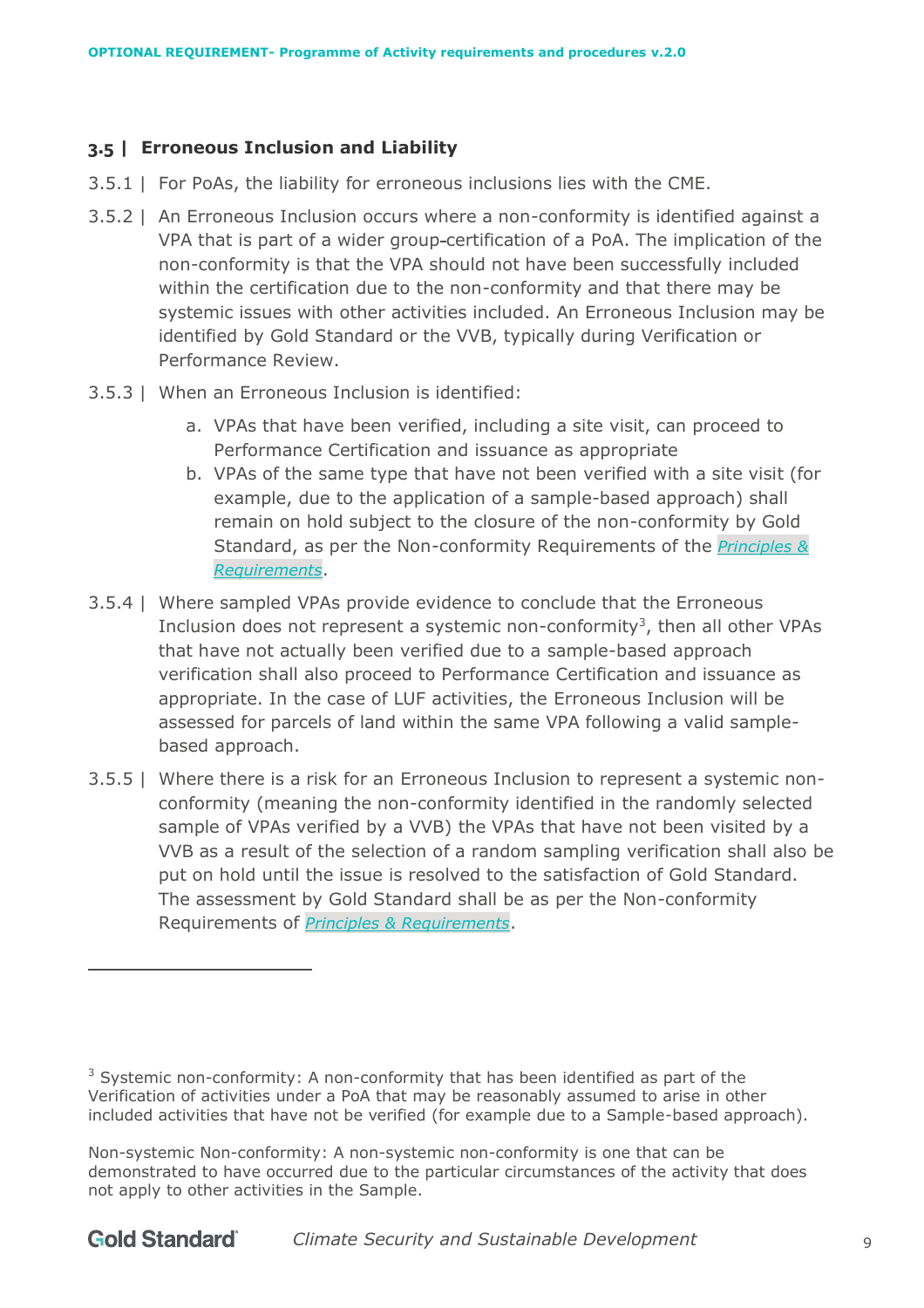# <span id="page-8-0"></span>**3.5 | Erroneous Inclusion and Liability**

- 3.5.1 | For PoAs, the liability for erroneous inclusions lies with the CME.
- 3.5.2 | An Erroneous Inclusion occurs where a non-conformity is identified against a VPA that is part of a wider group certification of a PoA. The implication of the non-conformity is that the VPA should not have been successfully included within the certification due to the non-conformity and that there may be systemic issues with other activities included. An Erroneous Inclusion may be identified by Gold Standard or the VVB, typically during Verification or Performance Review.
- 3.5.3 | When an Erroneous Inclusion is identified:
	- a. VPAs that have been verified, including a site visit, can proceed to Performance Certification and issuance as appropriate
	- b. VPAs of the same type that have not been verified with a site visit (for example, due to the application of a sample-based approach) shall remain on hold subject to the closure of the non-conformity by Gold Standard, as per the Non-conformity Requirements of the *[Principles &](https://globalgoals.goldstandard.org/101-1-gold-standard-for-the-global-goals-principles-requirements/)  [Requirements](https://globalgoals.goldstandard.org/101-1-gold-standard-for-the-global-goals-principles-requirements/)*.
- 3.5.4 | Where sampled VPAs provide evidence to conclude that the Erroneous Inclusion does not represent a systemic non-conformity<sup>3</sup>, then all other VPAs that have not actually been verified due to a sample-based approach verification shall also proceed to Performance Certification and issuance as appropriate. In the case of LUF activities, the Erroneous Inclusion will be assessed for parcels of land within the same VPA following a valid samplebased approach.
- 3.5.5 | Where there is a risk for an Erroneous Inclusion to represent a systemic nonconformity (meaning the non-conformity identified in the randomly selected sample of VPAs verified by a VVB) the VPAs that have not been visited by a VVB as a result of the selection of a random sampling verification shall also be put on hold until the issue is resolved to the satisfaction of Gold Standard. The assessment by Gold Standard shall be as per the Non-conformity Requirements of *[Principles & Requirements](https://globalgoals.goldstandard.org/101-1-gold-standard-for-the-global-goals-principles-requirements/)*.

<sup>&</sup>lt;sup>3</sup> Systemic non-conformity: A non-conformity that has been identified as part of the Verification of activities under a PoA that may be reasonably assumed to arise in other included activities that have not be verified (for example due to a Sample-based approach).

Non-systemic Non-conformity: A non-systemic non-conformity is one that can be demonstrated to have occurred due to the particular circumstances of the activity that does not apply to other activities in the Sample.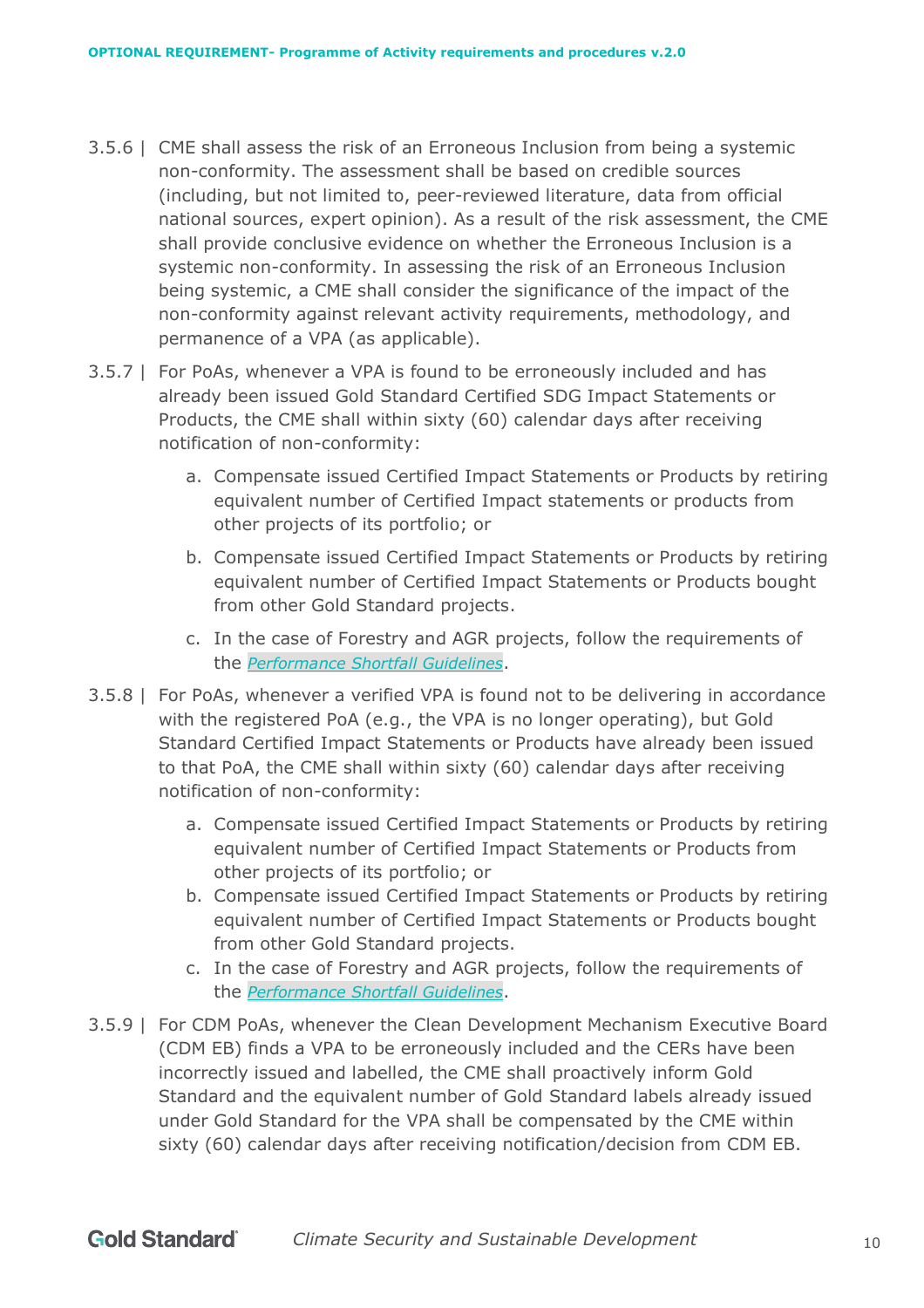- 3.5.6 | CME shall assess the risk of an Erroneous Inclusion from being a systemic non-conformity. The assessment shall be based on credible sources (including, but not limited to, peer-reviewed literature, data from official national sources, expert opinion). As a result of the risk assessment, the CME shall provide conclusive evidence on whether the Erroneous Inclusion is a systemic non-conformity. In assessing the risk of an Erroneous Inclusion being systemic, a CME shall consider the significance of the impact of the non-conformity against relevant activity requirements, methodology, and permanence of a VPA (as applicable).
- 3.5.7 | For PoAs, whenever a VPA is found to be erroneously included and has already been issued Gold Standard Certified SDG Impact Statements or Products, the CME shall within sixty (60) calendar days after receiving notification of non-conformity:
	- a. Compensate issued Certified Impact Statements or Products by retiring equivalent number of Certified Impact statements or products from other projects of its portfolio; or
	- b. Compensate issued Certified Impact Statements or Products by retiring equivalent number of Certified Impact Statements or Products bought from other Gold Standard projects.
	- c. In the case of Forestry and AGR projects, follow the requirements of the *[Performance Shortfall Guidelines](https://globalgoals.goldstandard.org/501g-pr-performance-shortfall-guidelines/)*.
- 3.5.8 | For PoAs, whenever a verified VPA is found not to be delivering in accordance with the registered PoA (e.g., the VPA is no longer operating), but Gold Standard Certified Impact Statements or Products have already been issued to that PoA, the CME shall within sixty (60) calendar days after receiving notification of non-conformity:
	- a. Compensate issued Certified Impact Statements or Products by retiring equivalent number of Certified Impact Statements or Products from other projects of its portfolio; or
	- b. Compensate issued Certified Impact Statements or Products by retiring equivalent number of Certified Impact Statements or Products bought from other Gold Standard projects.
	- c. In the case of Forestry and AGR projects, follow the requirements of the *[Performance Shortfall Guidelines](https://globalgoals.goldstandard.org/501g-pr-performance-shortfall-guidelines/)*.
- 3.5.9 | For CDM PoAs, whenever the Clean Development Mechanism Executive Board (CDM EB) finds a VPA to be erroneously included and the CERs have been incorrectly issued and labelled, the CME shall proactively inform Gold Standard and the equivalent number of Gold Standard labels already issued under Gold Standard for the VPA shall be compensated by the CME within sixty (60) calendar days after receiving notification/decision from CDM EB.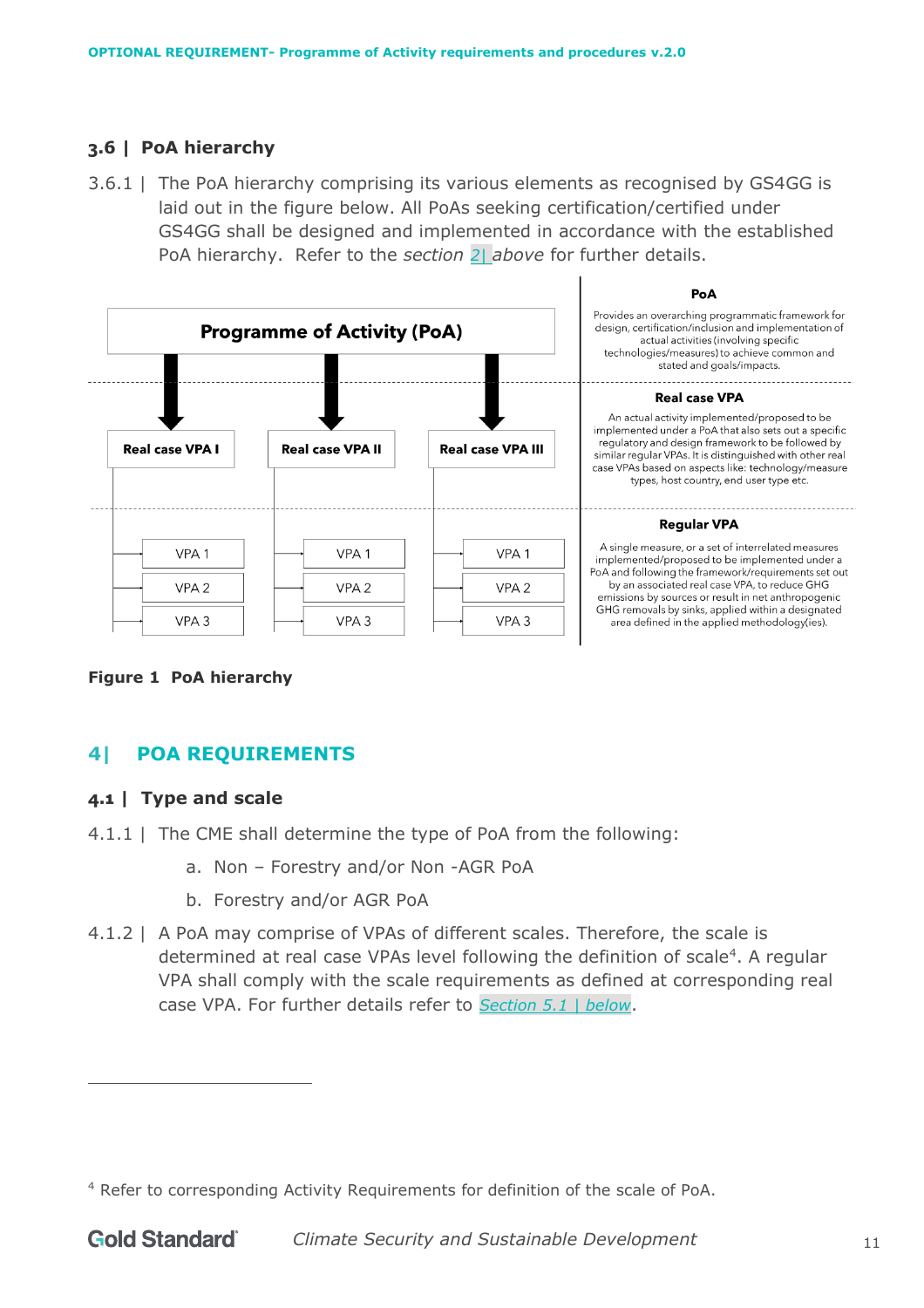# <span id="page-10-0"></span>**3.6 | PoA hierarchy**

3.6.1 | The PoA hierarchy comprising its various elements as recognised by GS4GG is laid out in the figure below. All PoAs seeking certification/certified under GS4GG shall be designed and implemented in accordance with the established PoA hierarchy. Refer to the *section 2| [above](#page-4-4)* for further details.



**Figure 1 PoA hierarchy**

# <span id="page-10-1"></span>**4| POA REQUIREMENTS**

# <span id="page-10-2"></span>**4.1 | Type and scale**

- 4.1.1 | The CME shall determine the type of PoA from the following:
	- a. Non Forestry and/or Non -AGR PoA
	- b. Forestry and/or AGR PoA
- 4.1.2 | A PoA may comprise of VPAs of different scales. Therefore, the scale is determined at real case VPAs level following the definition of scale<sup>4</sup>. A regular VPA shall comply with the scale requirements as defined at corresponding real case VPA. For further details refer to *Section [5.1 | below](#page-21-2)*.

<sup>4</sup> Refer to corresponding Activity Requirements for definition of the scale of PoA.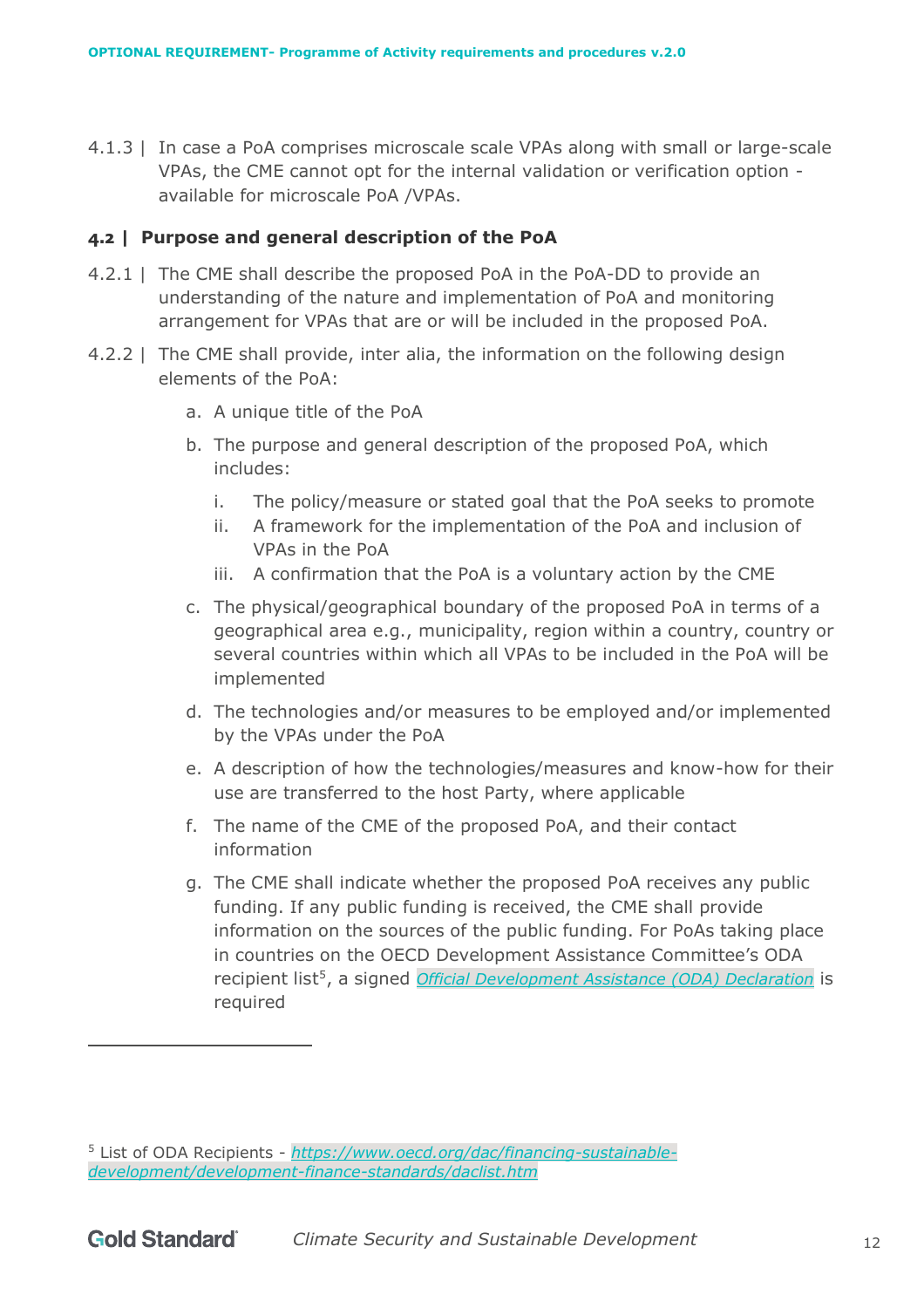4.1.3 | In case a PoA comprises microscale scale VPAs along with small or large-scale VPAs, the CME cannot opt for the internal validation or verification option available for microscale PoA /VPAs.

#### <span id="page-11-0"></span>**4.2 | Purpose and general description of the PoA**

- 4.2.1 | The CME shall describe the proposed PoA in the PoA-DD to provide an understanding of the nature and implementation of PoA and monitoring arrangement for VPAs that are or will be included in the proposed PoA.
- 4.2.2 | The CME shall provide, inter alia, the information on the following design elements of the PoA:
	- a. A unique title of the PoA
	- b. The purpose and general description of the proposed PoA, which includes:
		- i. The policy/measure or stated goal that the PoA seeks to promote
		- ii. A framework for the implementation of the PoA and inclusion of VPAs in the PoA
		- iii. A confirmation that the PoA is a voluntary action by the CME
	- c. The physical/geographical boundary of the proposed PoA in terms of a geographical area e.g., municipality, region within a country, country or several countries within which all VPAs to be included in the PoA will be implemented
	- d. The technologies and/or measures to be employed and/or implemented by the VPAs under the PoA
	- e. A description of how the technologies/measures and know-how for their use are transferred to the host Party, where applicable
	- f. The name of the CME of the proposed PoA, and their contact information
	- g. The CME shall indicate whether the proposed PoA receives any public funding. If any public funding is received, the CME shall provide information on the sources of the public funding. For PoAs taking place in countries on the OECD Development Assistance Committee's ODA recipient list<sup>5</sup>, a signed *[Official Development Assistance \(ODA\) Declaration](https://globalgoals.goldstandard.org/501-ar-ghgs-oda-declaration-template/)* is required

<sup>5</sup> List of ODA Recipients - *[https://www.oecd.org/dac/financing-sustainable](https://www.oecd.org/dac/financing-sustainable-development/development-finance-standards/daclist.htm)[development/development-finance-standards/daclist.htm](https://www.oecd.org/dac/financing-sustainable-development/development-finance-standards/daclist.htm)*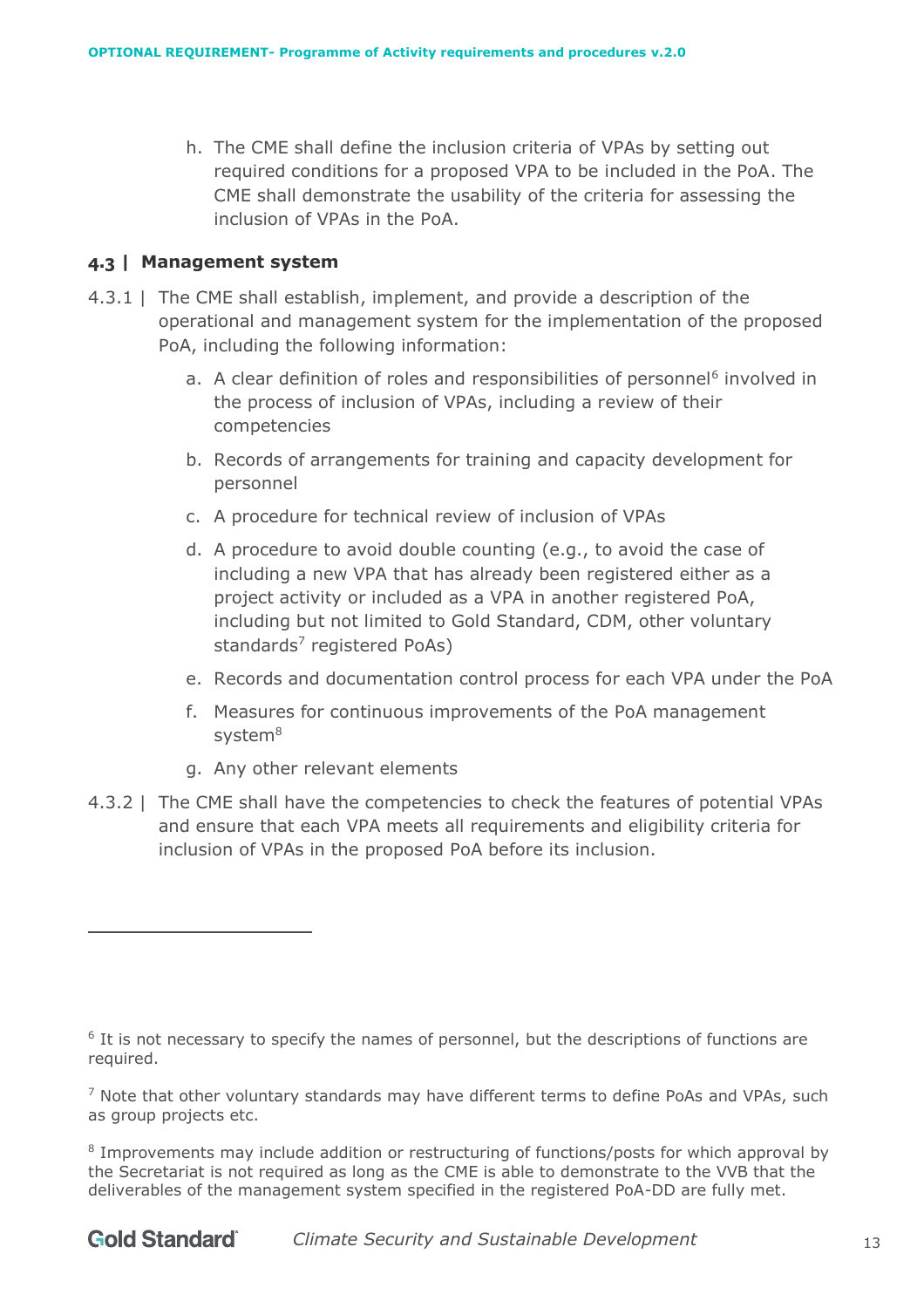h. The CME shall define the inclusion criteria of VPAs by setting out required conditions for a proposed VPA to be included in the PoA. The CME shall demonstrate the usability of the criteria for assessing the inclusion of VPAs in the PoA.

#### <span id="page-12-0"></span>**4.3 | Management system**

- 4.3.1 | The CME shall establish, implement, and provide a description of the operational and management system for the implementation of the proposed PoA, including the following information:
	- a. A clear definition of roles and responsibilities of personnel<sup>6</sup> involved in the process of inclusion of VPAs, including a review of their competencies
	- b. Records of arrangements for training and capacity development for personnel
	- c. A procedure for technical review of inclusion of VPAs
	- d. A procedure to avoid double counting (e.g., to avoid the case of including a new VPA that has already been registered either as a project activity or included as a VPA in another registered PoA, including but not limited to Gold Standard, CDM, other voluntary standards<sup>7</sup> registered PoAs)
	- e. Records and documentation control process for each VPA under the PoA
	- f. Measures for continuous improvements of the PoA management system<sup>8</sup>
	- g. Any other relevant elements
- 4.3.2 | The CME shall have the competencies to check the features of potential VPAs and ensure that each VPA meets all requirements and eligibility criteria for inclusion of VPAs in the proposed PoA before its inclusion.

<sup>&</sup>lt;sup>6</sup> It is not necessary to specify the names of personnel, but the descriptions of functions are required.

 $<sup>7</sup>$  Note that other voluntary standards may have different terms to define PoAs and VPAs, such</sup> as group projects etc.

<sup>&</sup>lt;sup>8</sup> Improvements may include addition or restructuring of functions/posts for which approval by the Secretariat is not required as long as the CME is able to demonstrate to the VVB that the deliverables of the management system specified in the registered PoA-DD are fully met.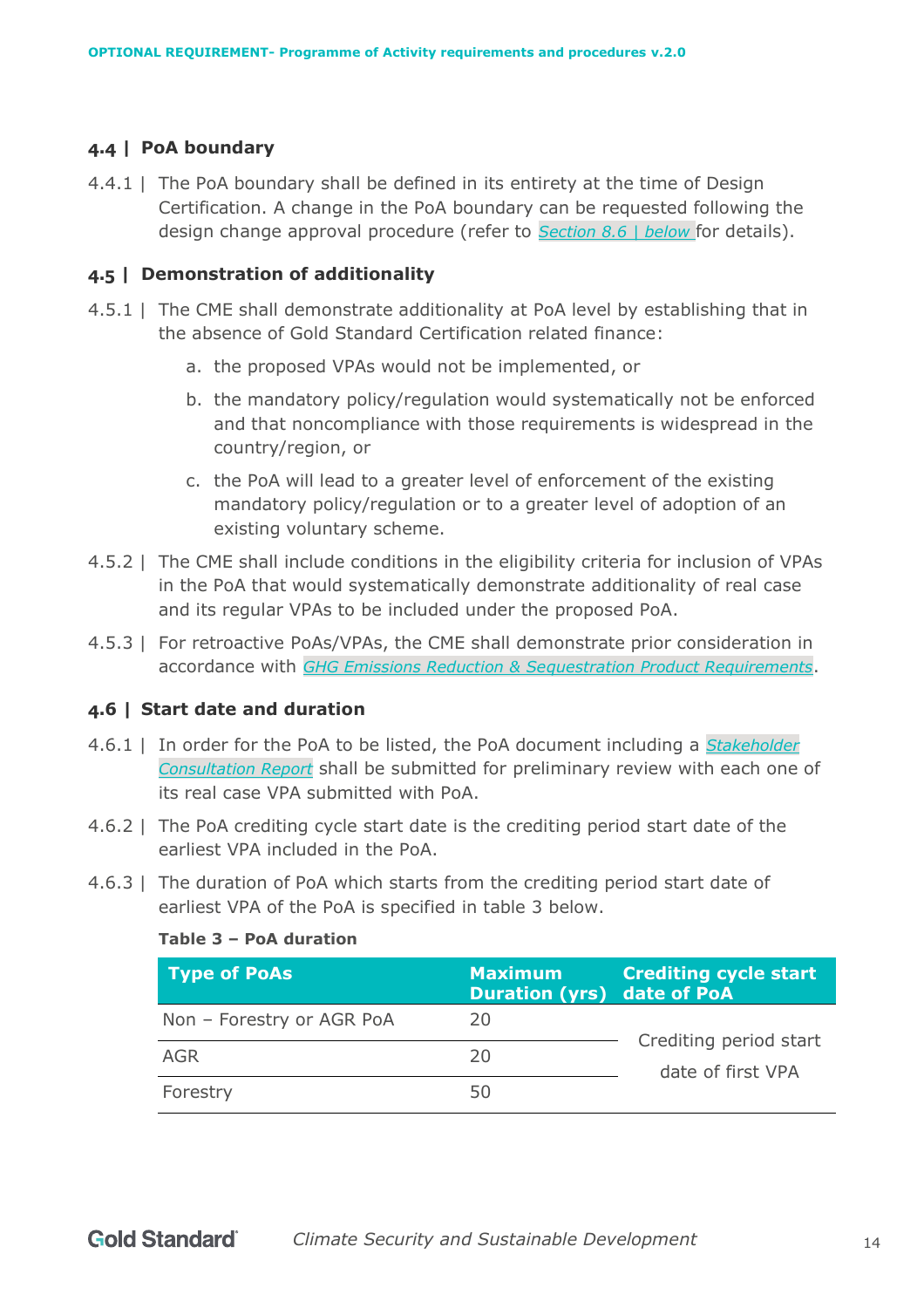# <span id="page-13-0"></span>**4.4 | PoA boundary**

4.4.1 | The PoA boundary shall be defined in its entirety at the time of Design Certification. A change in the PoA boundary can be requested following the design change approval procedure (refer to *Section [8.6 | below](#page-62-0)* for details).

#### <span id="page-13-1"></span>**4.5 | Demonstration of additionality**

- 4.5.1 | The CME shall demonstrate additionality at PoA level by establishing that in the absence of Gold Standard Certification related finance:
	- a. the proposed VPAs would not be implemented, or
	- b. the mandatory policy/regulation would systematically not be enforced and that noncompliance with those requirements is widespread in the country/region, or
	- c. the PoA will lead to a greater level of enforcement of the existing mandatory policy/regulation or to a greater level of adoption of an existing voluntary scheme.
- 4.5.2 | The CME shall include conditions in the eligibility criteria for inclusion of VPAs in the PoA that would systematically demonstrate additionality of real case and its regular VPAs to be included under the proposed PoA.
- 4.5.3 | For retroactive PoAs/VPAs, the CME shall demonstrate prior consideration in accordance with *[GHG Emissions Reduction & Sequestration Product Requirements](https://globalgoals.goldstandard.org/standards/501_V2.0_PR_GHG-Emissions-Reductions-Sequestration.pdf)*.

# <span id="page-13-2"></span>**4.6 | Start date and duration**

- 4.6.1 | In order for the PoA to be listed, the PoA document including a *[Stakeholder](https://globalgoals.goldstandard.org/stakeholder-consultation-report/)  [Consultation Report](https://globalgoals.goldstandard.org/stakeholder-consultation-report/)* shall be submitted for preliminary review with each one of its real case VPA submitted with PoA.
- 4.6.2 | The PoA crediting cycle start date is the crediting period start date of the earliest VPA included in the PoA.
- 4.6.3 | The duration of PoA which starts from the crediting period start date of earliest VPA of the PoA is specified in table 3 below.

| Table 5 - POA duration    |                                                     |                                             |  |
|---------------------------|-----------------------------------------------------|---------------------------------------------|--|
| Type of PoAs              | <b>Maximum</b><br><b>Duration (yrs) date of PoA</b> | <b>Crediting cycle start</b>                |  |
| Non - Forestry or AGR PoA | 20                                                  |                                             |  |
| AGR                       | 20                                                  | Crediting period start<br>date of first VPA |  |
| Forestry                  | 50                                                  |                                             |  |

# **Table 3 – PoA duration**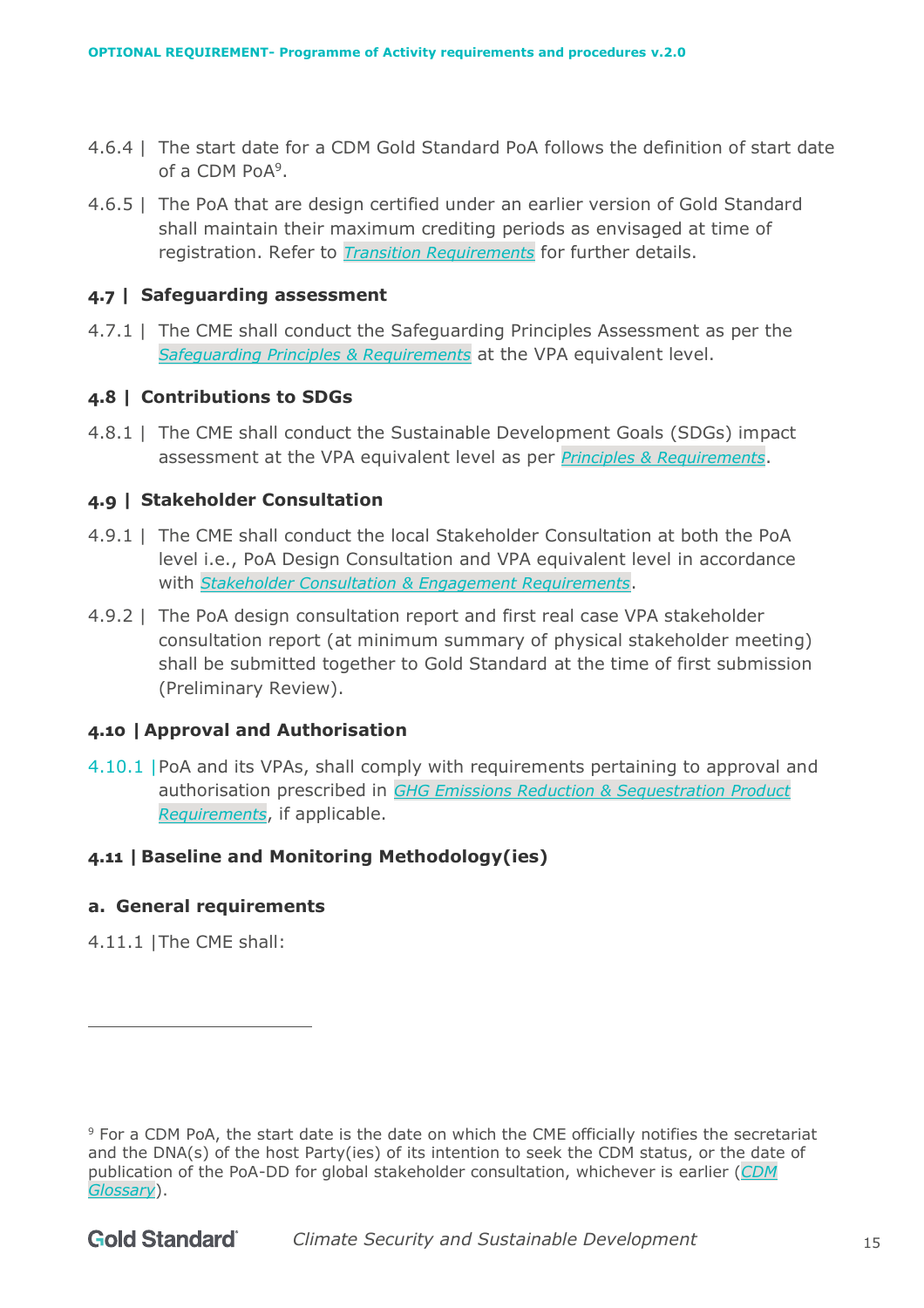- 4.6.4 | The start date for a CDM Gold Standard PoA follows the definition of start date of a CDM PoA<sup>9</sup>.
- 4.6.5 | The PoA that are design certified under an earlier version of Gold Standard shall maintain their maximum crediting periods as envisaged at time of registration. Refer to *[Transition Requirements](https://globalgoals.goldstandard.org/100-gs4gg-transition-requirements/)* for further details.

#### <span id="page-14-0"></span>**4.7 | Safeguarding assessment**

4.7.1 | The CME shall conduct the Safeguarding Principles Assessment as per the *[Safeguarding Principles & Requirements](https://globalgoals.goldstandard.org/standards/103_V1.2_PAR_Safeguarding-Principles-Requirements.pdf)* at the VPA equivalent level.

# <span id="page-14-1"></span>**4.8 | Contributions to SDGs**

4.8.1 | The CME shall conduct the Sustainable Development Goals (SDGs) impact assessment at the VPA equivalent level as per *[Principles & Requirements](https://globalgoals.goldstandard.org/standards/101_V1.2_PAR_Principles-Requirements.pdf)*.

# <span id="page-14-2"></span>**4.9 | Stakeholder Consultation**

- 4.9.1 | The CME shall conduct the local Stakeholder Consultation at both the PoA level i.e., PoA Design Consultation and VPA equivalent level in accordance with *[Stakeholder Consultation & Engagement Requirements](https://globalgoals.goldstandard.org/standards/102_V1.2_PAR_Stakeholder-Consultation-Requirements.pdf)*.
- 4.9.2 | The PoA design consultation report and first real case VPA stakeholder consultation report (at minimum summary of physical stakeholder meeting) shall be submitted together to Gold Standard at the time of first submission (Preliminary Review).

# <span id="page-14-3"></span>**4.10 | Approval and Authorisation**

4.10.1 |PoA and its VPAs, shall comply with requirements pertaining to approval and authorisation prescribed in *[GHG Emissions Reduction & Sequestration](https://globalgoals.goldstandard.org/standards/501_V2.0_PR_GHG-Emissions-Reductions-Sequestration.pdf) Product [Requirements](https://globalgoals.goldstandard.org/standards/501_V2.0_PR_GHG-Emissions-Reductions-Sequestration.pdf)*, if applicable.

# <span id="page-14-4"></span>**4.11 | Baseline and Monitoring Methodology(ies)**

# <span id="page-14-5"></span>**a. General requirements**

4.11.1 |The CME shall:

<sup>9</sup> For a CDM PoA, the start date is the date on which the CME officially notifies the secretariat and the DNA(s) of the host Party(ies) of its intention to seek the CDM status, or the date of publication of the PoA-DD for global stakeholder consultation, whichever is earlier (*[CDM](https://cdm.unfccc.int/Reference/Guidclarif/glos_CDM.pdf)  [Glossary](https://cdm.unfccc.int/Reference/Guidclarif/glos_CDM.pdf)*).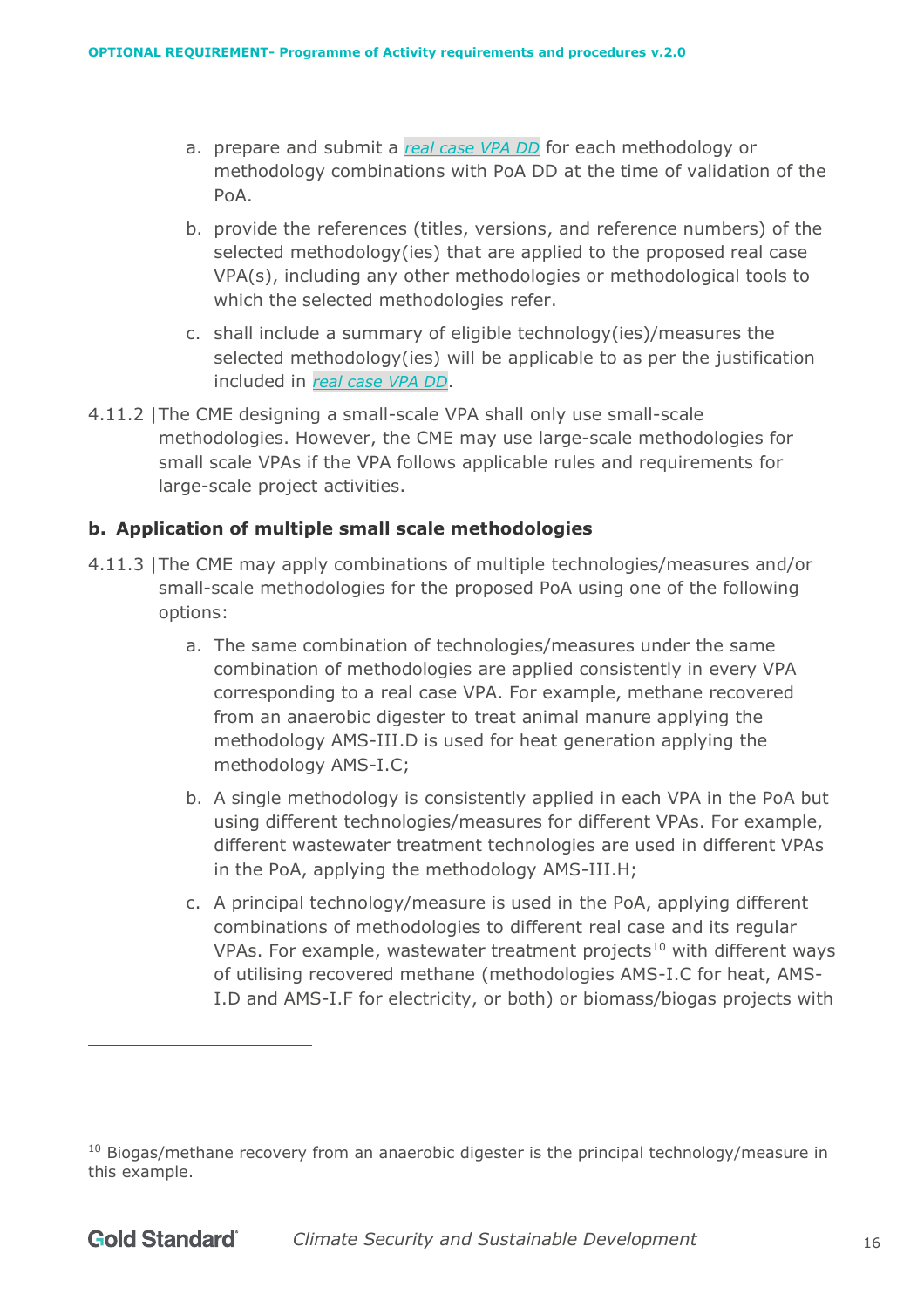- a. prepare and submit a *real case [VPA DD](https://globalgoals.goldstandard.org/wp-content/uploads/2017/06/101.1-OR-POA-T-GS4GG_VPA-DD_ver1.doc)* for each methodology or methodology combinations with PoA DD at the time of validation of the PoA.
- b. provide the references (titles, versions, and reference numbers) of the selected methodology(ies) that are applied to the proposed real case VPA(s), including any other methodologies or methodological tools to which the selected methodologies refer.
- c. shall include a summary of eligible technology(ies)/measures the selected methodology(ies) will be applicable to as per the justification included in *real case VPA DD*.
- 4.11.2 |The CME designing a small-scale VPA shall only use small-scale methodologies. However, the CME may use large-scale methodologies for small scale VPAs if the VPA follows applicable rules and requirements for large-scale project activities.

#### <span id="page-15-0"></span>**b. Application of multiple small scale methodologies**

- 4.11.3 |The CME may apply combinations of multiple technologies/measures and/or small-scale methodologies for the proposed PoA using one of the following options:
	- a. The same combination of technologies/measures under the same combination of methodologies are applied consistently in every VPA corresponding to a real case VPA. For example, methane recovered from an anaerobic digester to treat animal manure applying the methodology AMS-III.D is used for heat generation applying the methodology AMS-I.C;
	- b. A single methodology is consistently applied in each VPA in the PoA but using different technologies/measures for different VPAs. For example, different wastewater treatment technologies are used in different VPAs in the PoA, applying the methodology AMS-III.H;
	- c. A principal technology/measure is used in the PoA, applying different combinations of methodologies to different real case and its regular VPAs. For example, wastewater treatment projects<sup>10</sup> with different ways of utilising recovered methane (methodologies AMS-I.C for heat, AMS-I.D and AMS-I.F for electricity, or both) or biomass/biogas projects with

 $10$  Biogas/methane recovery from an anaerobic digester is the principal technology/measure in this example.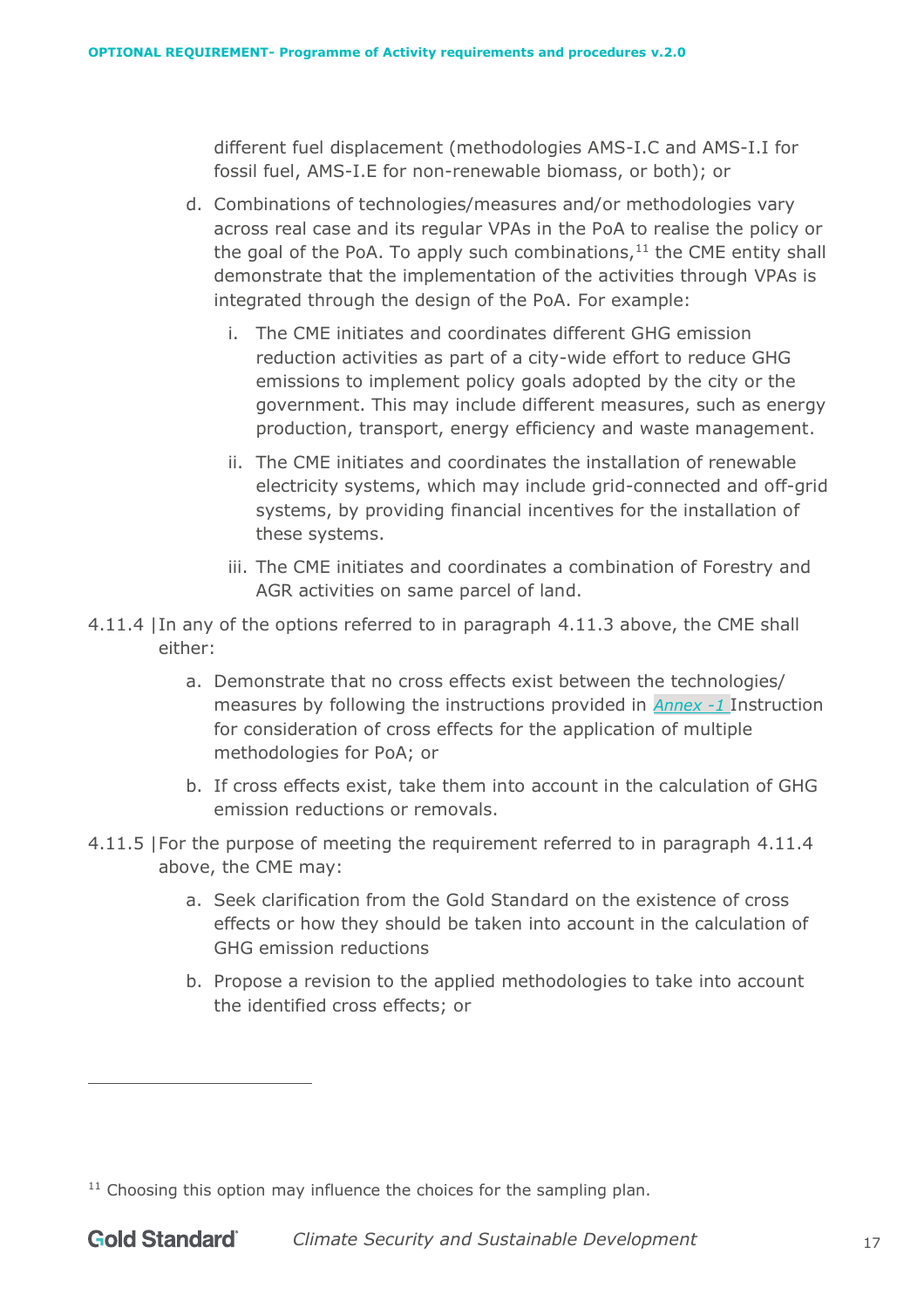different fuel displacement (methodologies AMS-I.C and AMS-I.I for fossil fuel, AMS-I.E for non-renewable biomass, or both); or

- d. Combinations of technologies/measures and/or methodologies vary across real case and its regular VPAs in the PoA to realise the policy or the goal of the PoA. To apply such combinations, $11$  the CME entity shall demonstrate that the implementation of the activities through VPAs is integrated through the design of the PoA. For example:
	- i. The CME initiates and coordinates different GHG emission reduction activities as part of a city-wide effort to reduce GHG emissions to implement policy goals adopted by the city or the government. This may include different measures, such as energy production, transport, energy efficiency and waste management.
	- ii. The CME initiates and coordinates the installation of renewable electricity systems, which may include grid-connected and off-grid systems, by providing financial incentives for the installation of these systems.
	- iii. The CME initiates and coordinates a combination of Forestry and AGR activities on same parcel of land.
- 4.11.4 |In any of the options referred to in paragraph 4.11.3 above, the CME shall either:
	- a. Demonstrate that no cross effects exist between the technologies/ measures by following the instructions provided in *Annex -1* [Instruction](#page-69-0)  [for consideration of cross effects for the application of multiple](#page-69-0)  [methodologies for PoA;](#page-69-0) or
	- b. If cross effects exist, take them into account in the calculation of GHG emission reductions or removals.
- 4.11.5 |For the purpose of meeting the requirement referred to in paragraph 4.11.4 above, the CME may:
	- a. Seek clarification from the Gold Standard on the existence of cross effects or how they should be taken into account in the calculation of GHG emission reductions
	- b. Propose a revision to the applied methodologies to take into account the identified cross effects; or

 $11$  Choosing this option may influence the choices for the sampling plan.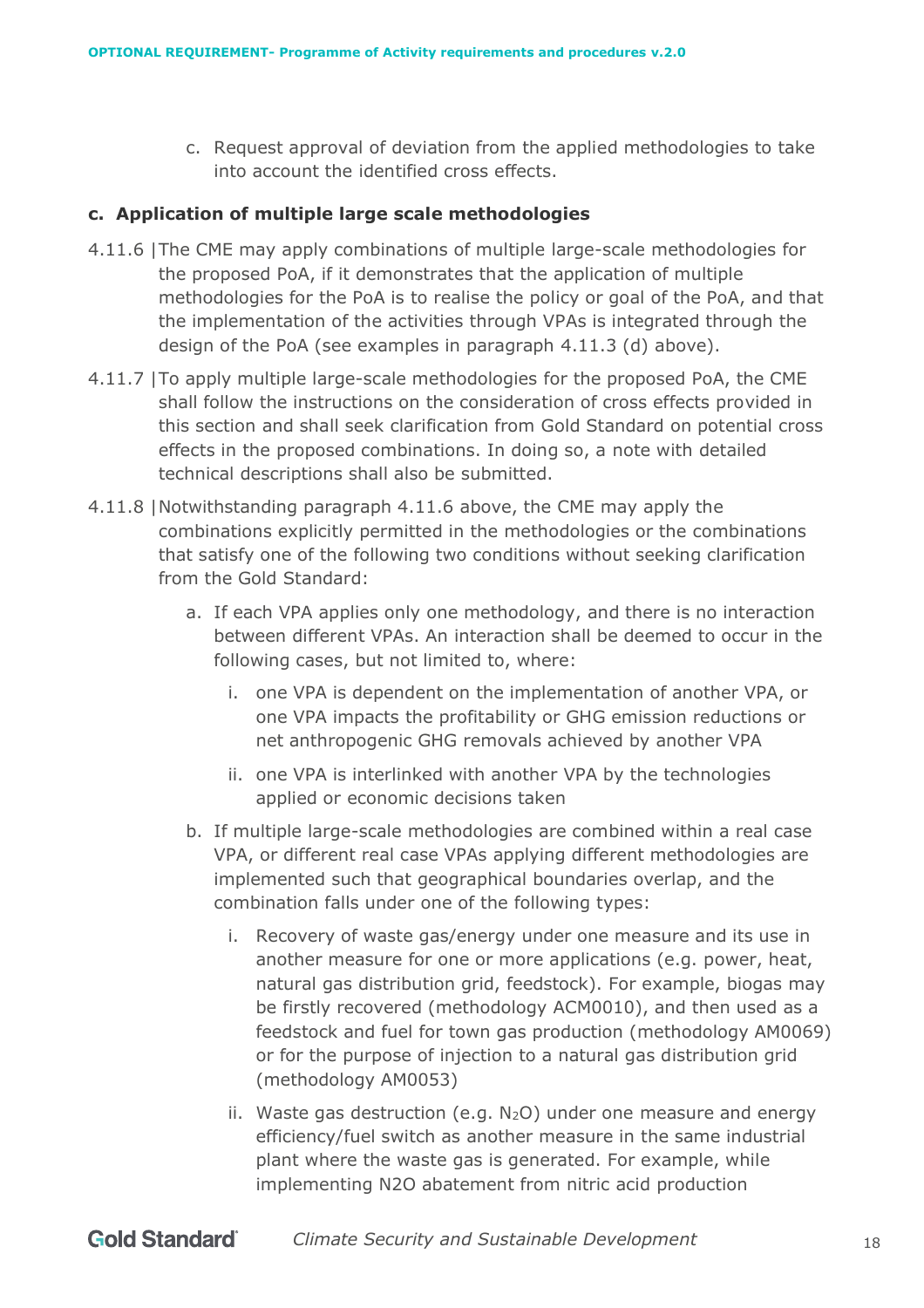c. Request approval of deviation from the applied methodologies to take into account the identified cross effects.

# <span id="page-17-0"></span>**c. Application of multiple large scale methodologies**

- 4.11.6 |The CME may apply combinations of multiple large-scale methodologies for the proposed PoA, if it demonstrates that the application of multiple methodologies for the PoA is to realise the policy or goal of the PoA, and that the implementation of the activities through VPAs is integrated through the design of the PoA (see examples in paragraph 4.11.3 (d) [above\)](#page-4-0).
- 4.11.7 |To apply multiple large-scale methodologies for the proposed PoA, the CME shall follow the instructions on the consideration of cross effects provided in this section and shall seek clarification from Gold Standard on potential cross effects in the proposed combinations. In doing so, a note with detailed technical descriptions shall also be submitted.
- 4.11.8 |Notwithstanding paragraph 4.11.6 above, the CME may apply the combinations explicitly permitted in the methodologies or the combinations that satisfy one of the following two conditions without seeking clarification from the Gold Standard:
	- a. If each VPA applies only one methodology, and there is no interaction between different VPAs. An interaction shall be deemed to occur in the following cases, but not limited to, where:
		- i. one VPA is dependent on the implementation of another VPA, or one VPA impacts the profitability or GHG emission reductions or net anthropogenic GHG removals achieved by another VPA
		- ii. one VPA is interlinked with another VPA by the technologies applied or economic decisions taken
	- b. If multiple large-scale methodologies are combined within a real case VPA, or different real case VPAs applying different methodologies are implemented such that geographical boundaries overlap, and the combination falls under one of the following types:
		- i. Recovery of waste gas/energy under one measure and its use in another measure for one or more applications (e.g. power, heat, natural gas distribution grid, feedstock). For example, biogas may be firstly recovered (methodology ACM0010), and then used as a feedstock and fuel for town gas production (methodology AM0069) or for the purpose of injection to a natural gas distribution grid (methodology AM0053)
		- ii. Waste gas destruction (e.g.  $N_2O$ ) under one measure and energy efficiency/fuel switch as another measure in the same industrial plant where the waste gas is generated. For example, while implementing N2O abatement from nitric acid production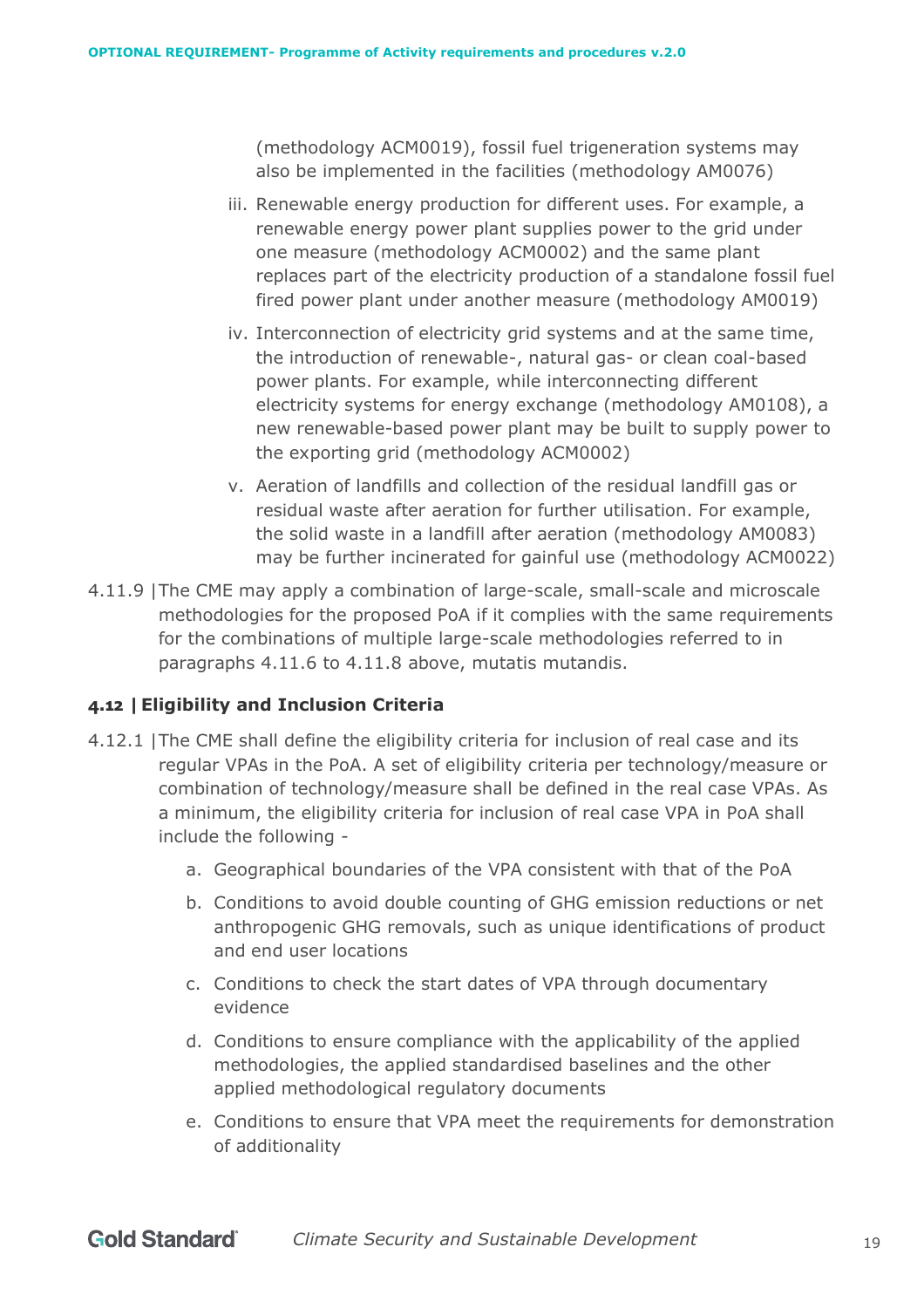(methodology ACM0019), fossil fuel trigeneration systems may also be implemented in the facilities (methodology AM0076)

- iii. Renewable energy production for different uses. For example, a renewable energy power plant supplies power to the grid under one measure (methodology ACM0002) and the same plant replaces part of the electricity production of a standalone fossil fuel fired power plant under another measure (methodology AM0019)
- iv. Interconnection of electricity grid systems and at the same time, the introduction of renewable-, natural gas- or clean coal-based power plants. For example, while interconnecting different electricity systems for energy exchange (methodology AM0108), a new renewable-based power plant may be built to supply power to the exporting grid (methodology ACM0002)
- v. Aeration of landfills and collection of the residual landfill gas or residual waste after aeration for further utilisation. For example, the solid waste in a landfill after aeration (methodology AM0083) may be further incinerated for gainful use (methodology ACM0022)
- 4.11.9 |The CME may apply a combination of large-scale, small-scale and microscale methodologies for the proposed PoA if it complies with the same requirements for the combinations of multiple large-scale methodologies referred to in paragraphs 4.11.6 to 4.11.8 above, mutatis mutandis.

# <span id="page-18-0"></span>**4.12 |Eligibility and Inclusion Criteria**

- 4.12.1 |The CME shall define the eligibility criteria for inclusion of real case and its regular VPAs in the PoA. A set of eligibility criteria per technology/measure or combination of technology/measure shall be defined in the real case VPAs. As a minimum, the eligibility criteria for inclusion of real case VPA in PoA shall include the following
	- a. Geographical boundaries of the VPA consistent with that of the PoA
	- b. Conditions to avoid double counting of GHG emission reductions or net anthropogenic GHG removals, such as unique identifications of product and end user locations
	- c. Conditions to check the start dates of VPA through documentary evidence
	- d. Conditions to ensure compliance with the applicability of the applied methodologies, the applied standardised baselines and the other applied methodological regulatory documents
	- e. Conditions to ensure that VPA meet the requirements for demonstration of additionality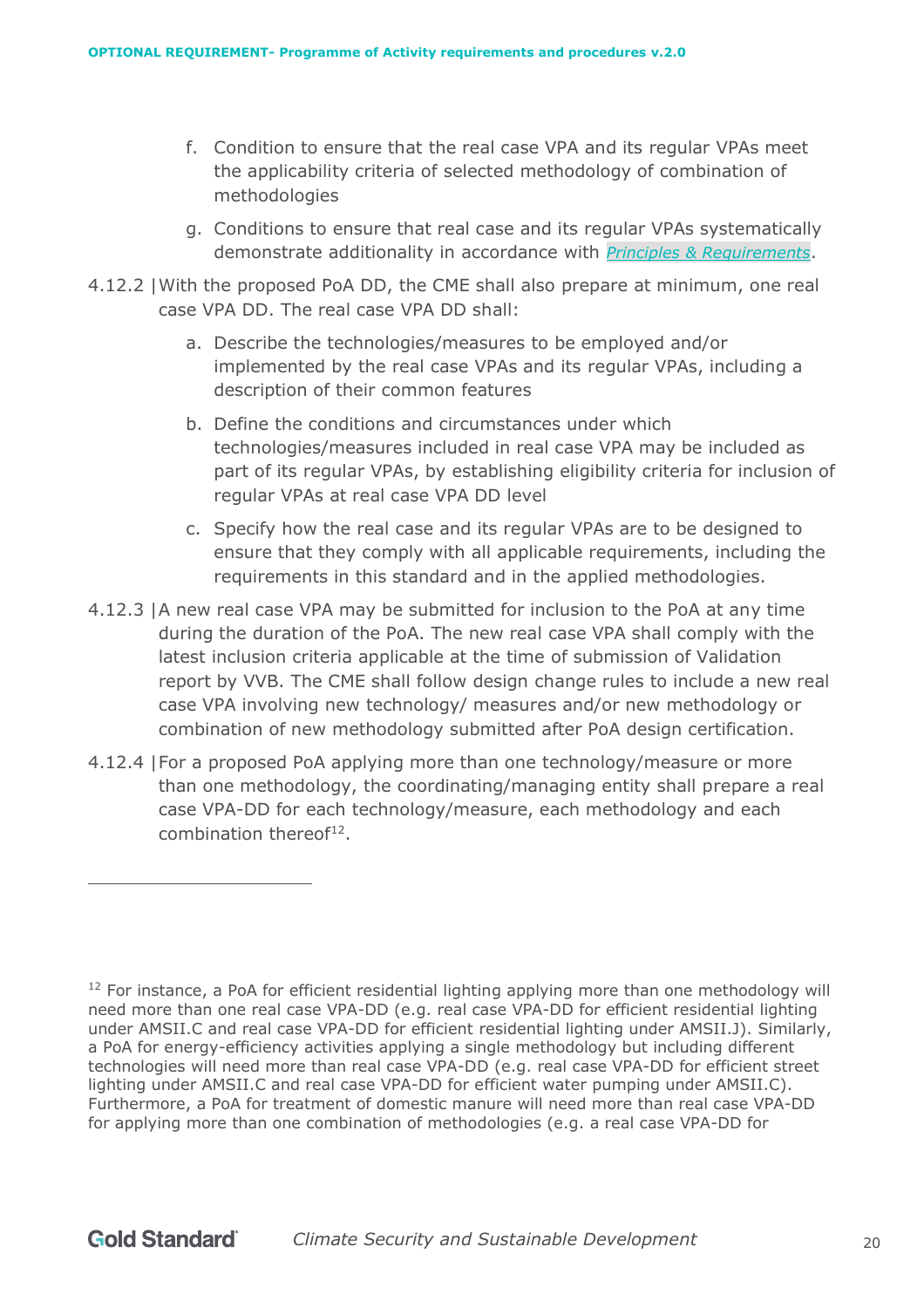- f. Condition to ensure that the real case VPA and its regular VPAs meet the applicability criteria of selected methodology of combination of methodologies
- g. Conditions to ensure that real case and its regular VPAs systematically demonstrate additionality in accordance with *[Principles & Requirements](https://globalgoals.goldstandard.org/101-1-gold-standard-for-the-global-goals-principles-requirements/)*.
- 4.12.2 |With the proposed PoA DD, the CME shall also prepare at minimum, one real case VPA DD. The real case VPA DD shall:
	- a. Describe the technologies/measures to be employed and/or implemented by the real case VPAs and its regular VPAs, including a description of their common features
	- b. Define the conditions and circumstances under which technologies/measures included in real case VPA may be included as part of its regular VPAs, by establishing eligibility criteria for inclusion of regular VPAs at real case VPA DD level
	- c. Specify how the real case and its regular VPAs are to be designed to ensure that they comply with all applicable requirements, including the requirements in this standard and in the applied methodologies.
- 4.12.3 |A new real case VPA may be submitted for inclusion to the PoA at any time during the duration of the PoA. The new real case VPA shall comply with the latest inclusion criteria applicable at the time of submission of Validation report by VVB. The CME shall follow design change rules to include a new real case VPA involving new technology/ measures and/or new methodology or combination of new methodology submitted after PoA design certification.
- 4.12.4 |For a proposed PoA applying more than one technology/measure or more than one methodology, the coordinating/managing entity shall prepare a real case VPA-DD for each technology/measure, each methodology and each combination thereof $^{12}$ .

 $12$  For instance, a PoA for efficient residential lighting applying more than one methodology will need more than one real case VPA-DD (e.g. real case VPA-DD for efficient residential lighting under AMSII.C and real case VPA-DD for efficient residential lighting under AMSII.J). Similarly, a PoA for energy-efficiency activities applying a single methodology but including different technologies will need more than real case VPA-DD (e.g. real case VPA-DD for efficient street lighting under AMSII.C and real case VPA-DD for efficient water pumping under AMSII.C). Furthermore, a PoA for treatment of domestic manure will need more than real case VPA-DD for applying more than one combination of methodologies (e.g. a real case VPA-DD for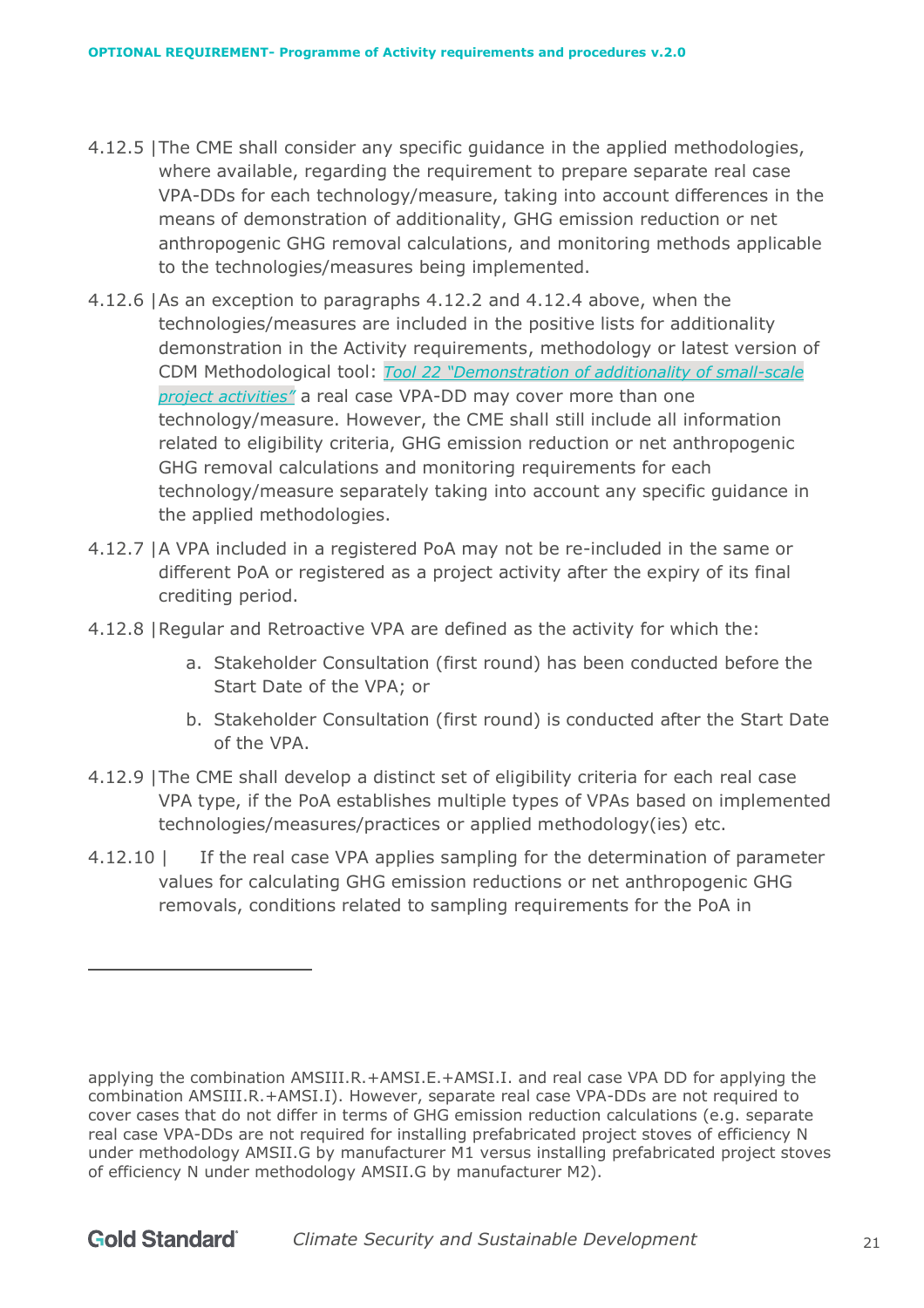- 4.12.5 |The CME shall consider any specific guidance in the applied methodologies, where available, regarding the requirement to prepare separate real case VPA-DDs for each technology/measure, taking into account differences in the means of demonstration of additionality, GHG emission reduction or net anthropogenic GHG removal calculations, and monitoring methods applicable to the technologies/measures being implemented.
- 4.12.6 |As an exception to paragraphs 4.12.2 and 4.12.4 above, when the technologies/measures are included in the positive lists for additionality demonstration in the Activity requirements, methodology or latest version of CDM Methodological tool: *[Tool 22 "Demonstration of additionality of small-scale](https://cdm.unfccc.int/methodologies/PAmethodologies/tools/am-tool-21-v13.1.pdf/history_view)  [project activities"](https://cdm.unfccc.int/methodologies/PAmethodologies/tools/am-tool-21-v13.1.pdf/history_view)* a real case VPA-DD may cover more than one technology/measure. However, the CME shall still include all information related to eligibility criteria, GHG emission reduction or net anthropogenic GHG removal calculations and monitoring requirements for each technology/measure separately taking into account any specific guidance in the applied methodologies.
- 4.12.7 |A VPA included in a registered PoA may not be re-included in the same or different PoA or registered as a project activity after the expiry of its final crediting period.
- 4.12.8 |Regular and Retroactive VPA are defined as the activity for which the:
	- a. Stakeholder Consultation (first round) has been conducted before the Start Date of the VPA; or
	- b. Stakeholder Consultation (first round) is conducted after the Start Date of the VPA.
- 4.12.9 |The CME shall develop a distinct set of eligibility criteria for each real case VPA type, if the PoA establishes multiple types of VPAs based on implemented technologies/measures/practices or applied methodology(ies) etc.
- 4.12.10 | If the real case VPA applies sampling for the determination of parameter values for calculating GHG emission reductions or net anthropogenic GHG removals, conditions related to sampling requirements for the PoA in

applying the combination AMSIII.R.+AMSI.E.+AMSI.I. and real case VPA DD for applying the combination AMSIII.R.+AMSI.I). However, separate real case VPA-DDs are not required to cover cases that do not differ in terms of GHG emission reduction calculations (e.g. separate real case VPA-DDs are not required for installing prefabricated project stoves of efficiency N under methodology AMSII.G by manufacturer M1 versus installing prefabricated project stoves of efficiency N under methodology AMSII.G by manufacturer M2).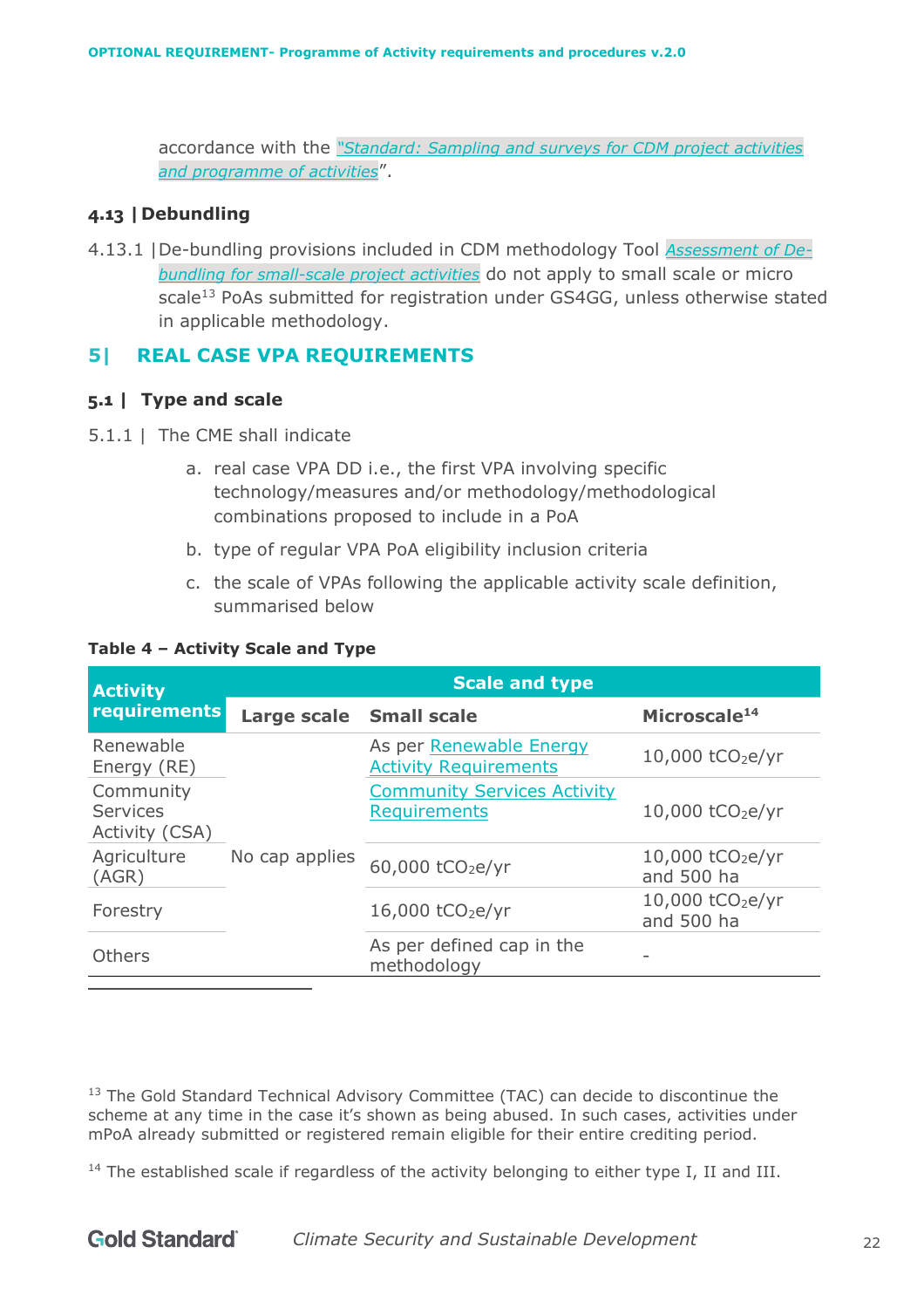accordance with the *["Standard: Sampling and surveys for CDM project activities](https://cdm.unfccc.int/filestorage/e/x/t/extfile-20210531160756474-Meth_Stan05.pdf/Meth_Stan05.pdf?t=ZEF8cjJnNHFjfDCXregpytH2iP-khwzsdxKp) [and programme of activities](https://cdm.unfccc.int/filestorage/e/x/t/extfile-20210531160756474-Meth_Stan05.pdf/Meth_Stan05.pdf?t=ZEF8cjJnNHFjfDCXregpytH2iP-khwzsdxKp)*".

#### <span id="page-21-0"></span>**4.13 |Debundling**

4.13.1 |De-bundling provisions included in CDM methodology Tool *[Assessment of De](https://cdm.unfccc.int/methodologies/PAmethodologies/tools/am-tool-20-v1.pdf/history_view)[bundling for small-scale project activities](https://cdm.unfccc.int/methodologies/PAmethodologies/tools/am-tool-20-v1.pdf/history_view)* do not apply to small scale or micro scale<sup>13</sup> PoAs submitted for registration under GS4GG, unless otherwise stated in applicable methodology.

#### <span id="page-21-1"></span>**5| REAL CASE VPA REQUIREMENTS**

#### <span id="page-21-2"></span>**5.1 | Type and scale**

- 5.1.1 | The CME shall indicate
	- a. real case VPA DD i.e., the first VPA involving specific technology/measures and/or methodology/methodological combinations proposed to include in a PoA
	- b. type of regular VPA PoA eligibility inclusion criteria
	- c. the scale of VPAs following the applicable activity scale definition, summarised below

#### **Table 4 – Activity Scale and Type**

| <b>Activity</b>                                |                         | <b>Scale and type</b>                                     |                                            |
|------------------------------------------------|-------------------------|-----------------------------------------------------------|--------------------------------------------|
| <b>requirements</b>                            | Large scale Small scale |                                                           | Microscale <sup>14</sup>                   |
| Renewable<br>Energy (RE)                       |                         | As per Renewable Energy<br><b>Activity Requirements</b>   | $10,000$ tCO <sub>2</sub> e/yr             |
| Community<br><b>Services</b><br>Activity (CSA) |                         | <b>Community Services Activity</b><br><b>Requirements</b> | $10,000$ tCO <sub>2</sub> e/yr             |
| Agriculture<br>(AGR)                           | No cap applies          | 60,000 tCO <sub>2</sub> e/yr                              | 10,000 tCO <sub>2</sub> e/yr<br>and 500 ha |
| Forestry                                       |                         | 16,000 tCO <sub>2</sub> e/yr                              | 10,000 tCO <sub>2</sub> e/yr<br>and 500 ha |
| Others                                         |                         | As per defined cap in the<br>methodology                  |                                            |

<sup>13</sup> The Gold Standard Technical Advisory Committee (TAC) can decide to discontinue the scheme at any time in the case it's shown as being abused. In such cases, activities under mPoA already submitted or registered remain eligible for their entire crediting period.

 $14$  The established scale if regardless of the activity belonging to either type I, II and III.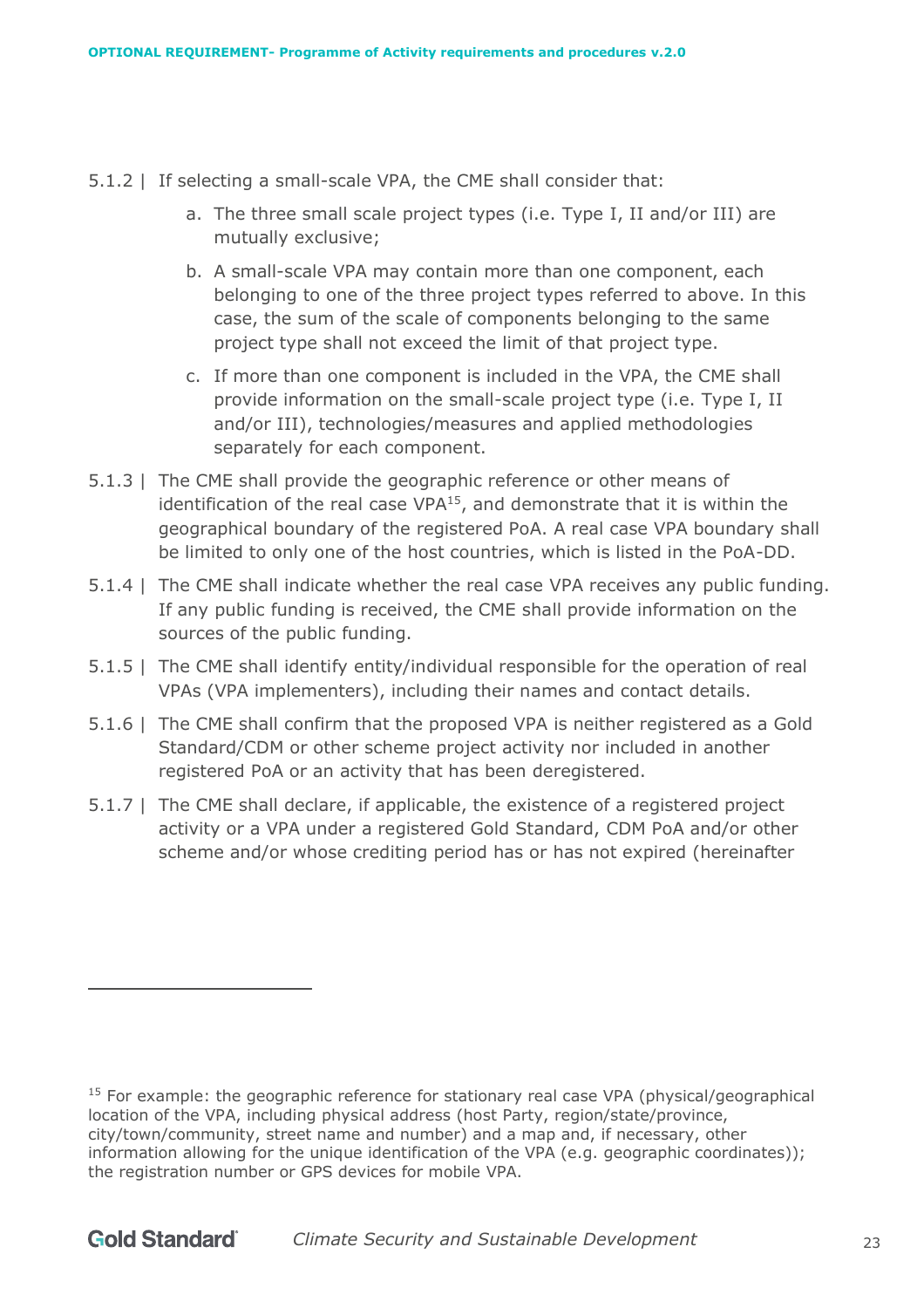- 5.1.2 | If selecting a small-scale VPA, the CME shall consider that:
	- a. The three small scale project types (i.e. Type I, II and/or III) are mutually exclusive;
	- b. A small-scale VPA may contain more than one component, each belonging to one of the three project types referred to above. In this case, the sum of the scale of components belonging to the same project type shall not exceed the limit of that project type.
	- c. If more than one component is included in the VPA, the CME shall provide information on the small-scale project type (i.e. Type I, II and/or III), technologies/measures and applied methodologies separately for each component.
- 5.1.3 | The CME shall provide the geographic reference or other means of identification of the real case VPA<sup>15</sup>, and demonstrate that it is within the geographical boundary of the registered PoA. A real case VPA boundary shall be limited to only one of the host countries, which is listed in the PoA-DD.
- 5.1.4 | The CME shall indicate whether the real case VPA receives any public funding. If any public funding is received, the CME shall provide information on the sources of the public funding.
- 5.1.5 | The CME shall identify entity/individual responsible for the operation of real VPAs (VPA implementers), including their names and contact details.
- 5.1.6 | The CME shall confirm that the proposed VPA is neither registered as a Gold Standard/CDM or other scheme project activity nor included in another registered PoA or an activity that has been deregistered.
- 5.1.7 | The CME shall declare, if applicable, the existence of a registered project activity or a VPA under a registered Gold Standard, CDM PoA and/or other scheme and/or whose crediting period has or has not expired (hereinafter

 $15$  For example: the geographic reference for stationary real case VPA (physical/geographical location of the VPA, including physical address (host Party, region/state/province, city/town/community, street name and number) and a map and, if necessary, other information allowing for the unique identification of the VPA (e.g. geographic coordinates)); the registration number or GPS devices for mobile VPA.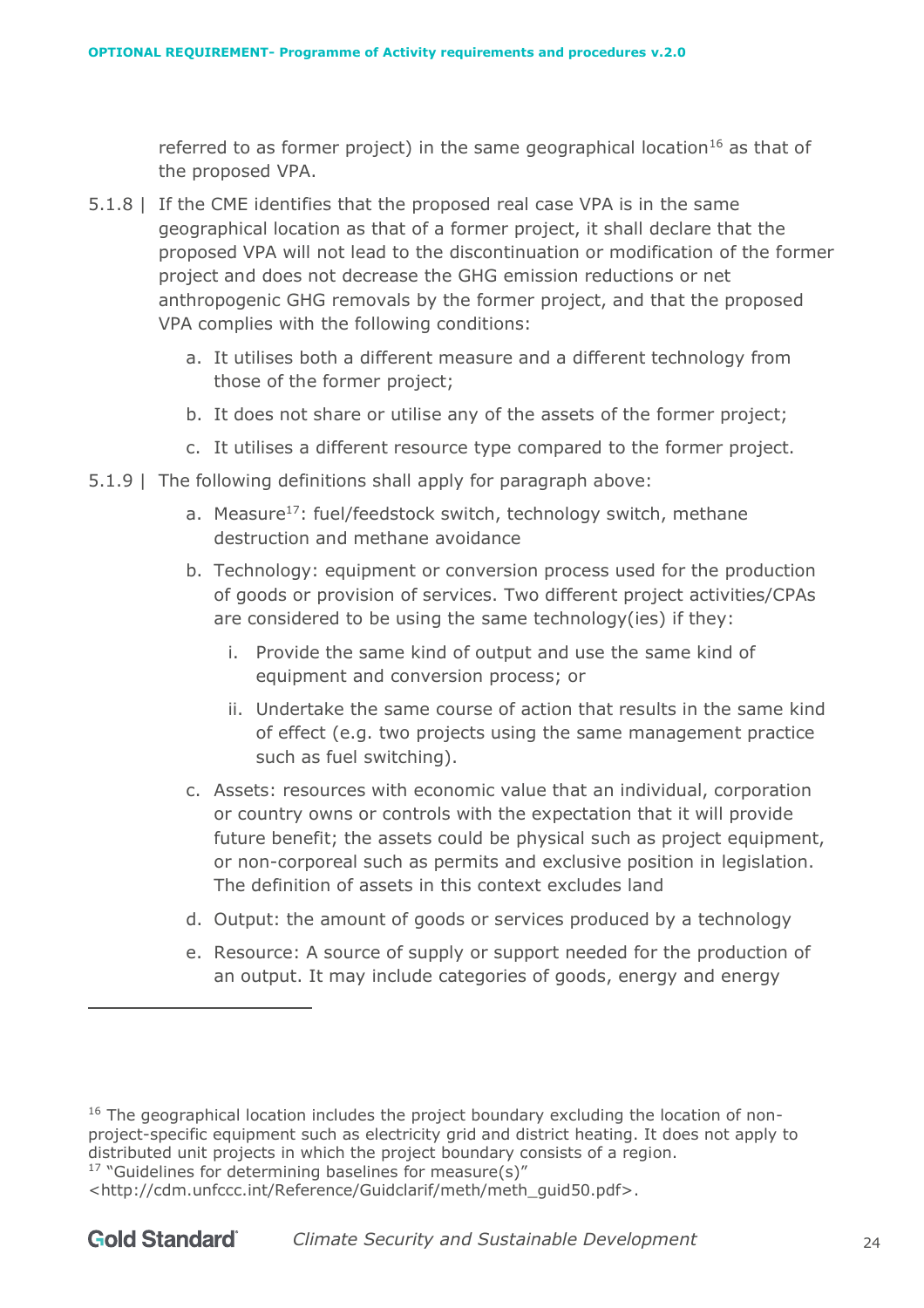referred to as former project) in the same geographical location<sup>16</sup> as that of the proposed VPA.

- 5.1.8 | If the CME identifies that the proposed real case VPA is in the same geographical location as that of a former project, it shall declare that the proposed VPA will not lead to the discontinuation or modification of the former project and does not decrease the GHG emission reductions or net anthropogenic GHG removals by the former project, and that the proposed VPA complies with the following conditions:
	- a. It utilises both a different measure and a different technology from those of the former project;
	- b. It does not share or utilise any of the assets of the former project;
	- c. It utilises a different resource type compared to the former project.
- 5.1.9 | The following definitions shall apply for paragraph above:
	- a. Measure<sup>17</sup>: fuel/feedstock switch, technology switch, methane destruction and methane avoidance
	- b. Technology: equipment or conversion process used for the production of goods or provision of services. Two different project activities/CPAs are considered to be using the same technology(ies) if they:
		- i. Provide the same kind of output and use the same kind of equipment and conversion process; or
		- ii. Undertake the same course of action that results in the same kind of effect (e.g. two projects using the same management practice such as fuel switching).
	- c. Assets: resources with economic value that an individual, corporation or country owns or controls with the expectation that it will provide future benefit; the assets could be physical such as project equipment, or non-corporeal such as permits and exclusive position in legislation. The definition of assets in this context excludes land
	- d. Output: the amount of goods or services produced by a technology
	- e. Resource: A source of supply or support needed for the production of an output. It may include categories of goods, energy and energy

 $16$  The geographical location includes the project boundary excluding the location of nonproject-specific equipment such as electricity grid and district heating. It does not apply to distributed unit projects in which the project boundary consists of a region.  $17$  "Guidelines for determining baselines for measure(s)"

<sup>&</sup>lt;http://cdm.unfccc.int/Reference/Guidclarif/meth/meth\_guid50.pdf>.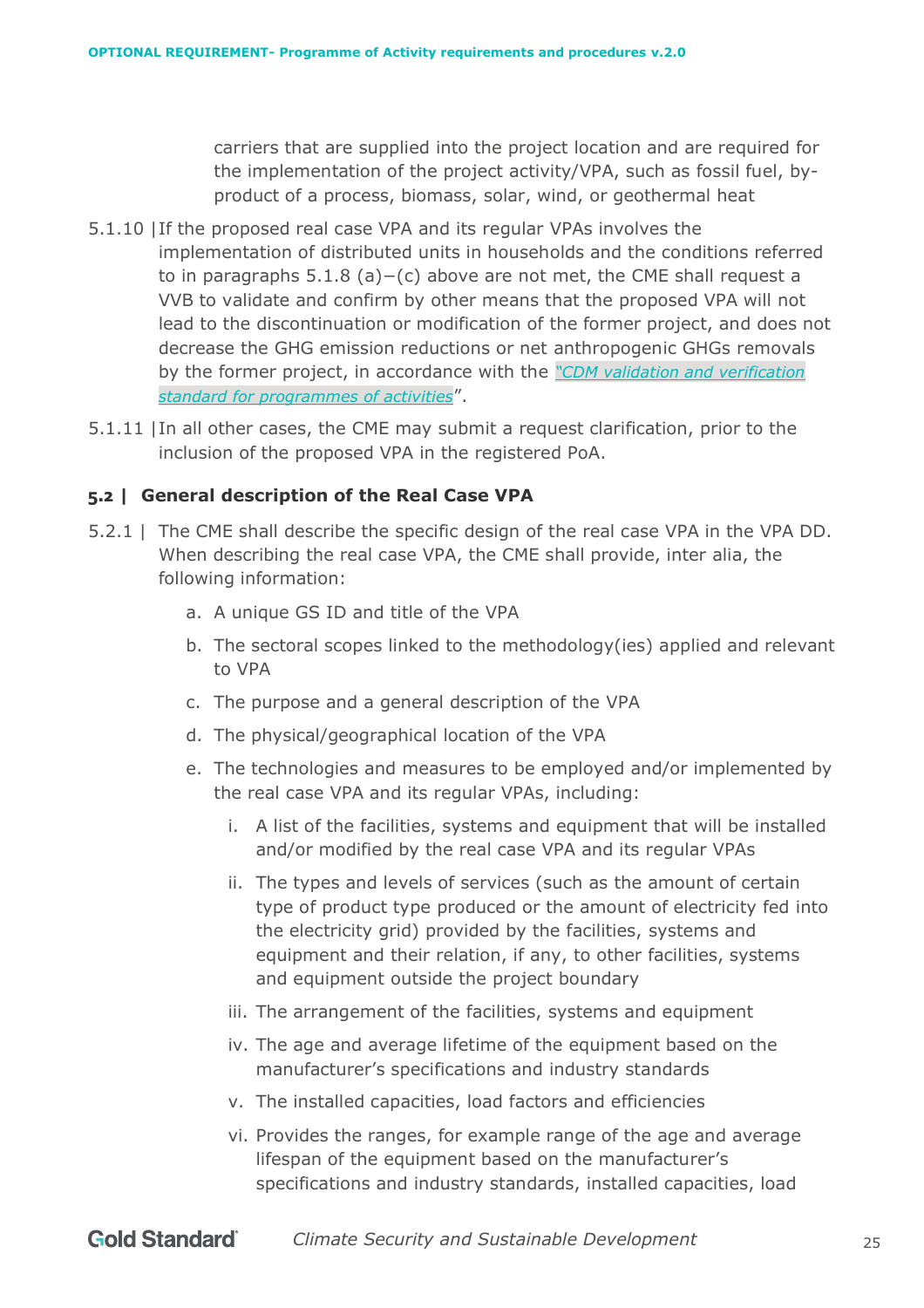carriers that are supplied into the project location and are required for the implementation of the project activity/VPA, such as fossil fuel, byproduct of a process, biomass, solar, wind, or geothermal heat

- 5.1.10 |If the proposed real case VPA and its regular VPAs involves the implementation of distributed units in households and the conditions referred to in paragraphs 5.1.8 (a)−(c) above are not met, the CME shall request a VVB to validate and confirm by other means that the proposed VPA will not lead to the discontinuation or modification of the former project, and does not decrease the GHG emission reductions or net anthropogenic GHGs removals by the former project, in accordance with the *["CDM validation and verification](https://cdm.unfccc.int/Reference/Standards/index.html)  [standard for programmes of activities](https://cdm.unfccc.int/Reference/Standards/index.html)*".
- 5.1.11 |In all other cases, the CME may submit a request clarification, prior to the inclusion of the proposed VPA in the registered PoA.

#### <span id="page-24-0"></span>**5.2 | General description of the Real Case VPA**

- 5.2.1 | The CME shall describe the specific design of the real case VPA in the VPA DD. When describing the real case VPA, the CME shall provide, inter alia, the following information:
	- a. A unique GS ID and title of the VPA
	- b. The sectoral scopes linked to the methodology(ies) applied and relevant to VPA
	- c. The purpose and a general description of the VPA
	- d. The physical/geographical location of the VPA
	- e. The technologies and measures to be employed and/or implemented by the real case VPA and its regular VPAs, including:
		- i. A list of the facilities, systems and equipment that will be installed and/or modified by the real case VPA and its regular VPAs
		- ii. The types and levels of services (such as the amount of certain type of product type produced or the amount of electricity fed into the electricity grid) provided by the facilities, systems and equipment and their relation, if any, to other facilities, systems and equipment outside the project boundary
		- iii. The arrangement of the facilities, systems and equipment
		- iv. The age and average lifetime of the equipment based on the manufacturer's specifications and industry standards
		- v. The installed capacities, load factors and efficiencies
		- vi. Provides the ranges, for example range of the age and average lifespan of the equipment based on the manufacturer's specifications and industry standards, installed capacities, load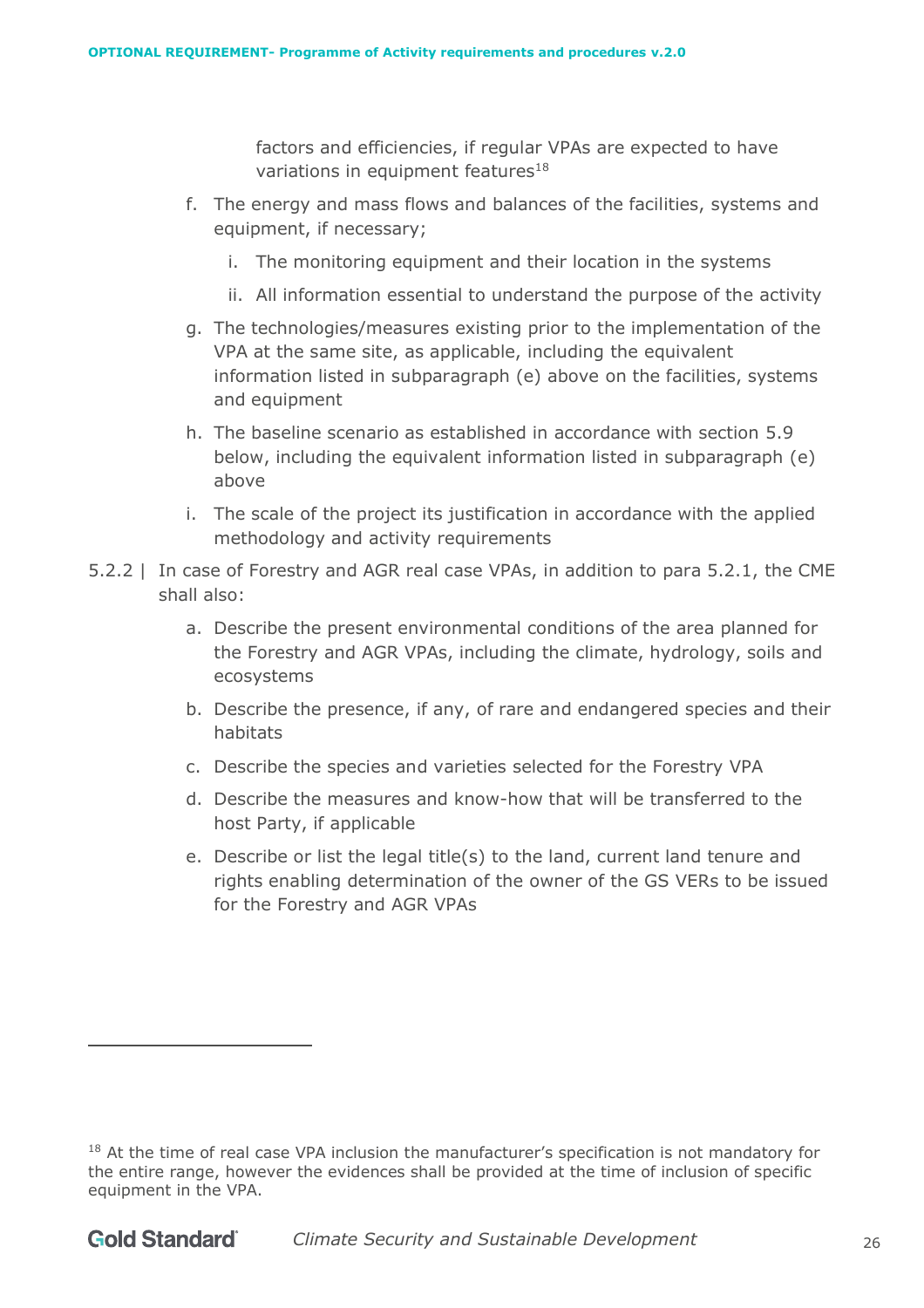factors and efficiencies, if regular VPAs are expected to have variations in equipment features $18$ 

- f. The energy and mass flows and balances of the facilities, systems and equipment, if necessary;
	- i. The monitoring equipment and their location in the systems
	- ii. All information essential to understand the purpose of the activity
- g. The technologies/measures existing prior to the implementation of the VPA at the same site, as applicable, including the equivalent information listed in subparagraph (e) above on the facilities, systems and equipment
- h. The baseline scenario as established in accordance with section 5.9 below, including the equivalent information listed in subparagraph (e) above
- i. The scale of the project its justification in accordance with the applied methodology and activity requirements
- 5.2.2 | In case of Forestry and AGR real case VPAs, in addition to para 5.2.1, the CME shall also:
	- a. Describe the present environmental conditions of the area planned for the Forestry and AGR VPAs, including the climate, hydrology, soils and ecosystems
	- b. Describe the presence, if any, of rare and endangered species and their habitats
	- c. Describe the species and varieties selected for the Forestry VPA
	- d. Describe the measures and know-how that will be transferred to the host Party, if applicable
	- e. Describe or list the legal title(s) to the land, current land tenure and rights enabling determination of the owner of the GS VERs to be issued for the Forestry and AGR VPAs

<sup>&</sup>lt;sup>18</sup> At the time of real case VPA inclusion the manufacturer's specification is not mandatory for the entire range, however the evidences shall be provided at the time of inclusion of specific equipment in the VPA.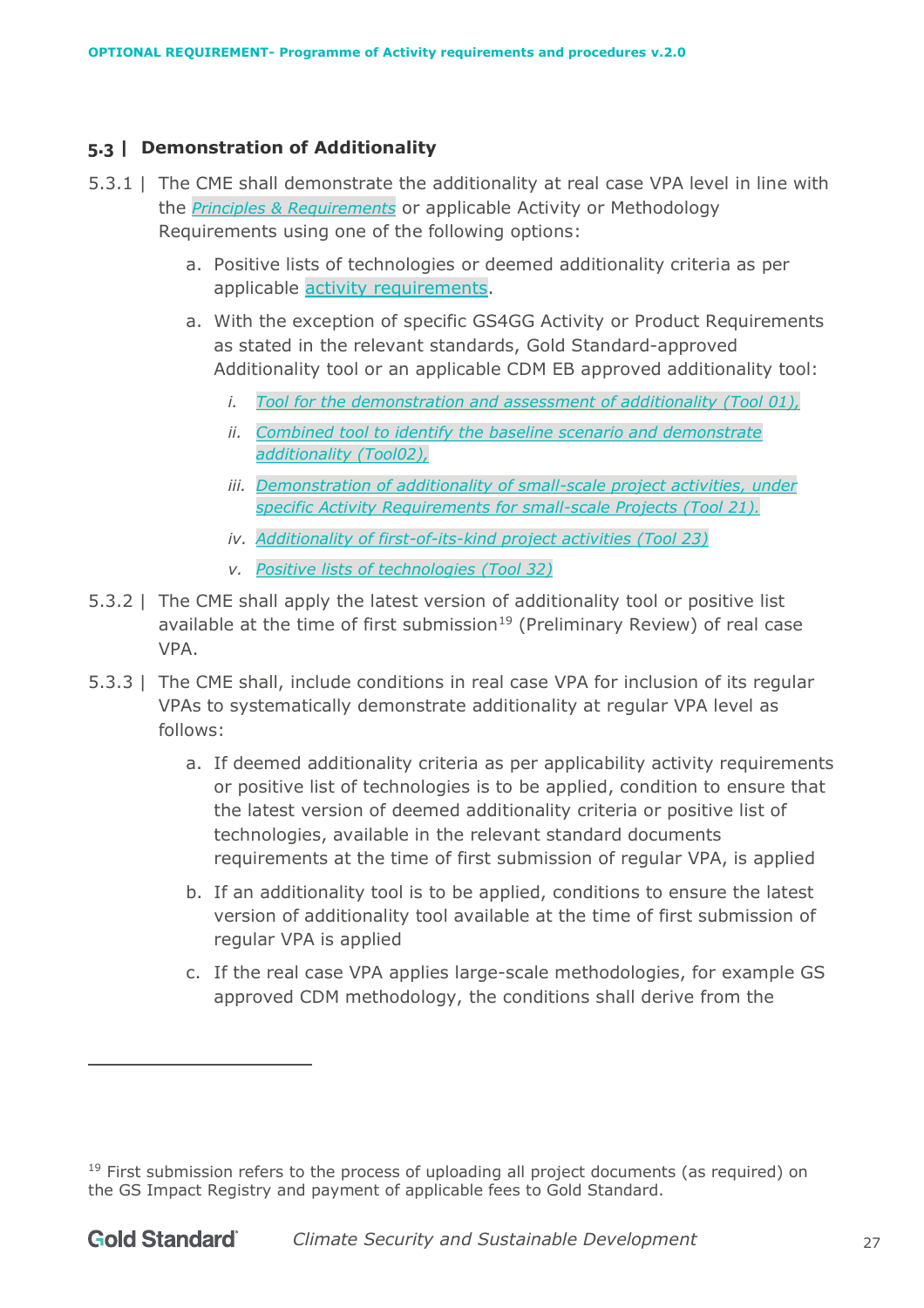# <span id="page-26-0"></span>**5.3 | Demonstration of Additionality**

- 5.3.1 | The CME shall demonstrate the additionality at real case VPA level in line with the *[Principles & Requirements](https://globalgoals.goldstandard.org/101-1-gold-standard-for-the-global-goals-principles-requirements/)* or applicable Activity or Methodology Requirements using one of the following options:
	- a. Positive lists of technologies or deemed additionality criteria as per applicable [activity requirements.](https://globalgoals.goldstandard.org/200-activity-requirements/)
	- a. With the exception of specific GS4GG Activity or Product Requirements as stated in the relevant standards, Gold Standard-approved Additionality tool or an applicable CDM EB approved additionality tool:
		- *i. [Tool for the demonstration and assessment of additionality](https://cdm.unfccc.int/methodologies/PAmethodologies/tools/am-tool-01-v7.0.0.pdf) (Tool 01),*
		- *ii. [Combined tool to identify the baseline scenario and demonstrate](https://cdm.unfccc.int/Reference/tools/index.html)  [additionality](https://cdm.unfccc.int/Reference/tools/index.html) (Tool02),*
		- *iii. [Demonstration of additionality of small-scale project activities,](https://cdm.unfccc.int/methodologies/PAmethodologies/tools/am-tool-21-v1.pdf/history_view) under specific Activity Requirements for small-scale Projects (Tool 21).*
		- *iv. [Additionality of first-of-its-kind project activities](https://thegoldstandard1.sharepoint.com/technical/Documents/00%20Standard%20Documents/01%20GS4GG%20Rule%20Updates/2021_updates/PoA%20Requirements%20and%20Procedures/Additionality%20of%20first-of-its-kind%20project%20activities) (Tool 23)*
		- *v. [Positive lists of technologies](https://cdm.unfccc.int/methodologies/PAmethodologies/tools/am-tool-32-v3.0.pdf) (Tool 32)*
- 5.3.2 | The CME shall apply the latest version of additionality tool or positive list available at the time of first submission<sup>19</sup> (Preliminary Review) of real case VPA.
- 5.3.3 | The CME shall, include conditions in real case VPA for inclusion of its regular VPAs to systematically demonstrate additionality at regular VPA level as follows:
	- a. If deemed additionality criteria as per applicability activity requirements or positive list of technologies is to be applied, condition to ensure that the latest version of deemed additionality criteria or positive list of technologies, available in the relevant standard documents requirements at the time of first submission of regular VPA, is applied
	- b. If an additionality tool is to be applied, conditions to ensure the latest version of additionality tool available at the time of first submission of regular VPA is applied
	- c. If the real case VPA applies large-scale methodologies, for example GS approved CDM methodology, the conditions shall derive from the

 $19$  First submission refers to the process of uploading all project documents (as required) on the GS Impact Registry and payment of applicable fees to Gold Standard.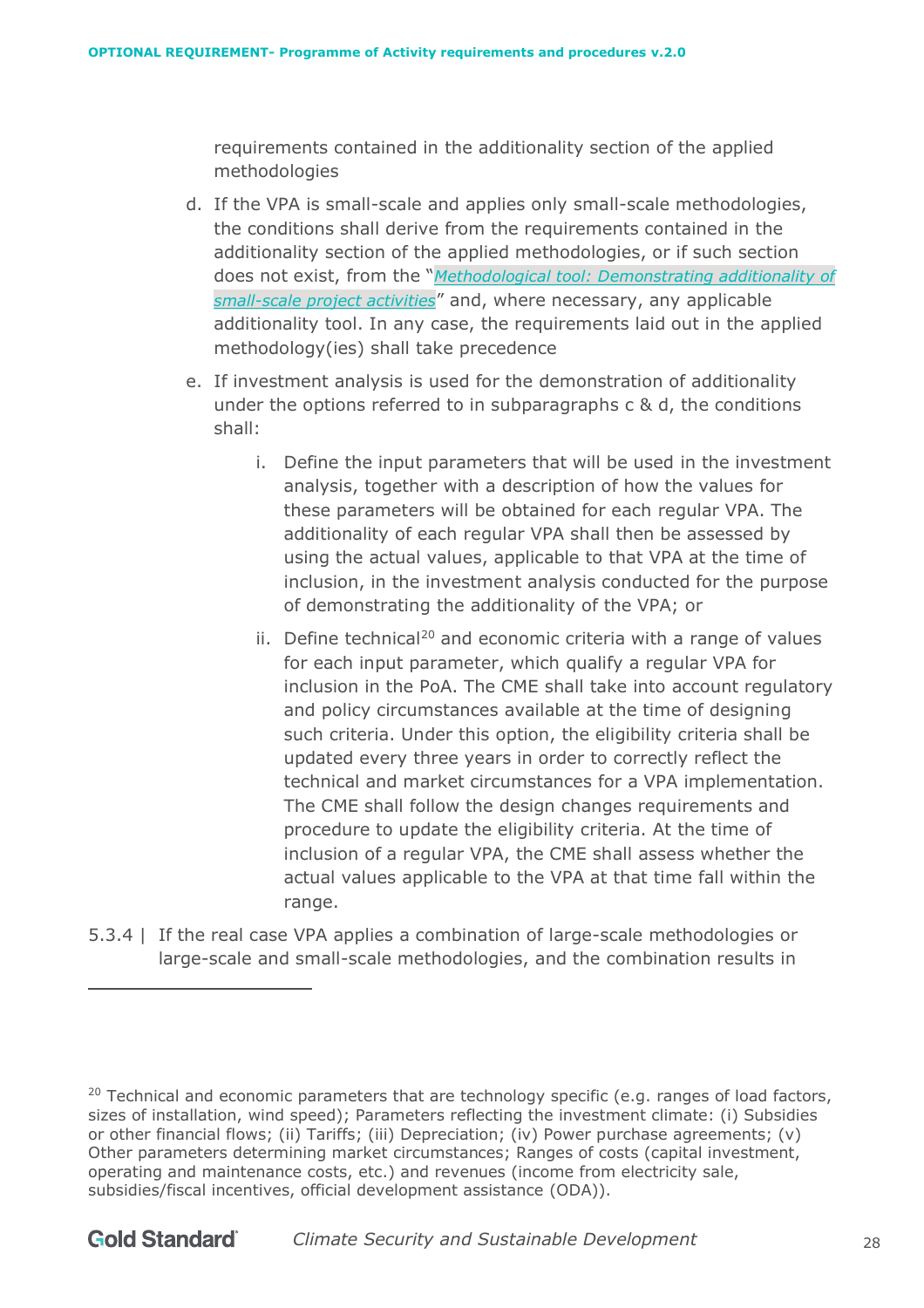requirements contained in the additionality section of the applied methodologies

- d. If the VPA is small-scale and applies only small-scale methodologies, the conditions shall derive from the requirements contained in the additionality section of the applied methodologies, or if such section does not exist, from the "*[Methodological tool: Demonstrating additionality of](https://cdm.unfccc.int/methodologies/PAmethodologies/tools/am-tool-21-v13.1.pdf)  [small-scale project activities](https://cdm.unfccc.int/methodologies/PAmethodologies/tools/am-tool-21-v13.1.pdf)*" and, where necessary, any applicable additionality tool. In any case, the requirements laid out in the applied methodology(ies) shall take precedence
- e. If investment analysis is used for the demonstration of additionality under the options referred to in subparagraphs  $c \& d$ , the conditions shall:
	- i. Define the input parameters that will be used in the investment analysis, together with a description of how the values for these parameters will be obtained for each regular VPA. The additionality of each regular VPA shall then be assessed by using the actual values, applicable to that VPA at the time of inclusion, in the investment analysis conducted for the purpose of demonstrating the additionality of the VPA; or
	- ii. Define technical<sup>20</sup> and economic criteria with a range of values for each input parameter, which qualify a regular VPA for inclusion in the PoA. The CME shall take into account regulatory and policy circumstances available at the time of designing such criteria. Under this option, the eligibility criteria shall be updated every three years in order to correctly reflect the technical and market circumstances for a VPA implementation. The CME shall follow the design changes requirements and procedure to update the eligibility criteria. At the time of inclusion of a regular VPA, the CME shall assess whether the actual values applicable to the VPA at that time fall within the range.
- 5.3.4 | If the real case VPA applies a combination of large-scale methodologies or large-scale and small-scale methodologies, and the combination results in

 $20$  Technical and economic parameters that are technology specific (e.g. ranges of load factors, sizes of installation, wind speed); Parameters reflecting the investment climate: (i) Subsidies or other financial flows; (ii) Tariffs; (iii) Depreciation; (iv) Power purchase agreements; (v) Other parameters determining market circumstances; Ranges of costs (capital investment, operating and maintenance costs, etc.) and revenues (income from electricity sale, subsidies/fiscal incentives, official development assistance (ODA)).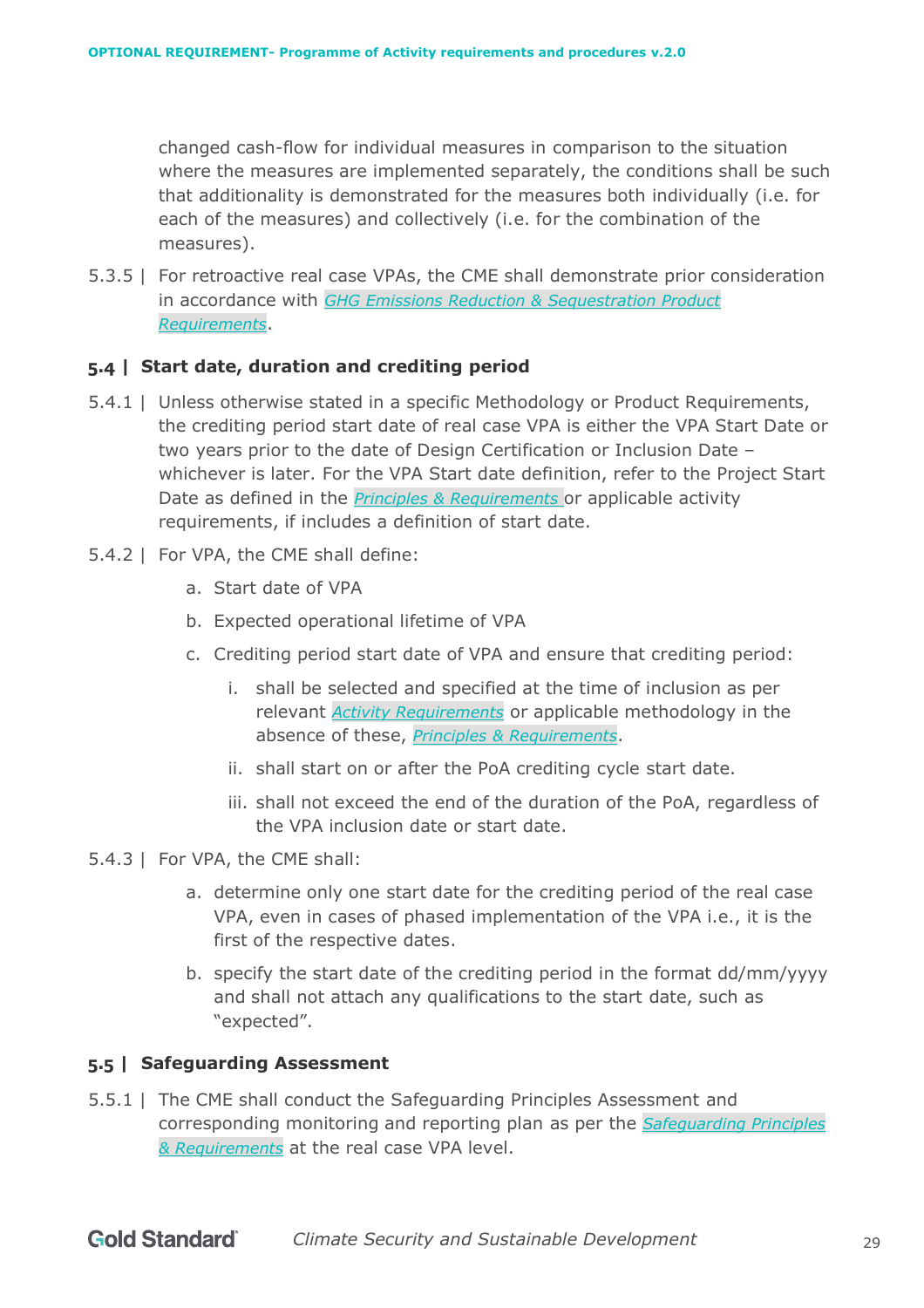changed cash-flow for individual measures in comparison to the situation where the measures are implemented separately, the conditions shall be such that additionality is demonstrated for the measures both individually (i.e. for each of the measures) and collectively (i.e. for the combination of the measures).

5.3.5 | For retroactive real case VPAs, the CME shall demonstrate prior consideration in accordance with *[GHG Emissions Reduction & Sequestration Product](https://globalgoals.goldstandard.org/standards/501_V2.0_PR_GHG-Emissions-Reductions-Sequestration.pdf)  [Requirements](https://globalgoals.goldstandard.org/standards/501_V2.0_PR_GHG-Emissions-Reductions-Sequestration.pdf)*.

# <span id="page-28-0"></span>**5.4 | Start date, duration and crediting period**

- 5.4.1 | Unless otherwise stated in a specific Methodology or Product Requirements, the crediting period start date of real case VPA is either the VPA Start Date or two years prior to the date of Design Certification or Inclusion Date – whichever is later. For the VPA Start date definition, refer to the Project Start Date as defined in the *[Principles & Requirements](https://globalgoals.goldstandard.org/100-gs4gg-principles-requirements/)* or applicable activity requirements, if includes a definition of start date.
- 5.4.2 | For VPA, the CME shall define:
	- a. Start date of VPA
	- b. Expected operational lifetime of VPA
	- c. Crediting period start date of VPA and ensure that crediting period:
		- i. shall be selected and specified at the time of inclusion as per relevant *[Activity Requirements](https://globalgoals.goldstandard.org/)* or applicable methodology in the absence of these, *[Principles & Requirements](https://globalgoals.goldstandard.org/101-1-gold-standard-for-the-global-goals-principles-requirements/)*.
		- ii. shall start on or after the PoA crediting cycle start date.
		- iii. shall not exceed the end of the duration of the PoA, regardless of the VPA inclusion date or start date.
- 5.4.3 | For VPA, the CME shall:
	- a. determine only one start date for the crediting period of the real case VPA, even in cases of phased implementation of the VPA i.e., it is the first of the respective dates.
	- b. specify the start date of the crediting period in the format dd/mm/yyyy and shall not attach any qualifications to the start date, such as "expected".

#### <span id="page-28-1"></span>**5.5 | Safeguarding Assessment**

5.5.1 | The CME shall conduct the Safeguarding Principles Assessment and corresponding monitoring and reporting plan as per the *[Safeguarding Principles](https://globalgoals.goldstandard.org/100/101-4-gold-standard-for-the-global-goals-safeguarding-principles-requirements)  [& Requirements](https://globalgoals.goldstandard.org/100/101-4-gold-standard-for-the-global-goals-safeguarding-principles-requirements)* at the real case VPA level.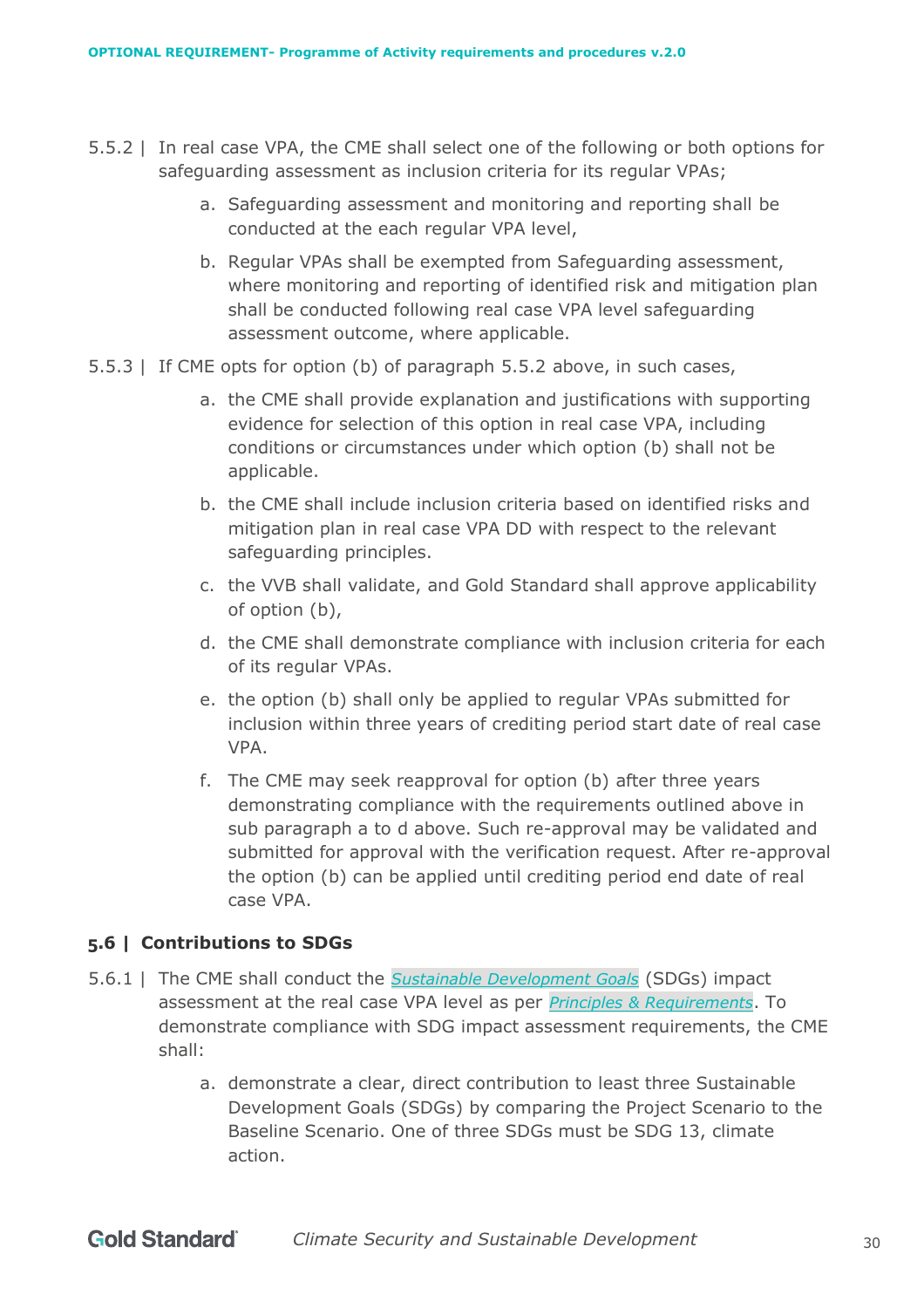- 5.5.2 | In real case VPA, the CME shall select one of the following or both options for safeguarding assessment as inclusion criteria for its regular VPAs;
	- a. Safeguarding assessment and monitoring and reporting shall be conducted at the each regular VPA level,
	- b. Regular VPAs shall be exempted from Safeguarding assessment, where monitoring and reporting of identified risk and mitigation plan shall be conducted following real case VPA level safeguarding assessment outcome, where applicable.
- 5.5.3 | If CME opts for option (b) of paragraph 5.5.2 above, in such cases,
	- a. the CME shall provide explanation and justifications with supporting evidence for selection of this option in real case VPA, including conditions or circumstances under which option (b) shall not be applicable.
	- b. the CME shall include inclusion criteria based on identified risks and mitigation plan in real case VPA DD with respect to the relevant safeguarding principles.
	- c. the VVB shall validate, and Gold Standard shall approve applicability of option (b),
	- d. the CME shall demonstrate compliance with inclusion criteria for each of its regular VPAs.
	- e. the option (b) shall only be applied to regular VPAs submitted for inclusion within three years of crediting period start date of real case VPA.
	- f. The CME may seek reapproval for option (b) after three years demonstrating compliance with the requirements outlined above in sub paragraph a to d above. Such re-approval may be validated and submitted for approval with the verification request. After re-approval the option (b) can be applied until crediting period end date of real case VPA.

# <span id="page-29-0"></span>**5.6 | Contributions to SDGs**

- 5.6.1 | The CME shall conduct the *[Sustainable Development Goals](https://sustainabledevelopment.un.org/)* (SDGs) impact assessment at the real case VPA level as per *[Principles & Requirements](https://globalgoals.goldstandard.org/100-gs4gg-principles-requirements/)*. To demonstrate compliance with SDG impact assessment requirements, the CME shall:
	- a. demonstrate a clear, direct contribution to least three Sustainable Development Goals (SDGs) by comparing the Project Scenario to the Baseline Scenario. One of three SDGs must be SDG 13, climate action.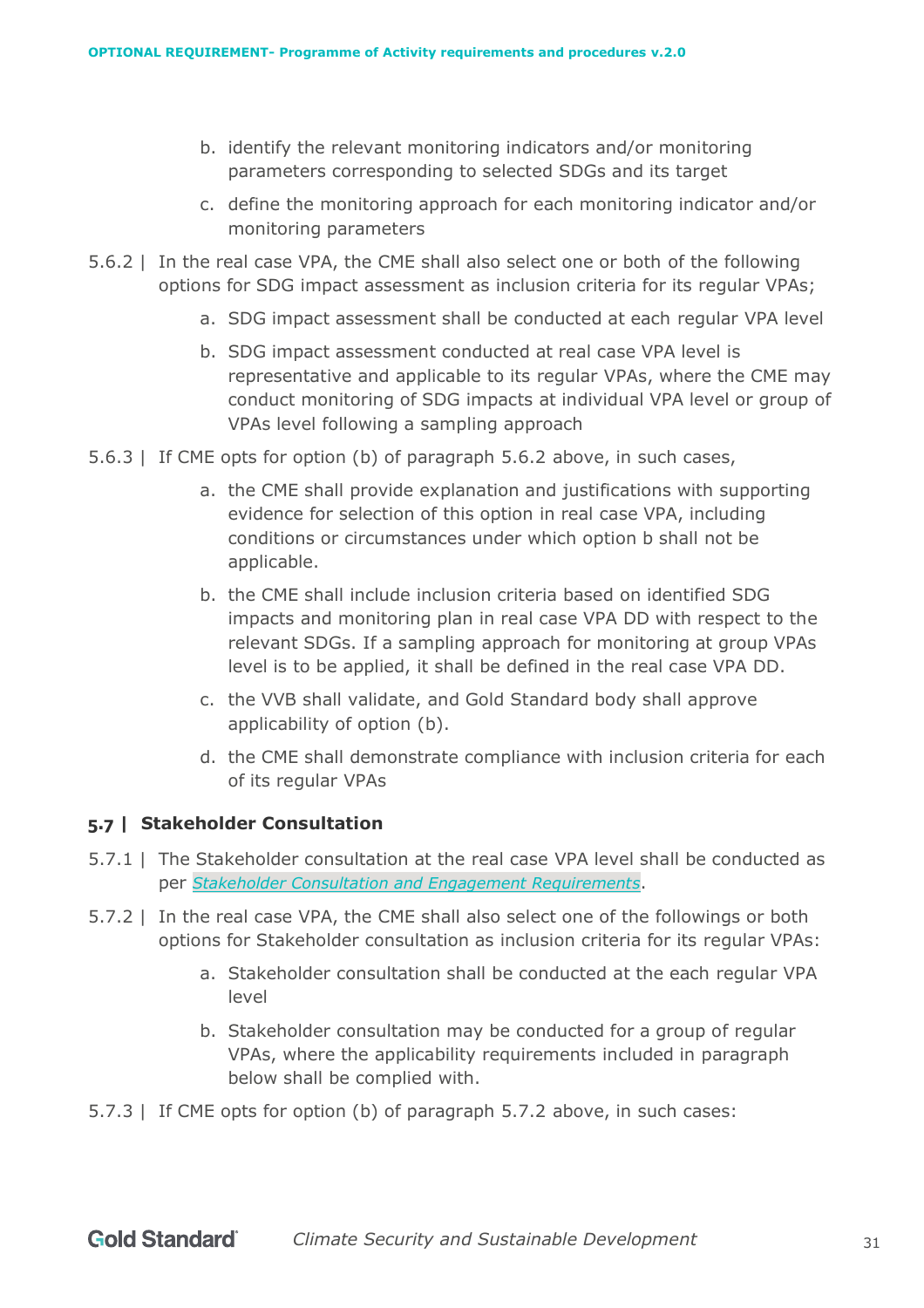- b. identify the relevant monitoring indicators and/or monitoring parameters corresponding to selected SDGs and its target
- c. define the monitoring approach for each monitoring indicator and/or monitoring parameters
- 5.6.2 | In the real case VPA, the CME shall also select one or both of the following options for SDG impact assessment as inclusion criteria for its regular VPAs;
	- a. SDG impact assessment shall be conducted at each regular VPA level
	- b. SDG impact assessment conducted at real case VPA level is representative and applicable to its regular VPAs, where the CME may conduct monitoring of SDG impacts at individual VPA level or group of VPAs level following a sampling approach
- 5.6.3 | If CME opts for option (b) of paragraph 5.6.2 above, in such cases,
	- a. the CME shall provide explanation and justifications with supporting evidence for selection of this option in real case VPA, including conditions or circumstances under which option b shall not be applicable.
	- b. the CME shall include inclusion criteria based on identified SDG impacts and monitoring plan in real case VPA DD with respect to the relevant SDGs. If a sampling approach for monitoring at group VPAs level is to be applied, it shall be defined in the real case VPA DD.
	- c. the VVB shall validate, and Gold Standard body shall approve applicability of option (b).
	- d. the CME shall demonstrate compliance with inclusion criteria for each of its regular VPAs

# <span id="page-30-0"></span>**5.7 | Stakeholder Consultation**

- 5.7.1 | The Stakeholder consultation at the real case VPA level shall be conducted as per *[Stakeholder Consultation and Engagement Requirements](https://globalgoals.goldstandard.org/100-gs4gg-stakeholder-consultation-requirements-guidelines/)*.
- 5.7.2 | In the real case VPA, the CME shall also select one of the followings or both options for Stakeholder consultation as inclusion criteria for its regular VPAs:
	- a. Stakeholder consultation shall be conducted at the each regular VPA level
	- b. Stakeholder consultation may be conducted for a group of regular VPAs, where the applicability requirements included in paragraph below shall be complied with.
- 5.7.3 | If CME opts for option (b) of paragraph 5.7.2 above, in such cases: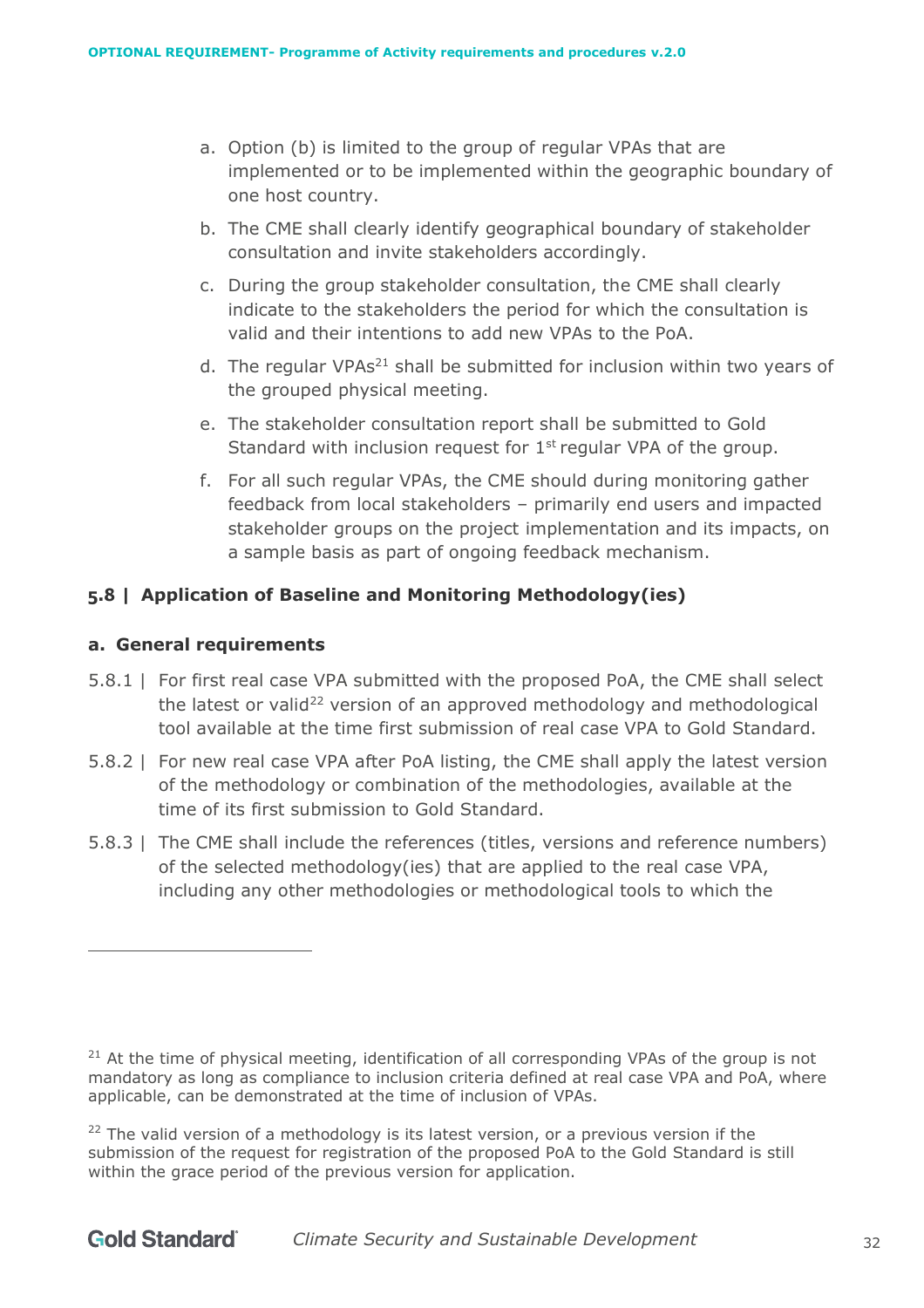- a. Option (b) is limited to the group of regular VPAs that are implemented or to be implemented within the geographic boundary of one host country.
- b. The CME shall clearly identify geographical boundary of stakeholder consultation and invite stakeholders accordingly.
- c. During the group stakeholder consultation, the CME shall clearly indicate to the stakeholders the period for which the consultation is valid and their intentions to add new VPAs to the PoA.
- d. The regular VPAs<sup>21</sup> shall be submitted for inclusion within two years of the grouped physical meeting.
- e. The stakeholder consultation report shall be submitted to Gold Standard with inclusion request for  $1<sup>st</sup>$  regular VPA of the group.
- f. For all such regular VPAs, the CME should during monitoring gather feedback from local stakeholders – primarily end users and impacted stakeholder groups on the project implementation and its impacts, on a sample basis as part of ongoing feedback mechanism.

# <span id="page-31-0"></span>**5.8 | Application of Baseline and Monitoring Methodology(ies)**

#### <span id="page-31-1"></span>**a. General requirements**

- 5.8.1 | For first real case VPA submitted with the proposed PoA, the CME shall select the latest or valid<sup>22</sup> version of an approved methodology and methodological tool available at the time first submission of real case VPA to Gold Standard.
- 5.8.2 | For new real case VPA after PoA listing, the CME shall apply the latest version of the methodology or combination of the methodologies, available at the time of its first submission to Gold Standard.
- 5.8.3 | The CME shall include the references (titles, versions and reference numbers) of the selected methodology(ies) that are applied to the real case VPA, including any other methodologies or methodological tools to which the

 $21$  At the time of physical meeting, identification of all corresponding VPAs of the group is not mandatory as long as compliance to inclusion criteria defined at real case VPA and PoA, where applicable, can be demonstrated at the time of inclusion of VPAs.

 $22$  The valid version of a methodology is its latest version, or a previous version if the submission of the request for registration of the proposed PoA to the Gold Standard is still within the grace period of the previous version for application.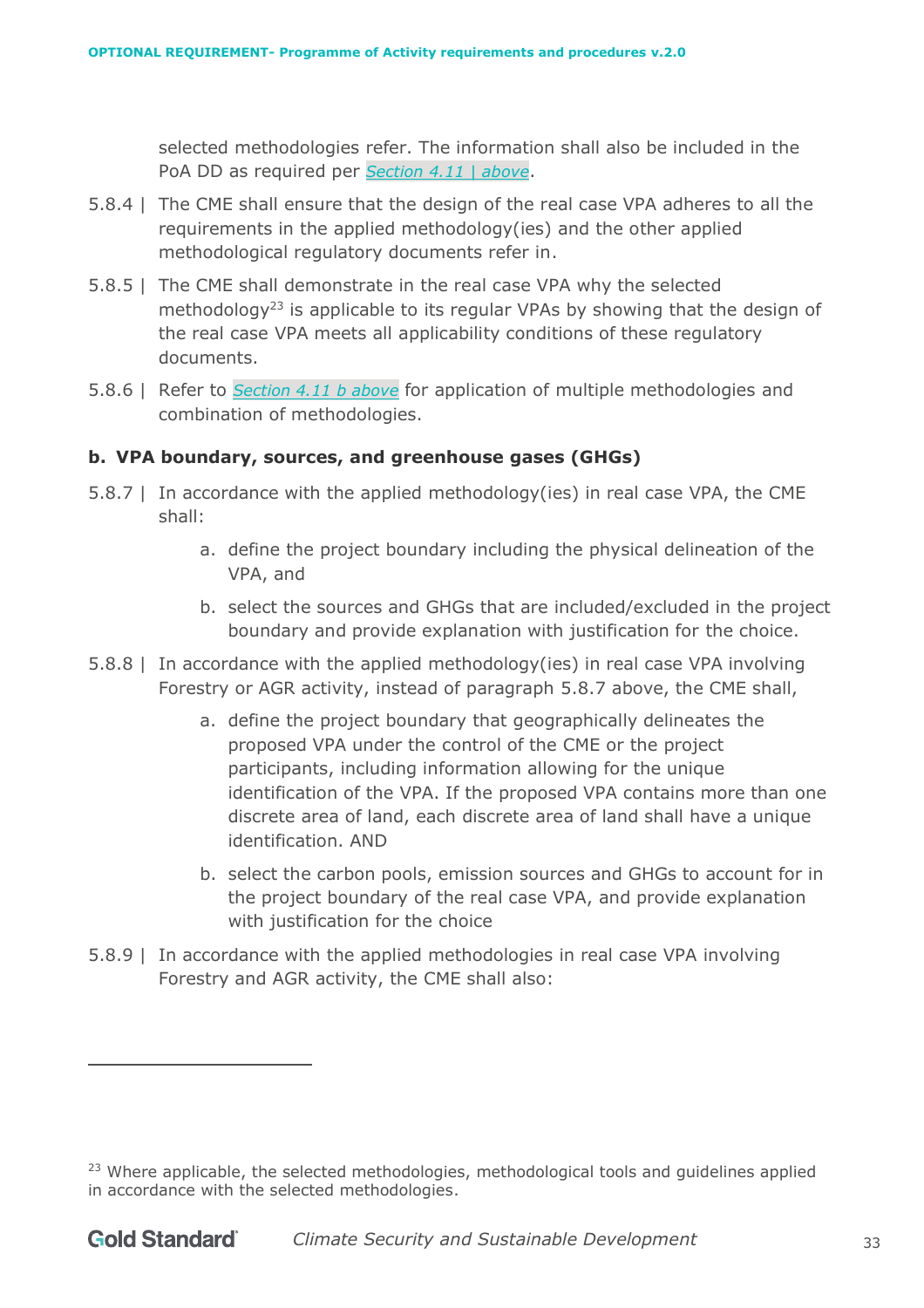selected methodologies refer. The information shall also be included in the PoA DD as required per *Section [4.11 |](#page-14-4) above*.

- 5.8.4 | The CME shall ensure that the design of the real case VPA adheres to all the requirements in the applied methodology(ies) and the other applied methodological regulatory documents refer in.
- 5.8.5 | The CME shall demonstrate in the real case VPA why the selected methodology<sup>23</sup> is applicable to its regular VPAs by showing that the design of the real case VPA meets all applicability conditions of these regulatory documents.
- 5.8.6 | Refer to *Section 4.11 [b above](#page-15-0)* for application of multiple methodologies and combination of methodologies.

#### <span id="page-32-0"></span>**b. VPA boundary, sources, and greenhouse gases (GHGs)**

- 5.8.7 | In accordance with the applied methodology(ies) in real case VPA, the CME shall:
	- a. define the project boundary including the physical delineation of the VPA, and
	- b. select the sources and GHGs that are included/excluded in the project boundary and provide explanation with justification for the choice.
- 5.8.8 | In accordance with the applied methodology(ies) in real case VPA involving Forestry or AGR activity, instead of paragraph 5.8.7 above, the CME shall,
	- a. define the project boundary that geographically delineates the proposed VPA under the control of the CME or the project participants, including information allowing for the unique identification of the VPA. If the proposed VPA contains more than one discrete area of land, each discrete area of land shall have a unique identification. AND
	- b. select the carbon pools, emission sources and GHGs to account for in the project boundary of the real case VPA, and provide explanation with justification for the choice
- 5.8.9 | In accordance with the applied methodologies in real case VPA involving Forestry and AGR activity, the CME shall also:

 $23$  Where applicable, the selected methodologies, methodological tools and guidelines applied in accordance with the selected methodologies.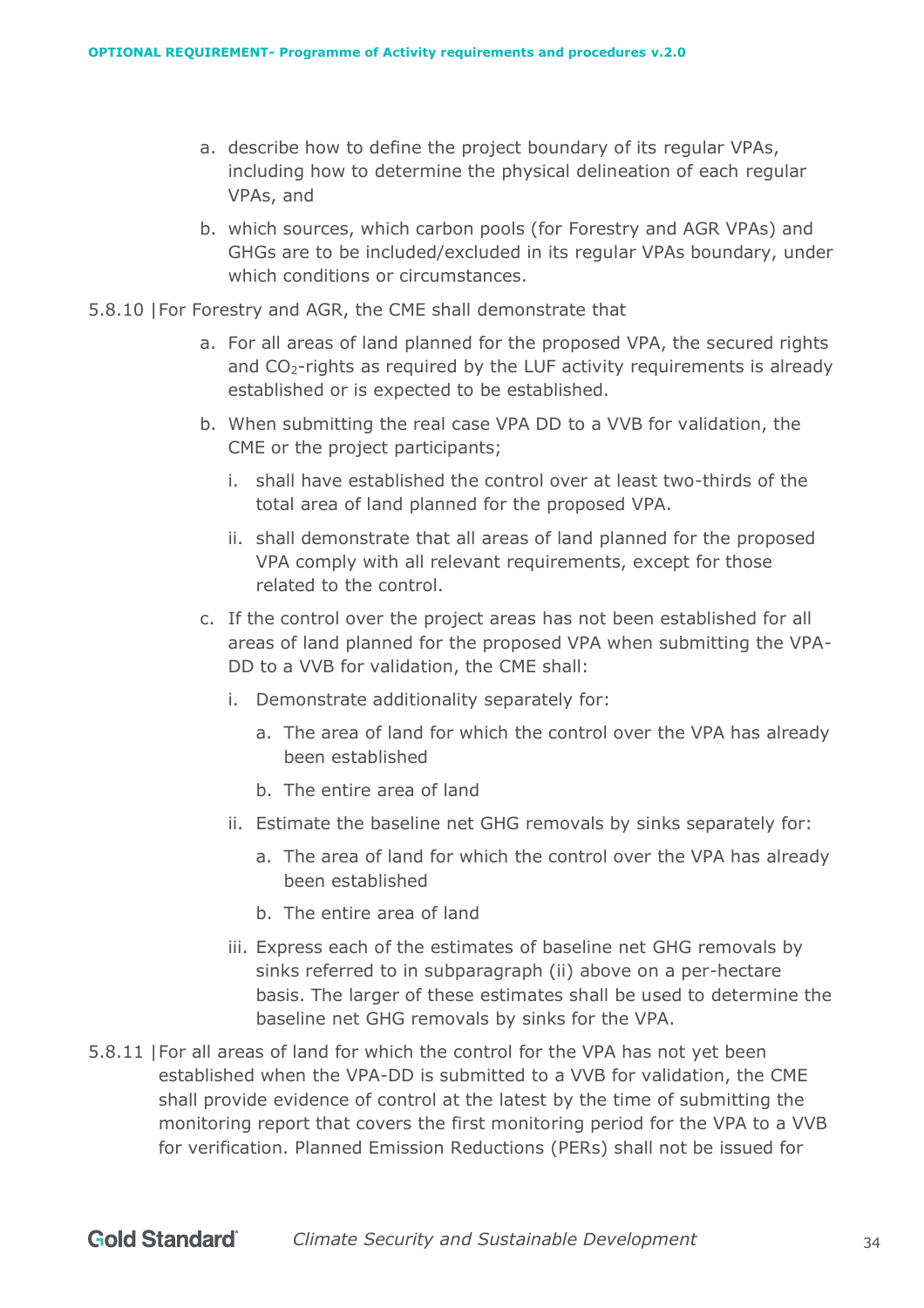- a. describe how to define the project boundary of its regular VPAs, including how to determine the physical delineation of each regular VPAs, and
- b. which sources, which carbon pools (for Forestry and AGR VPAs) and GHGs are to be included/excluded in its regular VPAs boundary, under which conditions or circumstances.
- 5.8.10 |For Forestry and AGR, the CME shall demonstrate that
	- a. For all areas of land planned for the proposed VPA, the secured rights and  $CO<sub>2</sub>$ -rights as required by the LUF activity requirements is already established or is expected to be established.
	- b. When submitting the real case VPA DD to a VVB for validation, the CME or the project participants;
		- i. shall have established the control over at least two-thirds of the total area of land planned for the proposed VPA.
		- ii. shall demonstrate that all areas of land planned for the proposed VPA comply with all relevant requirements, except for those related to the control.
	- c. If the control over the project areas has not been established for all areas of land planned for the proposed VPA when submitting the VPA-DD to a VVB for validation, the CME shall:
		- i. Demonstrate additionality separately for:
			- a. The area of land for which the control over the VPA has already been established
			- b. The entire area of land
		- ii. Estimate the baseline net GHG removals by sinks separately for:
			- a. The area of land for which the control over the VPA has already been established
			- b. The entire area of land
		- iii. Express each of the estimates of baseline net GHG removals by sinks referred to in subparagraph (ii) above on a per-hectare basis. The larger of these estimates shall be used to determine the baseline net GHG removals by sinks for the VPA.
- 5.8.11 |For all areas of land for which the control for the VPA has not yet been established when the VPA-DD is submitted to a VVB for validation, the CME shall provide evidence of control at the latest by the time of submitting the monitoring report that covers the first monitoring period for the VPA to a VVB for verification. Planned Emission Reductions (PERs) shall not be issued for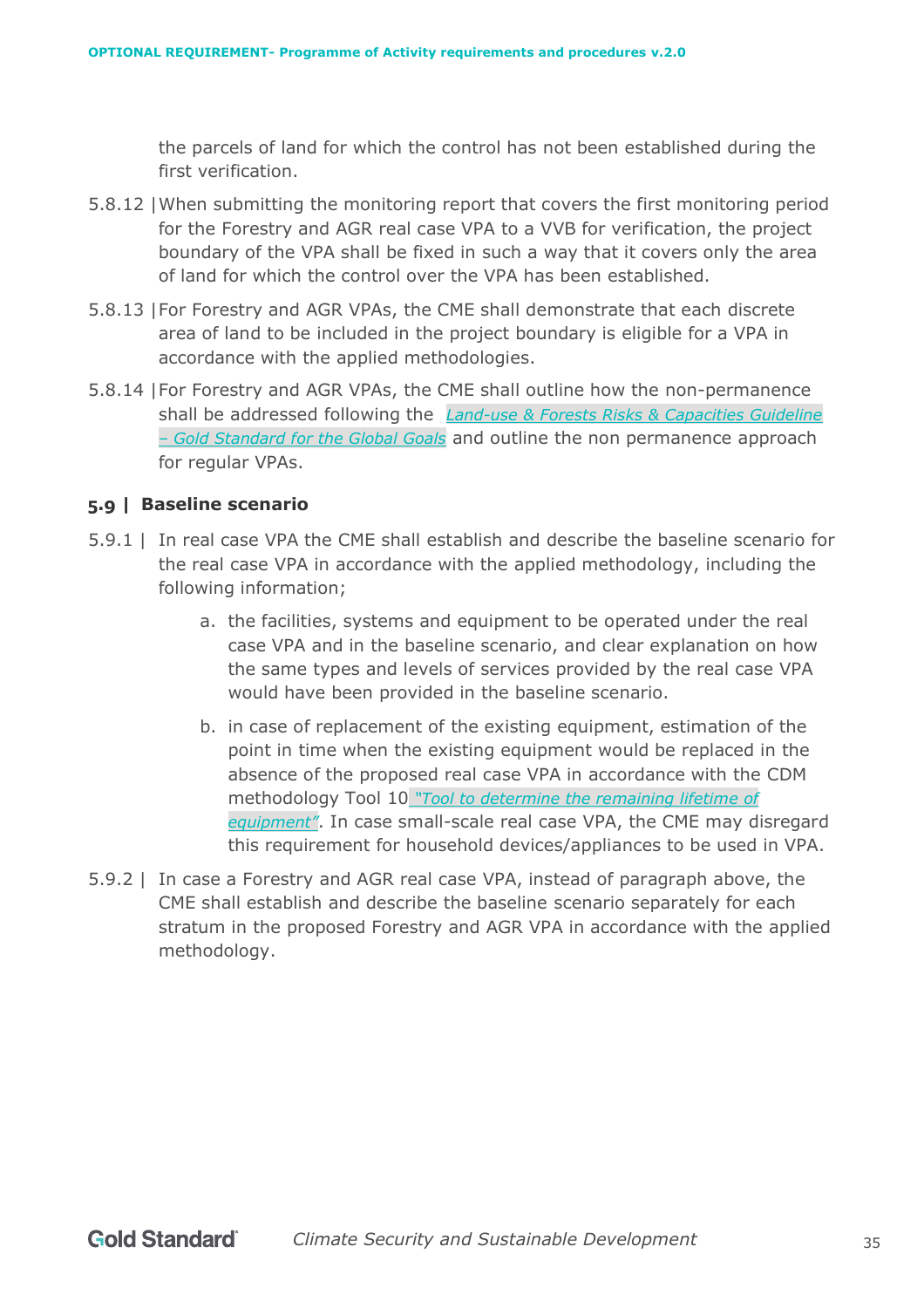the parcels of land for which the control has not been established during the first verification.

- 5.8.12 |When submitting the monitoring report that covers the first monitoring period for the Forestry and AGR real case VPA to a VVB for verification, the project boundary of the VPA shall be fixed in such a way that it covers only the area of land for which the control over the VPA has been established.
- 5.8.13 |For Forestry and AGR VPAs, the CME shall demonstrate that each discrete area of land to be included in the project boundary is eligible for a VPA in accordance with the applied methodologies.
- 5.8.14 |For Forestry and AGR VPAs, the CME shall outline how the non-permanence shall be addressed following the *[Land-use & Forests Risks & Capacities Guideline](https://globalgoals.goldstandard.org/203g-ar-luf-risks-capacities-guideline/)  – [Gold Standard for the Global Goals](https://globalgoals.goldstandard.org/203g-ar-luf-risks-capacities-guideline/)* and outline the non permanence approach for regular VPAs.

#### <span id="page-34-0"></span>**5.9 | Baseline scenario**

- 5.9.1 | In real case VPA the CME shall establish and describe the baseline scenario for the real case VPA in accordance with the applied methodology, including the following information;
	- a. the facilities, systems and equipment to be operated under the real case VPA and in the baseline scenario, and clear explanation on how the same types and levels of services provided by the real case VPA would have been provided in the baseline scenario.
	- b. in case of replacement of the existing equipment, estimation of the point in time when the existing equipment would be replaced in the absence of the proposed real case VPA in accordance with the CDM methodology Tool 10 *["Tool to determine the remaining lifetime of](https://cdm.unfccc.int/methodologies/PAmethodologies/tools/am-tool-10-v1.pdf/history_view/)  [equipment"](https://cdm.unfccc.int/methodologies/PAmethodologies/tools/am-tool-10-v1.pdf/history_view/)*. In case small-scale real case VPA, the CME may disregard this requirement for household devices/appliances to be used in VPA.
- 5.9.2 | In case a Forestry and AGR real case VPA, instead of paragraph above, the CME shall establish and describe the baseline scenario separately for each stratum in the proposed Forestry and AGR VPA in accordance with the applied methodology.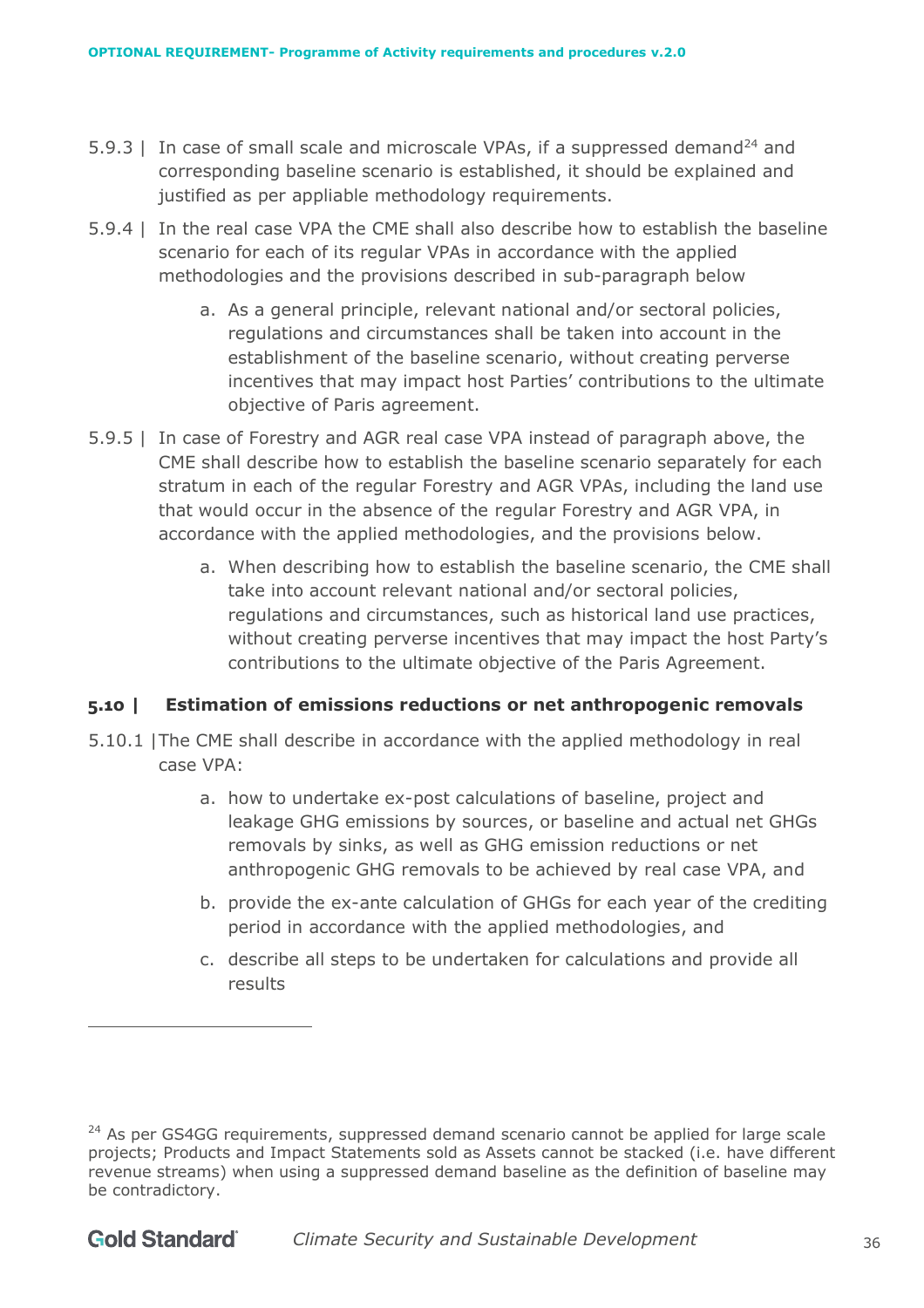- 5.9.3 | In case of small scale and microscale VPAs, if a suppressed demand<sup>24</sup> and corresponding baseline scenario is established, it should be explained and justified as per appliable methodology requirements.
- 5.9.4 | In the real case VPA the CME shall also describe how to establish the baseline scenario for each of its regular VPAs in accordance with the applied methodologies and the provisions described in sub-paragraph below
	- a. As a general principle, relevant national and/or sectoral policies, regulations and circumstances shall be taken into account in the establishment of the baseline scenario, without creating perverse incentives that may impact host Parties' contributions to the ultimate objective of Paris agreement.
- 5.9.5 | In case of Forestry and AGR real case VPA instead of paragraph above, the CME shall describe how to establish the baseline scenario separately for each stratum in each of the regular Forestry and AGR VPAs, including the land use that would occur in the absence of the regular Forestry and AGR VPA, in accordance with the applied methodologies, and the provisions below.
	- a. When describing how to establish the baseline scenario, the CME shall take into account relevant national and/or sectoral policies, regulations and circumstances, such as historical land use practices, without creating perverse incentives that may impact the host Party's contributions to the ultimate objective of the Paris Agreement.

#### <span id="page-35-0"></span>**5.10 | Estimation of emissions reductions or net anthropogenic removals**

- 5.10.1 |The CME shall describe in accordance with the applied methodology in real case VPA:
	- a. how to undertake ex-post calculations of baseline, project and leakage GHG emissions by sources, or baseline and actual net GHGs removals by sinks, as well as GHG emission reductions or net anthropogenic GHG removals to be achieved by real case VPA, and
	- b. provide the ex-ante calculation of GHGs for each year of the crediting period in accordance with the applied methodologies, and
	- c. describe all steps to be undertaken for calculations and provide all results

<sup>&</sup>lt;sup>24</sup> As per GS4GG requirements, suppressed demand scenario cannot be applied for large scale projects; Products and Impact Statements sold as Assets cannot be stacked (i.e. have different revenue streams) when using a suppressed demand baseline as the definition of baseline may be contradictory.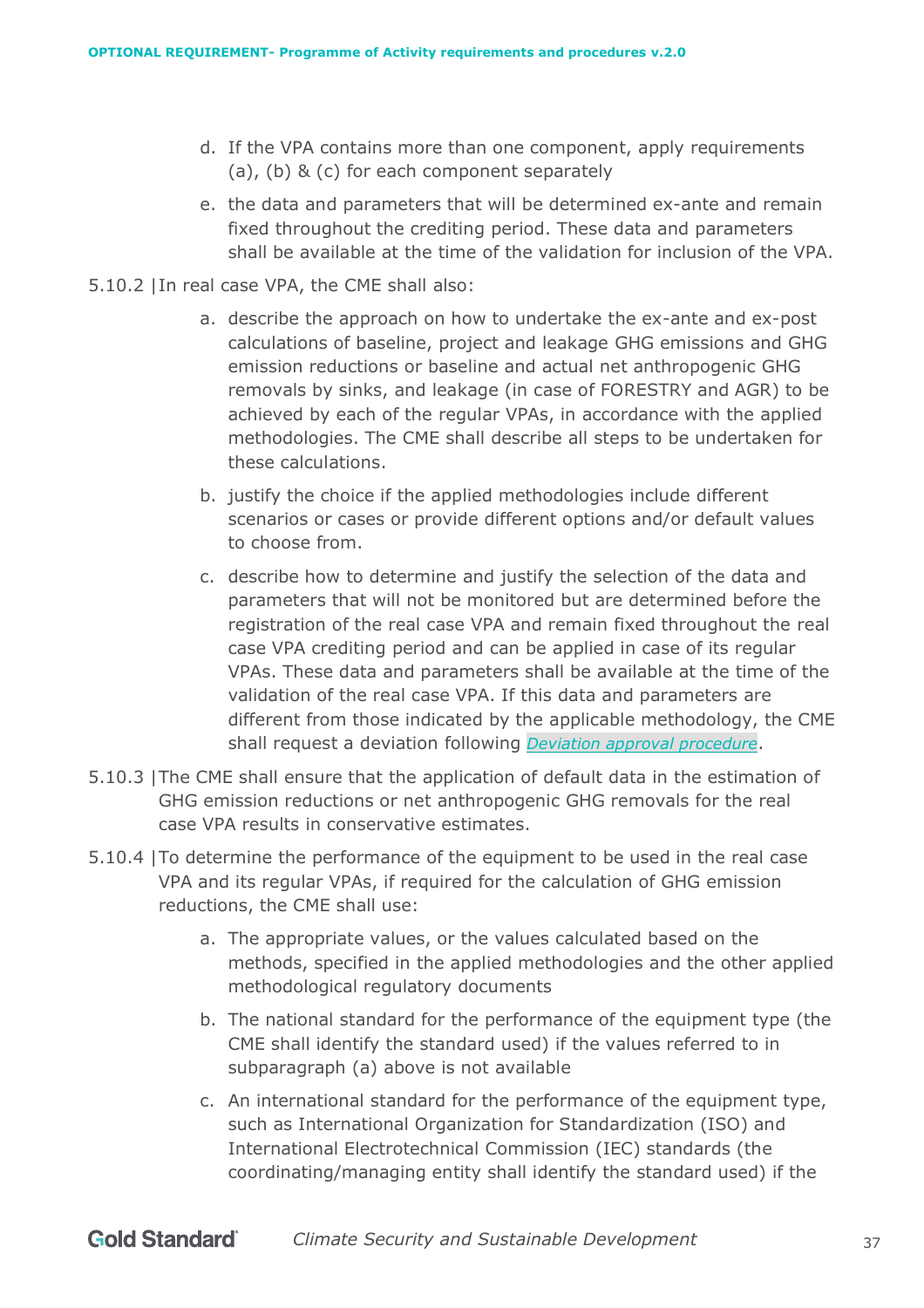- d. If the VPA contains more than one component, apply requirements (a), (b) & (c) for each component separately
- e. the data and parameters that will be determined ex-ante and remain fixed throughout the crediting period. These data and parameters shall be available at the time of the validation for inclusion of the VPA.
- 5.10.2 |In real case VPA, the CME shall also:
	- a. describe the approach on how to undertake the ex-ante and ex-post calculations of baseline, project and leakage GHG emissions and GHG emission reductions or baseline and actual net anthropogenic GHG removals by sinks, and leakage (in case of FORESTRY and AGR) to be achieved by each of the regular VPAs, in accordance with the applied methodologies. The CME shall describe all steps to be undertaken for these calculations.
	- b. justify the choice if the applied methodologies include different scenarios or cases or provide different options and/or default values to choose from.
	- c. describe how to determine and justify the selection of the data and parameters that will not be monitored but are determined before the registration of the real case VPA and remain fixed throughout the real case VPA crediting period and can be applied in case of its regular VPAs. These data and parameters shall be available at the time of the validation of the real case VPA. If this data and parameters are different from those indicated by the applicable methodology, the CME shall request a deviation following *[Deviation approval procedure](https://globalgoals.goldstandard.org/110-par-deviation-approval-procedure/)*.
- 5.10.3 |The CME shall ensure that the application of default data in the estimation of GHG emission reductions or net anthropogenic GHG removals for the real case VPA results in conservative estimates.
- 5.10.4 |To determine the performance of the equipment to be used in the real case VPA and its regular VPAs, if required for the calculation of GHG emission reductions, the CME shall use:
	- a. The appropriate values, or the values calculated based on the methods, specified in the applied methodologies and the other applied methodological regulatory documents
	- b. The national standard for the performance of the equipment type (the CME shall identify the standard used) if the values referred to in subparagraph (a) above is not available
	- c. An international standard for the performance of the equipment type, such as International Organization for Standardization (ISO) and International Electrotechnical Commission (IEC) standards (the coordinating/managing entity shall identify the standard used) if the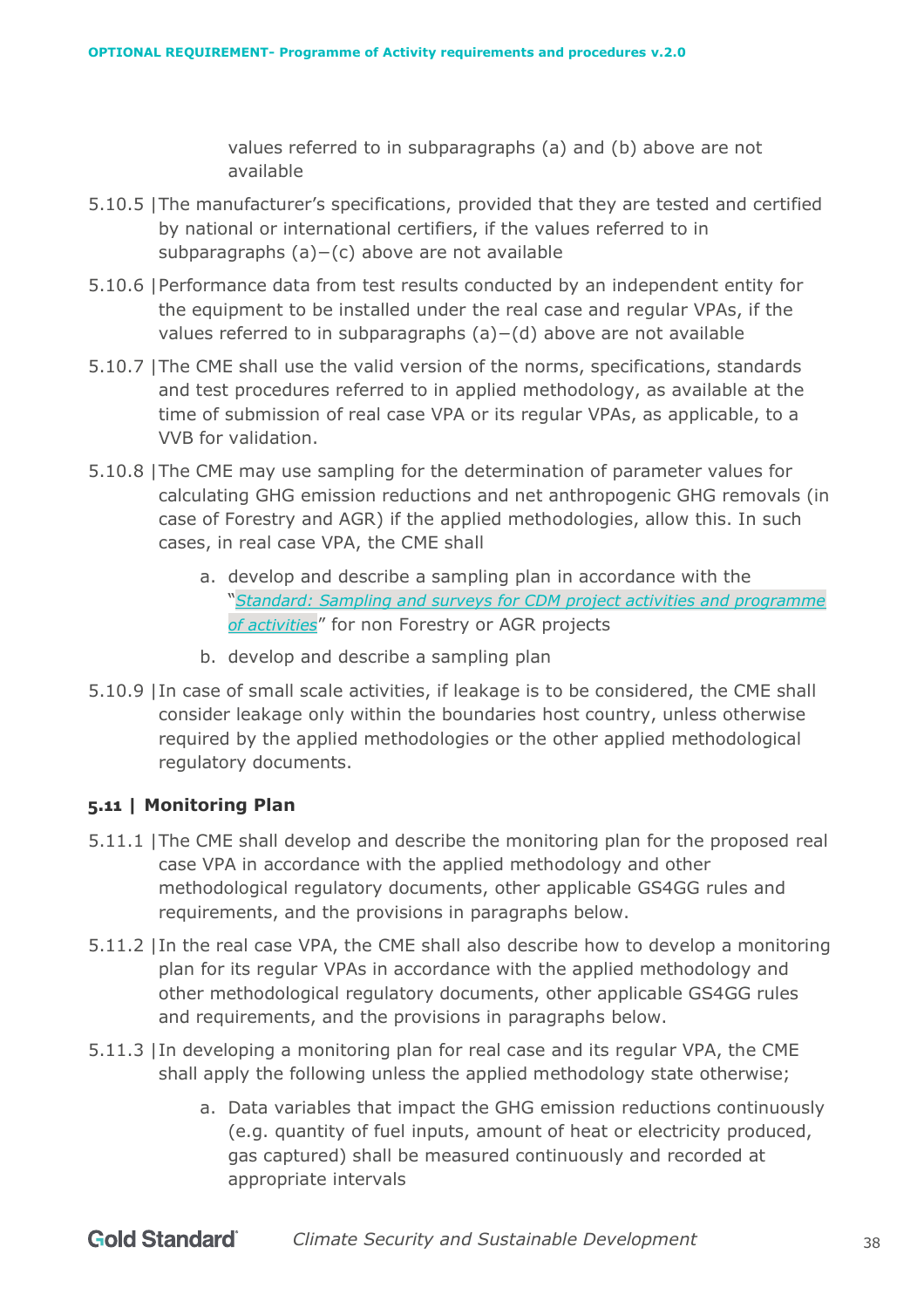values referred to in subparagraphs (a) and (b) above are not available

- 5.10.5 |The manufacturer's specifications, provided that they are tested and certified by national or international certifiers, if the values referred to in subparagraphs (a)−(c) above are not available
- 5.10.6 |Performance data from test results conducted by an independent entity for the equipment to be installed under the real case and regular VPAs, if the values referred to in subparagraphs (a)−(d) above are not available
- 5.10.7 |The CME shall use the valid version of the norms, specifications, standards and test procedures referred to in applied methodology, as available at the time of submission of real case VPA or its regular VPAs, as applicable, to a VVB for validation.
- 5.10.8 |The CME may use sampling for the determination of parameter values for calculating GHG emission reductions and net anthropogenic GHG removals (in case of Forestry and AGR) if the applied methodologies, allow this. In such cases, in real case VPA, the CME shall
	- a. develop and describe a sampling plan in accordance with the "*[Standard: Sampling and surveys for CDM project activities and programme](https://cdm.unfccc.int/Reference/Standards/index.html)  [of activities](https://cdm.unfccc.int/Reference/Standards/index.html)*" for non Forestry or AGR projects
	- b. develop and describe a sampling plan
- 5.10.9 |In case of small scale activities, if leakage is to be considered, the CME shall consider leakage only within the boundaries host country, unless otherwise required by the applied methodologies or the other applied methodological regulatory documents.

# **5.11 | Monitoring Plan**

- 5.11.1 |The CME shall develop and describe the monitoring plan for the proposed real case VPA in accordance with the applied methodology and other methodological regulatory documents, other applicable GS4GG rules and requirements, and the provisions in paragraphs below.
- 5.11.2 |In the real case VPA, the CME shall also describe how to develop a monitoring plan for its regular VPAs in accordance with the applied methodology and other methodological regulatory documents, other applicable GS4GG rules and requirements, and the provisions in paragraphs below.
- 5.11.3 |In developing a monitoring plan for real case and its regular VPA, the CME shall apply the following unless the applied methodology state otherwise;
	- a. Data variables that impact the GHG emission reductions continuously (e.g. quantity of fuel inputs, amount of heat or electricity produced, gas captured) shall be measured continuously and recorded at appropriate intervals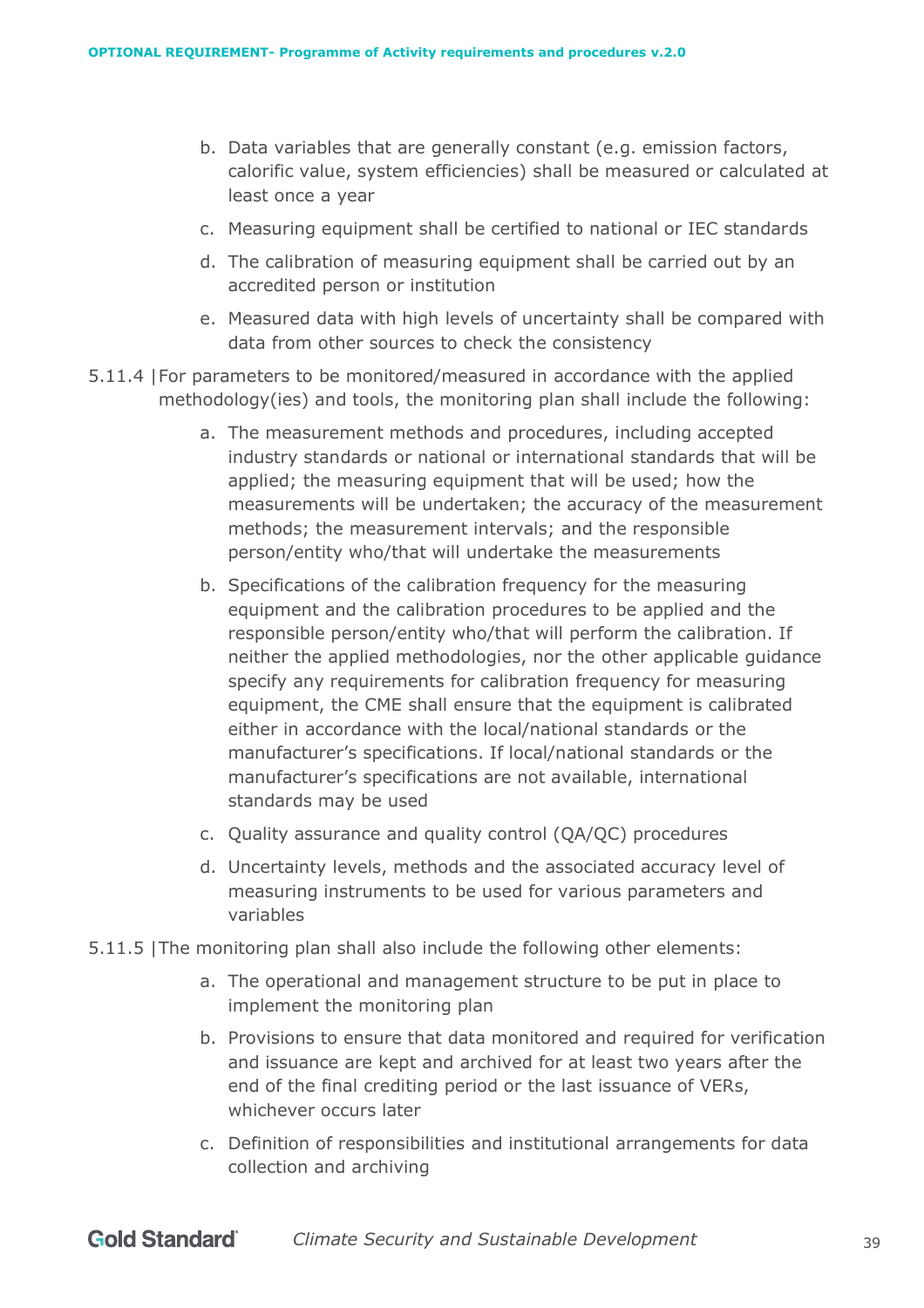- b. Data variables that are generally constant (e.g. emission factors, calorific value, system efficiencies) shall be measured or calculated at least once a year
- c. Measuring equipment shall be certified to national or IEC standards
- d. The calibration of measuring equipment shall be carried out by an accredited person or institution
- e. Measured data with high levels of uncertainty shall be compared with data from other sources to check the consistency
- 5.11.4 |For parameters to be monitored/measured in accordance with the applied methodology(ies) and tools, the monitoring plan shall include the following:
	- a. The measurement methods and procedures, including accepted industry standards or national or international standards that will be applied; the measuring equipment that will be used; how the measurements will be undertaken; the accuracy of the measurement methods; the measurement intervals; and the responsible person/entity who/that will undertake the measurements
	- b. Specifications of the calibration frequency for the measuring equipment and the calibration procedures to be applied and the responsible person/entity who/that will perform the calibration. If neither the applied methodologies, nor the other applicable guidance specify any requirements for calibration frequency for measuring equipment, the CME shall ensure that the equipment is calibrated either in accordance with the local/national standards or the manufacturer's specifications. If local/national standards or the manufacturer's specifications are not available, international standards may be used
	- c. Quality assurance and quality control (QA/QC) procedures
	- d. Uncertainty levels, methods and the associated accuracy level of measuring instruments to be used for various parameters and variables
- 5.11.5 |The monitoring plan shall also include the following other elements:
	- a. The operational and management structure to be put in place to implement the monitoring plan
	- b. Provisions to ensure that data monitored and required for verification and issuance are kept and archived for at least two years after the end of the final crediting period or the last issuance of VERs, whichever occurs later
	- c. Definition of responsibilities and institutional arrangements for data collection and archiving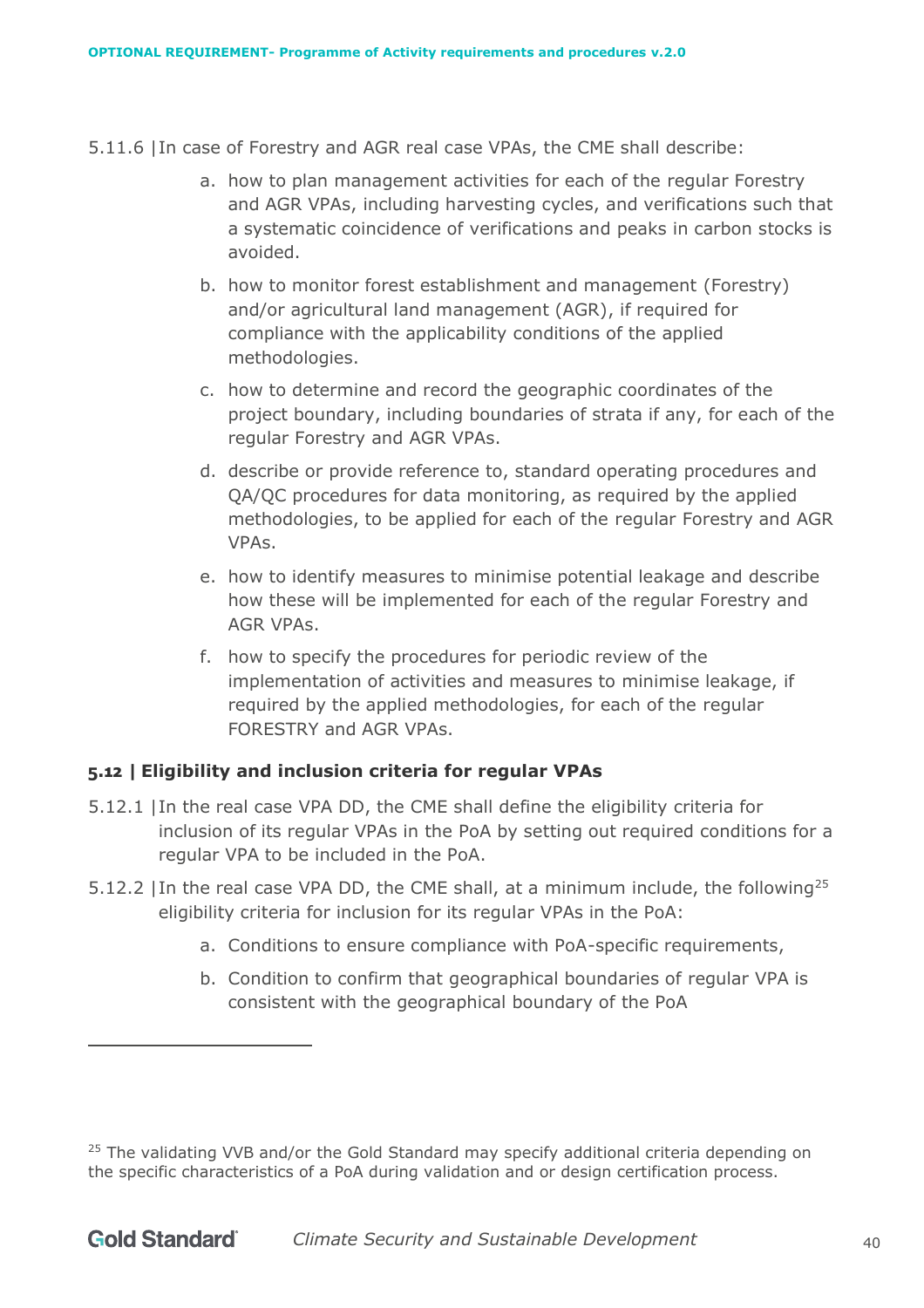- 5.11.6 |In case of Forestry and AGR real case VPAs, the CME shall describe:
	- a. how to plan management activities for each of the regular Forestry and AGR VPAs, including harvesting cycles, and verifications such that a systematic coincidence of verifications and peaks in carbon stocks is avoided.
	- b. how to monitor forest establishment and management (Forestry) and/or agricultural land management (AGR), if required for compliance with the applicability conditions of the applied methodologies.
	- c. how to determine and record the geographic coordinates of the project boundary, including boundaries of strata if any, for each of the regular Forestry and AGR VPAs.
	- d. describe or provide reference to, standard operating procedures and QA/QC procedures for data monitoring, as required by the applied methodologies, to be applied for each of the regular Forestry and AGR VPAs.
	- e. how to identify measures to minimise potential leakage and describe how these will be implemented for each of the regular Forestry and AGR VPAs.
	- f. how to specify the procedures for periodic review of the implementation of activities and measures to minimise leakage, if required by the applied methodologies, for each of the regular FORESTRY and AGR VPAs.

# **5.12 | Eligibility and inclusion criteria for regular VPAs**

- 5.12.1 |In the real case VPA DD, the CME shall define the eligibility criteria for inclusion of its regular VPAs in the PoA by setting out required conditions for a regular VPA to be included in the PoA.
- 5.12.2 In the real case VPA DD, the CME shall, at a minimum include, the following<sup>25</sup> eligibility criteria for inclusion for its regular VPAs in the PoA:
	- a. Conditions to ensure compliance with PoA-specific requirements,
	- b. Condition to confirm that geographical boundaries of regular VPA is consistent with the geographical boundary of the PoA

<sup>&</sup>lt;sup>25</sup> The validating VVB and/or the Gold Standard may specify additional criteria depending on the specific characteristics of a PoA during validation and or design certification process.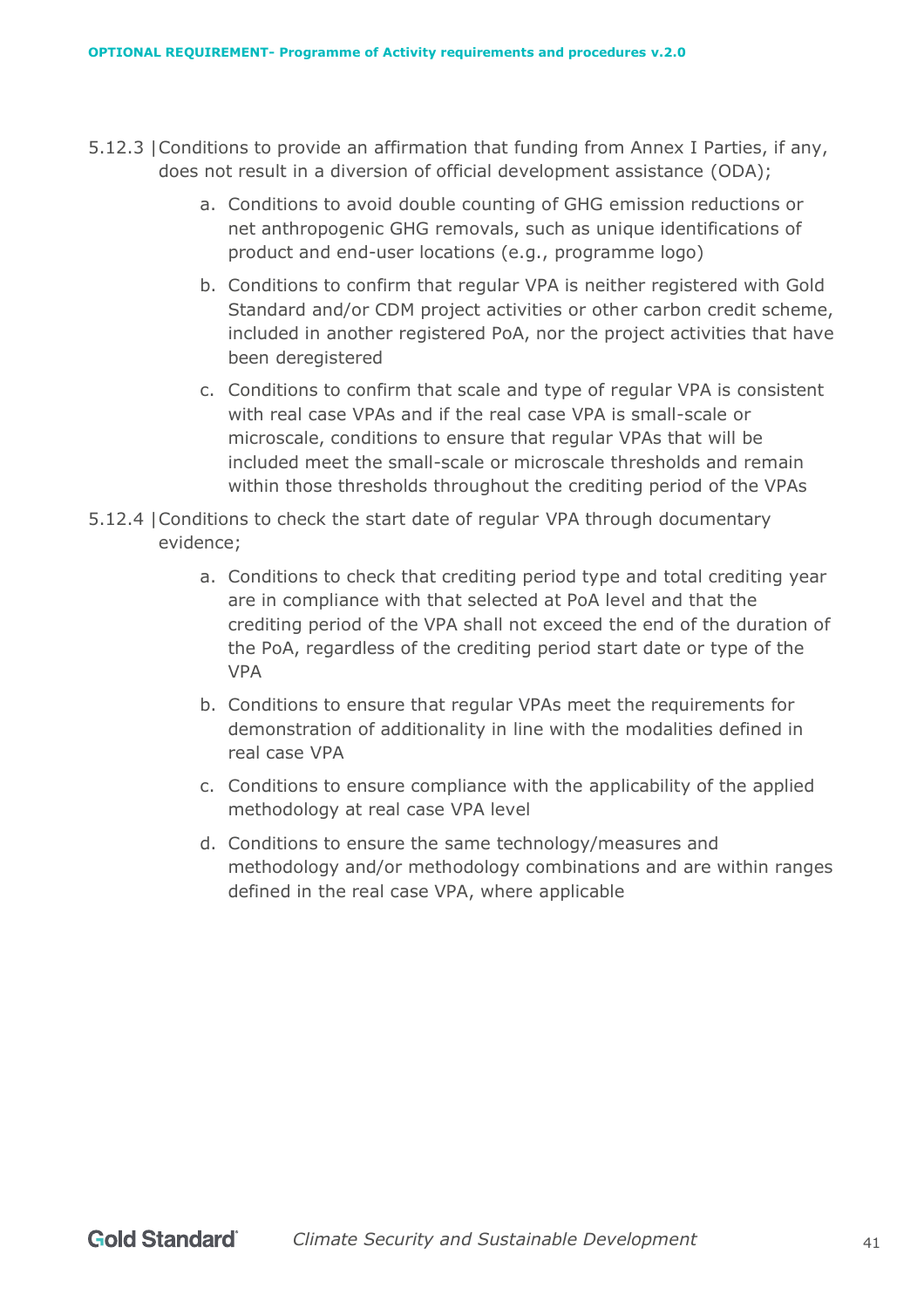- 5.12.3 |Conditions to provide an affirmation that funding from Annex I Parties, if any, does not result in a diversion of official development assistance (ODA);
	- a. Conditions to avoid double counting of GHG emission reductions or net anthropogenic GHG removals, such as unique identifications of product and end-user locations (e.g., programme logo)
	- b. Conditions to confirm that regular VPA is neither registered with Gold Standard and/or CDM project activities or other carbon credit scheme, included in another registered PoA, nor the project activities that have been deregistered
	- c. Conditions to confirm that scale and type of regular VPA is consistent with real case VPAs and if the real case VPA is small-scale or microscale, conditions to ensure that regular VPAs that will be included meet the small-scale or microscale thresholds and remain within those thresholds throughout the crediting period of the VPAs
- 5.12.4 |Conditions to check the start date of regular VPA through documentary evidence;
	- a. Conditions to check that crediting period type and total crediting year are in compliance with that selected at PoA level and that the crediting period of the VPA shall not exceed the end of the duration of the PoA, regardless of the crediting period start date or type of the VPA
	- b. Conditions to ensure that regular VPAs meet the requirements for demonstration of additionality in line with the modalities defined in real case VPA
	- c. Conditions to ensure compliance with the applicability of the applied methodology at real case VPA level
	- d. Conditions to ensure the same technology/measures and methodology and/or methodology combinations and are within ranges defined in the real case VPA, where applicable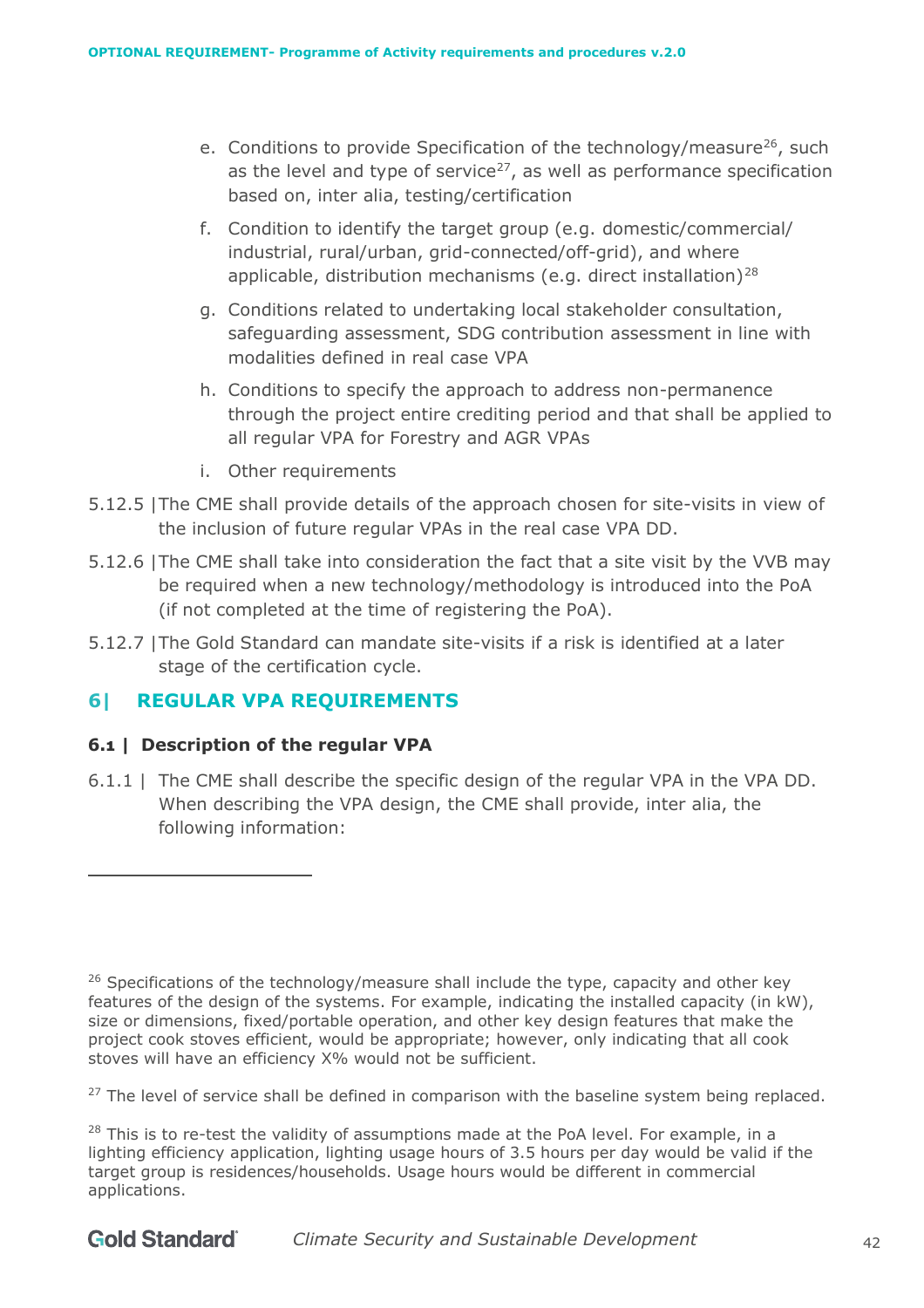- e. Conditions to provide Specification of the technology/measure<sup>26</sup>, such as the level and type of service<sup>27</sup>, as well as performance specification based on, inter alia, testing/certification
- f. Condition to identify the target group (e.g. domestic/commercial/ industrial, rural/urban, grid-connected/off-grid), and where applicable, distribution mechanisms (e.g. direct installation)<sup>28</sup>
- g. Conditions related to undertaking local stakeholder consultation, safeguarding assessment, SDG contribution assessment in line with modalities defined in real case VPA
- h. Conditions to specify the approach to address non-permanence through the project entire crediting period and that shall be applied to all regular VPA for Forestry and AGR VPAs
- i. Other requirements
- 5.12.5 |The CME shall provide details of the approach chosen for site-visits in view of the inclusion of future regular VPAs in the real case VPA DD.
- 5.12.6 |The CME shall take into consideration the fact that a site visit by the VVB may be required when a new technology/methodology is introduced into the PoA (if not completed at the time of registering the PoA).
- 5.12.7 |The Gold Standard can mandate site-visits if a risk is identified at a later stage of the certification cycle.

# **6| REGULAR VPA REQUIREMENTS**

## **6.1 | Description of the regular VPA**

6.1.1 | The CME shall describe the specific design of the regular VPA in the VPA DD. When describing the VPA design, the CME shall provide, inter alia, the following information:

<sup>27</sup> The level of service shall be defined in comparison with the baseline system being replaced.

<sup>28</sup> This is to re-test the validity of assumptions made at the PoA level. For example, in a lighting efficiency application, lighting usage hours of 3.5 hours per day would be valid if the target group is residences/households. Usage hours would be different in commercial applications.

 $26$  Specifications of the technology/measure shall include the type, capacity and other key features of the design of the systems. For example, indicating the installed capacity (in kW), size or dimensions, fixed/portable operation, and other key design features that make the project cook stoves efficient, would be appropriate; however, only indicating that all cook stoves will have an efficiency X% would not be sufficient.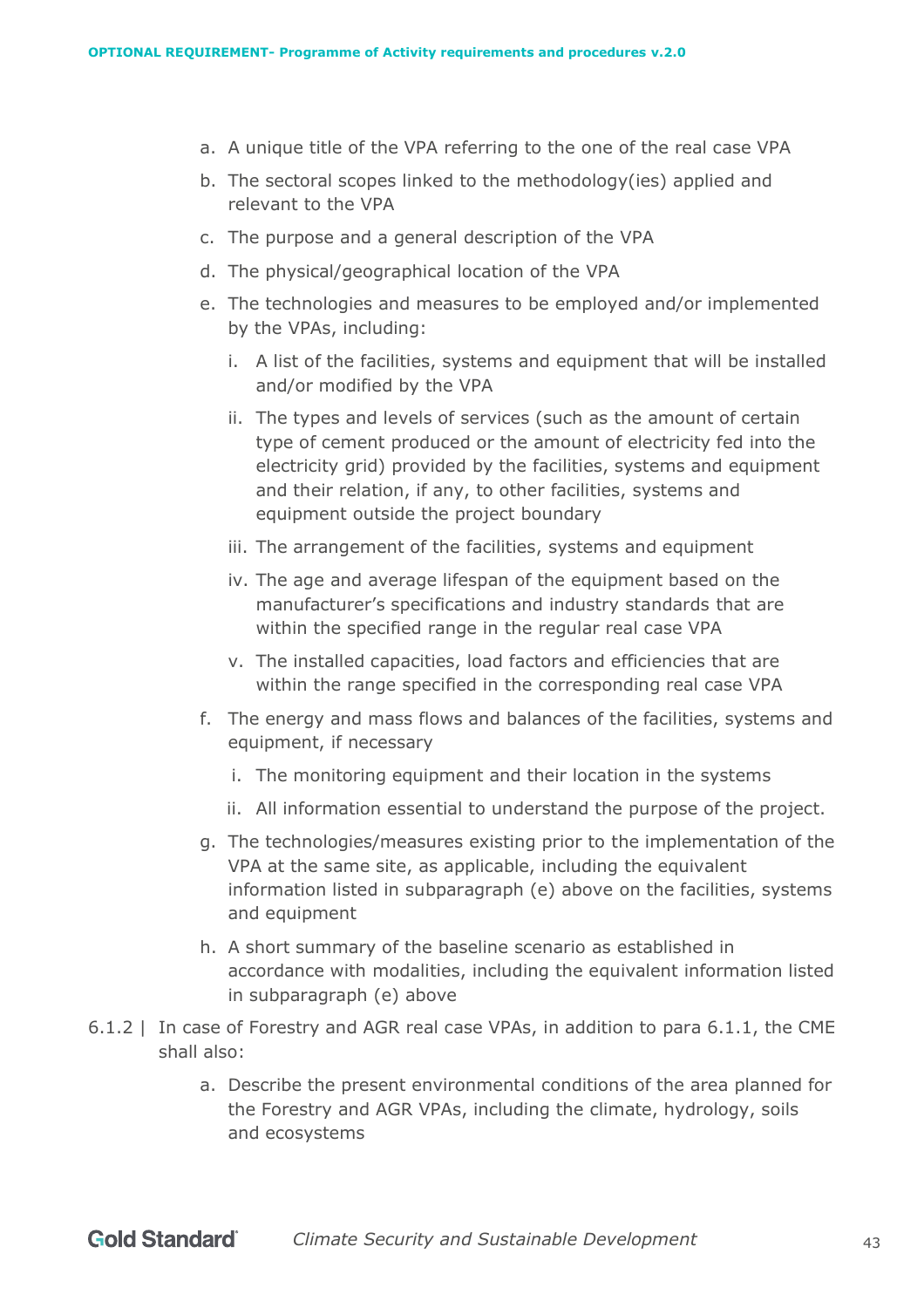- a. A unique title of the VPA referring to the one of the real case VPA
- b. The sectoral scopes linked to the methodology(ies) applied and relevant to the VPA
- c. The purpose and a general description of the VPA
- d. The physical/geographical location of the VPA
- e. The technologies and measures to be employed and/or implemented by the VPAs, including:
	- i. A list of the facilities, systems and equipment that will be installed and/or modified by the VPA
	- ii. The types and levels of services (such as the amount of certain type of cement produced or the amount of electricity fed into the electricity grid) provided by the facilities, systems and equipment and their relation, if any, to other facilities, systems and equipment outside the project boundary
	- iii. The arrangement of the facilities, systems and equipment
	- iv. The age and average lifespan of the equipment based on the manufacturer's specifications and industry standards that are within the specified range in the regular real case VPA
	- v. The installed capacities, load factors and efficiencies that are within the range specified in the corresponding real case VPA
- f. The energy and mass flows and balances of the facilities, systems and equipment, if necessary
	- i. The monitoring equipment and their location in the systems
	- ii. All information essential to understand the purpose of the project.
- g. The technologies/measures existing prior to the implementation of the VPA at the same site, as applicable, including the equivalent information listed in subparagraph (e) above on the facilities, systems and equipment
- h. A short summary of the baseline scenario as established in accordance with modalities, including the equivalent information listed in subparagraph (e) above
- 6.1.2 | In case of Forestry and AGR real case VPAs, in addition to para 6.1.1, the CME shall also:
	- a. Describe the present environmental conditions of the area planned for the Forestry and AGR VPAs, including the climate, hydrology, soils and ecosystems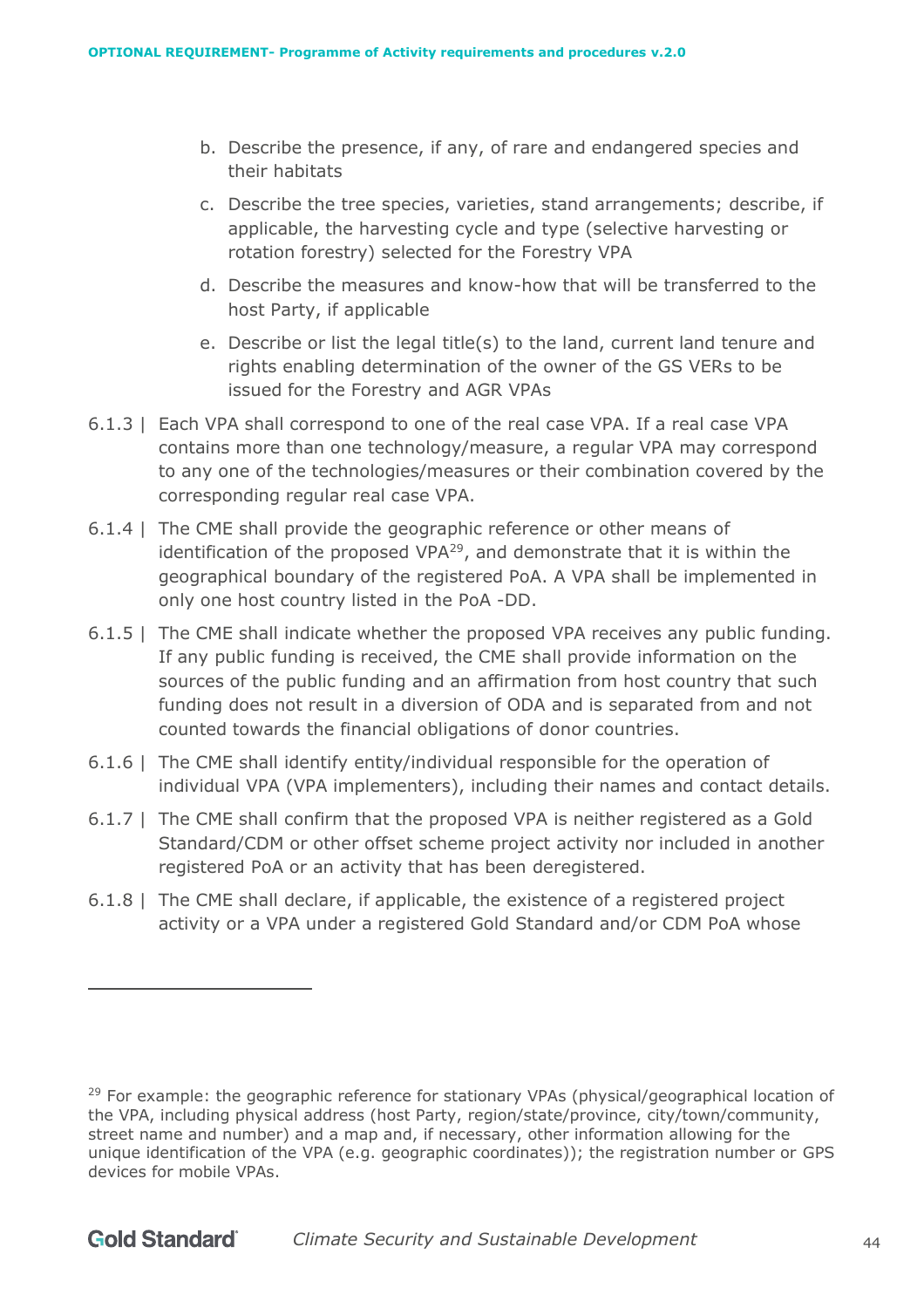- b. Describe the presence, if any, of rare and endangered species and their habitats
- c. Describe the tree species, varieties, stand arrangements; describe, if applicable, the harvesting cycle and type (selective harvesting or rotation forestry) selected for the Forestry VPA
- d. Describe the measures and know-how that will be transferred to the host Party, if applicable
- e. Describe or list the legal title(s) to the land, current land tenure and rights enabling determination of the owner of the GS VERs to be issued for the Forestry and AGR VPAs
- 6.1.3 | Each VPA shall correspond to one of the real case VPA. If a real case VPA contains more than one technology/measure, a regular VPA may correspond to any one of the technologies/measures or their combination covered by the corresponding regular real case VPA.
- 6.1.4 | The CME shall provide the geographic reference or other means of identification of the proposed VPA<sup>29</sup>, and demonstrate that it is within the geographical boundary of the registered PoA. A VPA shall be implemented in only one host country listed in the PoA -DD.
- 6.1.5 | The CME shall indicate whether the proposed VPA receives any public funding. If any public funding is received, the CME shall provide information on the sources of the public funding and an affirmation from host country that such funding does not result in a diversion of ODA and is separated from and not counted towards the financial obligations of donor countries.
- 6.1.6 | The CME shall identify entity/individual responsible for the operation of individual VPA (VPA implementers), including their names and contact details.
- 6.1.7 | The CME shall confirm that the proposed VPA is neither registered as a Gold Standard/CDM or other offset scheme project activity nor included in another registered PoA or an activity that has been deregistered.
- 6.1.8 | The CME shall declare, if applicable, the existence of a registered project activity or a VPA under a registered Gold Standard and/or CDM PoA whose

<sup>&</sup>lt;sup>29</sup> For example: the geographic reference for stationary VPAs (physical/geographical location of the VPA, including physical address (host Party, region/state/province, city/town/community, street name and number) and a map and, if necessary, other information allowing for the unique identification of the VPA (e.g. geographic coordinates)); the registration number or GPS devices for mobile VPAs.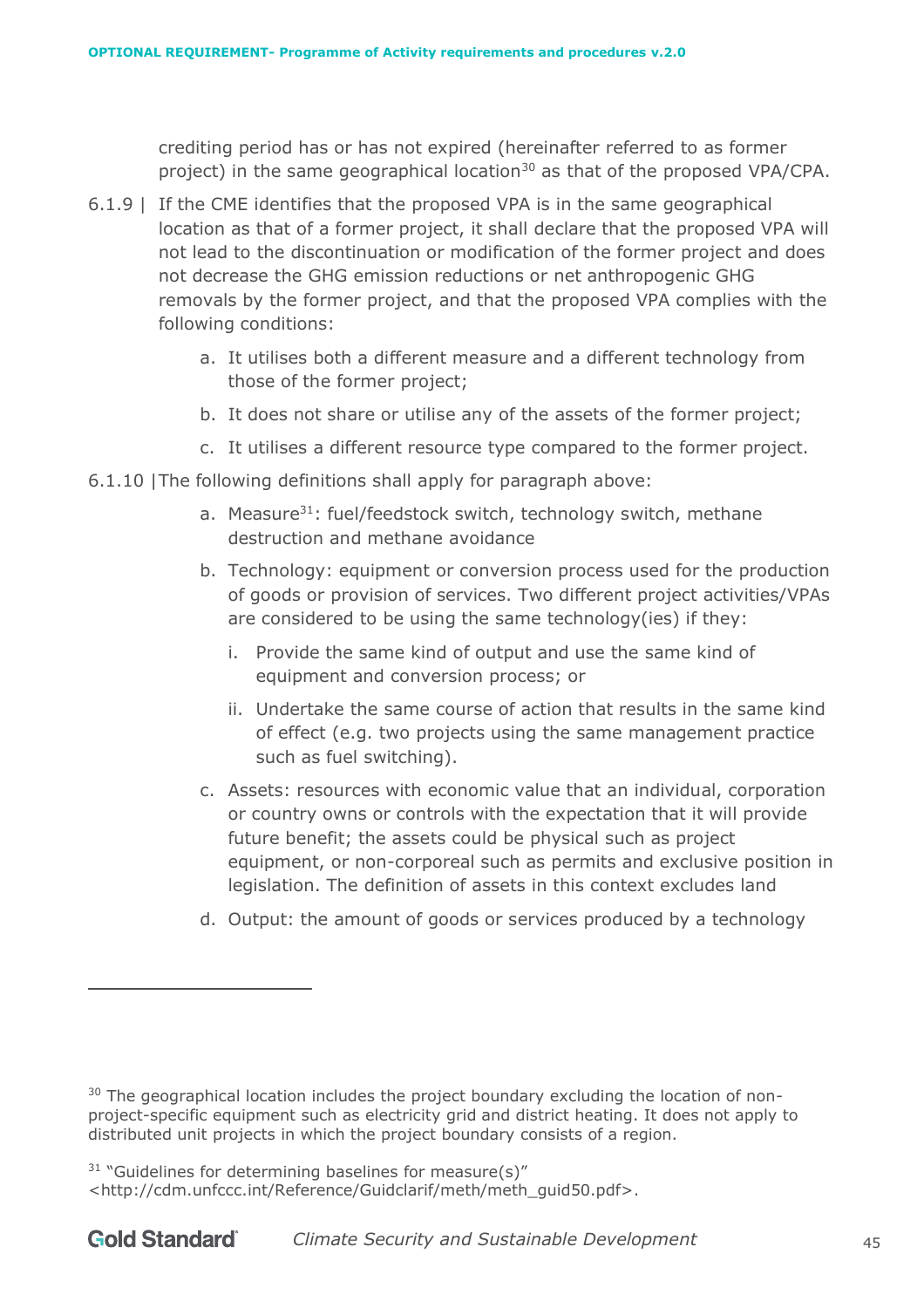crediting period has or has not expired (hereinafter referred to as former project) in the same geographical location<sup>30</sup> as that of the proposed VPA/CPA.

- 6.1.9 | If the CME identifies that the proposed VPA is in the same geographical location as that of a former project, it shall declare that the proposed VPA will not lead to the discontinuation or modification of the former project and does not decrease the GHG emission reductions or net anthropogenic GHG removals by the former project, and that the proposed VPA complies with the following conditions:
	- a. It utilises both a different measure and a different technology from those of the former project;
	- b. It does not share or utilise any of the assets of the former project;
	- c. It utilises a different resource type compared to the former project.
- 6.1.10 |The following definitions shall apply for paragraph above:
	- a. Measure<sup>31</sup>: fuel/feedstock switch, technology switch, methane destruction and methane avoidance
	- b. Technology: equipment or conversion process used for the production of goods or provision of services. Two different project activities/VPAs are considered to be using the same technology(ies) if they:
		- i. Provide the same kind of output and use the same kind of equipment and conversion process; or
		- ii. Undertake the same course of action that results in the same kind of effect (e.g. two projects using the same management practice such as fuel switching).
	- c. Assets: resources with economic value that an individual, corporation or country owns or controls with the expectation that it will provide future benefit; the assets could be physical such as project equipment, or non-corporeal such as permits and exclusive position in legislation. The definition of assets in this context excludes land
	- d. Output: the amount of goods or services produced by a technology

 $30$  The geographical location includes the project boundary excluding the location of nonproject-specific equipment such as electricity grid and district heating. It does not apply to distributed unit projects in which the project boundary consists of a region.

 $31$  "Guidelines for determining baselines for measure(s)" <http://cdm.unfccc.int/Reference/Guidclarif/meth/meth\_guid50.pdf>.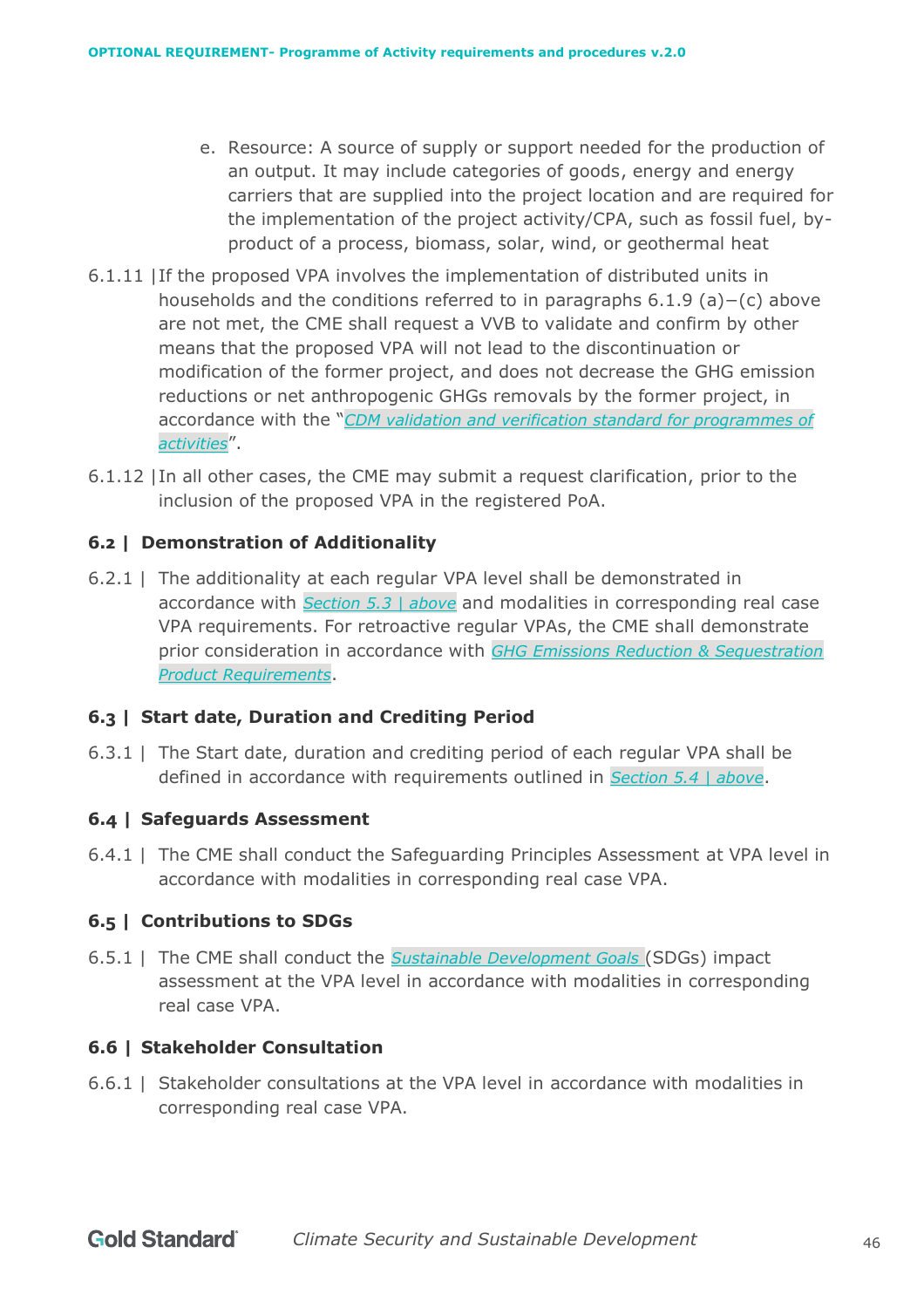- e. Resource: A source of supply or support needed for the production of an output. It may include categories of goods, energy and energy carriers that are supplied into the project location and are required for the implementation of the project activity/CPA, such as fossil fuel, byproduct of a process, biomass, solar, wind, or geothermal heat
- 6.1.11 |If the proposed VPA involves the implementation of distributed units in households and the conditions referred to in paragraphs 6.1.9 (a)−(c) above are not met, the CME shall request a VVB to validate and confirm by other means that the proposed VPA will not lead to the discontinuation or modification of the former project, and does not decrease the GHG emission reductions or net anthropogenic GHGs removals by the former project, in accordance with the "*[CDM validation and verification](https://cdm.unfccc.int/Reference/Standards/index.html) standard for programmes of [activities](https://cdm.unfccc.int/Reference/Standards/index.html)*".
- 6.1.12 |In all other cases, the CME may submit a request clarification, prior to the inclusion of the proposed VPA in the registered PoA.

# **6.2 | Demonstration of Additionality**

6.2.1 | The additionality at each regular VPA level shall be demonstrated in accordance with *Section [5.3 | above](#page-26-0)* and modalities in corresponding real case VPA requirements. For retroactive regular VPAs, the CME shall demonstrate prior consideration in accordance with *[GHG Emissions Reduction & Sequestration](https://globalgoals.goldstandard.org/standards/501_V2.0_PR_GHG-Emissions-Reductions-Sequestration.pdf)  [Product Requirements](https://globalgoals.goldstandard.org/standards/501_V2.0_PR_GHG-Emissions-Reductions-Sequestration.pdf)*.

## **6.3 | Start date, Duration and Crediting Period**

6.3.1 | The Start date, duration and crediting period of each regular VPA shall be defined in accordance with requirements outlined in *Section [5.4 | above](#page-28-0)*.

## **6.4 | Safeguards Assessment**

6.4.1 | The CME shall conduct the Safeguarding Principles Assessment at VPA level in accordance with modalities in corresponding real case VPA.

#### **6.5 | Contributions to SDGs**

6.5.1 | The CME shall conduct the *[Sustainable Development Goals](https://sustainabledevelopment.un.org/)* (SDGs) impact assessment at the VPA level in accordance with modalities in corresponding real case VPA.

#### **6.6 | Stakeholder Consultation**

6.6.1 | Stakeholder consultations at the VPA level in accordance with modalities in corresponding real case VPA.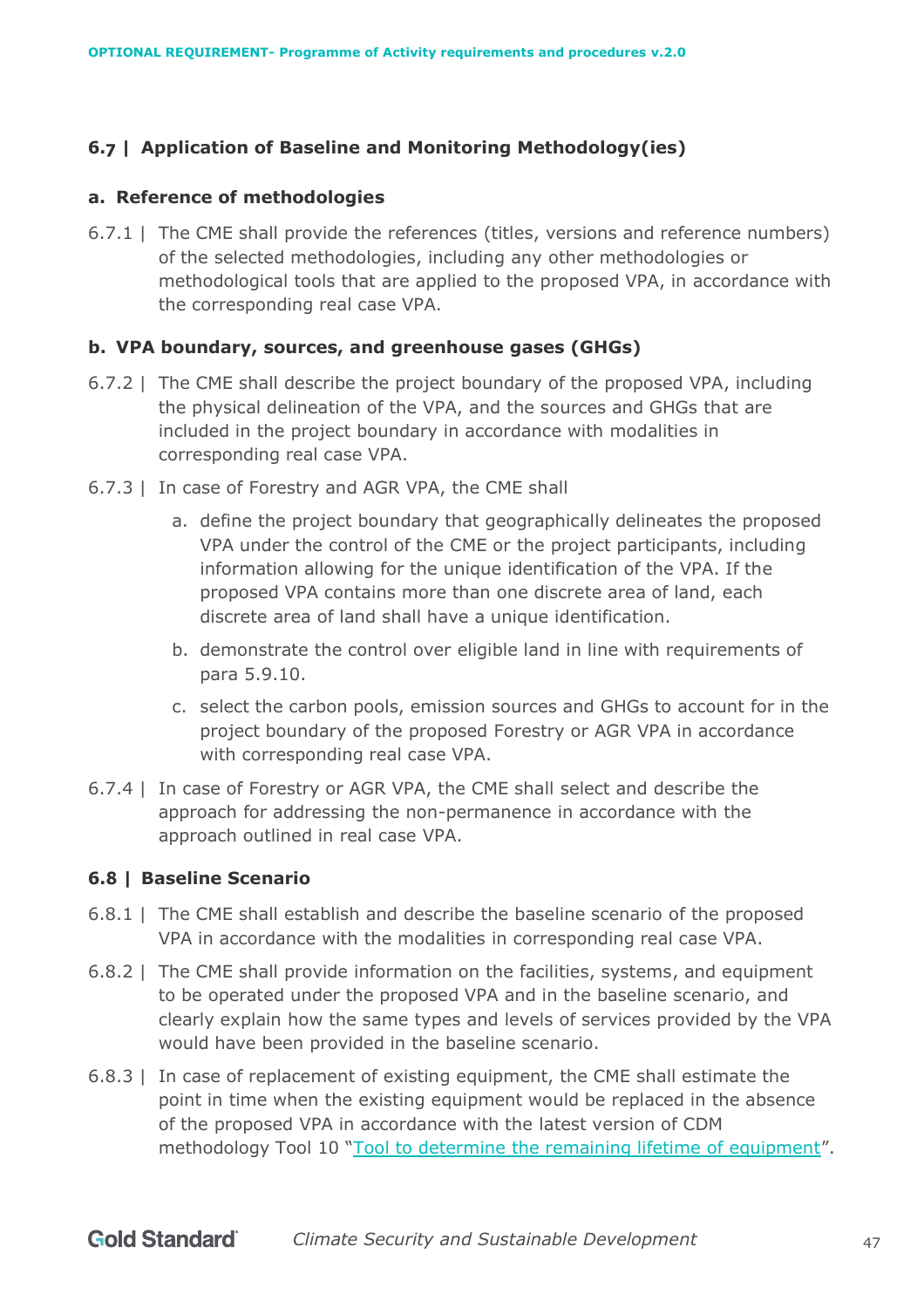# **6.7 | Application of Baseline and Monitoring Methodology(ies)**

#### **a. Reference of methodologies**

6.7.1 | The CME shall provide the references (titles, versions and reference numbers) of the selected methodologies, including any other methodologies or methodological tools that are applied to the proposed VPA, in accordance with the corresponding real case VPA.

## **b. VPA boundary, sources, and greenhouse gases (GHGs)**

- 6.7.2 | The CME shall describe the project boundary of the proposed VPA, including the physical delineation of the VPA, and the sources and GHGs that are included in the project boundary in accordance with modalities in corresponding real case VPA.
- 6.7.3 | In case of Forestry and AGR VPA, the CME shall
	- a. define the project boundary that geographically delineates the proposed VPA under the control of the CME or the project participants, including information allowing for the unique identification of the VPA. If the proposed VPA contains more than one discrete area of land, each discrete area of land shall have a unique identification.
	- b. demonstrate the control over eligible land in line with requirements of para 5.9.10.
	- c. select the carbon pools, emission sources and GHGs to account for in the project boundary of the proposed Forestry or AGR VPA in accordance with corresponding real case VPA.
- 6.7.4 | In case of Forestry or AGR VPA, the CME shall select and describe the approach for addressing the non-permanence in accordance with the approach outlined in real case VPA.

## **6.8 | Baseline Scenario**

- 6.8.1 | The CME shall establish and describe the baseline scenario of the proposed VPA in accordance with the modalities in corresponding real case VPA.
- 6.8.2 | The CME shall provide information on the facilities, systems, and equipment to be operated under the proposed VPA and in the baseline scenario, and clearly explain how the same types and levels of services provided by the VPA would have been provided in the baseline scenario.
- 6.8.3 | In case of replacement of existing equipment, the CME shall estimate the point in time when the existing equipment would be replaced in the absence of the proposed VPA in accordance with the latest version of CDM methodology Tool 10 ["Tool to determine the remaining lifetime of equipment"](https://cdm.unfccc.int/methodologies/PAmethodologies/tools/am-tool-10-v1.pdf/history_view/).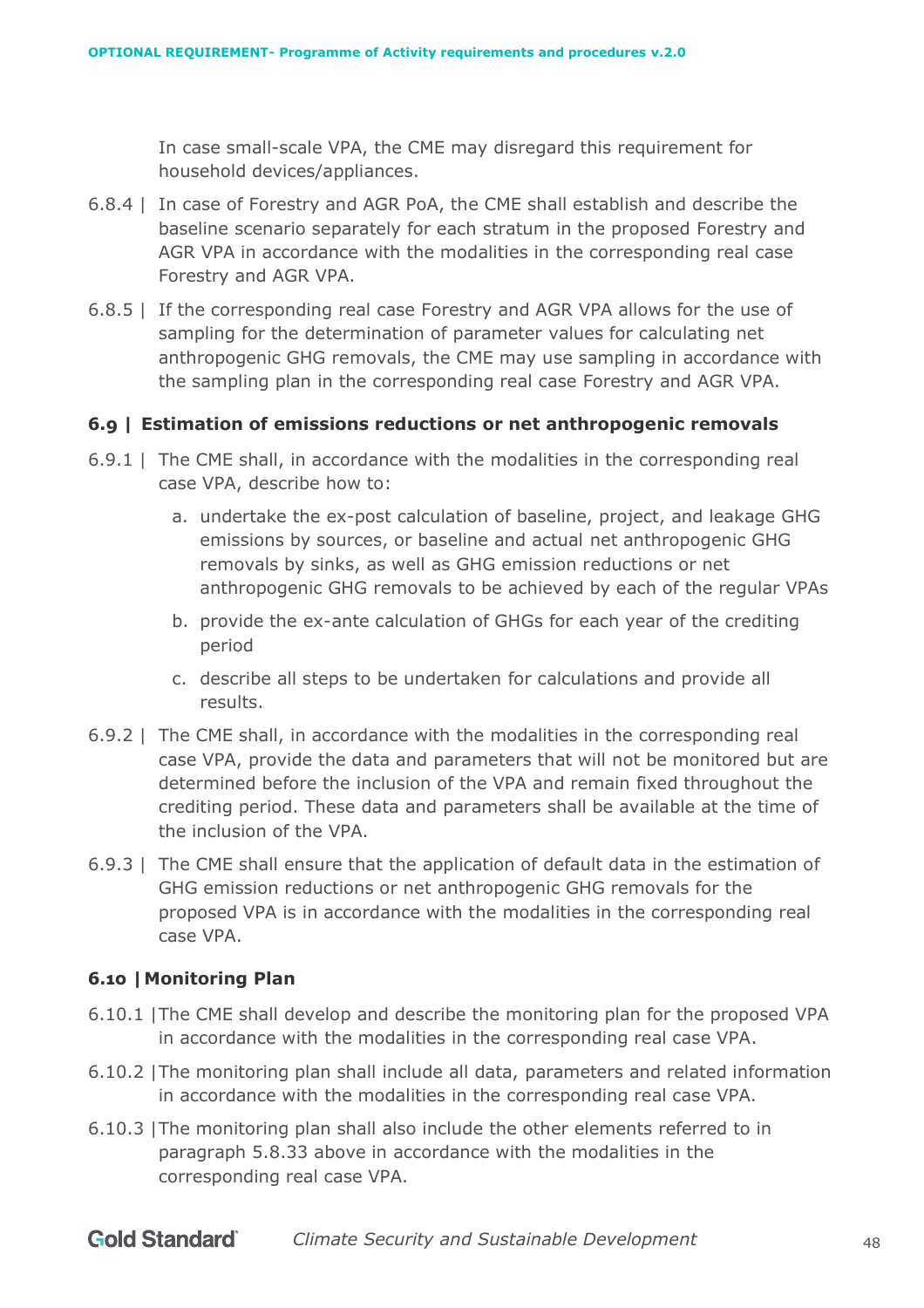In case small-scale VPA, the CME may disregard this requirement for household devices/appliances.

- 6.8.4 | In case of Forestry and AGR PoA, the CME shall establish and describe the baseline scenario separately for each stratum in the proposed Forestry and AGR VPA in accordance with the modalities in the corresponding real case Forestry and AGR VPA.
- 6.8.5 | If the corresponding real case Forestry and AGR VPA allows for the use of sampling for the determination of parameter values for calculating net anthropogenic GHG removals, the CME may use sampling in accordance with the sampling plan in the corresponding real case Forestry and AGR VPA.

#### **6.9 | Estimation of emissions reductions or net anthropogenic removals**

- 6.9.1 | The CME shall, in accordance with the modalities in the corresponding real case VPA, describe how to:
	- a. undertake the ex-post calculation of baseline, project, and leakage GHG emissions by sources, or baseline and actual net anthropogenic GHG removals by sinks, as well as GHG emission reductions or net anthropogenic GHG removals to be achieved by each of the regular VPAs
	- b. provide the ex-ante calculation of GHGs for each year of the crediting period
	- c. describe all steps to be undertaken for calculations and provide all results.
- 6.9.2 | The CME shall, in accordance with the modalities in the corresponding real case VPA, provide the data and parameters that will not be monitored but are determined before the inclusion of the VPA and remain fixed throughout the crediting period. These data and parameters shall be available at the time of the inclusion of the VPA.
- 6.9.3 | The CME shall ensure that the application of default data in the estimation of GHG emission reductions or net anthropogenic GHG removals for the proposed VPA is in accordance with the modalities in the corresponding real case VPA.

#### **6.10 |Monitoring Plan**

- 6.10.1 |The CME shall develop and describe the monitoring plan for the proposed VPA in accordance with the modalities in the corresponding real case VPA.
- 6.10.2 |The monitoring plan shall include all data, parameters and related information in accordance with the modalities in the corresponding real case VPA.
- 6.10.3 |The monitoring plan shall also include the other elements referred to in paragraph 5.8.33 above in accordance with the modalities in the corresponding real case VPA.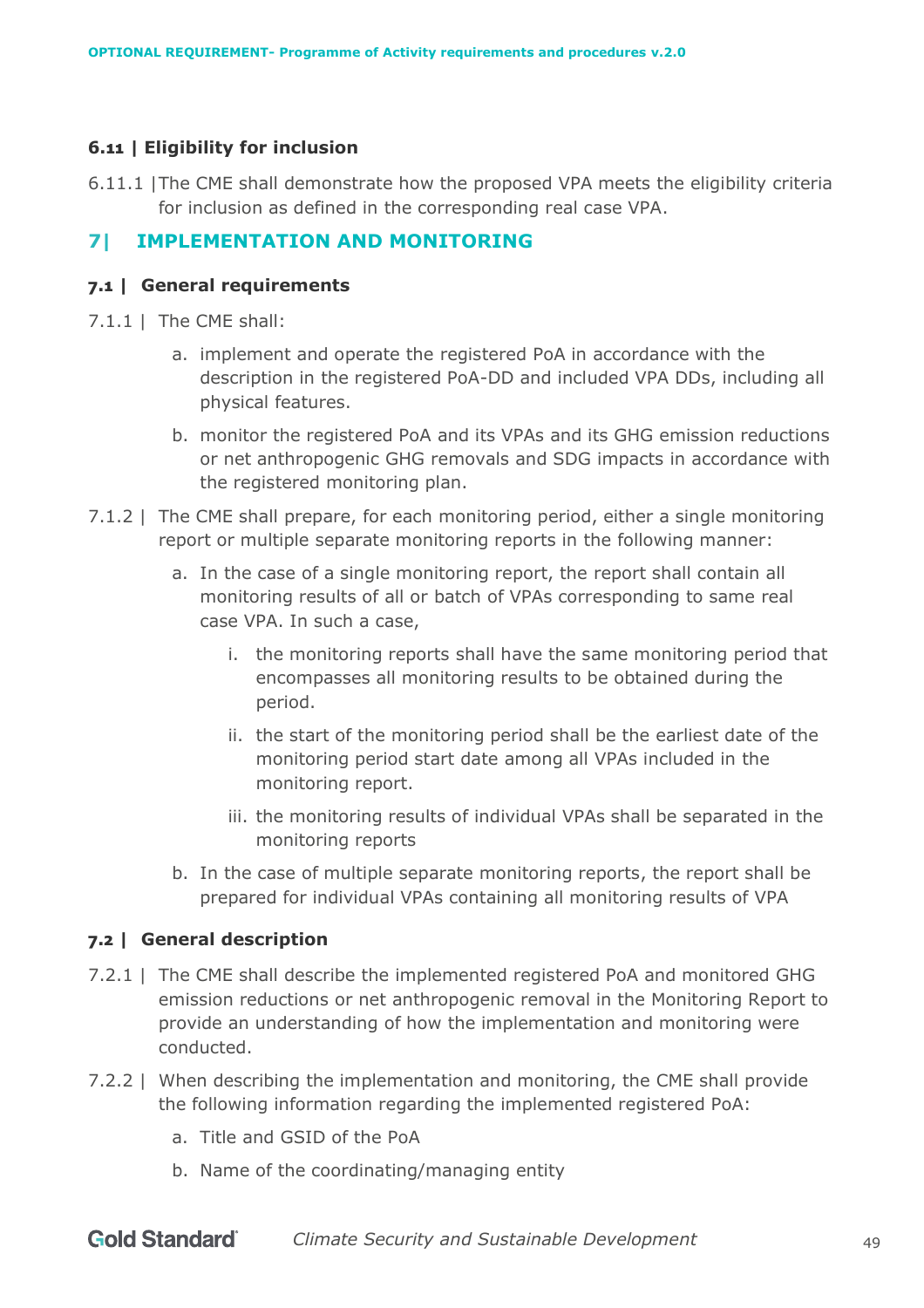## **6.11 | Eligibility for inclusion**

6.11.1 |The CME shall demonstrate how the proposed VPA meets the eligibility criteria for inclusion as defined in the corresponding real case VPA.

# **7| IMPLEMENTATION AND MONITORING**

#### **7.1 | General requirements**

- 7.1.1 | The CME shall:
	- a. implement and operate the registered PoA in accordance with the description in the registered PoA-DD and included VPA DDs, including all physical features.
	- b. monitor the registered PoA and its VPAs and its GHG emission reductions or net anthropogenic GHG removals and SDG impacts in accordance with the registered monitoring plan.
- 7.1.2 | The CME shall prepare, for each monitoring period, either a single monitoring report or multiple separate monitoring reports in the following manner:
	- a. In the case of a single monitoring report, the report shall contain all monitoring results of all or batch of VPAs corresponding to same real case VPA. In such a case,
		- i. the monitoring reports shall have the same monitoring period that encompasses all monitoring results to be obtained during the period.
		- ii. the start of the monitoring period shall be the earliest date of the monitoring period start date among all VPAs included in the monitoring report.
		- iii. the monitoring results of individual VPAs shall be separated in the monitoring reports
	- b. In the case of multiple separate monitoring reports, the report shall be prepared for individual VPAs containing all monitoring results of VPA

#### **7.2 | General description**

- 7.2.1 | The CME shall describe the implemented registered PoA and monitored GHG emission reductions or net anthropogenic removal in the Monitoring Report to provide an understanding of how the implementation and monitoring were conducted.
- 7.2.2 | When describing the implementation and monitoring, the CME shall provide the following information regarding the implemented registered PoA:
	- a. Title and GSID of the PoA
	- b. Name of the coordinating/managing entity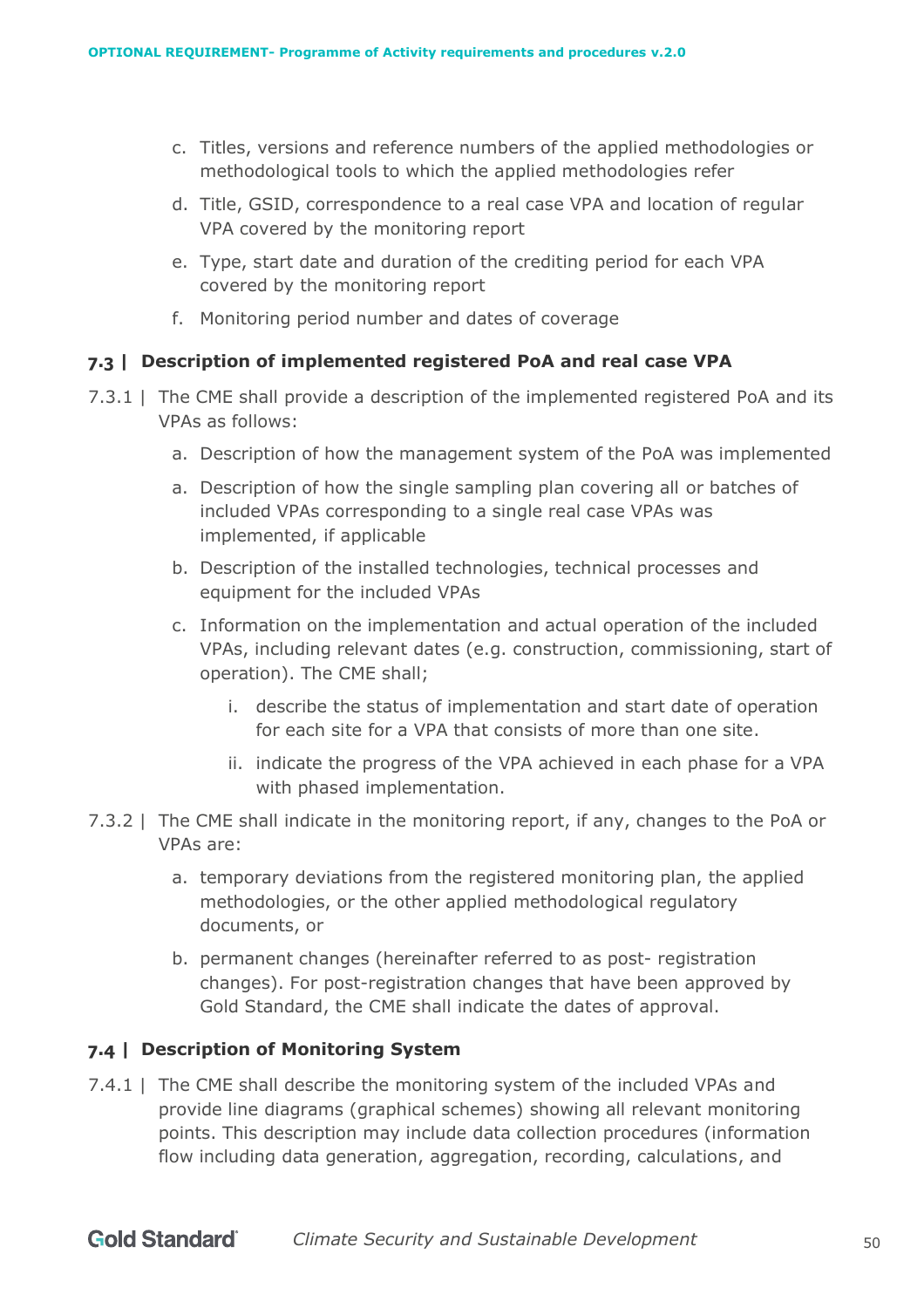- c. Titles, versions and reference numbers of the applied methodologies or methodological tools to which the applied methodologies refer
- d. Title, GSID, correspondence to a real case VPA and location of regular VPA covered by the monitoring report
- e. Type, start date and duration of the crediting period for each VPA covered by the monitoring report
- f. Monitoring period number and dates of coverage

#### **7.3 | Description of implemented registered PoA and real case VPA**

- 7.3.1 | The CME shall provide a description of the implemented registered PoA and its VPAs as follows:
	- a. Description of how the management system of the PoA was implemented
	- a. Description of how the single sampling plan covering all or batches of included VPAs corresponding to a single real case VPAs was implemented, if applicable
	- b. Description of the installed technologies, technical processes and equipment for the included VPAs
	- c. Information on the implementation and actual operation of the included VPAs, including relevant dates (e.g. construction, commissioning, start of operation). The CME shall;
		- i. describe the status of implementation and start date of operation for each site for a VPA that consists of more than one site.
		- ii. indicate the progress of the VPA achieved in each phase for a VPA with phased implementation.
- 7.3.2 | The CME shall indicate in the monitoring report, if any, changes to the PoA or VPAs are:
	- a. temporary deviations from the registered monitoring plan, the applied methodologies, or the other applied methodological regulatory documents, or
	- b. permanent changes (hereinafter referred to as post- registration changes). For post-registration changes that have been approved by Gold Standard, the CME shall indicate the dates of approval.

## **7.4 | Description of Monitoring System**

7.4.1 | The CME shall describe the monitoring system of the included VPAs and provide line diagrams (graphical schemes) showing all relevant monitoring points. This description may include data collection procedures (information flow including data generation, aggregation, recording, calculations, and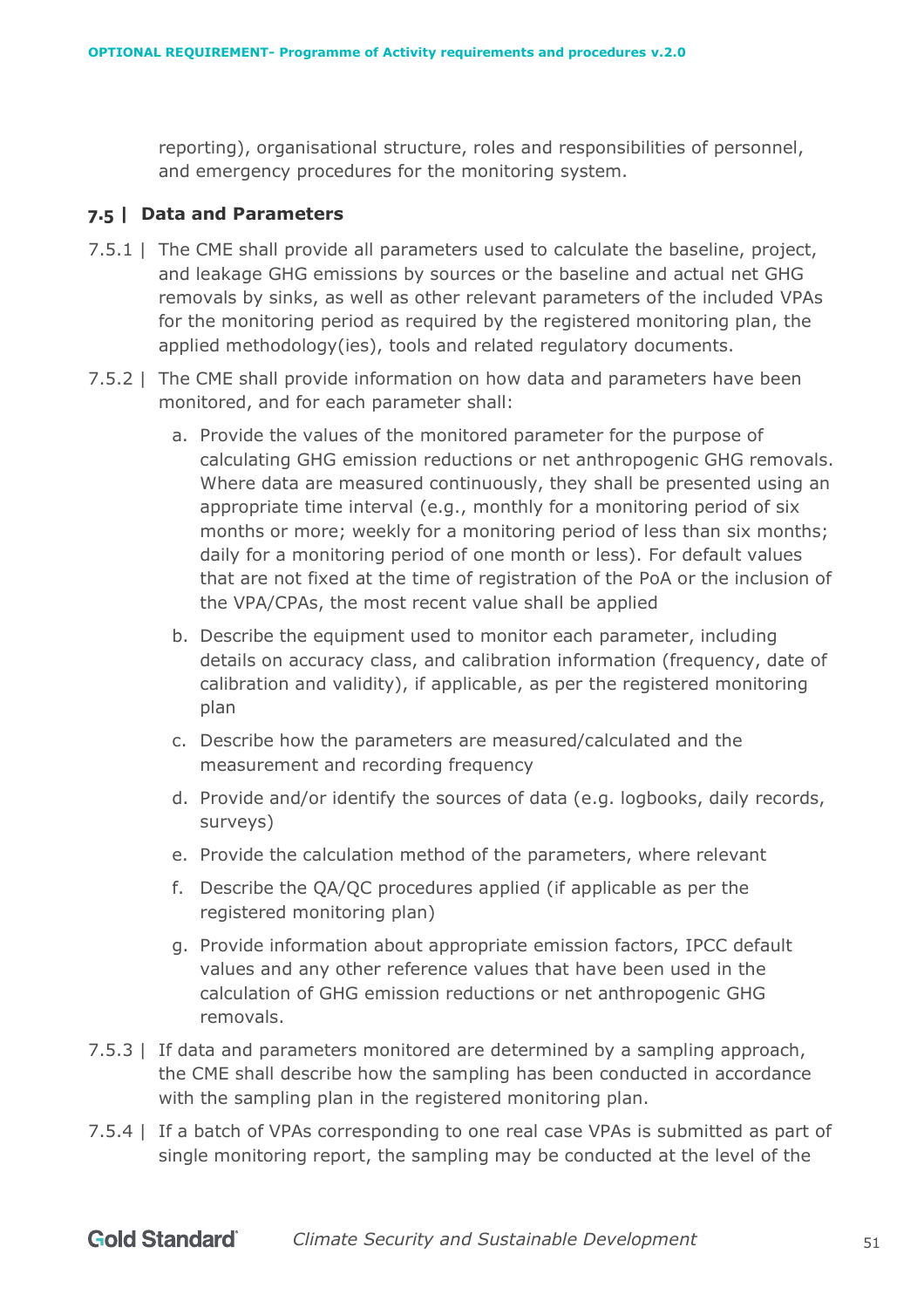reporting), organisational structure, roles and responsibilities of personnel, and emergency procedures for the monitoring system.

#### **7.5 | Data and Parameters**

- 7.5.1 | The CME shall provide all parameters used to calculate the baseline, project, and leakage GHG emissions by sources or the baseline and actual net GHG removals by sinks, as well as other relevant parameters of the included VPAs for the monitoring period as required by the registered monitoring plan, the applied methodology(ies), tools and related regulatory documents.
- 7.5.2 | The CME shall provide information on how data and parameters have been monitored, and for each parameter shall:
	- a. Provide the values of the monitored parameter for the purpose of calculating GHG emission reductions or net anthropogenic GHG removals. Where data are measured continuously, they shall be presented using an appropriate time interval (e.g., monthly for a monitoring period of six months or more; weekly for a monitoring period of less than six months; daily for a monitoring period of one month or less). For default values that are not fixed at the time of registration of the PoA or the inclusion of the VPA/CPAs, the most recent value shall be applied
	- b. Describe the equipment used to monitor each parameter, including details on accuracy class, and calibration information (frequency, date of calibration and validity), if applicable, as per the registered monitoring plan
	- c. Describe how the parameters are measured/calculated and the measurement and recording frequency
	- d. Provide and/or identify the sources of data (e.g. logbooks, daily records, surveys)
	- e. Provide the calculation method of the parameters, where relevant
	- f. Describe the QA/QC procedures applied (if applicable as per the registered monitoring plan)
	- g. Provide information about appropriate emission factors, IPCC default values and any other reference values that have been used in the calculation of GHG emission reductions or net anthropogenic GHG removals.
- 7.5.3 | If data and parameters monitored are determined by a sampling approach, the CME shall describe how the sampling has been conducted in accordance with the sampling plan in the registered monitoring plan.
- 7.5.4 | If a batch of VPAs corresponding to one real case VPAs is submitted as part of single monitoring report, the sampling may be conducted at the level of the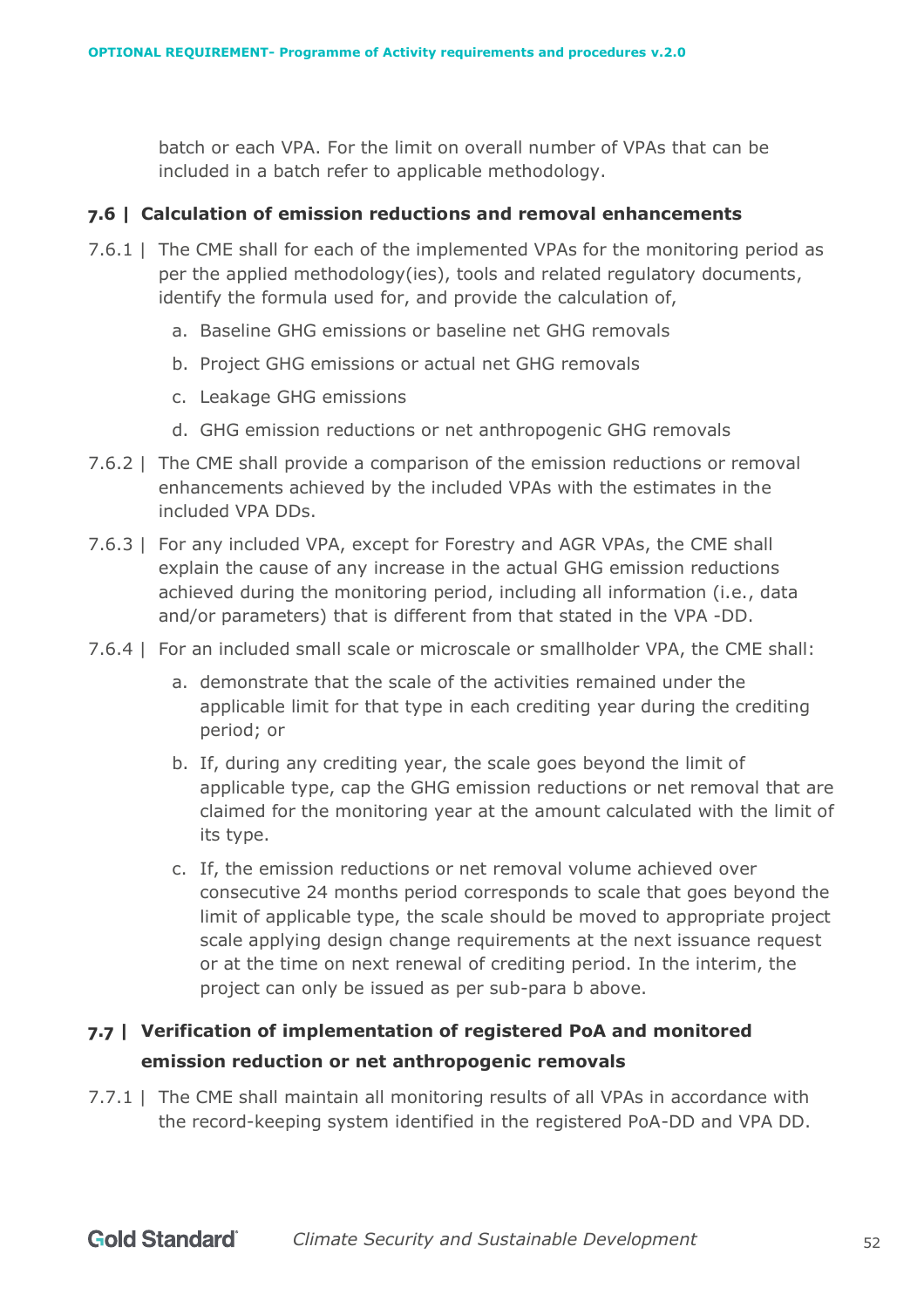batch or each VPA. For the limit on overall number of VPAs that can be included in a batch refer to applicable methodology.

#### **7.6 | Calculation of emission reductions and removal enhancements**

- 7.6.1 | The CME shall for each of the implemented VPAs for the monitoring period as per the applied methodology(ies), tools and related regulatory documents, identify the formula used for, and provide the calculation of,
	- a. Baseline GHG emissions or baseline net GHG removals
	- b. Project GHG emissions or actual net GHG removals
	- c. Leakage GHG emissions
	- d. GHG emission reductions or net anthropogenic GHG removals
- 7.6.2 | The CME shall provide a comparison of the emission reductions or removal enhancements achieved by the included VPAs with the estimates in the included VPA DDs.
- 7.6.3 | For any included VPA, except for Forestry and AGR VPAs, the CME shall explain the cause of any increase in the actual GHG emission reductions achieved during the monitoring period, including all information (i.e., data and/or parameters) that is different from that stated in the VPA -DD.
- 7.6.4 | For an included small scale or microscale or smallholder VPA, the CME shall:
	- a. demonstrate that the scale of the activities remained under the applicable limit for that type in each crediting year during the crediting period; or
	- b. If, during any crediting year, the scale goes beyond the limit of applicable type, cap the GHG emission reductions or net removal that are claimed for the monitoring year at the amount calculated with the limit of its type.
	- c. If, the emission reductions or net removal volume achieved over consecutive 24 months period corresponds to scale that goes beyond the limit of applicable type, the scale should be moved to appropriate project scale applying design change requirements at the next issuance request or at the time on next renewal of crediting period. In the interim, the project can only be issued as per sub-para b above.

# **7.7 | Verification of implementation of registered PoA and monitored emission reduction or net anthropogenic removals**

7.7.1 | The CME shall maintain all monitoring results of all VPAs in accordance with the record-keeping system identified in the registered PoA-DD and VPA DD.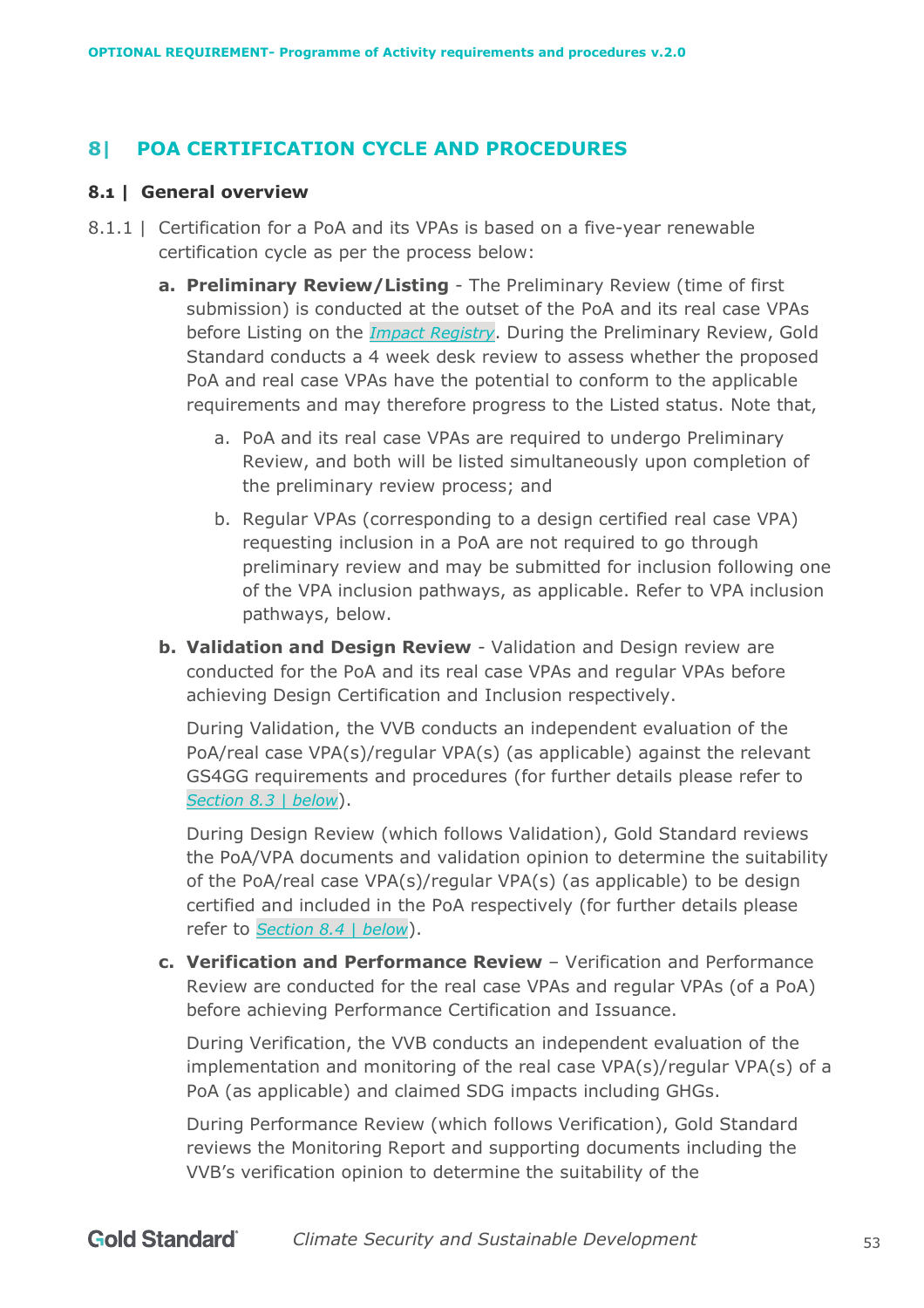# <span id="page-52-0"></span>**8| POA CERTIFICATION CYCLE AND PROCEDURES**

#### **8.1 | General overview**

- 8.1.1 | Certification for a PoA and its VPAs is based on a five-year renewable certification cycle as per the process below:
	- **a. Preliminary Review/Listing** The Preliminary Review (time of first submission) is conducted at the outset of the PoA and its real case VPAs before Listing on the *[Impact Registry](https://www.goldstandard.org/resources/impact-registry)*. During the Preliminary Review, Gold Standard conducts a 4 week desk review to assess whether the proposed PoA and real case VPAs have the potential to conform to the applicable requirements and may therefore progress to the Listed status. Note that,
		- a. PoA and its real case VPAs are required to undergo Preliminary Review, and both will be listed simultaneously upon completion of the preliminary review process; and
		- b. Regular VPAs (corresponding to a design certified real case VPA) requesting inclusion in a PoA are not required to go through preliminary review and may be submitted for inclusion following one of the VPA inclusion pathways, as applicable. Refer to VPA inclusion pathways, below.
	- **b. Validation and Design Review** Validation and Design review are conducted for the PoA and its real case VPAs and regular VPAs before achieving Design Certification and Inclusion respectively.

During Validation, the VVB conducts an independent evaluation of the PoA/real case VPA(s)/regular VPA(s) (as applicable) against the relevant GS4GG requirements and procedures (for further details please refer to *Section [8.3 | below](#page-54-0)*).

During Design Review (which follows Validation), Gold Standard reviews the PoA/VPA documents and validation opinion to determine the suitability of the PoA/real case VPA(s)/regular VPA(s) (as applicable) to be design certified and included in the PoA respectively (for further details please refer to *Section [8.4 | below](#page-56-0)*).

**c. Verification and Performance Review** – Verification and Performance Review are conducted for the real case VPAs and regular VPAs (of a PoA) before achieving Performance Certification and Issuance.

During Verification, the VVB conducts an independent evaluation of the implementation and monitoring of the real case VPA(s)/regular VPA(s) of a PoA (as applicable) and claimed SDG impacts including GHGs.

During Performance Review (which follows Verification), Gold Standard reviews the Monitoring Report and supporting documents including the VVB's verification opinion to determine the suitability of the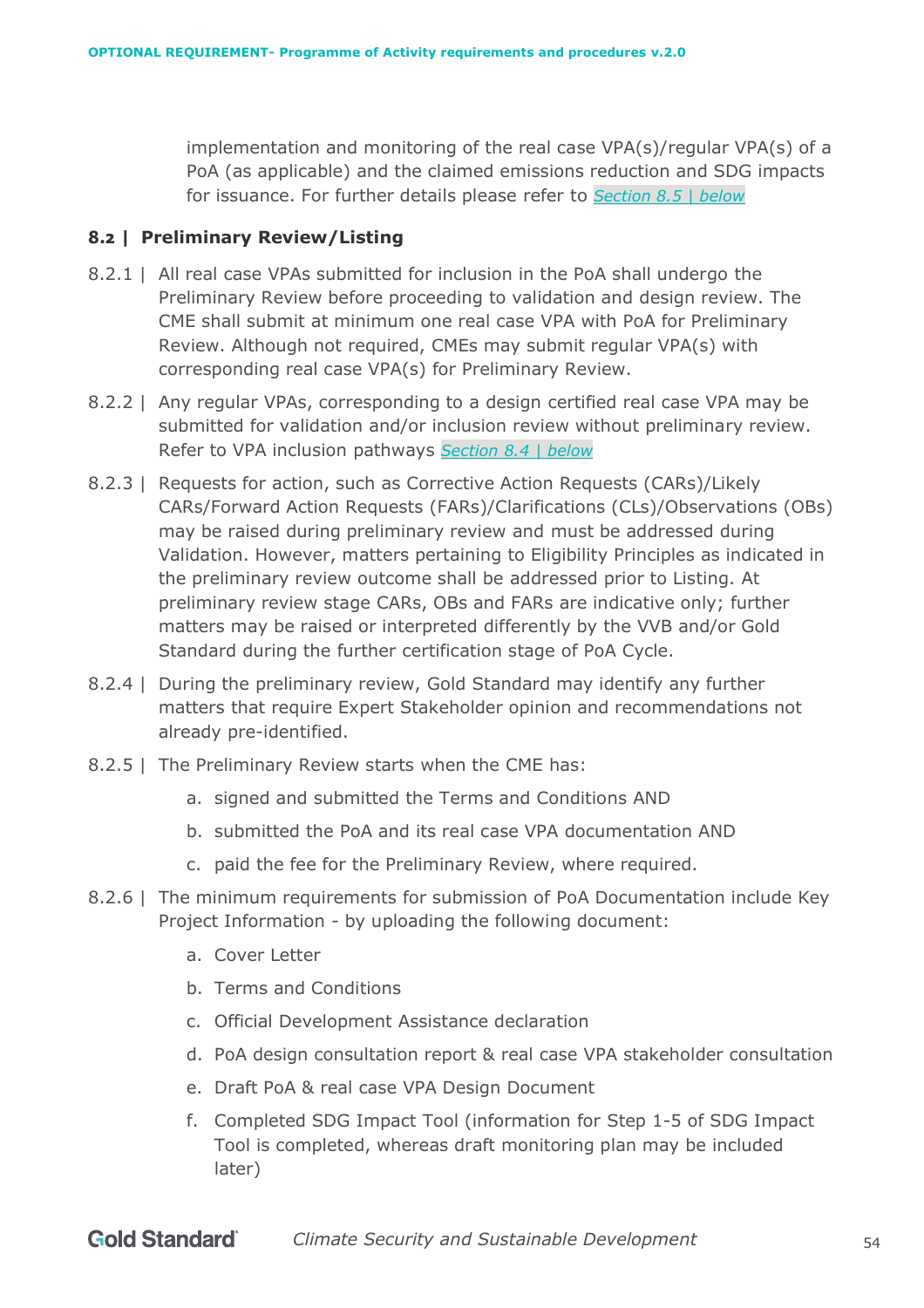implementation and monitoring of the real case VPA(s)/regular VPA(s) of a PoA (as applicable) and the claimed emissions reduction and SDG impacts for issuance. For further details please refer to *Section [8.5 | below](#page-60-0)*

#### <span id="page-53-0"></span>**8.2 | Preliminary Review/Listing**

- 8.2.1 | All real case VPAs submitted for inclusion in the PoA shall undergo the Preliminary Review before proceeding to validation and design review. The CME shall submit at minimum one real case VPA with PoA for Preliminary Review. Although not required, CMEs may submit regular VPA(s) with corresponding real case VPA(s) for Preliminary Review.
- 8.2.2 | Any regular VPAs, corresponding to a design certified real case VPA may be submitted for validation and/or inclusion review without preliminary review. Refer to VPA inclusion pathways *Section [8.4 | below](#page-56-0)*
- 8.2.3 | Requests for action, such as Corrective Action Requests (CARs)/Likely CARs/Forward Action Requests (FARs)/Clarifications (CLs)/Observations (OBs) may be raised during preliminary review and must be addressed during Validation. However, matters pertaining to Eligibility Principles as indicated in the preliminary review outcome shall be addressed prior to Listing. At preliminary review stage CARs, OBs and FARs are indicative only; further matters may be raised or interpreted differently by the VVB and/or Gold Standard during the further certification stage of PoA Cycle.
- 8.2.4 | During the preliminary review, Gold Standard may identify any further matters that require Expert Stakeholder opinion and recommendations not already pre-identified.
- 8.2.5 | The Preliminary Review starts when the CME has:
	- a. signed and submitted the Terms and Conditions AND
	- b. submitted the PoA and its real case VPA documentation AND
	- c. paid the fee for the Preliminary Review, where required.
- 8.2.6 | The minimum requirements for submission of PoA Documentation include Key Project Information - by uploading the following document:
	- a. Cover Letter
	- b. Terms and Conditions
	- c. Official Development Assistance declaration
	- d. PoA design consultation report & real case VPA stakeholder consultation
	- e. Draft PoA & real case VPA Design Document
	- f. Completed SDG Impact Tool (information for Step 1-5 of SDG Impact Tool is completed, whereas draft monitoring plan may be included later)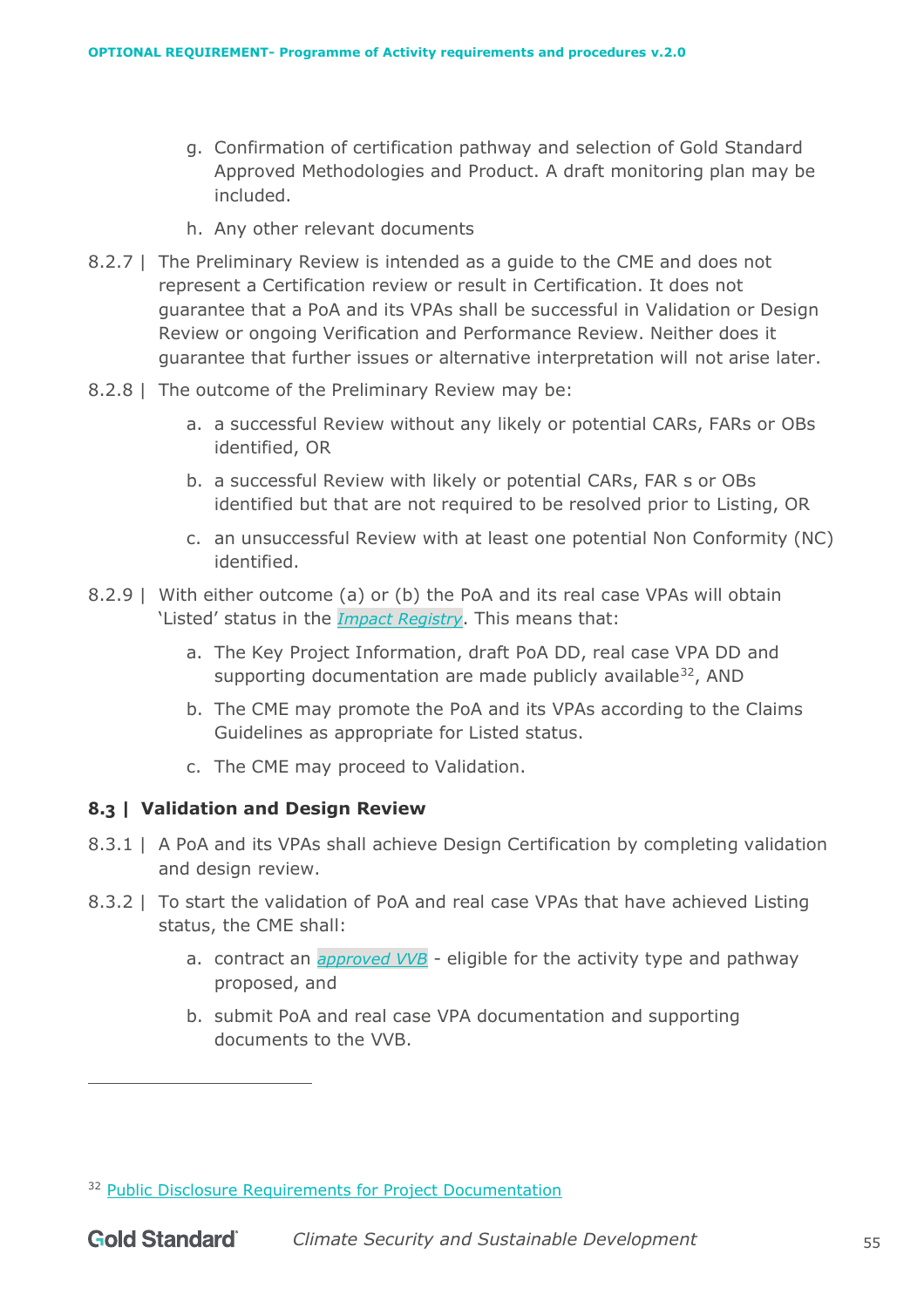- g. Confirmation of certification pathway and selection of Gold Standard Approved Methodologies and Product. A draft monitoring plan may be included.
- h. Any other relevant documents
- 8.2.7 | The Preliminary Review is intended as a guide to the CME and does not represent a Certification review or result in Certification. It does not guarantee that a PoA and its VPAs shall be successful in Validation or Design Review or ongoing Verification and Performance Review. Neither does it guarantee that further issues or alternative interpretation will not arise later.
- 8.2.8 | The outcome of the Preliminary Review may be:
	- a. a successful Review without any likely or potential CARs, FARs or OBs identified, OR
	- b. a successful Review with likely or potential CARs, FAR s or OBs identified but that are not required to be resolved prior to Listing, OR
	- c. an unsuccessful Review with at least one potential Non Conformity (NC) identified.
- 8.2.9 | With either outcome (a) or (b) the PoA and its real case VPAs will obtain 'Listed' status in the *[Impact Registry](https://www.goldstandard.org/resources/impact-registry)*. This means that:
	- a. The Key Project Information, draft PoA DD, real case VPA DD and supporting documentation are made publicly available<sup>32</sup>, AND
	- b. The CME may promote the PoA and its VPAs according to the Claims Guidelines as appropriate for Listed status.
	- c. The CME may proceed to Validation.

## <span id="page-54-0"></span>**8.3 | Validation and Design Review**

- 8.3.1 | A PoA and its VPAs shall achieve Design Certification by completing validation and design review.
- 8.3.2 | To start the validation of PoA and real case VPAs that have achieved Listing status, the CME shall:
	- a. contract an *[approved VVB](https://globalgoals.goldstandard.org/verification-validation-bodies/)* eligible for the activity type and pathway proposed, and
	- b. submit PoA and real case VPA documentation and supporting documents to the VVB.

<sup>&</sup>lt;sup>32</sup> [Public Disclosure Requirements for Project Documentation](https://globalgoals.goldstandard.org/rc-2021-public-disclosure-requirements-for-project-documentation/)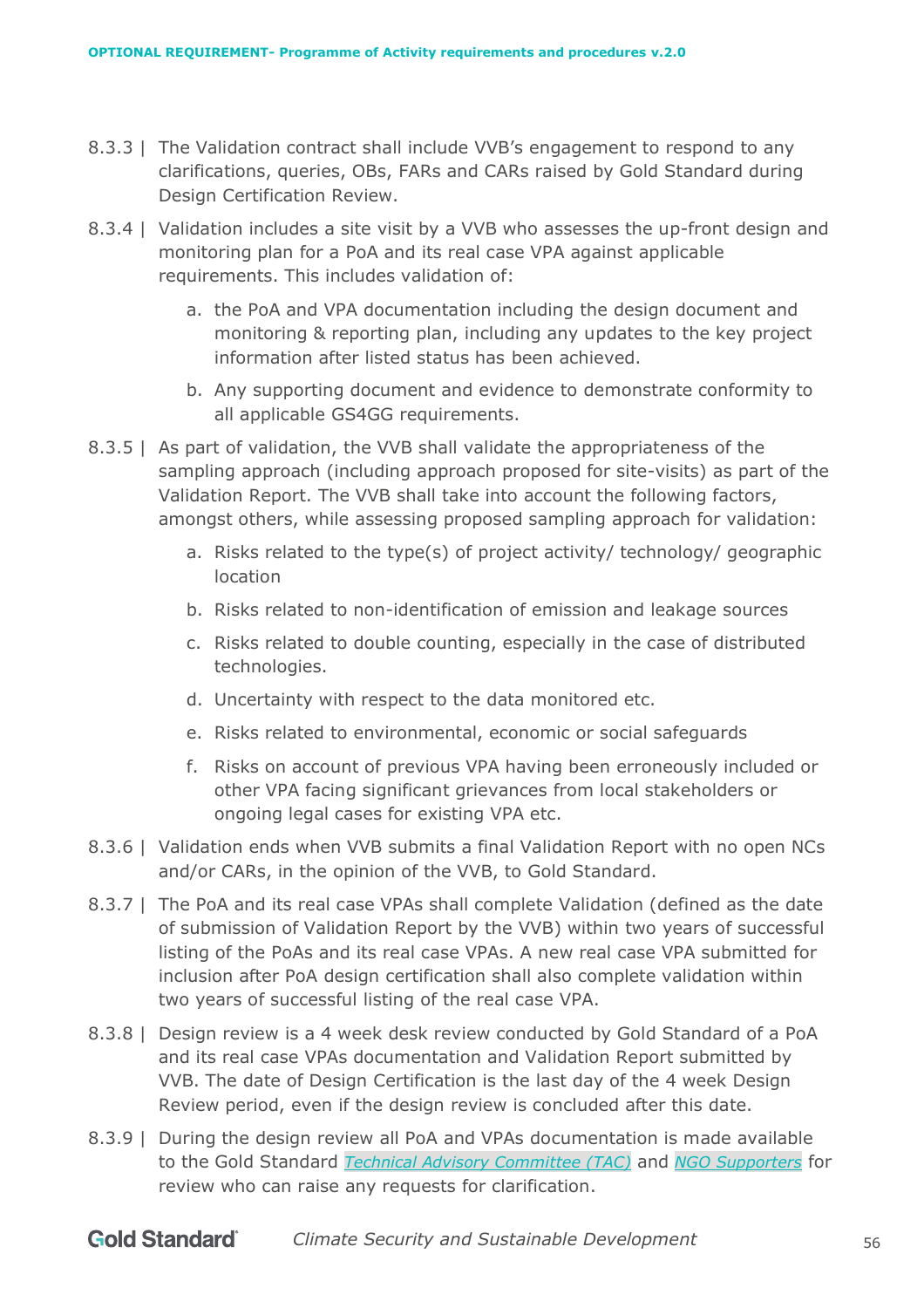- 8.3.3 | The Validation contract shall include VVB's engagement to respond to any clarifications, queries, OBs, FARs and CARs raised by Gold Standard during Design Certification Review.
- 8.3.4 | Validation includes a site visit by a VVB who assesses the up-front design and monitoring plan for a PoA and its real case VPA against applicable requirements. This includes validation of:
	- a. the PoA and VPA documentation including the design document and monitoring & reporting plan, including any updates to the key project information after listed status has been achieved.
	- b. Any supporting document and evidence to demonstrate conformity to all applicable GS4GG requirements.
- 8.3.5 | As part of validation, the VVB shall validate the appropriateness of the sampling approach (including approach proposed for site-visits) as part of the Validation Report. The VVB shall take into account the following factors, amongst others, while assessing proposed sampling approach for validation:
	- a. Risks related to the type(s) of project activity/ technology/ geographic location
	- b. Risks related to non-identification of emission and leakage sources
	- c. Risks related to double counting, especially in the case of distributed technologies.
	- d. Uncertainty with respect to the data monitored etc.
	- e. Risks related to environmental, economic or social safeguards
	- f. Risks on account of previous VPA having been erroneously included or other VPA facing significant grievances from local stakeholders or ongoing legal cases for existing VPA etc.
- 8.3.6 | Validation ends when VVB submits a final Validation Report with no open NCs and/or CARs, in the opinion of the VVB, to Gold Standard.
- 8.3.7 | The PoA and its real case VPAs shall complete Validation (defined as the date of submission of Validation Report by the VVB) within two years of successful listing of the PoAs and its real case VPAs. A new real case VPA submitted for inclusion after PoA design certification shall also complete validation within two years of successful listing of the real case VPA.
- 8.3.8 | Design review is a 4 week desk review conducted by Gold Standard of a PoA and its real case VPAs documentation and Validation Report submitted by VVB. The date of Design Certification is the last day of the 4 week Design Review period, even if the design review is concluded after this date.
- 8.3.9 | During the design review all PoA and VPAs documentation is made available to the Gold Standard *[Technical Advisory Committee \(TAC\)](https://www.goldstandard.org/about-us/governance)* and *[NGO Supporters](https://www.goldstandard.org/about-us/ngo-supporters)* for review who can raise any requests for clarification.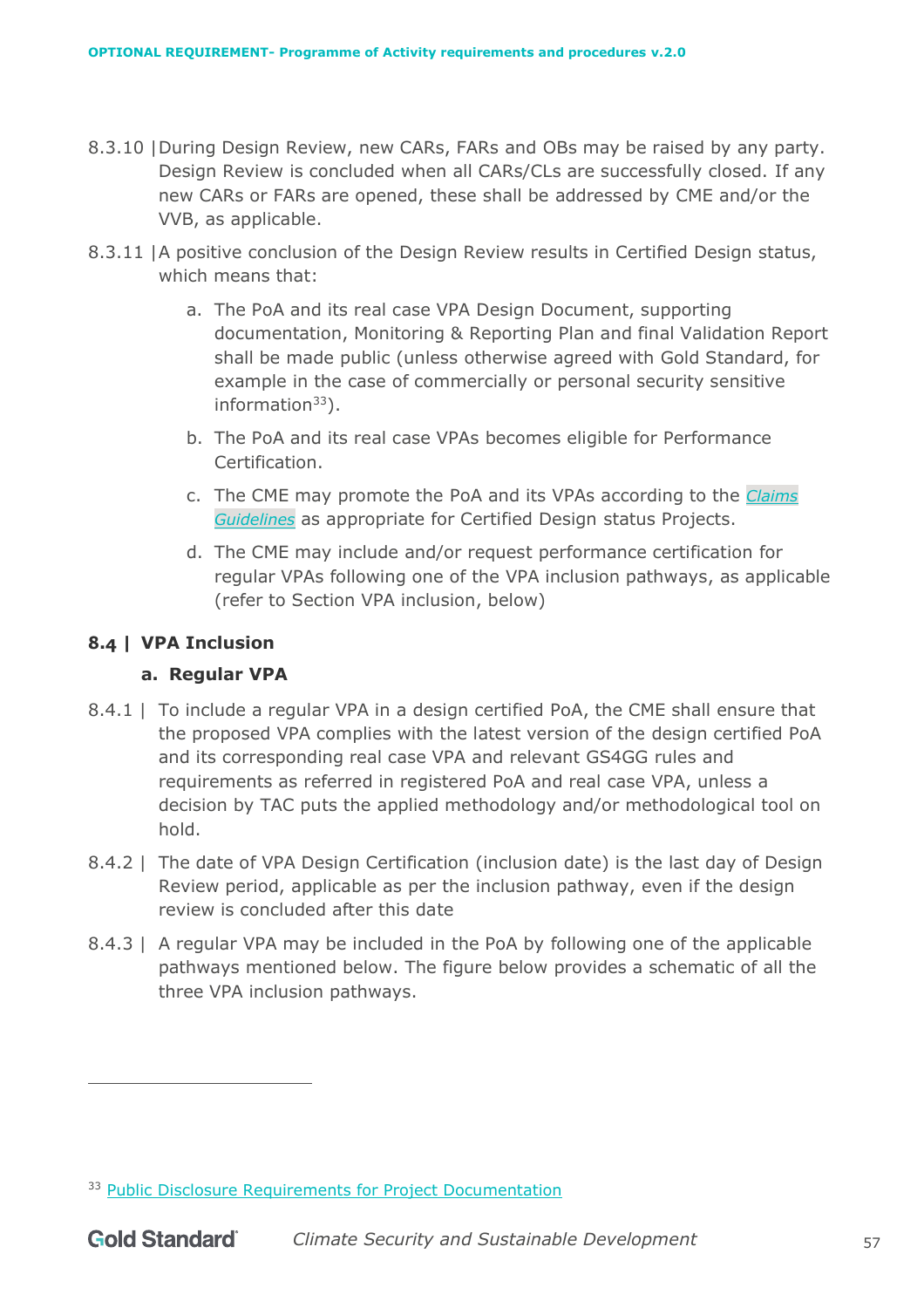- 8.3.10 |During Design Review, new CARs, FARs and OBs may be raised by any party. Design Review is concluded when all CARs/CLs are successfully closed. If any new CARs or FARs are opened, these shall be addressed by CME and/or the VVB, as applicable.
- 8.3.11 |A positive conclusion of the Design Review results in Certified Design status, which means that:
	- a. The PoA and its real case VPA Design Document, supporting documentation, Monitoring & Reporting Plan and final Validation Report shall be made public (unless otherwise agreed with Gold Standard, for example in the case of commercially or personal security sensitive information $33$ ).
	- b. The PoA and its real case VPAs becomes eligible for Performance Certification.
	- c. The CME may promote the PoA and its VPAs according to the *[Claims](https://globalgoals.goldstandard.org/105-par-claims-guidelines/)  [Guidelines](https://globalgoals.goldstandard.org/105-par-claims-guidelines/)* as appropriate for Certified Design status Projects.
	- d. The CME may include and/or request performance certification for regular VPAs following one of the VPA inclusion pathways, as applicable (refer to Section VPA inclusion, below)

# <span id="page-56-0"></span>**8.4 | VPA Inclusion**

## **a. Regular VPA**

- 8.4.1 | To include a regular VPA in a design certified PoA, the CME shall ensure that the proposed VPA complies with the latest version of the design certified PoA and its corresponding real case VPA and relevant GS4GG rules and requirements as referred in registered PoA and real case VPA, unless a decision by TAC puts the applied methodology and/or methodological tool on hold.
- 8.4.2 | The date of VPA Design Certification (inclusion date) is the last day of Design Review period, applicable as per the inclusion pathway, even if the design review is concluded after this date
- 8.4.3 | A regular VPA may be included in the PoA by following one of the applicable pathways mentioned below. The figure below provides a schematic of all the three VPA inclusion pathways.

<sup>&</sup>lt;sup>33</sup> [Public Disclosure Requirements for Project Documentation](https://globalgoals.goldstandard.org/rc-2021-public-disclosure-requirements-for-project-documentation/)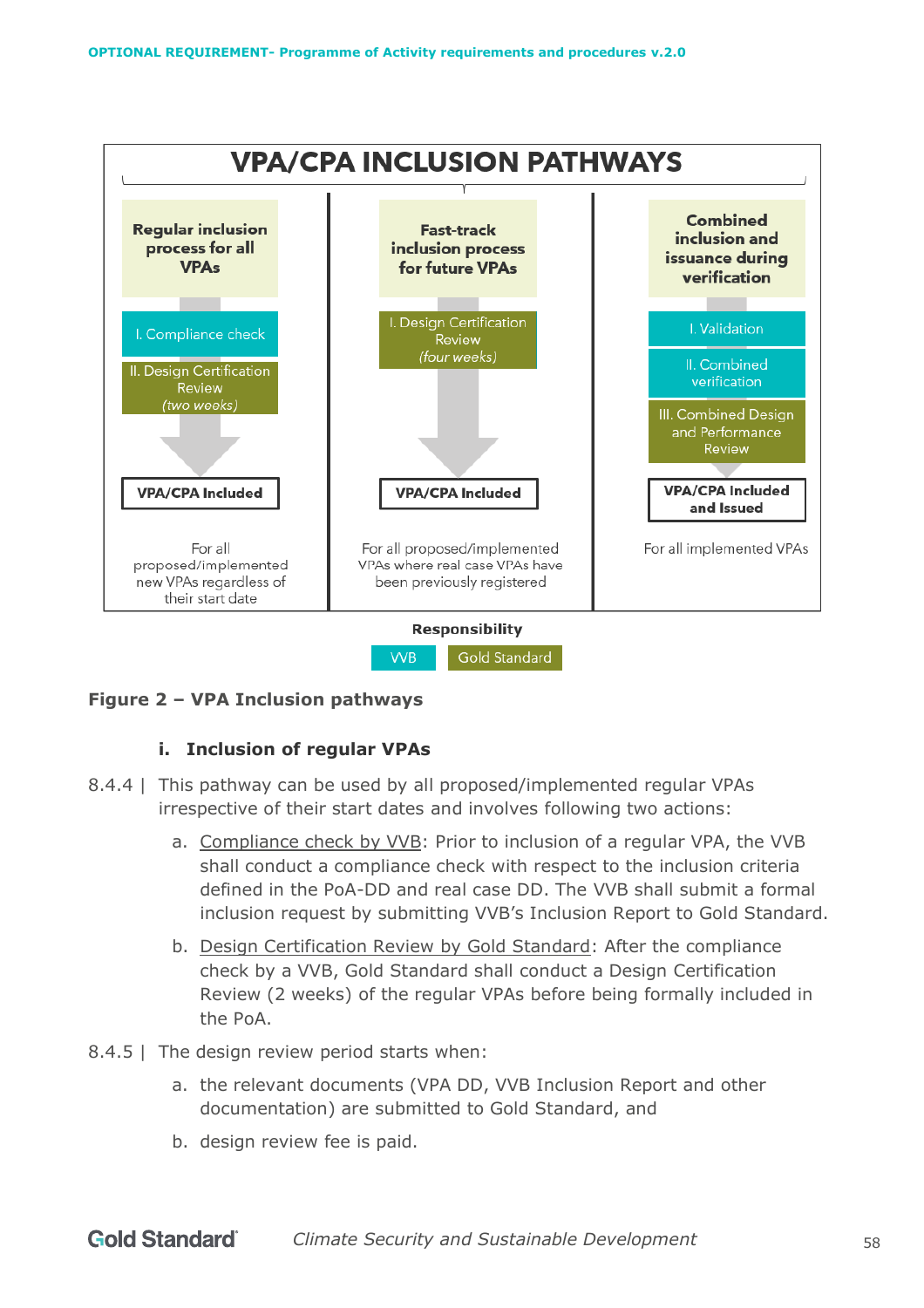

**Figure 2 – VPA Inclusion pathways**

## **i. Inclusion of regular VPAs**

- 8.4.4 | This pathway can be used by all proposed/implemented regular VPAs irrespective of their start dates and involves following two actions:
	- a. Compliance check by VVB: Prior to inclusion of a regular VPA, the VVB shall conduct a compliance check with respect to the inclusion criteria defined in the PoA-DD and real case DD. The VVB shall submit a formal inclusion request by submitting VVB's Inclusion Report to Gold Standard.
	- b. Design Certification Review by Gold Standard: After the compliance check by a VVB, Gold Standard shall conduct a Design Certification Review (2 weeks) of the regular VPAs before being formally included in the PoA.
- 8.4.5 | The design review period starts when:
	- a. the relevant documents (VPA DD, VVB Inclusion Report and other documentation) are submitted to Gold Standard, and
	- b. design review fee is paid.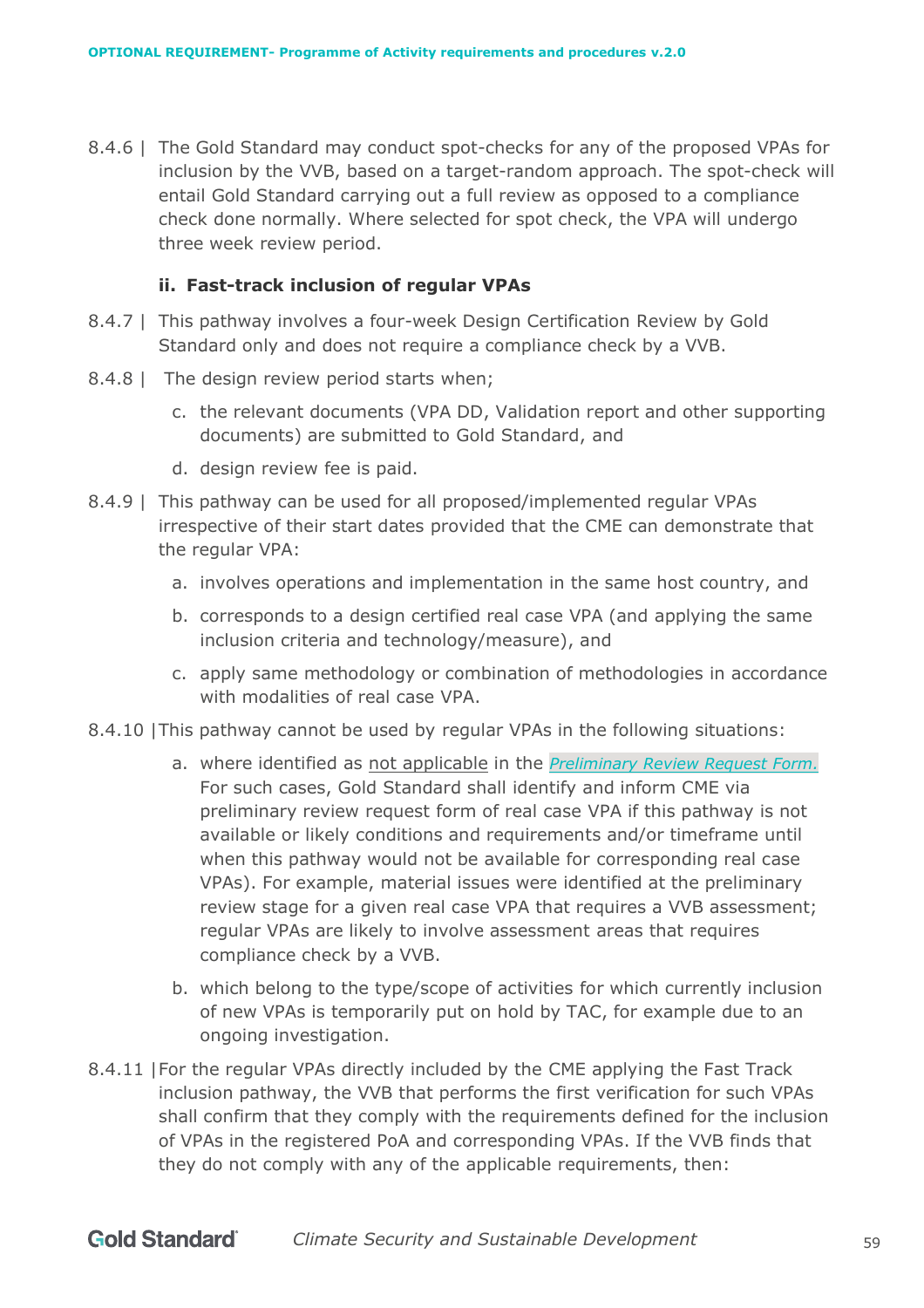8.4.6 | The Gold Standard may conduct spot-checks for any of the proposed VPAs for inclusion by the VVB, based on a target-random approach. The spot-check will entail Gold Standard carrying out a full review as opposed to a compliance check done normally. Where selected for spot check, the VPA will undergo three week review period.

#### **ii. Fast-track inclusion of regular VPAs**

- 8.4.7 | This pathway involves a four-week Design Certification Review by Gold Standard only and does not require a compliance check by a VVB.
- 8.4.8 | The design review period starts when;
	- c. the relevant documents (VPA DD, Validation report and other supporting documents) are submitted to Gold Standard, and
	- d. design review fee is paid.
- 8.4.9 | This pathway can be used for all proposed/implemented regular VPAs irrespective of their start dates provided that the CME can demonstrate that the regular VPA:
	- a. involves operations and implementation in the same host country, and
	- b. corresponds to a design certified real case VPA (and applying the same inclusion criteria and technology/measure), and
	- c. apply same methodology or combination of methodologies in accordance with modalities of real case VPA.
- 8.4.10 |This pathway cannot be used by regular VPAs in the following situations:
	- a. where identified as not applicable in the *[Preliminary Review Request Form.](https://globalgoals.goldstandard.org/standards/T-PreReview_V1.1-Preliminary-review-request-form.docx)* For such cases, Gold Standard shall identify and inform CME via preliminary review request form of real case VPA if this pathway is not available or likely conditions and requirements and/or timeframe until when this pathway would not be available for corresponding real case VPAs). For example, material issues were identified at the preliminary review stage for a given real case VPA that requires a VVB assessment; regular VPAs are likely to involve assessment areas that requires compliance check by a VVB.
	- b. which belong to the type/scope of activities for which currently inclusion of new VPAs is temporarily put on hold by TAC, for example due to an ongoing investigation.
- 8.4.11 |For the regular VPAs directly included by the CME applying the Fast Track inclusion pathway, the VVB that performs the first verification for such VPAs shall confirm that they comply with the requirements defined for the inclusion of VPAs in the registered PoA and corresponding VPAs. If the VVB finds that they do not comply with any of the applicable requirements, then: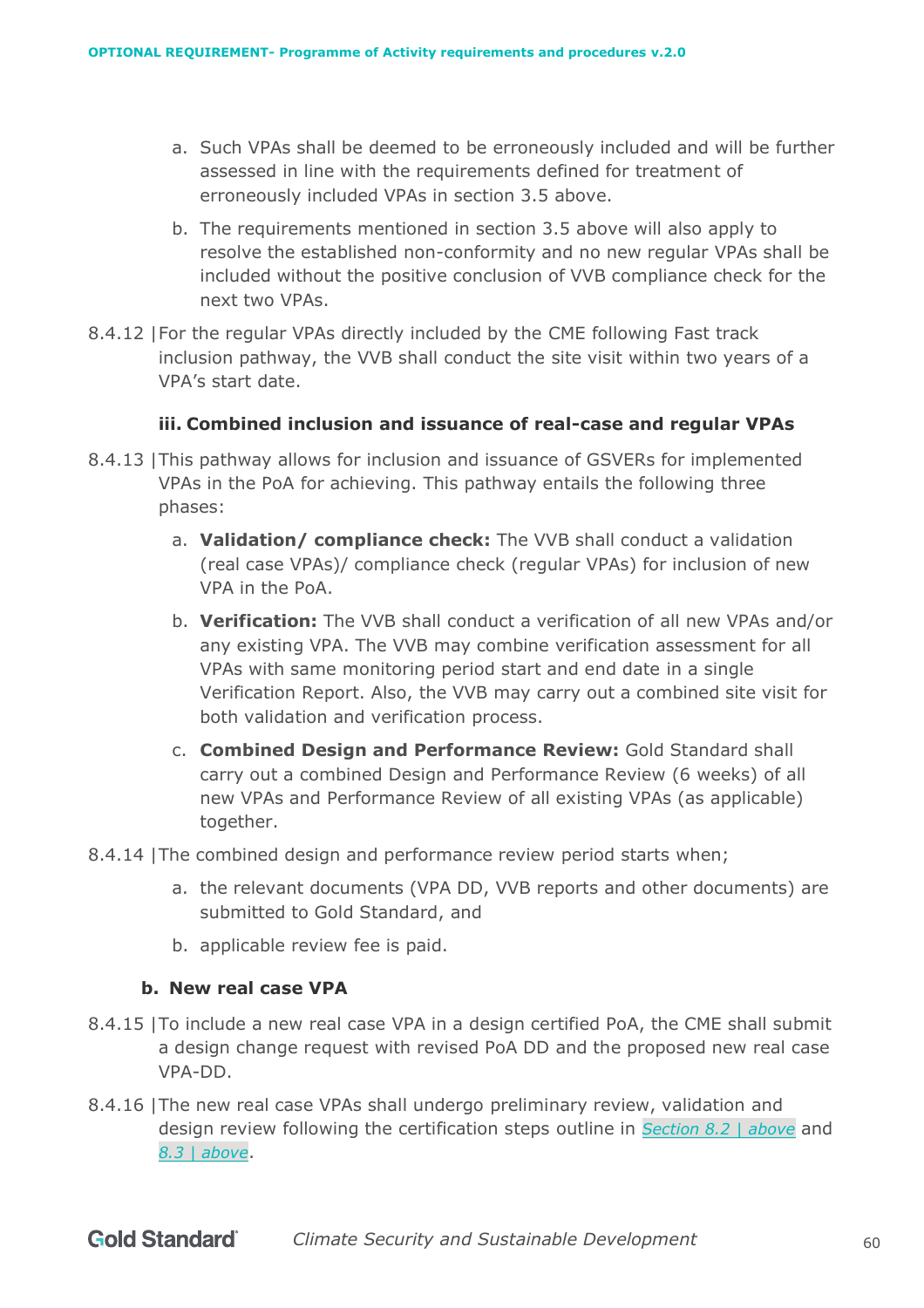- a. Such VPAs shall be deemed to be erroneously included and will be further assessed in line with the requirements defined for treatment of erroneously included VPAs in section 3.5 above.
- b. The requirements mentioned in section 3.5 above will also apply to resolve the established non-conformity and no new regular VPAs shall be included without the positive conclusion of VVB compliance check for the next two VPAs.
- 8.4.12 |For the regular VPAs directly included by the CME following Fast track inclusion pathway, the VVB shall conduct the site visit within two years of a VPA's start date.

## **iii. Combined inclusion and issuance of real-case and regular VPAs**

- 8.4.13 |This pathway allows for inclusion and issuance of GSVERs for implemented VPAs in the PoA for achieving. This pathway entails the following three phases:
	- a. **Validation/ compliance check:** The VVB shall conduct a validation (real case VPAs)/ compliance check (regular VPAs) for inclusion of new VPA in the PoA.
	- b. **Verification:** The VVB shall conduct a verification of all new VPAs and/or any existing VPA. The VVB may combine verification assessment for all VPAs with same monitoring period start and end date in a single Verification Report. Also, the VVB may carry out a combined site visit for both validation and verification process.
	- c. **Combined Design and Performance Review:** Gold Standard shall carry out a combined Design and Performance Review (6 weeks) of all new VPAs and Performance Review of all existing VPAs (as applicable) together.
- 8.4.14 |The combined design and performance review period starts when;
	- a. the relevant documents (VPA DD, VVB reports and other documents) are submitted to Gold Standard, and
	- b. applicable review fee is paid.

#### **b. New real case VPA**

- 8.4.15 |To include a new real case VPA in a design certified PoA, the CME shall submit a design change request with revised PoA DD and the proposed new real case VPA-DD.
- 8.4.16 |The new real case VPAs shall undergo preliminary review, validation and design review following the certification steps outline in *Section [8.2 | above](#page-53-0)* and *[8.3 | above](#page-54-0)*.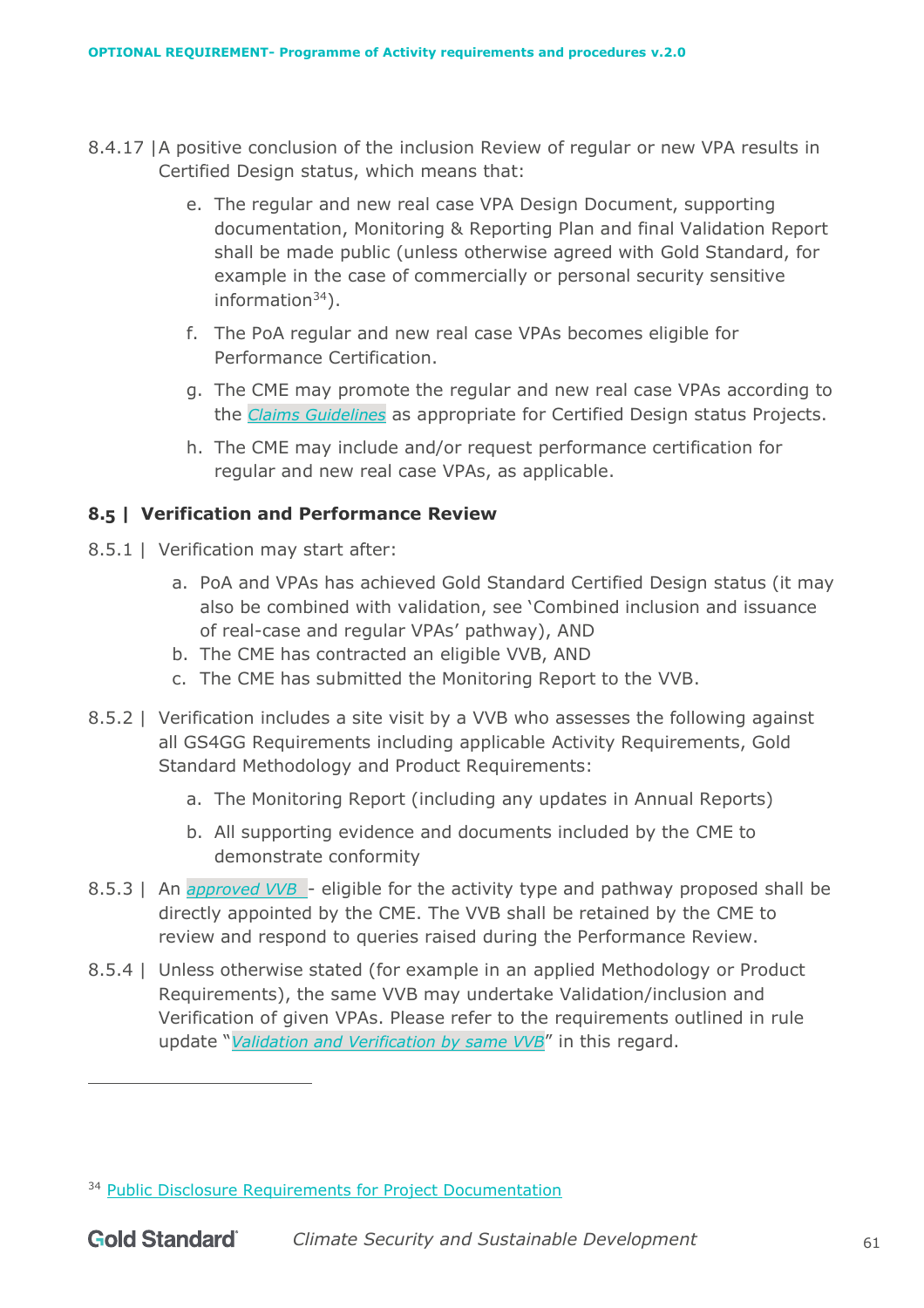- 8.4.17 |A positive conclusion of the inclusion Review of regular or new VPA results in Certified Design status, which means that:
	- e. The regular and new real case VPA Design Document, supporting documentation, Monitoring & Reporting Plan and final Validation Report shall be made public (unless otherwise agreed with Gold Standard, for example in the case of commercially or personal security sensitive information $34$ ).
	- f. The PoA regular and new real case VPAs becomes eligible for Performance Certification.
	- g. The CME may promote the regular and new real case VPAs according to the *[Claims Guidelines](https://globalgoals.goldstandard.org/105-par-claims-guidelines/)* as appropriate for Certified Design status Projects.
	- h. The CME may include and/or request performance certification for regular and new real case VPAs, as applicable.

## <span id="page-60-0"></span>**8.5 | Verification and Performance Review**

- 8.5.1 | Verification may start after:
	- a. PoA and VPAs has achieved Gold Standard Certified Design status (it may also be combined with validation, see 'Combined inclusion and issuance of real-case and regular VPAs' pathway), AND
	- b. The CME has contracted an eligible VVB, AND
	- c. The CME has submitted the Monitoring Report to the VVB.
- 8.5.2 | Verification includes a site visit by a VVB who assesses the following against all GS4GG Requirements including applicable Activity Requirements, Gold Standard Methodology and Product Requirements:
	- a. The Monitoring Report (including any updates in Annual Reports)
	- b. All supporting evidence and documents included by the CME to demonstrate conformity
- 8.5.3 | An *[approved VVB](https://globalgoals.goldstandard.org/verification-validation-bodies/)* eligible for the activity type and pathway proposed shall be directly appointed by the CME. The VVB shall be retained by the CME to review and respond to queries raised during the Performance Review.
- 8.5.4 | Unless otherwise stated (for example in an applied Methodology or Product Requirements), the same VVB may undertake Validation/inclusion and Verification of given VPAs. Please refer to the requirements outlined in rule update "*[Validation and Verification by same VVB](https://globalgoals.goldstandard.org/ru-2020-validation-and-verification-by-same-vvb/)*" in this regard.

<sup>&</sup>lt;sup>34</sup> [Public Disclosure Requirements for Project Documentation](https://globalgoals.goldstandard.org/rc-2021-public-disclosure-requirements-for-project-documentation/)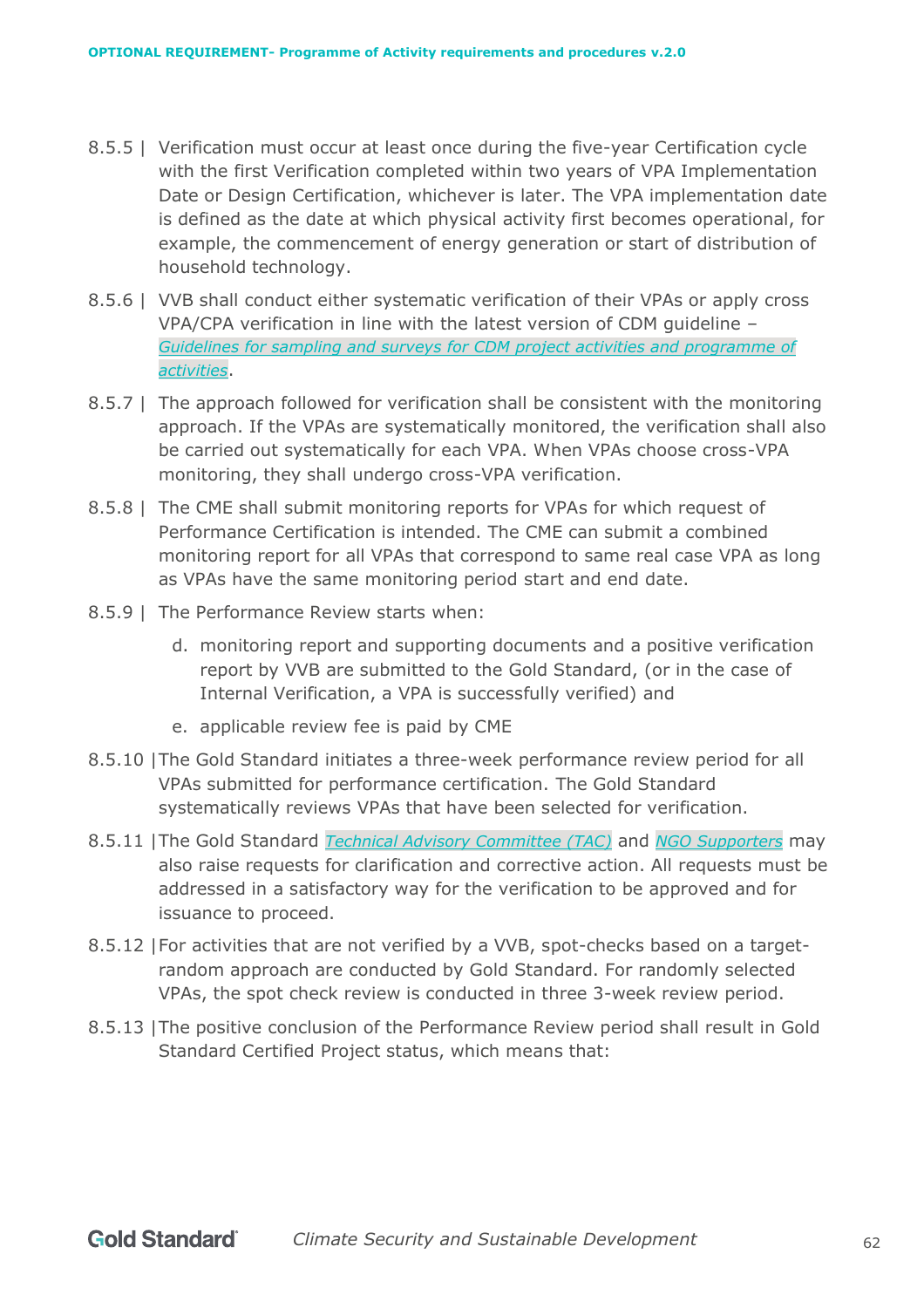- 8.5.5 | Verification must occur at least once during the five-year Certification cycle with the first Verification completed within two years of VPA Implementation Date or Design Certification, whichever is later. The VPA implementation date is defined as the date at which physical activity first becomes operational, for example, the commencement of energy generation or start of distribution of household technology.
- 8.5.6 | VVB shall conduct either systematic verification of their VPAs or apply cross VPA/CPA verification in line with the latest version of CDM guideline – *[Guidelines for sampling and surveys for CDM project activities and programme of](https://cdm.unfccc.int/Reference/Guidclarif/index.html)  [activities](https://cdm.unfccc.int/Reference/Guidclarif/index.html)*.
- 8.5.7 | The approach followed for verification shall be consistent with the monitoring approach. If the VPAs are systematically monitored, the verification shall also be carried out systematically for each VPA. When VPAs choose cross-VPA monitoring, they shall undergo cross-VPA verification.
- 8.5.8 | The CME shall submit monitoring reports for VPAs for which request of Performance Certification is intended. The CME can submit a combined monitoring report for all VPAs that correspond to same real case VPA as long as VPAs have the same monitoring period start and end date.
- 8.5.9 | The Performance Review starts when:
	- d. monitoring report and supporting documents and a positive verification report by VVB are submitted to the Gold Standard, (or in the case of Internal Verification, a VPA is successfully verified) and
	- e. applicable review fee is paid by CME
- 8.5.10 |The Gold Standard initiates a three-week performance review period for all VPAs submitted for performance certification. The Gold Standard systematically reviews VPAs that have been selected for verification.
- 8.5.11 |The Gold Standard *[Technical Advisory Committee \(TAC\)](https://www.goldstandard.org/about-us/governance)* and *[NGO Supporters](https://www.goldstandard.org/about-us/ngo-supporters)* may also raise requests for clarification and corrective action. All requests must be addressed in a satisfactory way for the verification to be approved and for issuance to proceed.
- 8.5.12 |For activities that are not verified by a VVB, spot-checks based on a targetrandom approach are conducted by Gold Standard. For randomly selected VPAs, the spot check review is conducted in three 3-week review period.
- 8.5.13 |The positive conclusion of the Performance Review period shall result in Gold Standard Certified Project status, which means that: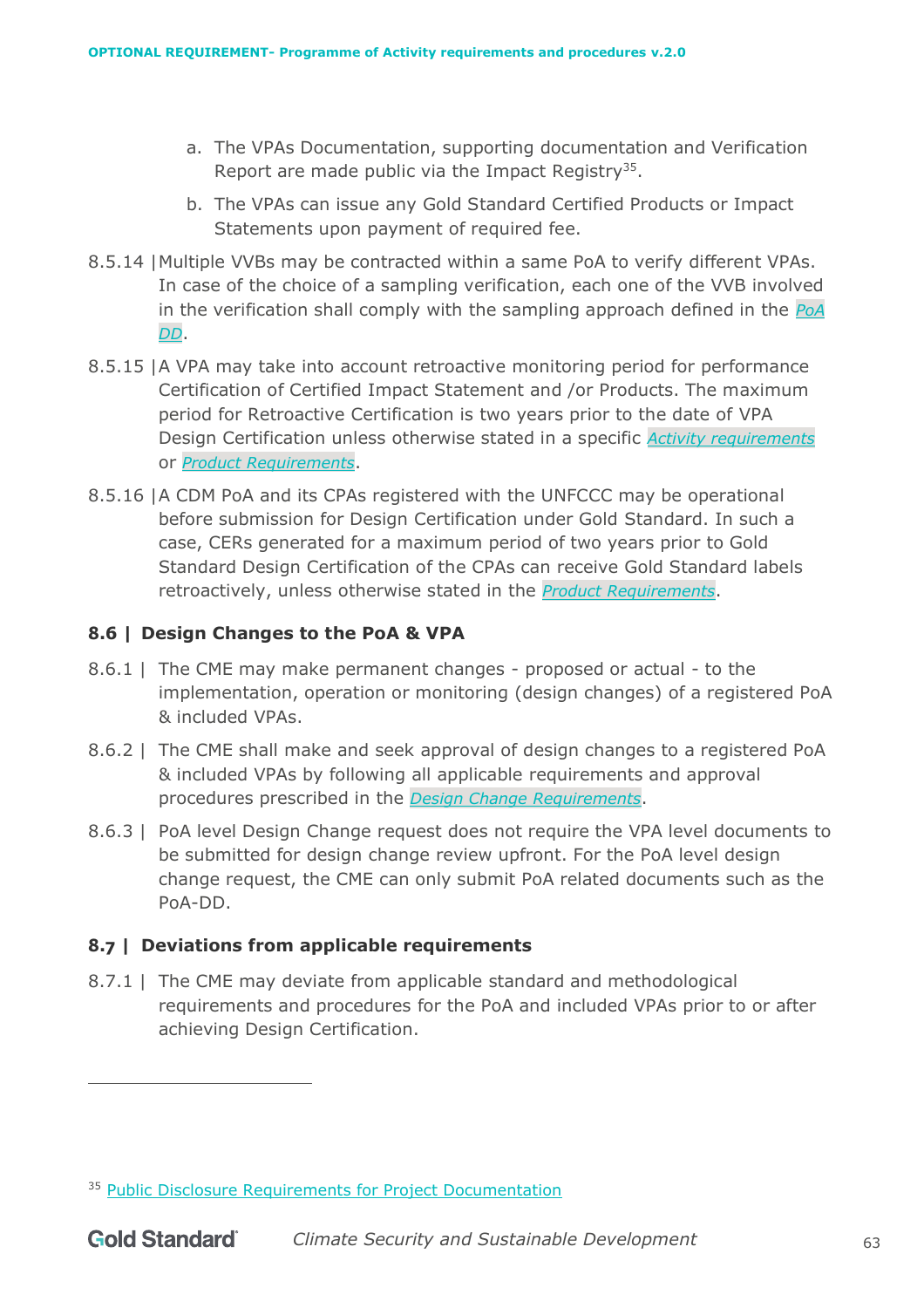- a. The VPAs Documentation, supporting documentation and Verification Report are made public via the Impact Registry<sup>35</sup>.
- b. The VPAs can issue any Gold Standard Certified Products or Impact Statements upon payment of required fee.
- 8.5.14 |Multiple VVBs may be contracted within a same PoA to verify different VPAs. In case of the choice of a sampling verification, each one of the VVB involved in the verification shall comply with the sampling approach defined in the *[PoA](https://globalgoals.goldstandard.org/wp-content/uploads/2017/06/101.1-OR-POA-T-GS4GG_PoA-DD_ver1.doc)  [DD](https://globalgoals.goldstandard.org/wp-content/uploads/2017/06/101.1-OR-POA-T-GS4GG_PoA-DD_ver1.doc)*.
- 8.5.15 |A VPA may take into account retroactive monitoring period for performance Certification of Certified Impact Statement and /or Products. The maximum period for Retroactive Certification is two years prior to the date of VPA Design Certification unless otherwise stated in a specific *[Activity requirements](https://globalgoals.goldstandard.org/200-activity-requirements/)* or *[Product Requirements](https://globalgoals.goldstandard.org/500-product-requirements/)*.
- 8.5.16 |A CDM PoA and its CPAs registered with the UNFCCC may be operational before submission for Design Certification under Gold Standard. In such a case, CERs generated for a maximum period of two years prior to Gold Standard Design Certification of the CPAs can receive Gold Standard labels retroactively, unless otherwise stated in the *[Product Requirements](https://globalgoals.goldstandard.org/500-product-requirements/)*.

# **8.6 | Design Changes to the PoA & VPA**

- 8.6.1 | The CME may make permanent changes proposed or actual to the implementation, operation or monitoring (design changes) of a registered PoA & included VPAs.
- 8.6.2 | The CME shall make and seek approval of design changes to a registered PoA & included VPAs by following all applicable requirements and approval procedures prescribed in the *[Design Change](https://globalgoals.goldstandard.org/standards/111_V.1.0_PAR_Design-change-requirements.pdf) Requirements*.
- 8.6.3 | PoA level Design Change request does not require the VPA level documents to be submitted for design change review upfront. For the PoA level design change request, the CME can only submit PoA related documents such as the PoA-DD.

# **8.7 | Deviations from applicable requirements**

8.7.1 | The CME may deviate from applicable standard and methodological requirements and procedures for the PoA and included VPAs prior to or after achieving Design Certification.

<sup>&</sup>lt;sup>35</sup> [Public Disclosure Requirements for Project Documentation](https://globalgoals.goldstandard.org/rc-2021-public-disclosure-requirements-for-project-documentation/)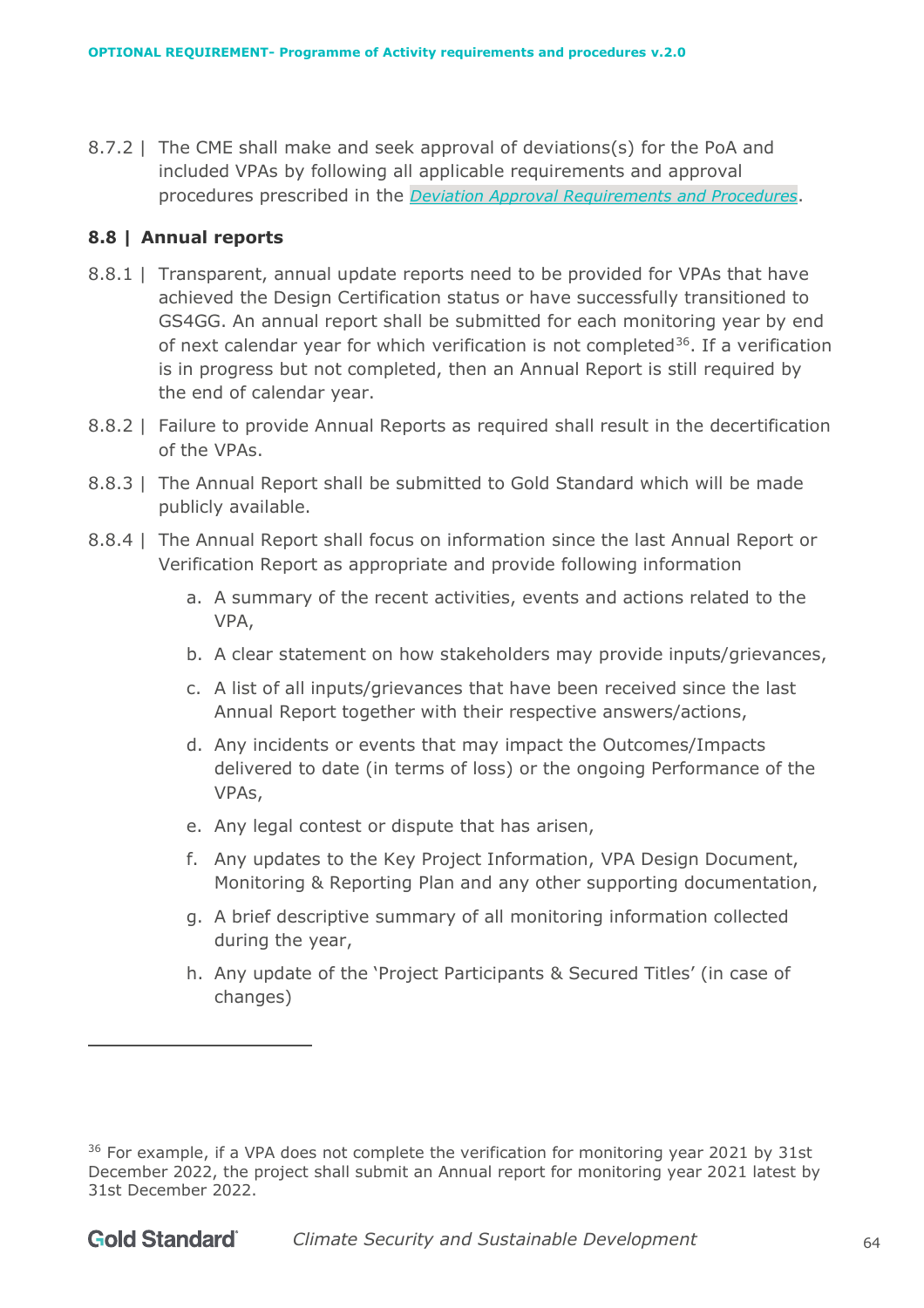8.7.2 | The CME shall make and seek approval of deviations(s) for the PoA and included VPAs by following all applicable requirements and approval procedures prescribed in the *[Deviation Approval](https://globalgoals.goldstandard.org/standards/111_V.1.0_PAR_Design-change-requirements.pdf) Requirements and Procedures*.

#### **8.8 | Annual reports**

- 8.8.1 | Transparent, annual update reports need to be provided for VPAs that have achieved the Design Certification status or have successfully transitioned to GS4GG. An annual report shall be submitted for each monitoring year by end of next calendar year for which verification is not completed<sup>36</sup>. If a verification is in progress but not completed, then an Annual Report is still required by the end of calendar year.
- 8.8.2 | Failure to provide Annual Reports as required shall result in the decertification of the VPAs.
- 8.8.3 | The Annual Report shall be submitted to Gold Standard which will be made publicly available.
- 8.8.4 | The Annual Report shall focus on information since the last Annual Report or Verification Report as appropriate and provide following information
	- a. A summary of the recent activities, events and actions related to the VPA,
	- b. A clear statement on how stakeholders may provide inputs/grievances,
	- c. A list of all inputs/grievances that have been received since the last Annual Report together with their respective answers/actions,
	- d. Any incidents or events that may impact the Outcomes/Impacts delivered to date (in terms of loss) or the ongoing Performance of the VPAs,
	- e. Any legal contest or dispute that has arisen,
	- f. Any updates to the Key Project Information, VPA Design Document, Monitoring & Reporting Plan and any other supporting documentation,
	- g. A brief descriptive summary of all monitoring information collected during the year,
	- h. Any update of the 'Project Participants & Secured Titles' (in case of changes)

<sup>&</sup>lt;sup>36</sup> For example, if a VPA does not complete the verification for monitoring year 2021 by 31st December 2022, the project shall submit an Annual report for monitoring year 2021 latest by 31st December 2022.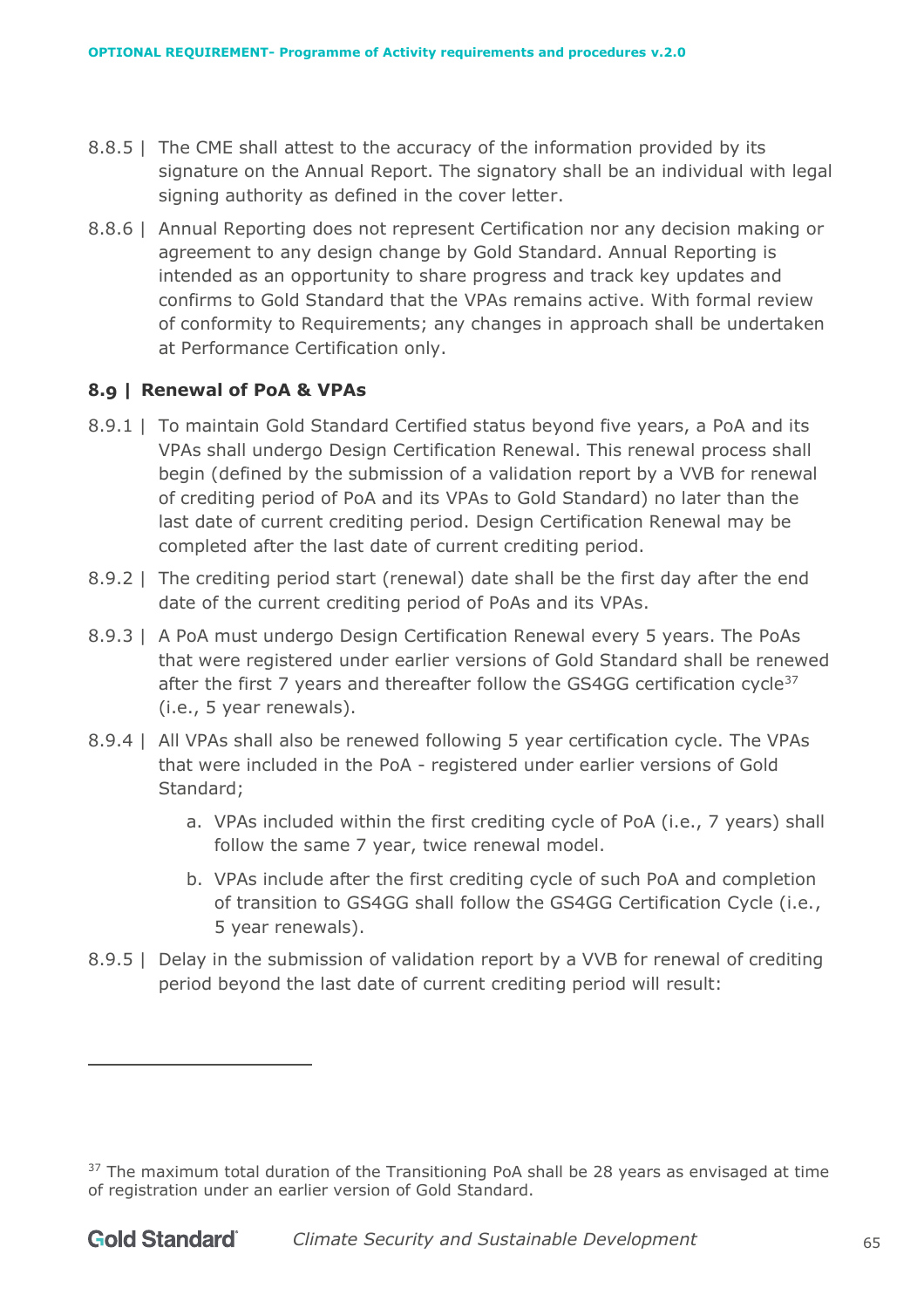- 8.8.5 | The CME shall attest to the accuracy of the information provided by its signature on the Annual Report. The signatory shall be an individual with legal signing authority as defined in the cover letter.
- 8.8.6 | Annual Reporting does not represent Certification nor any decision making or agreement to any design change by Gold Standard. Annual Reporting is intended as an opportunity to share progress and track key updates and confirms to Gold Standard that the VPAs remains active. With formal review of conformity to Requirements; any changes in approach shall be undertaken at Performance Certification only.

## **8.9 | Renewal of PoA & VPAs**

- 8.9.1 | To maintain Gold Standard Certified status beyond five years, a PoA and its VPAs shall undergo Design Certification Renewal. This renewal process shall begin (defined by the submission of a validation report by a VVB for renewal of crediting period of PoA and its VPAs to Gold Standard) no later than the last date of current crediting period. Design Certification Renewal may be completed after the last date of current crediting period.
- 8.9.2 | The crediting period start (renewal) date shall be the first day after the end date of the current crediting period of PoAs and its VPAs.
- 8.9.3 | A PoA must undergo Design Certification Renewal every 5 years. The PoAs that were registered under earlier versions of Gold Standard shall be renewed after the first 7 years and thereafter follow the GS4GG certification cycle<sup>37</sup> (i.e., 5 year renewals).
- 8.9.4 | All VPAs shall also be renewed following 5 year certification cycle. The VPAs that were included in the PoA - registered under earlier versions of Gold Standard;
	- a. VPAs included within the first crediting cycle of PoA (i.e., 7 years) shall follow the same 7 year, twice renewal model.
	- b. VPAs include after the first crediting cycle of such PoA and completion of transition to GS4GG shall follow the GS4GG Certification Cycle (i.e., 5 year renewals).
- 8.9.5 | Delay in the submission of validation report by a VVB for renewal of crediting period beyond the last date of current crediting period will result:

 $37$  The maximum total duration of the Transitioning PoA shall be 28 years as envisaged at time of registration under an earlier version of Gold Standard.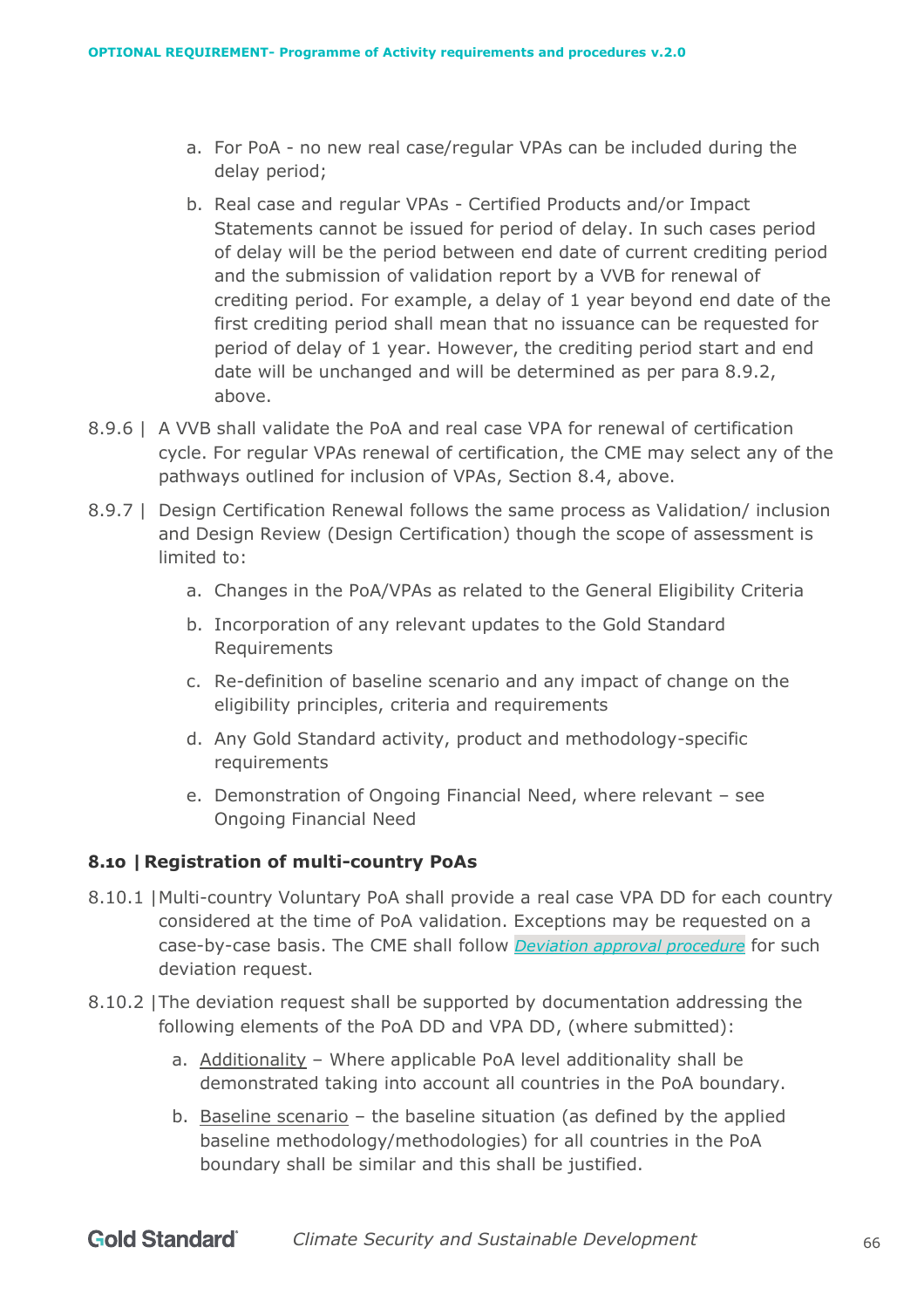- a. For PoA no new real case/regular VPAs can be included during the delay period;
- b. Real case and regular VPAs Certified Products and/or Impact Statements cannot be issued for period of delay. In such cases period of delay will be the period between end date of current crediting period and the submission of validation report by a VVB for renewal of crediting period. For example, a delay of 1 year beyond end date of the first crediting period shall mean that no issuance can be requested for period of delay of 1 year. However, the crediting period start and end date will be unchanged and will be determined as per para 8.9.2, above.
- 8.9.6 | A VVB shall validate the PoA and real case VPA for renewal of certification cycle. For regular VPAs renewal of certification, the CME may select any of the pathways outlined for inclusion of VPAs, Section 8.4, above.
- 8.9.7 | Design Certification Renewal follows the same process as Validation/ inclusion and Design Review (Design Certification) though the scope of assessment is limited to:
	- a. Changes in the PoA/VPAs as related to the General Eligibility Criteria
	- b. Incorporation of any relevant updates to the Gold Standard Requirements
	- c. Re-definition of baseline scenario and any impact of change on the eligibility principles, criteria and requirements
	- d. Any Gold Standard activity, product and methodology-specific requirements
	- e. Demonstration of Ongoing Financial Need, where relevant see Ongoing Financial Need

## **8.10 |Registration of multi-country PoAs**

- 8.10.1 |Multi-country Voluntary PoA shall provide a real case VPA DD for each country considered at the time of PoA validation. Exceptions may be requested on a case-by-case basis. The CME shall follow *[Deviation approval procedure](https://globalgoals.goldstandard.org/110-par-deviation-approval-procedure/)* for such deviation request.
- 8.10.2 |The deviation request shall be supported by documentation addressing the following elements of the [PoA DD](https://globalgoals.goldstandard.org/wp-content/uploads/2017/06/101.1-OR-POA-T-GS4GG_PoA-DD_ver1.doc) and [VPA DD,](https://globalgoals.goldstandard.org/wp-content/uploads/2017/06/101.1-OR-POA-T-GS4GG_VPA-DD_ver1.doc) (where submitted):
	- a. Additionality Where applicable PoA level additionality shall be demonstrated taking into account all countries in the PoA boundary.
	- b. Baseline scenario the baseline situation (as defined by the applied baseline methodology/methodologies) for all countries in the PoA boundary shall be similar and this shall be justified.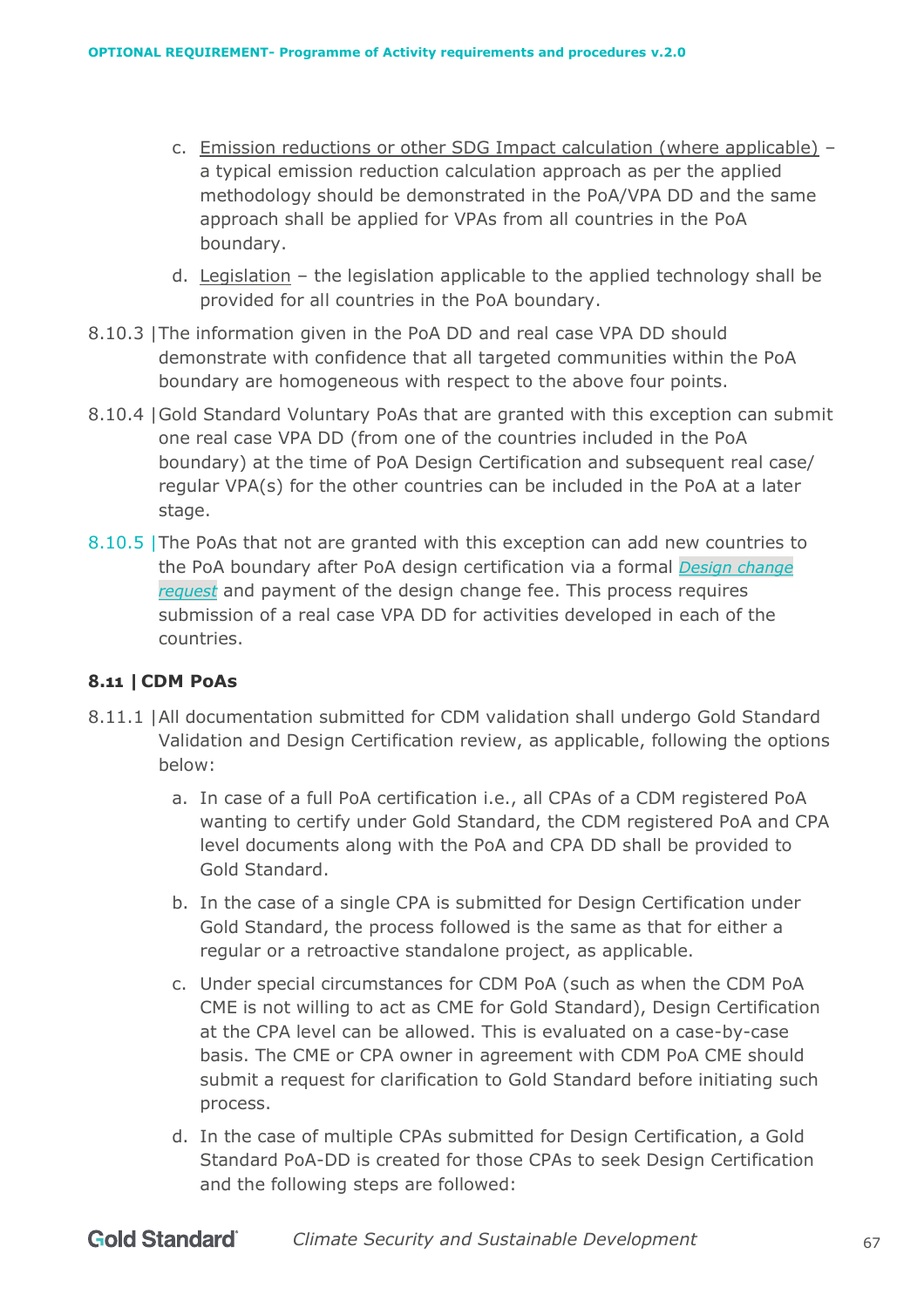- c. Emission reductions or other SDG Impact calculation (where applicable) a typical emission reduction calculation approach as per the applied methodology should be demonstrated in the PoA[/VPA DD](https://globalgoals.goldstandard.org/wp-content/uploads/2017/06/101.1-OR-POA-T-GS4GG_VPA-DD_ver1.doc) and the same approach shall be applied for VPAs from all countries in the PoA boundary.
- d. Legislation the legislation applicable to the applied technology shall be provided for all countries in the PoA boundary.
- 8.10.3 |The information given in the [PoA DD](https://globalgoals.goldstandard.org/wp-content/uploads/2017/06/101.1-OR-POA-T-GS4GG_PoA-DD_ver1.doc) and real case [VPA DD](https://globalgoals.goldstandard.org/wp-content/uploads/2017/06/101.1-OR-POA-T-GS4GG_VPA-DD_ver1.doc) should demonstrate with confidence that all targeted communities within the PoA boundary are homogeneous with respect to the above four points.
- 8.10.4 |Gold Standard Voluntary PoAs that are granted with this exception can submit one real case [VPA DD](https://globalgoals.goldstandard.org/wp-content/uploads/2017/06/101.1-OR-POA-T-GS4GG_VPA-DD_ver1.doc) (from one of the countries included in the PoA boundary) at the time of PoA Design Certification and subsequent real case/ regular VPA(s) for the other countries can be included in the PoA at a later stage.
- 8.10.5 |The PoAs that not are granted with this exception can add new countries to the PoA boundary after PoA design certification via a formal *Design [change](https://globalgoals.goldstandard.org/111-par-design-change-requirements/)  [request](https://globalgoals.goldstandard.org/111-par-design-change-requirements/)* and payment of the design change fee. This process requires submission of a real case [VPA DD](https://globalgoals.goldstandard.org/wp-content/uploads/2017/06/101.1-OR-POA-T-GS4GG_VPA-DD_ver1.doc) for activities developed in each of the countries.

## **8.11 |CDM PoAs**

- 8.11.1 |All documentation submitted for CDM validation shall undergo Gold Standard Validation and Design Certification review, as applicable, following the options below:
	- a. In case of a full PoA certification i.e., all CPAs of a CDM registered PoA wanting to certify under Gold Standard, the CDM registered PoA and CPA level documents along with the PoA and CPA DD shall be provided to Gold Standard.
	- b. In the case of a single CPA is submitted for Design Certification under Gold Standard, the process followed is the same as that for either a regular or a retroactive standalone project, as applicable.
	- c. Under special circumstances for CDM PoA (such as when the CDM PoA CME is not willing to act as CME for Gold Standard), Design Certification at the CPA level can be allowed. This is evaluated on a case-by-case basis. The CME or CPA owner in agreement with CDM PoA CME should submit a request for clarification to Gold Standard before initiating such process.
	- d. In the case of multiple CPAs submitted for Design Certification, a Gold Standard PoA-DD is created for those CPAs to seek Design Certification and the following steps are followed: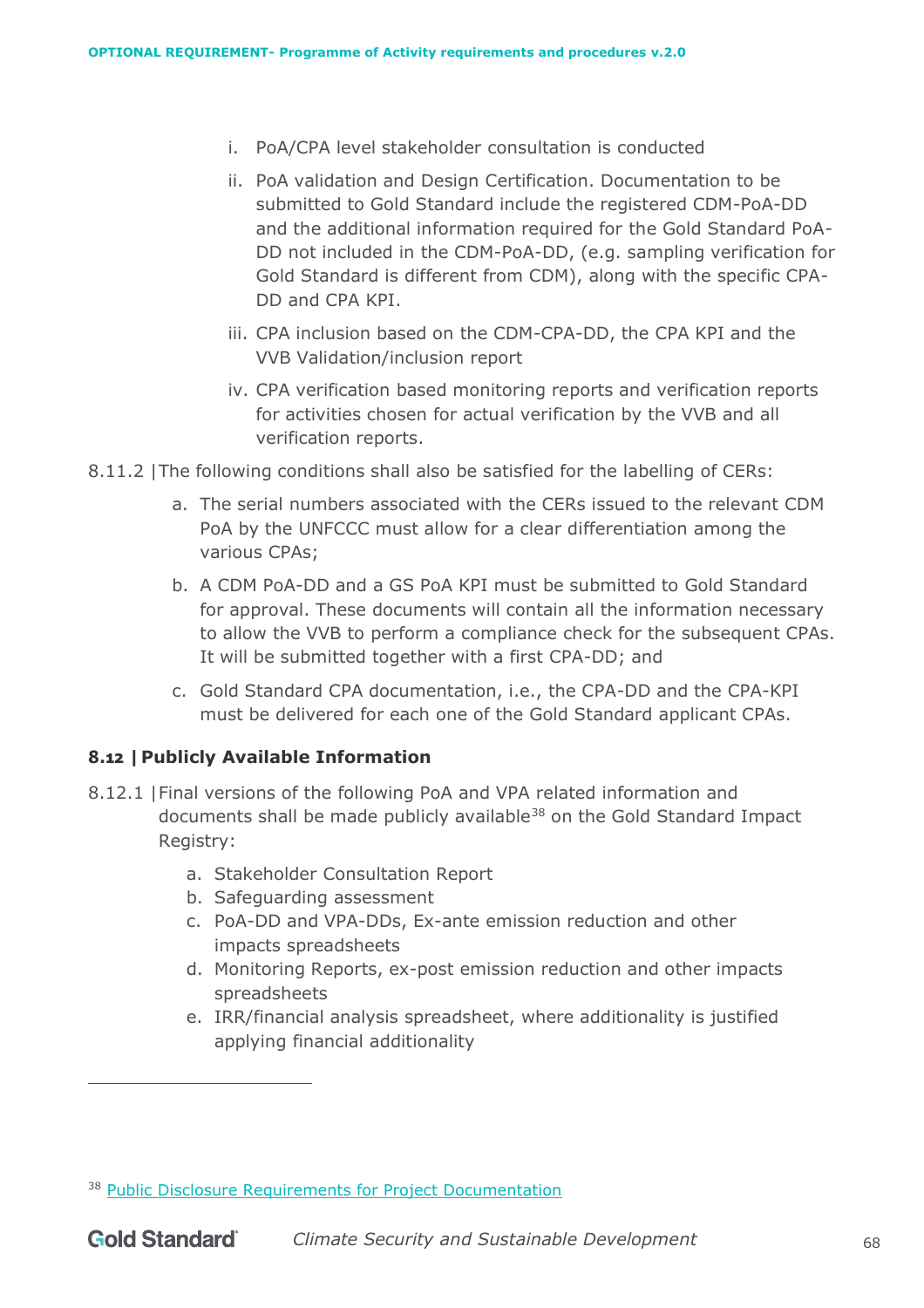- i. PoA/CPA level stakeholder consultation is conducted
- ii. PoA validation and Design Certification. Documentation to be submitted to Gold Standard include the registered CDM-PoA-DD and the additional information required for the Gold Standard PoA-DD not included in the CDM-PoA-DD, (e.g. sampling verification for Gold Standard is different from CDM), along with the specific CPA-DD and CPA KPI.
- iii. CPA inclusion based on the CDM-CPA-DD, the CPA KPI and the VVB Validation/inclusion report
- iv. CPA verification based monitoring reports and verification reports for activities chosen for actual verification by the VVB and all verification reports.
- 8.11.2 |The following conditions shall also be satisfied for the labelling of CERs:
	- a. The serial numbers associated with the CERs issued to the relevant CDM PoA by the UNFCCC must allow for a clear differentiation among the various CPAs;
	- b. A CDM PoA-DD and a GS PoA KPI must be submitted to Gold Standard for approval. These documents will contain all the information necessary to allow the VVB to perform a compliance check for the subsequent CPAs. It will be submitted together with a first CPA-DD; and
	- c. Gold Standard CPA documentation, i.e., the CPA-DD and the CPA-KPI must be delivered for each one of the Gold Standard applicant CPAs.

## **8.12 |Publicly Available Information**

- 8.12.1 |Final versions of the following PoA and VPA related information and documents shall be made publicly available<sup>38</sup> on the Gold Standard Impact Registry:
	- a. Stakeholder Consultation Report
	- b. Safeguarding assessment
	- c. PoA-DD and VPA-DDs, Ex-ante emission reduction and other impacts spreadsheets
	- d. Monitoring Reports, ex-post emission reduction and other impacts spreadsheets
	- e. IRR/financial analysis spreadsheet, where additionality is justified applying financial additionality

<sup>&</sup>lt;sup>38</sup> [Public Disclosure Requirements for Project Documentation](https://globalgoals.goldstandard.org/rc-2021-public-disclosure-requirements-for-project-documentation/)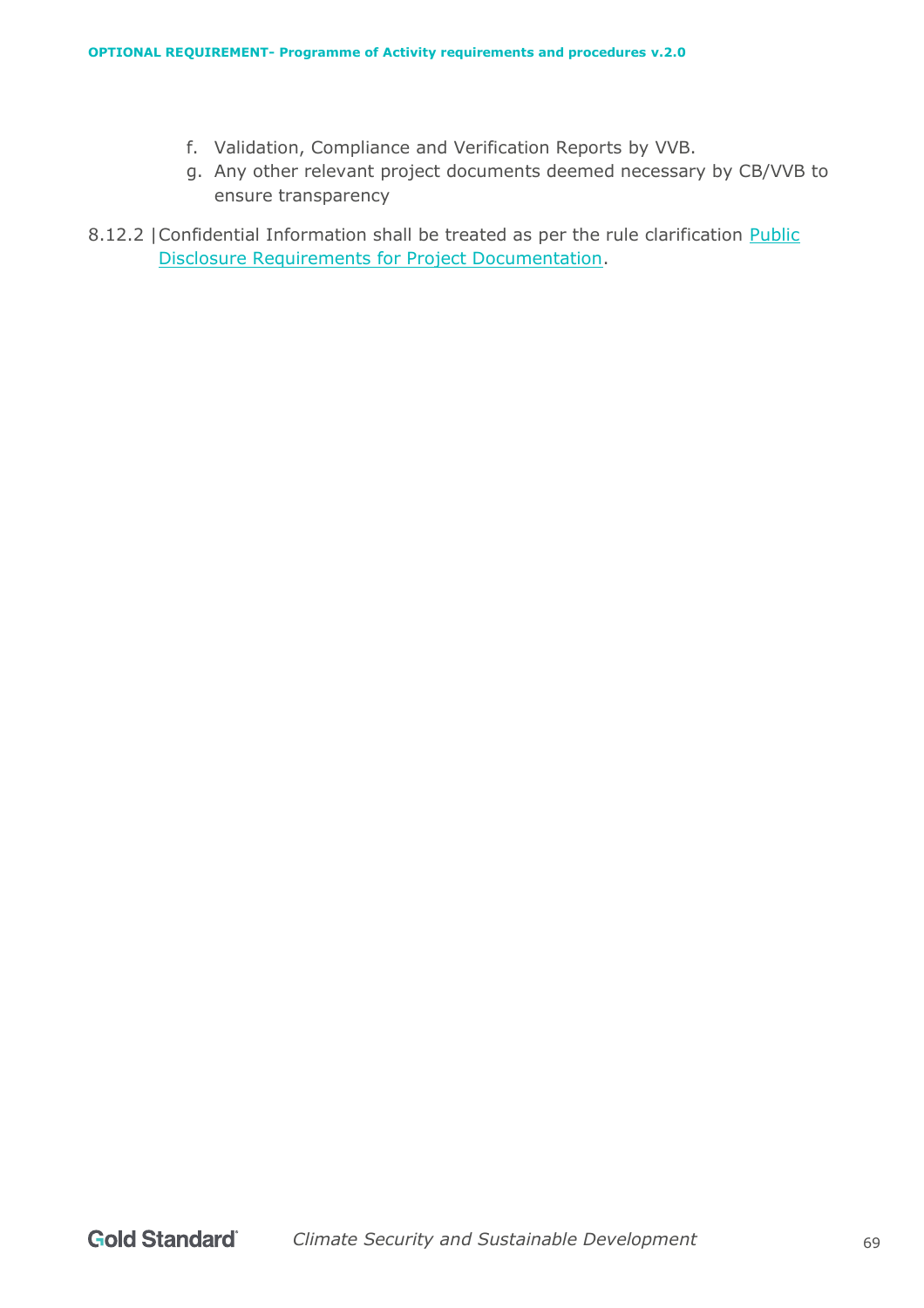- f. Validation, Compliance and Verification Reports by VVB.
- g. Any other relevant project documents deemed necessary by CB/VVB to ensure transparency
- 8.12.2 | Confidential Information shall be treated as per the rule clarification Public [Disclosure Requirements for Project Documentation.](https://globalgoals.goldstandard.org/rc-2021-public-disclosure-requirements-for-project-documentation/)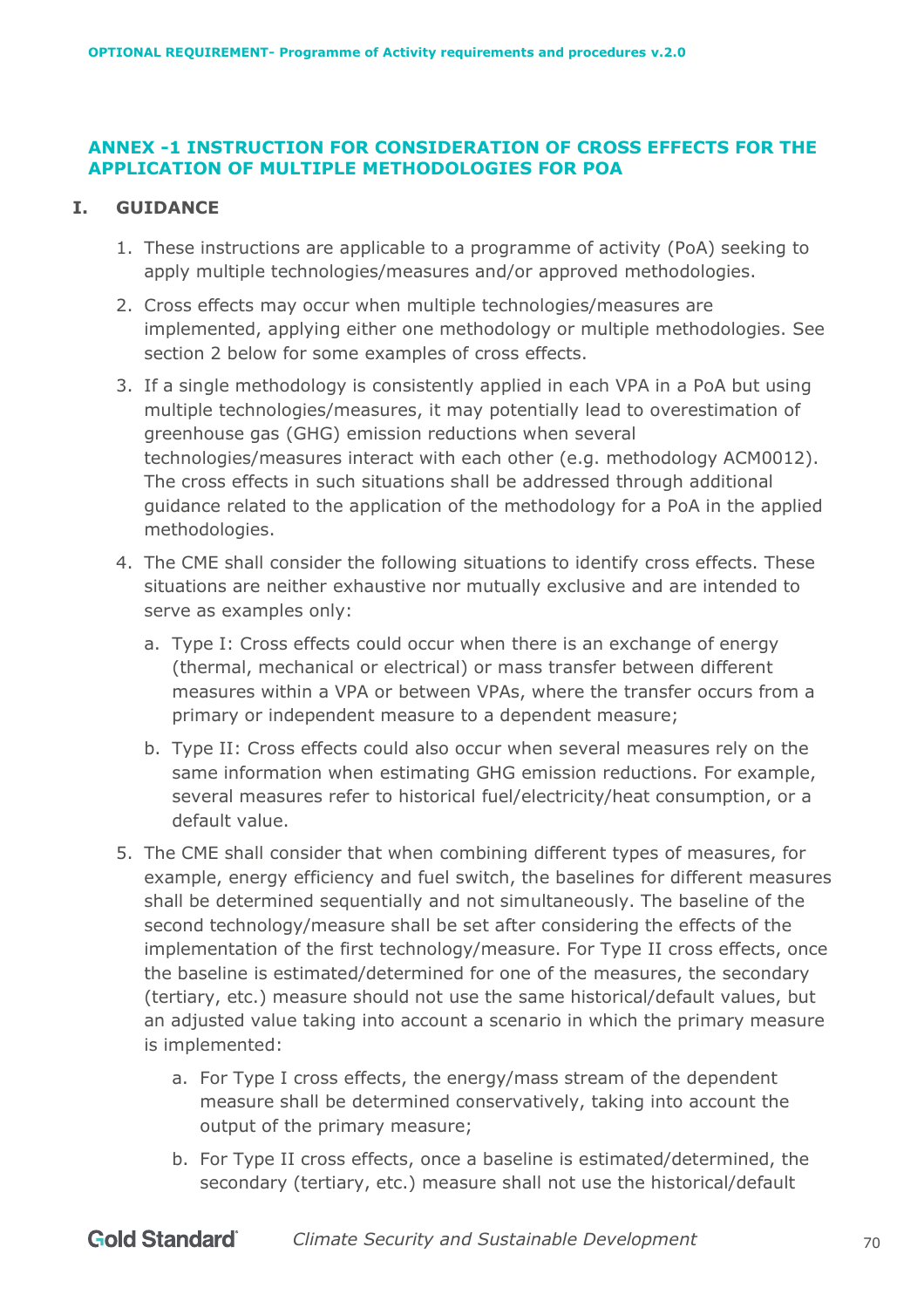## **ANNEX -1 INSTRUCTION FOR CONSIDERATION OF CROSS EFFECTS FOR THE APPLICATION OF MULTIPLE METHODOLOGIES FOR POA**

## **I. GUIDANCE**

- 1. These instructions are applicable to a programme of activity (PoA) seeking to apply multiple technologies/measures and/or approved methodologies.
- 2. Cross effects may occur when multiple technologies/measures are implemented, applying either one methodology or multiple methodologies. See section 2 below for some examples of cross effects.
- 3. If a single methodology is consistently applied in each VPA in a PoA but using multiple technologies/measures, it may potentially lead to overestimation of greenhouse gas (GHG) emission reductions when several technologies/measures interact with each other (e.g. methodology ACM0012). The cross effects in such situations shall be addressed through additional guidance related to the application of the methodology for a PoA in the applied methodologies.
- 4. The CME shall consider the following situations to identify cross effects. These situations are neither exhaustive nor mutually exclusive and are intended to serve as examples only:
	- a. Type I: Cross effects could occur when there is an exchange of energy (thermal, mechanical or electrical) or mass transfer between different measures within a VPA or between VPAs, where the transfer occurs from a primary or independent measure to a dependent measure;
	- b. Type II: Cross effects could also occur when several measures rely on the same information when estimating GHG emission reductions. For example, several measures refer to historical fuel/electricity/heat consumption, or a default value.
- 5. The CME shall consider that when combining different types of measures, for example, energy efficiency and fuel switch, the baselines for different measures shall be determined sequentially and not simultaneously. The baseline of the second technology/measure shall be set after considering the effects of the implementation of the first technology/measure. For Type II cross effects, once the baseline is estimated/determined for one of the measures, the secondary (tertiary, etc.) measure should not use the same historical/default values, but an adjusted value taking into account a scenario in which the primary measure is implemented:
	- a. For Type I cross effects, the energy/mass stream of the dependent measure shall be determined conservatively, taking into account the output of the primary measure;
	- b. For Type II cross effects, once a baseline is estimated/determined, the secondary (tertiary, etc.) measure shall not use the historical/default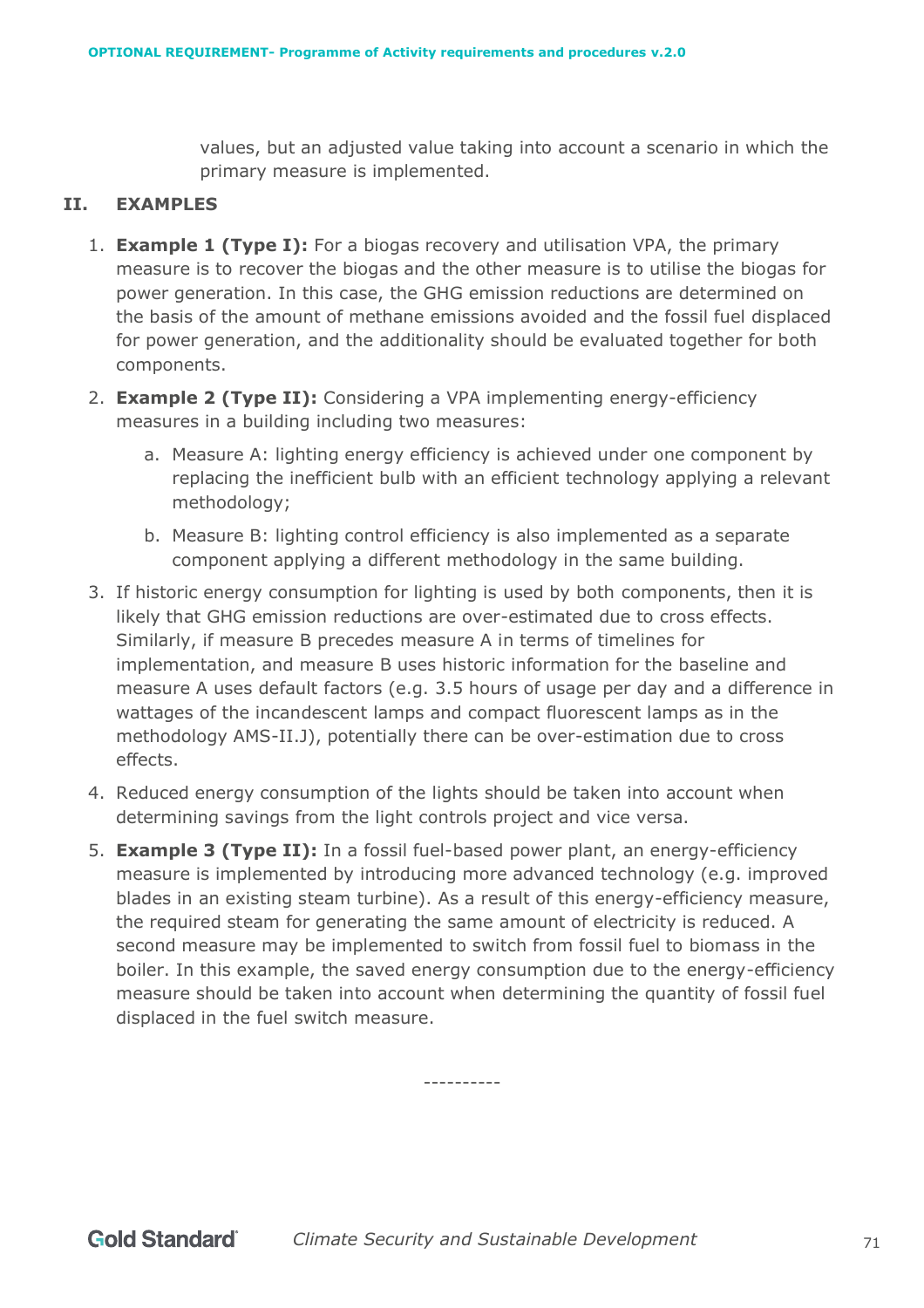values, but an adjusted value taking into account a scenario in which the primary measure is implemented.

## **II. EXAMPLES**

- 1. **Example 1 (Type I):** For a biogas recovery and utilisation VPA, the primary measure is to recover the biogas and the other measure is to utilise the biogas for power generation. In this case, the GHG emission reductions are determined on the basis of the amount of methane emissions avoided and the fossil fuel displaced for power generation, and the additionality should be evaluated together for both components.
- 2. **Example 2 (Type II):** Considering a VPA implementing energy-efficiency measures in a building including two measures:
	- a. Measure A: lighting energy efficiency is achieved under one component by replacing the inefficient bulb with an efficient technology applying a relevant methodology;
	- b. Measure B: lighting control efficiency is also implemented as a separate component applying a different methodology in the same building.
- 3. If historic energy consumption for lighting is used by both components, then it is likely that GHG emission reductions are over-estimated due to cross effects. Similarly, if measure B precedes measure A in terms of timelines for implementation, and measure B uses historic information for the baseline and measure A uses default factors (e.g. 3.5 hours of usage per day and a difference in wattages of the incandescent lamps and compact fluorescent lamps as in the methodology AMS-II.J), potentially there can be over-estimation due to cross effects.
- 4. Reduced energy consumption of the lights should be taken into account when determining savings from the light controls project and vice versa.
- 5. **Example 3 (Type II):** In a fossil fuel-based power plant, an energy-efficiency measure is implemented by introducing more advanced technology (e.g. improved blades in an existing steam turbine). As a result of this energy-efficiency measure, the required steam for generating the same amount of electricity is reduced. A second measure may be implemented to switch from fossil fuel to biomass in the boiler. In this example, the saved energy consumption due to the energy-efficiency measure should be taken into account when determining the quantity of fossil fuel displaced in the fuel switch measure.

----------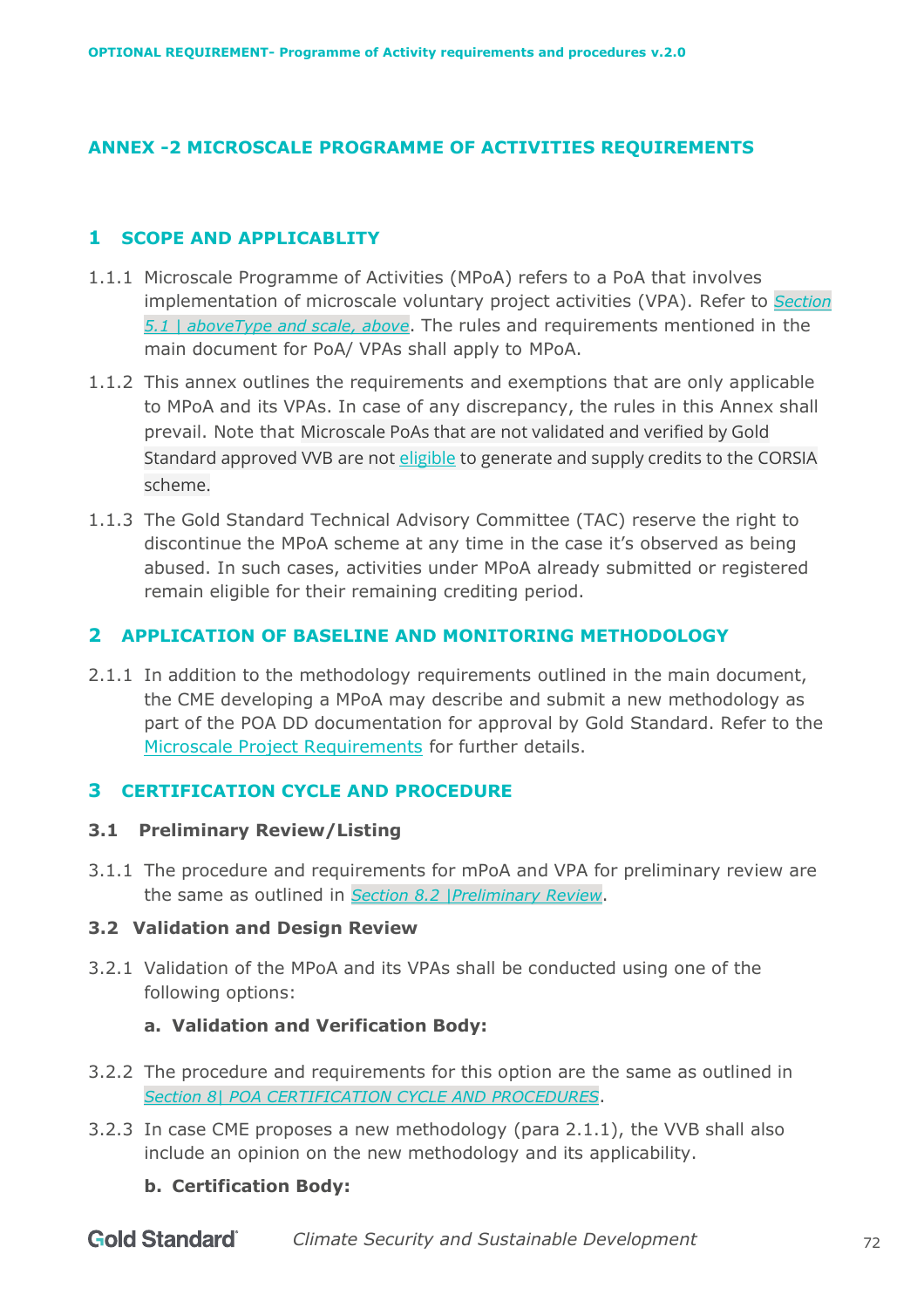# **ANNEX -2 MICROSCALE PROGRAMME OF ACTIVITIES REQUIREMENTS**

## **1 SCOPE AND APPLICABLITY**

- 1.1.1 Microscale Programme of Activities (MPoA) refers to a PoA that involves implementation of microscale voluntary project activities (VPA). Refer to *Section [5.1 | aboveType and scale,](#page-21-0) above*. The rules and requirements mentioned in the main document for PoA/ VPAs shall apply to MPoA.
- 1.1.2 This annex outlines the requirements and exemptions that are only applicable to MPoA and its VPAs. In case of any discrepancy, the rules in this Annex shall prevail. Note that Microscale PoAs that are not validated and verified by Gold Standard approved VVB are not [eligible](https://globalgoals.goldstandard.org/corsia-updates/) to generate and supply credits to the CORSIA scheme.
- 1.1.3 The Gold Standard Technical Advisory Committee (TAC) reserve the right to discontinue the MPoA scheme at any time in the case it's observed as being abused. In such cases, activities under MPoA already submitted or registered remain eligible for their remaining crediting period.

# **2 APPLICATION OF BASELINE AND MONITORING METHODOLOGY**

2.1.1 In addition to the methodology requirements outlined in the main document, the CME developing a MPoA may describe and submit a new methodology as part of the POA DD documentation for approval by Gold Standard. Refer to the [Microscale Project Requirements](https://globalgoals.goldstandard.org/108-par-microscale-project-requirements/) for further details.

## **3 CERTIFICATION CYCLE AND PROCEDURE**

## **3.1 Preliminary Review/Listing**

3.1.1 The procedure and requirements for mPoA and VPA for preliminary review are the same as outlined in *Section [8.2 |Preliminary](#page-53-0) Review*.

## **3.2 Validation and Design Review**

3.2.1 Validation of the MPoA and its VPAs shall be conducted using one of the following options:

## **a. Validation and Verification Body:**

- 3.2.2 The procedure and requirements for this option are the same as outlined in *Section [8|](#page-52-0) POA CERTIFICATION [CYCLE AND PROCEDURES](#page-52-0)*.
- 3.2.3 In case CME proposes a new methodology (para 2.1.1), the VVB shall also include an opinion on the new methodology and its applicability.

## **b. Certification Body:**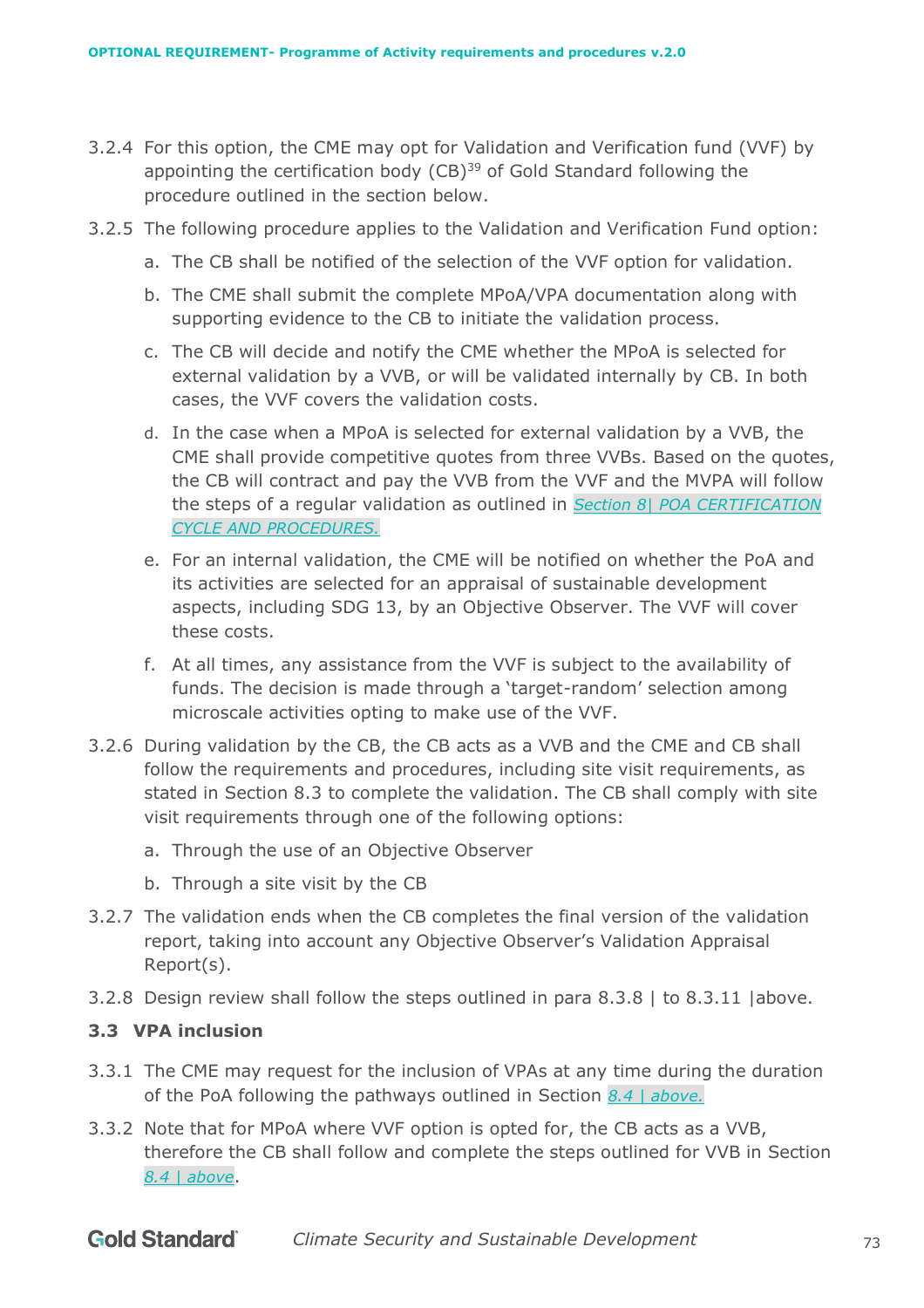- 3.2.4 For this option, the CME may opt for Validation and Verification fund (VVF) by appointing the certification body  $(CB)^{39}$  of Gold Standard following the procedure outlined in the section below.
- 3.2.5 The following procedure applies to the Validation and Verification Fund option:
	- a. The CB shall be notified of the selection of the VVF option for validation.
	- b. The CME shall submit the complete MPoA/VPA documentation along with supporting evidence to the CB to initiate the validation process.
	- c. The CB will decide and notify the CME whether the MPoA is selected for external validation by a VVB, or will be validated internally by CB. In both cases, the VVF covers the validation costs.
	- d. In the case when a MPoA is selected for external validation by a VVB, the CME shall provide competitive quotes from three VVBs. Based on the quotes, the CB will contract and pay the VVB from the VVF and the MVPA will follow the steps of a regular validation as outlined in *Section [8|](#page-52-0) [POA CERTIFICATION](#page-52-0) [CYCLE AND PROCEDURES.](#page-52-0)*
	- e. For an internal validation, the CME will be notified on whether the PoA and its activities are selected for an appraisal of sustainable development aspects, including SDG 13, by an Objective Observer. The VVF will cover these costs.
	- f. At all times, any assistance from the VVF is subject to the availability of funds. The decision is made through a 'target-random' selection among microscale activities opting to make use of the VVF.
- 3.2.6 During validation by the CB, the CB acts as a VVB and the CME and CB shall follow the requirements and procedures, including site visit requirements, as stated in Section 8.3 to complete the validation. The CB shall comply with site visit requirements through one of the following options:
	- a. Through the use of an Objective Observer
	- b. Through a site visit by the CB
- 3.2.7 The validation ends when the CB completes the final version of the validation report, taking into account any Objective Observer's Validation Appraisal Report(s).
- 3.2.8 Design review shall follow the steps outlined in para [8.3.8 |](#page-55-0) to [8.3.11 |a](#page-56-0)bove.

## **3.3 VPA inclusion**

- 3.3.1 The CME may request for the inclusion of VPAs at any time during the duration of the PoA following the pathways outlined in Section *[8.4 | above.](#page-56-1)*
- 3.3.2 Note that for MPoA where VVF option is opted for, the CB acts as a VVB, therefore the CB shall follow and complete the steps outlined for VVB in Section *[8.4 | above](#page-56-1)*.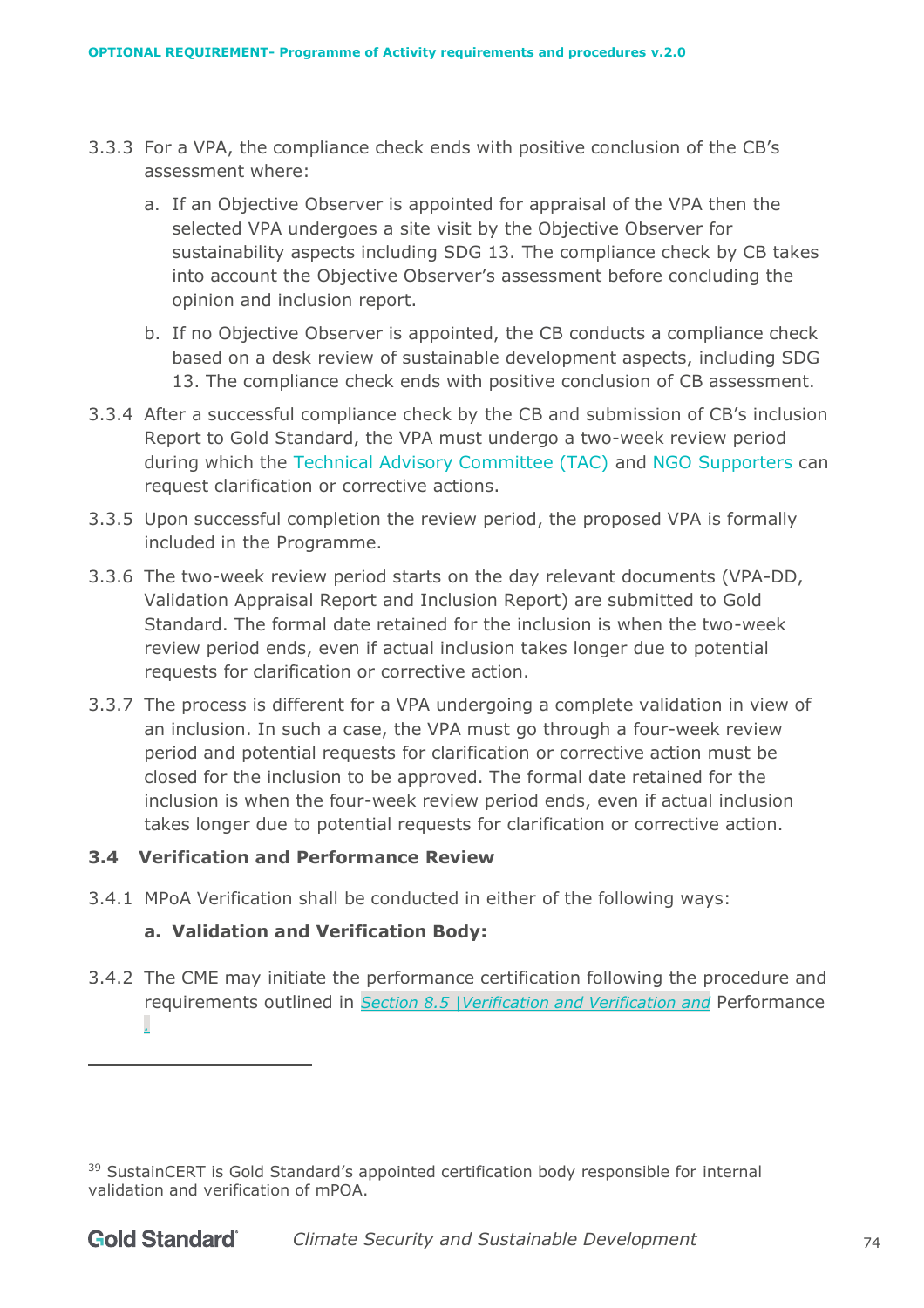- 3.3.3 For a VPA, the compliance check ends with positive conclusion of the CB's assessment where:
	- a. If an Objective Observer is appointed for appraisal of the VPA then the selected VPA undergoes a site visit by the Objective Observer for sustainability aspects including SDG 13. The compliance check by CB takes into account the Objective Observer's assessment before concluding the opinion and inclusion report.
	- b. If no Objective Observer is appointed, the CB conducts a compliance check based on a desk review of sustainable development aspects, including SDG 13. The compliance check ends with positive conclusion of CB assessment.
- 3.3.4 After a successful compliance check by the CB and submission of CB's inclusion Report to Gold Standard, the VPA must undergo a two-week review period during which the Technical Advisory Committee (TAC) and NGO Supporters can request clarification or corrective actions.
- 3.3.5 Upon successful completion the review period, the proposed VPA is formally included in the Programme.
- 3.3.6 The two-week review period starts on the day relevant documents (VPA-DD, Validation Appraisal Report and Inclusion Report) are submitted to Gold Standard. The formal date retained for the inclusion is when the two-week review period ends, even if actual inclusion takes longer due to potential requests for clarification or corrective action.
- 3.3.7 The process is different for a VPA undergoing a complete validation in view of an inclusion. In such a case, the VPA must go through a four-week review period and potential requests for clarification or corrective action must be closed for the inclusion to be approved. The formal date retained for the inclusion is when the four-week review period ends, even if actual inclusion takes longer due to potential requests for clarification or corrective action.

## **3.4 Verification and Performance Review**

3.4.1 MPoA Verification shall be conducted in either of the following ways:

# **a. Validation and Verification Body:**

3.4.2 The CME may initiate the performance certification following the procedure and requirements outlined in *Section [8.5 |V](#page-60-0)erification and Verification and* [Performance](#page-60-0)  *.*

<sup>&</sup>lt;sup>39</sup> SustainCERT is Gold Standard's appointed certification body responsible for internal validation and verification of mPOA.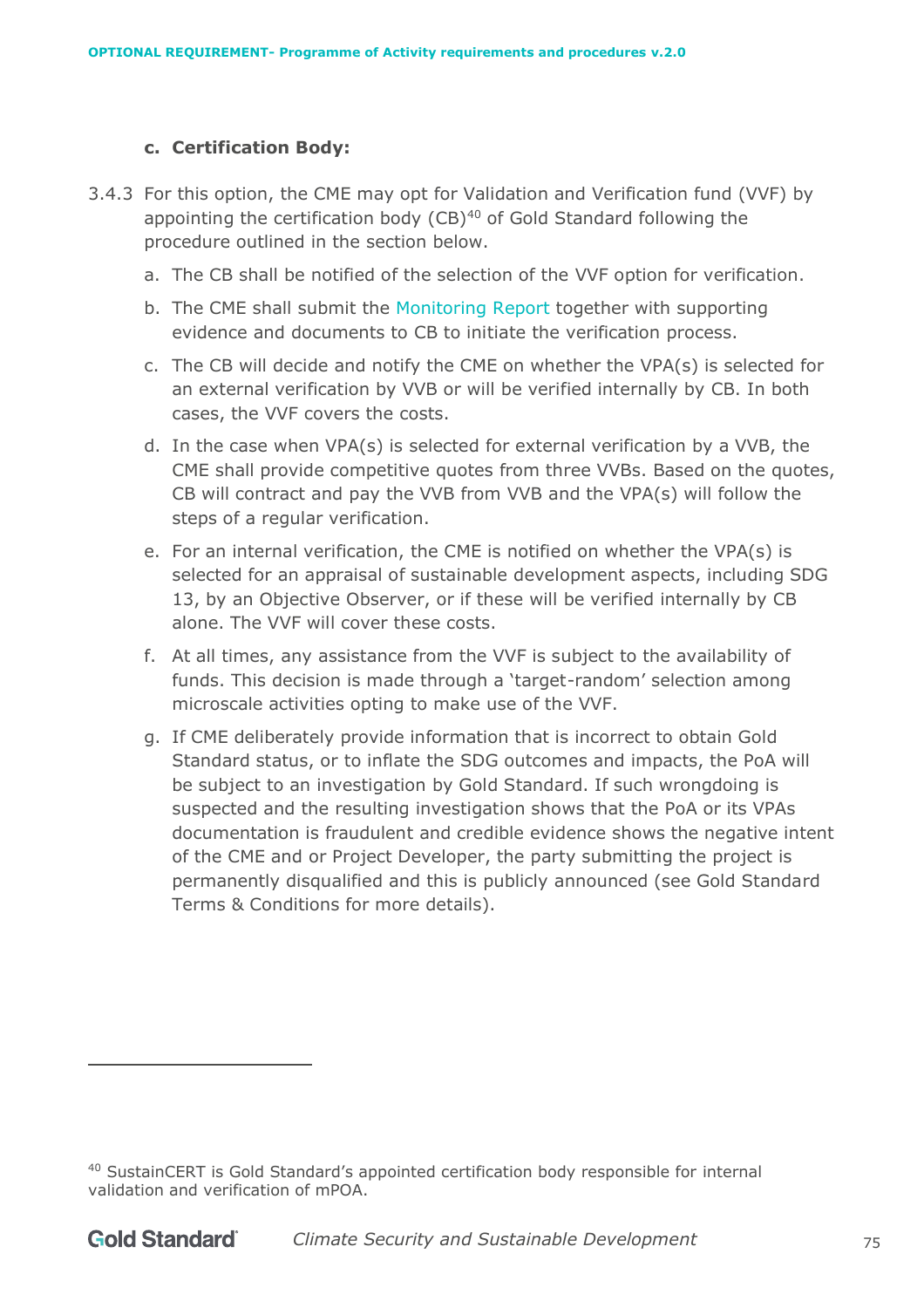### **c. Certification Body:**

- 3.4.3 For this option, the CME may opt for Validation and Verification fund (VVF) by appointing the certification body  $(CB)^{40}$  of Gold Standard following the procedure outlined in the section below.
	- a. The CB shall be notified of the selection of the VVF option for verification.
	- b. The CME shall submit the Monitoring Report together with supporting evidence and documents to CB to initiate the verification process.
	- c. The CB will decide and notify the CME on whether the VPA(s) is selected for an external verification by VVB or will be verified internally by CB. In both cases, the VVF covers the costs.
	- d. In the case when VPA(s) is selected for external verification by a VVB, the CME shall provide competitive quotes from three VVBs. Based on the quotes, CB will contract and pay the VVB from VVB and the VPA(s) will follow the steps of a regular verification.
	- e. For an internal verification, the CME is notified on whether the VPA(s) is selected for an appraisal of sustainable development aspects, including SDG 13, by an Objective Observer, or if these will be verified internally by CB alone. The VVF will cover these costs.
	- f. At all times, any assistance from the VVF is subject to the availability of funds. This decision is made through a 'target-random' selection among microscale activities opting to make use of the VVF.
	- g. If CME deliberately provide information that is incorrect to obtain Gold Standard status, or to inflate the SDG outcomes and impacts, the PoA will be subject to an investigation by Gold Standard. If such wrongdoing is suspected and the resulting investigation shows that the PoA or its VPAs documentation is fraudulent and credible evidence shows the negative intent of the CME and or Project Developer, the party submitting the project is permanently disqualified and this is publicly announced (see Gold Standard Terms & Conditions for more details).

<sup>40</sup> SustainCERT is Gold Standard's appointed certification body responsible for internal validation and verification of mPOA.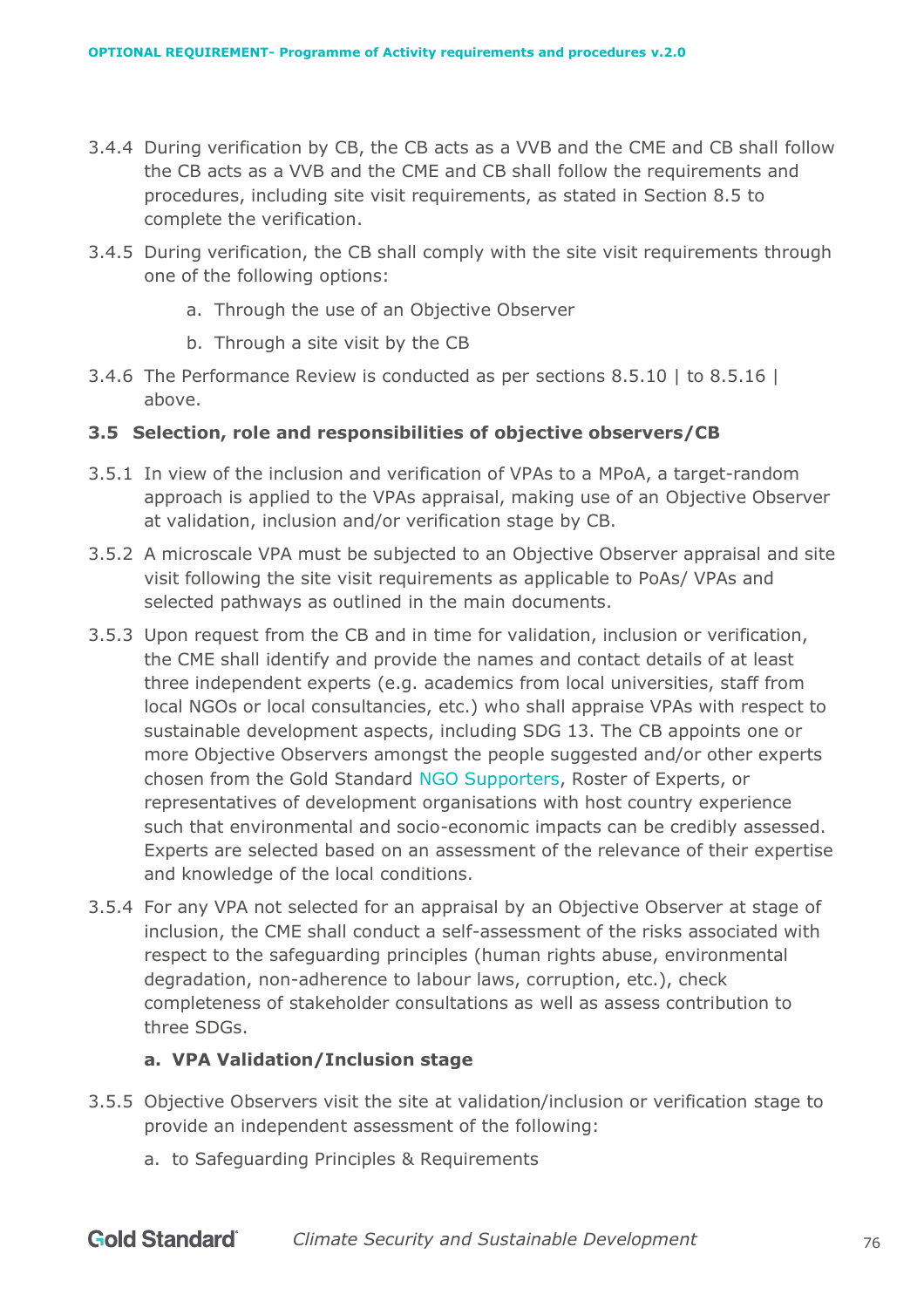- 3.4.4 During verification by CB, the CB acts as a VVB and the CME and CB shall follow the CB acts as a VVB and the CME and CB shall follow the requirements and procedures, including site visit requirements, as stated in Section 8.5 to complete the verification.
- 3.4.5 During verification, the CB shall comply with the site visit requirements through one of the following options:
	- a. Through the use of an Objective Observer
	- b. Through a site visit by the CB
- 3.4.6 The Performance Review is conducted as per sections [8.5.10 |](#page-61-0) to [8.5.16 |](#page-62-0)  [above.](#page-62-0)

### **3.5 Selection, role and responsibilities of objective observers/CB**

- 3.5.1 In view of the inclusion and verification of VPAs to a MPoA, a target-random approach is applied to the VPAs appraisal, making use of an Objective Observer at validation, inclusion and/or verification stage by CB.
- 3.5.2 A microscale VPA must be subjected to an Objective Observer appraisal and site visit following the site visit requirements as applicable to PoAs/ VPAs and selected pathways as outlined in the main documents.
- 3.5.3 Upon request from the CB and in time for validation, inclusion or verification, the CME shall identify and provide the names and contact details of at least three independent experts (e.g. academics from local universities, staff from local NGOs or local consultancies, etc.) who shall appraise VPAs with respect to sustainable development aspects, including SDG 13. The CB appoints one or more Objective Observers amongst the people suggested and/or other experts chosen from the Gold Standard NGO Supporters, Roster of Experts, or representatives of development organisations with host country experience such that environmental and socio-economic impacts can be credibly assessed. Experts are selected based on an assessment of the relevance of their expertise and knowledge of the local conditions.
- 3.5.4 For any VPA not selected for an appraisal by an Objective Observer at stage of inclusion, the CME shall conduct a self-assessment of the risks associated with respect to the safeguarding principles (human rights abuse, environmental degradation, non-adherence to labour laws, corruption, etc.), check completeness of stakeholder consultations as well as assess contribution to three SDGs.

#### **a. VPA Validation/Inclusion stage**

- 3.5.5 Objective Observers visit the site at validation/inclusion or verification stage to provide an independent assessment of the following:
	- a. to Safeguarding Principles & Requirements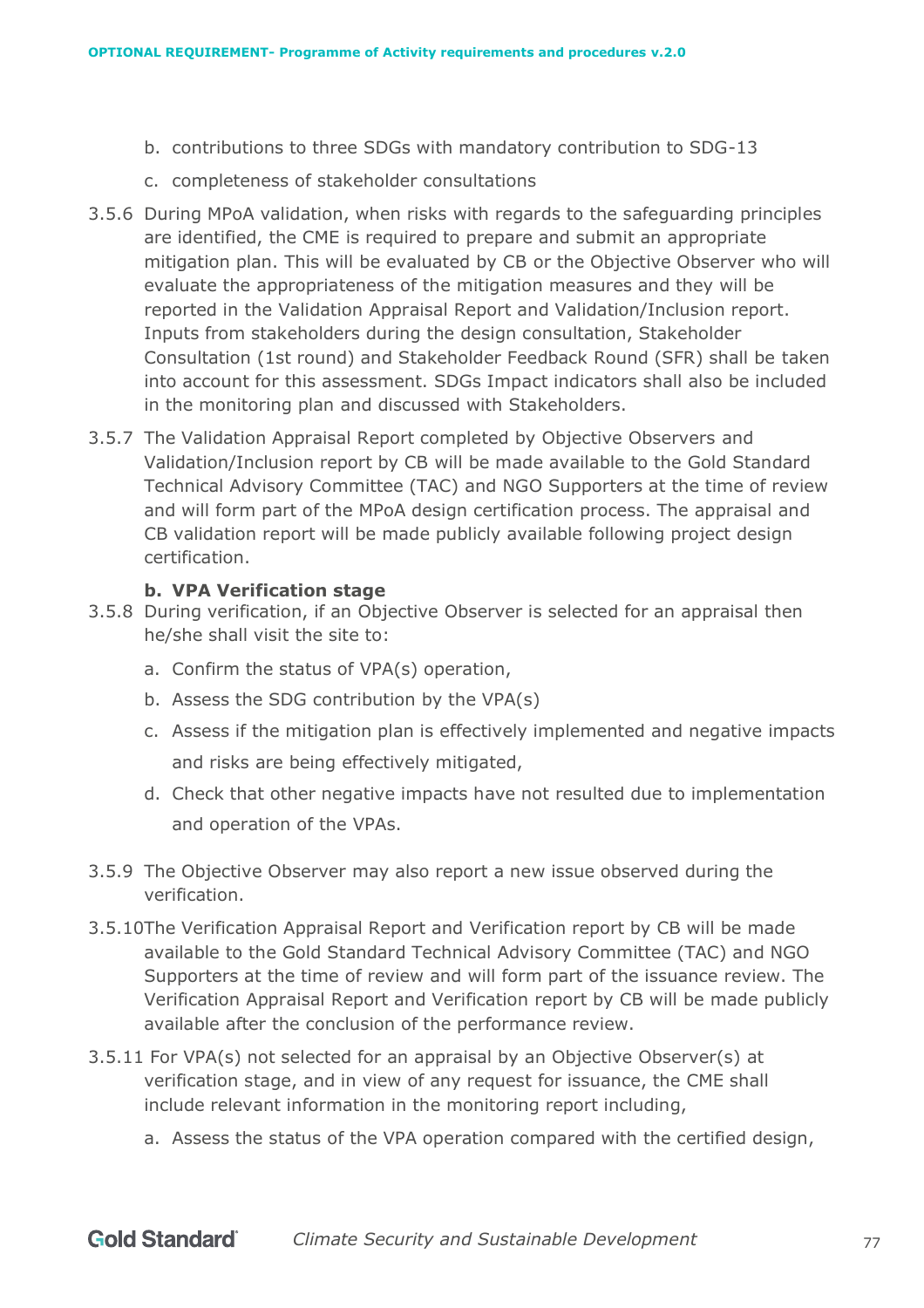- b. contributions to three SDGs with mandatory contribution to SDG-13
- c. completeness of stakeholder consultations
- 3.5.6 During MPoA validation, when risks with regards to the safeguarding principles are identified, the CME is required to prepare and submit an appropriate mitigation plan. This will be evaluated by CB or the Objective Observer who will evaluate the appropriateness of the mitigation measures and they will be reported in the Validation Appraisal Report and Validation/Inclusion report. Inputs from stakeholders during the design consultation, Stakeholder Consultation (1st round) and Stakeholder Feedback Round (SFR) shall be taken into account for this assessment. SDGs Impact indicators shall also be included in the monitoring plan and discussed with Stakeholders.
- 3.5.7 The Validation Appraisal Report completed by Objective Observers and Validation/Inclusion report by CB will be made available to the Gold Standard Technical Advisory Committee (TAC) and NGO Supporters at the time of review and will form part of the MPoA design certification process. The appraisal and CB validation report will be made publicly available following project design certification.

### **b. VPA Verification stage**

- 3.5.8 During verification, if an Objective Observer is selected for an appraisal then he/she shall visit the site to:
	- a. Confirm the status of VPA(s) operation,
	- b. Assess the SDG contribution by the VPA(s)
	- c. Assess if the mitigation plan is effectively implemented and negative impacts and risks are being effectively mitigated,
	- d. Check that other negative impacts have not resulted due to implementation and operation of the VPAs.
- 3.5.9 The Objective Observer may also report a new issue observed during the verification.
- 3.5.10The Verification Appraisal Report and Verification report by CB will be made available to the Gold Standard Technical Advisory Committee (TAC) and NGO Supporters at the time of review and will form part of the issuance review. The Verification Appraisal Report and Verification report by CB will be made publicly available after the conclusion of the performance review.
- 3.5.11 For VPA(s) not selected for an appraisal by an Objective Observer(s) at verification stage, and in view of any request for issuance, the CME shall include relevant information in the monitoring report including,
	- a. Assess the status of the VPA operation compared with the certified design,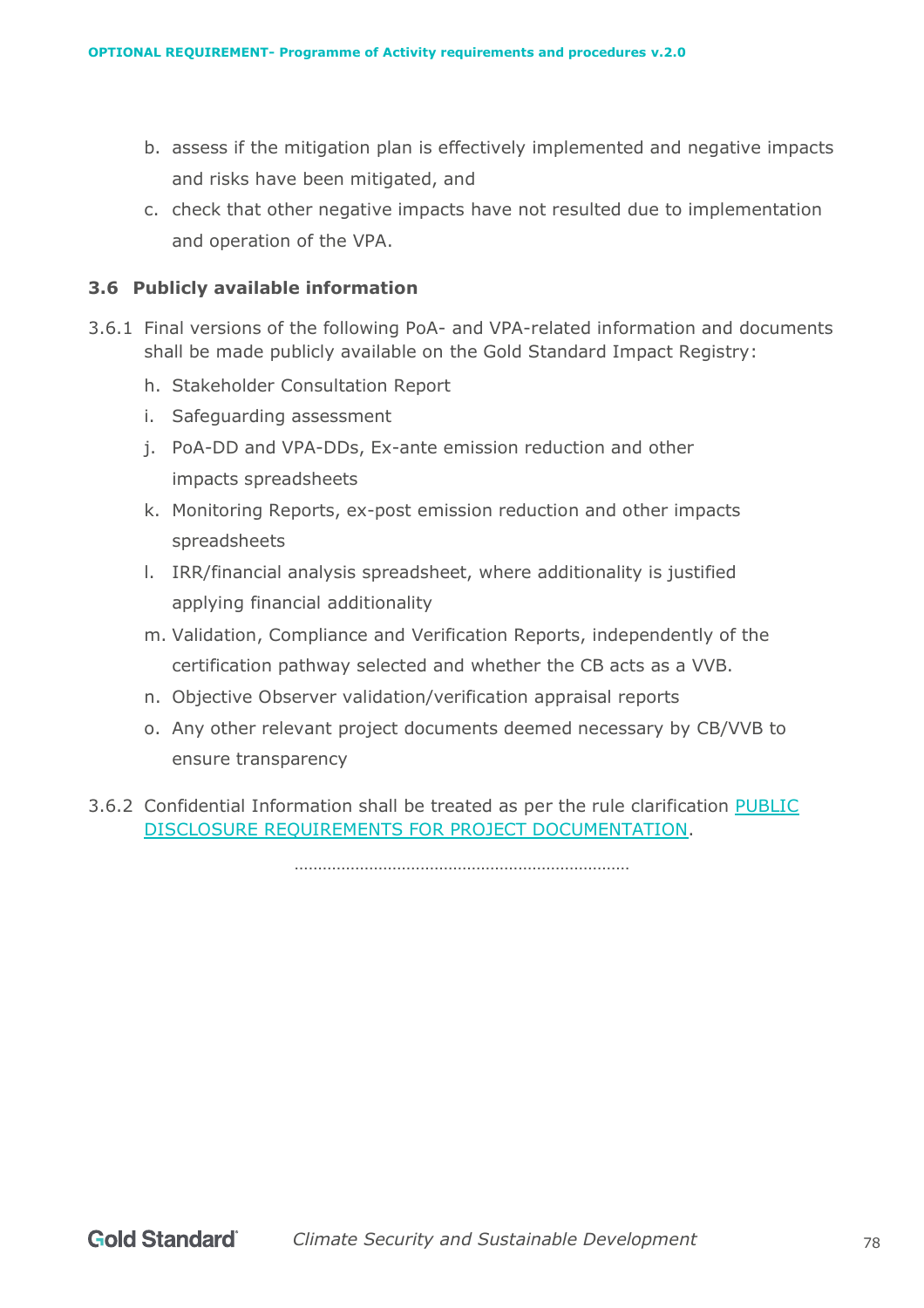- b. assess if the mitigation plan is effectively implemented and negative impacts and risks have been mitigated, and
- c. check that other negative impacts have not resulted due to implementation and operation of the VPA.

### **3.6 Publicly available information**

- 3.6.1 Final versions of the following PoA- and VPA-related information and documents shall be made publicly available on the Gold Standard Impact Registry:
	- h. Stakeholder Consultation Report
	- i. Safeguarding assessment
	- j. PoA-DD and VPA-DDs, Ex-ante emission reduction and other impacts spreadsheets
	- k. Monitoring Reports, ex-post emission reduction and other impacts spreadsheets
	- l. IRR/financial analysis spreadsheet, where additionality is justified applying financial additionality
	- m. Validation, Compliance and Verification Reports, independently of the certification pathway selected and whether the CB acts as a VVB.
	- n. Objective Observer validation/verification appraisal reports
	- o. Any other relevant project documents deemed necessary by CB/VVB to ensure transparency
- 3.6.2 Confidential Information shall be treated as per the rule clarification [PUBLIC](https://globalgoals.goldstandard.org/rc-2021-public-disclosure-requirements-for-project-documentation/)  [DISCLOSURE REQUIREMENTS FOR PROJECT DOCUMENTATION.](https://globalgoals.goldstandard.org/rc-2021-public-disclosure-requirements-for-project-documentation/)

 $\mathbb{R}^n$  . The contract of the contract of the contract of the contract of the contract of the contract of the contract of the contract of the contract of the contract of the contract of the contract of the contract of